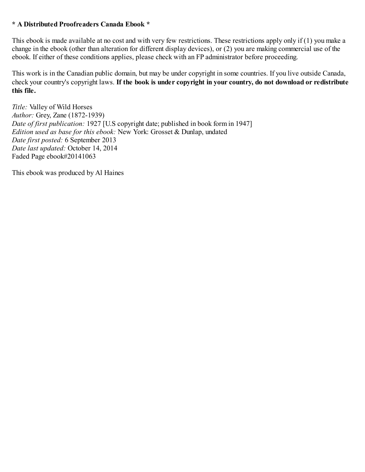#### **\* A Distributed Proofreaders Canada Ebook \***

This ebook is made available at no cost and with very few restrictions. These restrictions apply only if (1) you make a change in the ebook (other than alteration for different display devices), or (2) you are making commercial use of the ebook. If either of these conditions applies, please check with an FP administrator before proceeding.

This work is in the Canadian public domain, but may be under copyright in some countries. If you live outside Canada, check your country's copyright laws. **If the book is under copyright in your country, do not download or redistribute this file.**

*Title:* Valley of Wild Horses *Author:* Grey, Zane (1872-1939) *Date of first publication:* 1927 [U.S copyright date; published in book form in 1947] *Edition used as base for this ebook:* New York: Grosset & Dunlap, undated *Date first posted:* 6 September 2013 *Date last updated:* October 14, 2014 Faded Page ebook#20141063

This ebook was produced by Al Haines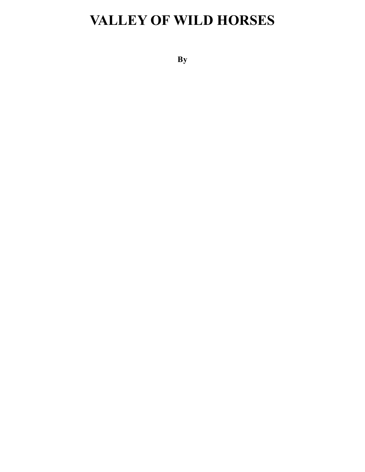# **VALLEY OF WILD HORSES**

**By**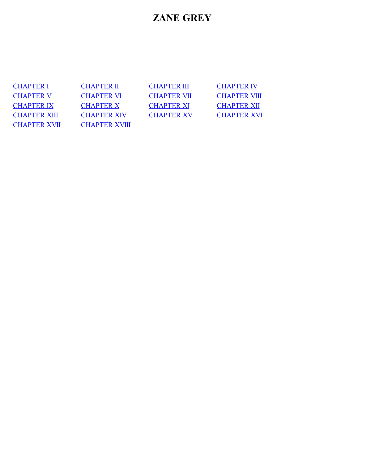### **ZANE GREY**

<span id="page-2-0"></span>

| <b>CHAPTER I</b>    | <b>CHAPTER II</b>    | <b>CHAPTER III</b> | <b>CHAPTER IV</b>   |
|---------------------|----------------------|--------------------|---------------------|
| <b>CHAPTER V</b>    | <b>CHAPTER VI</b>    | <b>CHAPTER VII</b> | <b>CHAPTER VIII</b> |
| <b>CHAPTER IX</b>   | <b>CHAPTER X</b>     | <b>CHAPTER XI</b>  | <b>CHAPTER XII</b>  |
| <b>CHAPTER XIII</b> | <b>CHAPTER XIV</b>   | <b>CHAPTER XV</b>  | <b>CHAPTER XVI</b>  |
| <b>CHAPTER XVII</b> | <b>CHAPTER XVIII</b> |                    |                     |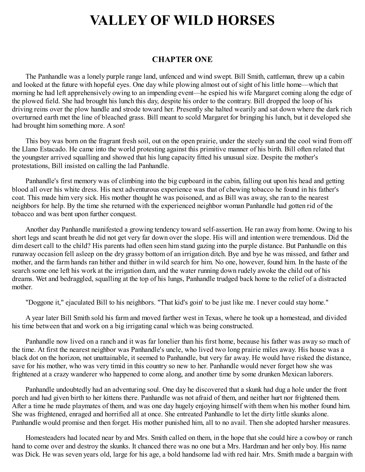## **VALLEY OF WILD HORSES**

#### **CHAPTER ONE**

The Panhandle was a lonely purple range land, unfenced and wind swept. Bill Smith, cattleman, threw up a cabin and looked at the future with hopeful eyes. One day while plowing almost out of sight of his little home—which that morning he had left apprehensively owing to an impending event—he espied his wife Margaret coming along the edge of the plowed field. She had brought his lunch this day, despite his order to the contrary. Bill dropped the loop of his driving reins over the plow handle and strode toward her. Presently she halted wearily and sat down where the dark rich overturned earth met the line of bleached grass. Bill meant to scold Margaret for bringing his lunch, but it developed she had brought him something more. A son!

This boy was born on the fragrant fresh soil, out on the open prairie, under the steely sun and the cool wind from off the Llano Estacado. He came into the world protesting against this primitive manner of his birth. Bill often related that the youngster arrived squalling and showed that his lung capacity fitted his unusual size. Despite the mother's protestations, Bill insisted on calling the lad Panhandle.

Panhandle's first memory was of climbing into the big cupboard in the cabin, falling out upon his head and getting blood all over his white dress. His next adventurous experience was that of chewing tobacco he found in his father's coat. This made him very sick. His mother thought he was poisoned, and as Bill was away, she ran to the nearest neighbors for help. By the time she returned with the experienced neighbor woman Panhandle had gotten rid of the tobacco and was bent upon further conquest.

Another day Panhandle manifested a growing tendency toward self-assertion. He ran away from home. Owing to his short legs and scant breath he did not get very far down over the slope. His will and intention were tremendous. Did the dim desert call to the child? His parents had often seen him stand gazing into the purple distance. But Panhandle on this runaway occasion fell asleep on the dry grassy bottom of an irrigation ditch. Bye and bye he was missed, and father and mother, and the farm hands ran hither and thither in wild search for him. No one, however, found him. In the haste of the search some one left his work at the irrigation dam, and the water running down rudely awoke the child out of his dreams. Wet and bedraggled, squalling at the top of his lungs, Panhandle trudged back home to the relief of a distracted mother.

"Doggone it," ejaculated Bill to his neighbors. "That kid's goin' to be just like me. I never could stay home."

A year later Bill Smith sold his farm and moved farther west in Texas, where he took up a homestead, and divided his time between that and work on a big irrigating canal which was being constructed.

Panhandle now lived on a ranch and it was far lonelier than his first home, because his father was away so much of the time. At first the nearest neighbor was Panhandle's uncle, who lived two long prairie miles away. His house was a black dot on the horizon, not unattainable, it seemed to Panhandle, but very far away. He would have risked the distance, save for his mother, who was very timid in this country so new to her. Panhandle would never forget how she was frightened at a crazy wanderer who happened to come along, and another time by some drunken Mexican laborers.

Panhandle undoubtedly had an adventuring soul. One day he discovered that a skunk had dug a hole under the front porch and had given birth to her kittens there. Panhandle was not afraid of them, and neither hurt nor frightened them. After a time he made playmates of them, and was one day hugely enjoying himself with them when his mother found him. She was frightened, enraged and horrified all at once. She entreated Panhandle to let the dirty little skunks alone. Panhandle would promise and then forget. His mother punished him, all to no avail. Then she adopted harsher measures.

Homesteaders had located near by and Mrs. Smith called on them, in the hope that she could hire a cowboy or ranch hand to come over and destroy the skunks. It chanced there was no one but a Mrs. Hardman and her only boy. His name was Dick. He was seven years old, large for his age, a bold handsome lad with red hair. Mrs. Smith made a bargain with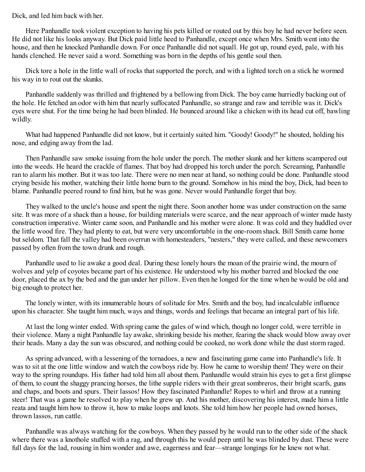Dick, and led him back with her.

Here Panhandle took violent exception to having his pets killed or routed out by this boy he had never before seen. He did not like his looks anyway. But Dick paid little heed to Panhandle, except once when Mrs. Smith went into the house, and then he knocked Panhandle down. For once Panhandle did not squall. He got up, round eyed, pale, with his hands clenched. He never said a word. Something was born in the depths of his gentle soul then.

Dick tore a hole in the little wall of rocks that supported the porch, and with a lighted torch on a stick he wormed his way in to rout out the skunks.

Panhandle suddenly was thrilled and frightened by a bellowing from Dick. The boy came hurriedly backing out of the hole. He fetched an odor with him that nearly suffocated Panhandle, so strange and raw and terrible was it. Dick's eyes were shut. For the time being he had been blinded. He bounced around like a chicken with its head cut off, bawling wildly.

What had happened Panhandle did not know, but it certainly suited him. "Goody! Goody!" he shouted, holding his nose, and edging away from the lad.

Then Panhandle saw smoke issuing from the hole under the porch. The mother skunk and her kittens scampered out into the weeds. He heard the crackle of flames. That boy had dropped his torch under the porch. Screaming, Panhandle ran to alarm his mother. But it was too late. There were no men near at hand, so nothing could be done. Panhandle stood crying beside his mother, watching their little home burn to the ground. Somehow in his mind the boy, Dick, had been to blame. Panhandle peered round to find him, but he was gone. Never would Panhandle forget that boy.

They walked to the uncle's house and spent the night there. Soon another home was under construction on the same site. It was more of a shack than a house, for building materials were scarce, and the near approach of winter made hasty construction imperative. Winter came soon, and Panhandle and his mother were alone. It was cold and they huddled over the little wood fire. They had plenty to eat, but were very uncomfortable in the one-room shack. Bill Smith came home but seldom. That fall the valley had been overrun with homesteaders, "nesters," they were called, and these newcomers passed by often from the town drunk and rough.

Panhandle used to lie awake a good deal. During these lonely hours the moan of the prairie wind, the mourn of wolves and yelp of coyotes became part of his existence. He understood why his mother barred and blocked the one door, placed the ax by the bed and the gun under her pillow. Even then he longed for the time when he would be old and big enough to protect her.

The lonely winter, with its innumerable hours of solitude for Mrs. Smith and the boy, had incalculable influence upon his character. She taught him much, ways and things, words and feelings that became an integral part of his life.

At last the long winter ended. With spring came the gales of wind which, though no longer cold, were terrible in their violence. Many a night Panhandle lay awake, shrinking beside his mother, fearing the shack would blow away over their heads. Many a day the sun was obscured, and nothing could be cooked, no work done while the dust storm raged.

As spring advanced, with a lessening of the tornadoes, a new and fascinating game came into Panhandle's life. It was to sit at the one little window and watch the cowboys ride by. How he came to worship them! They were on their way to the spring roundups. His father had told him all about them. Panhandle would strain his eyes to get a first glimpse of them, to count the shaggy prancing horses, the lithe supple riders with their great sombreros, their bright scarfs, guns and chaps, and boots and spurs. Their lassos! How they fascinated Panhandle! Ropes to whirl and throw at a running steer! That was a game he resolved to play when he grew up. And his mother, discovering his interest, made him a little reata and taught him how to throw it, how to make loops and knots. She told him how her people had owned horses, thrown lassos, run cattle.

Panhandle was always watching for the cowboys. When they passed by he would run to the other side of the shack where there was a knothole stuffed with a rag, and through this he would peep until he was blinded by dust. These were full days for the lad, rousing in him wonder and awe, eagerness and fear—strange longings for he knew not what.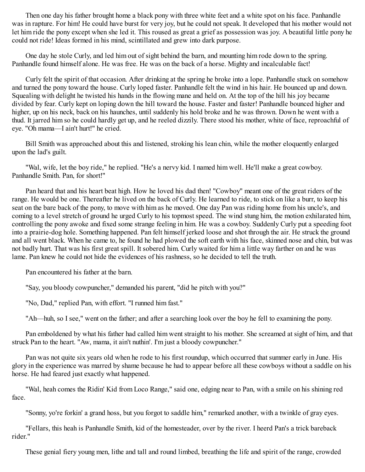Then one day his father brought home a black pony with three white feet and a white spot on his face. Panhandle was in rapture. For him! He could have burst for very joy, but he could not speak. It developed that his mother would not let him ride the pony except when she led it. This roused as great a grief as possession was joy. A beautiful little pony he could not ride! Ideas formed in his mind, scintillated and grew into dark purpose.

One day he stole Curly, and led him out of sight behind the barn, and mounting him rode down to the spring. Panhandle found himself alone. He was free. He was on the back of a horse. Mighty and incalculable fact!

Curly felt the spirit of that occasion. After drinking at the spring he broke into a lope. Panhandle stuck on somehow and turned the pony toward the house. Curly loped faster. Panhandle felt the wind in his hair. He bounced up and down. Squealing with delight he twisted his hands in the flowing mane and held on. At the top of the hill his joy became divided by fear. Curly kept on loping down the hill toward the house. Faster and faster! Panhandle bounced higher and higher, up on his neck, back on his haunches, until suddenly his hold broke and he was thrown. Down he went with a thud. It jarred him so he could hardly get up, and he reeled dizzily. There stood his mother, white of face, reproachful of eye. "Oh mama—I ain't hurt!" he cried.

Bill Smith was approached about this and listened, stroking his lean chin, while the mother eloquently enlarged upon the lad's guilt.

"Wal, wife, let the boy ride," he replied. "He's a nervy kid. I named him well. He'll make a great cowboy. Panhandle Smith. Pan, for short!"

Pan heard that and his heart beat high. How he loved his dad then! "Cowboy" meant one of the great riders of the range. He would be one. Thereafter he lived on the back of Curly. He learned to ride, to stick on like a burr, to keep his seat on the bare back of the pony, to move with him as he moved. One day Pan was riding home from his uncle's, and coming to a level stretch of ground he urged Curly to his topmost speed. The wind stung him, the motion exhilarated him, controlling the pony awoke and fixed some strange feeling in him. He was a cowboy. Suddenly Curly put a speeding foot into a prairie-dog hole. Something happened. Pan felt himself jerked loose and shot through the air. He struck the ground and all went black. When he came to, he found he had plowed the soft earth with his face, skinned nose and chin, but was not badly hurt. That was his first great spill. It sobered him. Curly waited for him a little way farther on and he was lame. Pan knew he could not hide the evidences of his rashness, so he decided to tell the truth.

Pan encountered his father at the barn.

"Say, you bloody cowpuncher," demanded his parent, "did he pitch with you?"

"No, Dad," replied Pan, with effort. "I runned him fast."

"Ah—huh, so I see," went on the father; and after a searching look over the boy he fell to examining the pony.

Pan emboldened by what his father had called him went straight to his mother. She screamed at sight of him, and that struck Pan to the heart. "Aw, mama, it ain't nuthin'. I'm just a bloody cowpuncher."

Pan was not quite six years old when he rode to his first roundup, which occurred that summer early in June. His glory in the experience was marred by shame because he had to appear before all these cowboys without a saddle on his horse. He had feared just exactly what happened.

"Wal, heah comes the Ridin' Kid from Loco Range," said one, edging near to Pan, with a smile on his shining red face.

"Sonny, yo're forkin' a grand hoss, but you forgot to saddle him," remarked another, with a twinkle of gray eyes.

"Fellars, this heah is Panhandle Smith, kid of the homesteader, over by the river. I heerd Pan's a trick bareback rider."

These genial fiery young men, lithe and tall and round limbed, breathing the life and spirit of the range, crowded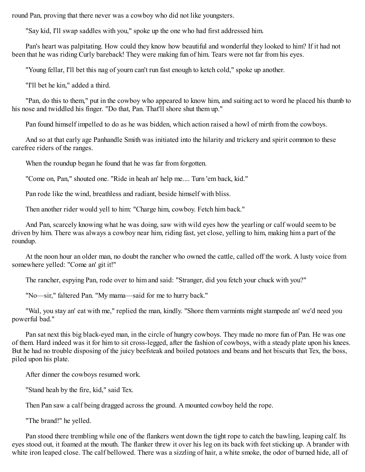round Pan, proving that there never was a cowboy who did not like youngsters.

"Say kid, I'll swap saddles with you," spoke up the one who had first addressed him.

Pan's heart was palpitating. How could they know how beautiful and wonderful they looked to him? If it had not been that he was riding Curly bareback! They were making fun of him. Tears were not far from his eyes.

"Young fellar, I'll bet this nag of yourn can't run fast enough to ketch cold," spoke up another.

"I'll bet he kin," added a third.

"Pan, do this to them," put in the cowboy who appeared to know him, and suiting act to word he placed his thumb to his nose and twiddled his finger. "Do that, Pan. That'll shore shut them up."

Pan found himself impelled to do as he was bidden, which action raised a howl of mirth from the cowboys.

And so at that early age Panhandle Smith was initiated into the hilarity and trickery and spirit common to these carefree riders of the ranges.

When the roundup began he found that he was far from forgotten.

"Come on, Pan," shouted one. "Ride in heah an' help me.... Turn 'em back, kid."

Pan rode like the wind, breathless and radiant, beside himself with bliss.

Then another rider would yell to him: "Charge him, cowboy. Fetch him back."

And Pan, scarcely knowing what he was doing, saw with wild eyes how the yearling or calf would seem to be driven by him. There was always a cowboy near him, riding fast, yet close, yelling to him, making him a part of the roundup.

At the noon hour an older man, no doubt the rancher who owned the cattle, called off the work. A lusty voice from somewhere yelled: "Come an' git it!"

The rancher, espying Pan, rode over to him and said: "Stranger, did you fetch your chuck with you?"

"No—sir," faltered Pan. "My mama—said for me to hurry back."

"Wal, you stay an' eat with me," replied the man, kindly. "Shore them varmints might stampede an' we'd need you powerful bad."

Pan sat next this big black-eyed man, in the circle of hungry cowboys. They made no more fun of Pan. He was one of them. Hard indeed was it for him to sit cross-legged, after the fashion of cowboys, with a steady plate upon his knees. But he had no trouble disposing of the juicy beefsteak and boiled potatoes and beans and hot biscuits that Tex, the boss, piled upon his plate.

After dinner the cowboys resumed work.

"Stand heah by the fire, kid," said Tex.

Then Pan saw a calf being dragged across the ground. A mounted cowboy held the rope.

"The brand!" he yelled.

Pan stood there trembling while one of the flankers went down the tight rope to catch the bawling, leaping calf. Its eyes stood out, it foamed at the mouth. The flanker threw it over his leg on its back with feet sticking up. A brander with white iron leaped close. The calf bellowed. There was a sizzling of hair, a white smoke, the odor of burned hide, all of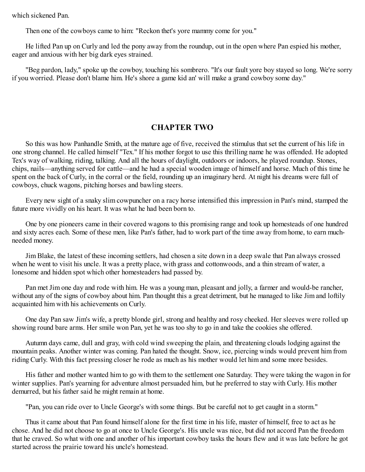which sickened Pan.

Then one of the cowboys came to him: "Reckon thet's yore mammy come for you."

He lifted Pan up on Curly and led the pony away from the roundup, out in the open where Pan espied his mother, eager and anxious with her big dark eyes strained.

<span id="page-7-0"></span>"Beg pardon, lady," spoke up the cowboy, touching his sombrero. "It's our fault yore boy stayed so long. We're sorry if you worried. Please don't blame him. He's shore a game kid an' will make a grand cowboy some day."

#### **CHAPTER TWO**

So this was how Panhandle Smith, at the mature age of five, received the stimulus that set the current of his life in one strong channel. He called himself "Tex." If his mother forgot to use this thrilling name he was offended. He adopted Tex's way of walking, riding, talking. And all the hours of daylight, outdoors or indoors, he played roundup. Stones, chips, nails—anything served for cattle—and he had a special wooden image of himself and horse. Much of this time he spent on the back of Curly, in the corral or the field, rounding up an imaginary herd. At night his dreams were full of cowboys, chuck wagons, pitching horses and bawling steers.

Every new sight of a snaky slim cowpuncher on a racy horse intensified this impression in Pan's mind, stamped the future more vividly on his heart. It was what he had been born to.

One by one pioneers came in their covered wagons to this promising range and took up homesteads of one hundred and sixty acres each. Some of these men, like Pan's father, had to work part of the time away from home, to earn muchneeded money.

Jim Blake, the latest of these incoming settlers, had chosen a site down in a deep swale that Pan always crossed when he went to visit his uncle. It was a pretty place, with grass and cottonwoods, and a thin stream of water, a lonesome and hidden spot which other homesteaders had passed by.

Pan met Jim one day and rode with him. He was a young man, pleasant and jolly, a farmer and would-be rancher, without any of the signs of cowboy about him. Pan thought this a great detriment, but he managed to like Jim and loftily acquainted him with his achievements on Curly.

One day Pan saw Jim's wife, a pretty blonde girl, strong and healthy and rosy cheeked. Her sleeves were rolled up showing round bare arms. Her smile won Pan, yet he was too shy to go in and take the cookies she offered.

Autumn days came, dull and gray, with cold wind sweeping the plain, and threatening clouds lodging against the mountain peaks. Another winter was coming. Pan hated the thought. Snow, ice, piercing winds would prevent him from riding Curly. With this fact pressing closer he rode as much as his mother would let him and some more besides.

His father and mother wanted him to go with them to the settlement one Saturday. They were taking the wagon in for winter supplies. Pan's yearning for adventure almost persuaded him, but he preferred to stay with Curly. His mother demurred, but his father said he might remain at home.

"Pan, you can ride over to Uncle George's with some things. But be careful not to get caught in a storm."

Thus it came about that Pan found himself alone for the first time in his life, master of himself, free to act as he chose. And he did not choose to go at once to Uncle George's. His uncle was nice, but did not accord Pan the freedom that he craved. So what with one and another of his important cowboy tasks the hours flew and it was late before he got started across the prairie toward his uncle's homestead.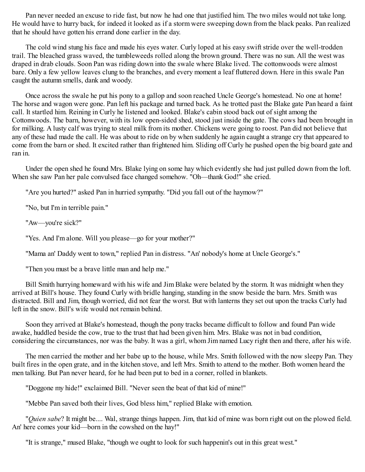Pan never needed an excuse to ride fast, but now he had one that justified him. The two miles would not take long. He would have to hurry back, for indeed it looked as if a storm were sweeping down from the black peaks. Pan realized that he should have gotten his errand done earlier in the day.

The cold wind stung his face and made his eyes water. Curly loped at his easy swift stride over the well-trodden trail. The bleached grass waved, the tumbleweeds rolled along the brown ground. There was no sun. All the west was draped in drab clouds. Soon Pan was riding down into the swale where Blake lived. The cottonwoods were almost bare. Only a few yellow leaves clung to the branches, and every moment a leaf fluttered down. Here in this swale Pan caught the autumn smells, dank and woody.

Once across the swale he put his pony to a gallop and soon reached Uncle George's homestead. No one at home! The horse and wagon were gone. Pan left his package and turned back. As he trotted past the Blake gate Pan heard a faint call. It startled him. Reining in Curly he listened and looked. Blake's cabin stood back out of sight among the Cottonwoods. The barn, however, with its low open-sided shed, stood just inside the gate. The cows had been brought in for milking. A lusty calf was trying to steal milk from its mother. Chickens were going to roost. Pan did not believe that any of these had made the call. He was about to ride on by when suddenly he again caught a strange cry that appeared to come from the barn or shed. It excited rather than frightened him. Sliding off Curly he pushed open the big board gate and ran in.

Under the open shed he found Mrs. Blake lying on some hay which evidently she had just pulled down from the loft. When she saw Pan her pale convulsed face changed somehow. "Oh—thank God!" she cried.

"Are you hurted?" asked Pan in hurried sympathy. "Did you fall out of the haymow?"

"No, but I'm in terrible pain."

"Aw—you're sick?"

"Yes. And I'm alone. Will you please—go for your mother?"

"Mama an' Daddy went to town," replied Pan in distress. "An' nobody's home at Uncle George's."

"Then you must be a brave little man and help me."

Bill Smith hurrying homeward with his wife and Jim Blake were belated by the storm. It was midnight when they arrived at Bill's house. They found Curly with bridle hanging, standing in the snow beside the barn. Mrs. Smith was distracted. Bill and Jim, though worried, did not fear the worst. But with lanterns they set out upon the tracks Curly had left in the snow. Bill's wife would not remain behind.

Soon they arrived at Blake's homestead, though the pony tracks became difficult to follow and found Pan wide awake, huddled beside the cow, true to the trust that had been given him. Mrs. Blake was not in bad condition, considering the circumstances, nor was the baby. It was a girl, whom Jim named Lucy right then and there, after his wife.

The men carried the mother and her babe up to the house, while Mrs. Smith followed with the now sleepy Pan. They built fires in the open grate, and in the kitchen stove, and left Mrs. Smith to attend to the mother. Both women heard the men talking. But Pan never heard, for he had been put to bed in a corner, rolled in blankets.

"Doggone my hide!" exclaimed Bill. "Never seen the beat of that kid of mine!"

"Mebbe Pan saved both their lives, God bless him," replied Blake with emotion.

"*Quien sabe*? It might be.... Wal, strange things happen. Jim, that kid of mine was born right out on the plowed field. An' here comes your kid—born in the cowshed on the hay!"

"It is strange," mused Blake, "though we ought to look for such happenin's out in this great west."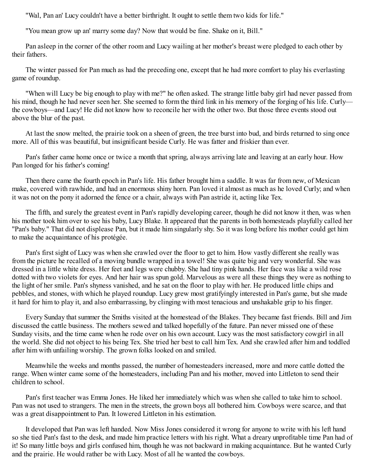"Wal, Pan an' Lucy couldn't have a better birthright. It ought to settle them two kids for life."

"You mean grow up an' marry some day? Now that would be fine. Shake on it, Bill."

Pan asleep in the corner of the other room and Lucy wailing at her mother's breast were pledged to each other by their fathers.

The winter passed for Pan much as had the preceding one, except that he had more comfort to play his everlasting game of roundup.

"When will Lucy be big enough to play with me?" he often asked. The strange little baby girl had never passed from his mind, though he had never seen her. She seemed to form the third link in his memory of the forging of his life. Curly the cowboys—and Lucy! He did not know how to reconcile her with the other two. But those three events stood out above the blur of the past.

At last the snow melted, the prairie took on a sheen of green, the tree burst into bud, and birds returned to sing once more. All of this was beautiful, but insignificant beside Curly. He was fatter and friskier than ever.

Pan's father came home once or twice a month that spring, always arriving late and leaving at an early hour. How Pan longed for his father's coming!

Then there came the fourth epoch in Pan's life. His father brought him a saddle. It was far from new, of Mexican make, covered with rawhide, and had an enormous shiny horn. Pan loved it almost as much as he loved Curly; and when it was not on the pony it adorned the fence or a chair, always with Pan astride it, acting like Tex.

The fifth, and surely the greatest event in Pan's rapidly developing career, though he did not know it then, was when his mother took him over to see his baby, Lucy Blake. It appeared that the parents in both homesteads playfully called her "Pan's baby." That did not displease Pan, but it made him singularly shy. So it was long before his mother could get him to make the acquaintance of his protégée.

Pan's first sight of Lucy was when she crawled over the floor to get to him. How vastly different she really was from the picture he recalled of a moving bundle wrapped in a towel! She was quite big and very wonderful. She was dressed in a little white dress. Her feet and legs were chubby. She had tiny pink hands. Her face was like a wild rose dotted with two violets for eyes. And her hair was spun gold. Marvelous as were all these things they were as nothing to the light of her smile. Pan's shyness vanished, and he sat on the floor to play with her. He produced little chips and pebbles, and stones, with which he played roundup. Lucy grew most gratifyingly interested in Pan's game, but she made it hard for him to play it, and also embarrassing, by clinging with most tenacious and unshakable grip to his finger.

Every Sunday that summer the Smiths visited at the homestead of the Blakes. They became fast friends. Bill and Jim discussed the cattle business. The mothers sewed and talked hopefully of the future. Pan never missed one of these Sunday visits, and the time came when he rode over on his own account. Lucy was the most satisfactory cowgirl in all the world. She did not object to his being Tex. She tried her best to call him Tex. And she crawled after him and toddled after him with unfailing worship. The grown folks looked on and smiled.

Meanwhile the weeks and months passed, the number of homesteaders increased, more and more cattle dotted the range. When winter came some of the homesteaders, including Pan and his mother, moved into Littleton to send their children to school.

Pan's first teacher was Emma Jones. He liked her immediately which was when she called to take him to school. Pan was not used to strangers. The men in the streets, the grown boys all bothered him. Cowboys were scarce, and that was a great disappointment to Pan. It lowered Littleton in his estimation.

It developed that Pan was left handed. Now Miss Jones considered it wrong for anyone to write with his left hand so she tied Pan's fast to the desk, and made him practice letters with his right. What a dreary unprofitable time Pan had of it! So many little boys and girls confused him, though he was not backward in making acquaintance. But he wanted Curly and the prairie. He would rather be with Lucy. Most of all he wanted the cowboys.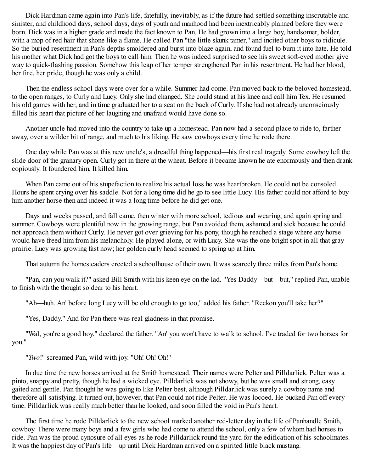Dick Hardman came again into Pan's life, fatefully, inevitably, as if the future had settled something inscrutable and sinister, and childhood days, school days, days of youth and manhood had been inextricably planned before they were born. Dick was in a higher grade and made the fact known to Pan. He had grown into a large boy, handsomer, bolder, with a mop of red hair that shone like a flame. He called Pan "the little skunk tamer," and incited other boys to ridicule. So the buried resentment in Pan's depths smoldered and burst into blaze again, and found fuel to burn it into hate. He told his mother what Dick had got the boys to call him. Then he was indeed surprised to see his sweet soft-eyed mother give way to quick-flashing passion. Somehow this leap of her temper strengthened Pan in his resentment. He had her blood, her fire, her pride, though he was only a child.

Then the endless school days were over for a while. Summer had come. Pan moved back to the beloved homestead, to the open ranges, to Curly and Lucy. Only she had changed. She could stand at his knee and call him Tex. He resumed his old games with her, and in time graduated her to a seat on the back of Curly. If she had not already unconsciously filled his heart that picture of her laughing and unafraid would have done so.

Another uncle had moved into the country to take up a homestead. Pan now had a second place to ride to, farther away, over a wilder bit of range, and much to his liking. He saw cowboys every time he rode there.

One day while Pan was at this new uncle's, a dreadful thing happened—his first real tragedy. Some cowboy left the slide door of the granary open. Curly got in there at the wheat. Before it became known he ate enormously and then drank copiously. It foundered him. It killed him.

When Pan came out of his stupefaction to realize his actual loss he was heartbroken. He could not be consoled. Hours he spent crying over his saddle. Not for a long time did he go to see little Lucy. His father could not afford to buy him another horse then and indeed it was a long time before he did get one.

Days and weeks passed, and fall came, then winter with more school, tedious and wearing, and again spring and summer. Cowboys were plentiful now in the growing range, but Pan avoided them, ashamed and sick because he could not approach them without Curly. He never got over grieving for his pony, though he reached a stage where any horse would have freed him from his melancholy. He played alone, or with Lucy. She was the one bright spot in all that gray prairie. Lucy was growing fast now; her golden curly head seemed to spring up at him.

That autumn the homesteaders erected a schoolhouse of their own. It was scarcely three miles from Pan's home.

"Pan, can you walk it?" asked Bill Smith with his keen eye on the lad. "Yes Daddy—but—but," replied Pan, unable to finish with the thought so dear to his heart.

"Ah—huh. An' before long Lucy will be old enough to go too," added his father. "Reckon you'll take her?"

"Yes, Daddy." And for Pan there was real gladness in that promise.

"Wal, you're a good boy," declared the father. "An' you won't have to walk to school. I've traded for two horses for you."

"*Two*!" screamed Pan, wild with joy. "Oh! Oh! Oh!"

In due time the new horses arrived at the Smith homestead. Their names were Pelter and Pilldarlick. Pelter was a pinto, snappy and pretty, though he had a wicked eye. Pilldarlick was not showy, but he was small and strong, easy gaited and gentle. Pan thought he was going to like Pelter best, although Pilldarlick was surely a cowboy name and therefore all satisfying. It turned out, however, that Pan could not ride Pelter. He was locoed. He bucked Pan off every time. Pilldarlick was really much better than he looked, and soon filled the void in Pan's heart.

The first time he rode Pilldarlick to the new school marked another red-letter day in the life of Panhandle Smith, cowboy. There were many boys and a few girls who had come to attend the school, only a few of whom had horses to ride. Pan was the proud cynosure of all eyes as he rode Pilldarlick round the yard for the edification of his schoolmates. It was the happiest day of Pan's life—up until Dick Hardman arrived on a spirited little black mustang.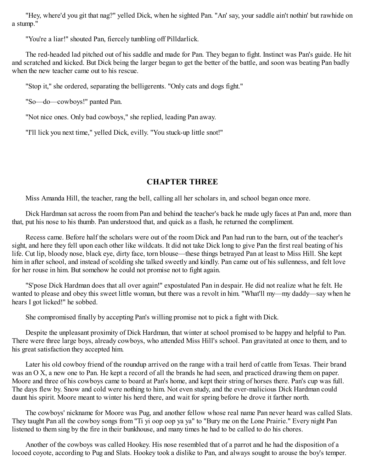"Hey, where'd you git that nag?" yelled Dick, when he sighted Pan. "An' say, your saddle ain't nothin' but rawhide on a stump."

"You're a liar!" shouted Pan, fiercely tumbling off Pilldarlick.

The red-headed lad pitched out of his saddle and made for Pan. They began to fight. Instinct was Pan's guide. He hit and scratched and kicked. But Dick being the larger began to get the better of the battle, and soon was beating Pan badly when the new teacher came out to his rescue.

"Stop it," she ordered, separating the belligerents. "Only cats and dogs fight."

"So—do—cowboys!" panted Pan.

"Not nice ones. Only bad cowboys," she replied, leading Pan away.

<span id="page-11-0"></span>"I'll lick you next time," yelled Dick, evilly. "You stuck-up little snot!"

#### **CHAPTER THREE**

Miss Amanda Hill, the teacher, rang the bell, calling all her scholars in, and school began once more.

Dick Hardman sat across the room from Pan and behind the teacher's back he made ugly faces at Pan and, more than that, put his nose to his thumb. Pan understood that, and quick as a flash, he returned the compliment.

Recess came. Before half the scholars were out of the room Dick and Pan had run to the barn, out of the teacher's sight, and here they fell upon each other like wildcats. It did not take Dick long to give Pan the first real beating of his life. Cut lip, bloody nose, black eye, dirty face, torn blouse—these things betrayed Pan at least to Miss Hill. She kept him in after school, and instead of scolding she talked sweetly and kindly. Pan came out of his sullenness, and felt love for her rouse in him. But somehow he could not promise not to fight again.

"S'pose Dick Hardman does that all over again!" expostulated Pan in despair. He did not realize what he felt. He wanted to please and obey this sweet little woman, but there was a revolt in him. "What'll my—my daddy—say when he hears I got licked!" he sobbed.

She compromised finally by accepting Pan's willing promise not to pick a fight with Dick.

Despite the unpleasant proximity of Dick Hardman, that winter at school promised to be happy and helpful to Pan. There were three large boys, already cowboys, who attended Miss Hill's school. Pan gravitated at once to them, and to his great satisfaction they accepted him.

Later his old cowboy friend of the roundup arrived on the range with a trail herd of cattle from Texas. Their brand was an O X, a new one to Pan. He kept a record of all the brands he had seen, and practiced drawing them on paper. Moore and three of his cowboys came to board at Pan's home, and kept their string of horses there. Pan's cup was full. The days flew by. Snow and cold were nothing to him. Not even study, and the ever-malicious Dick Hardman could daunt his spirit. Moore meant to winter his herd there, and wait for spring before he drove it farther north.

The cowboys' nickname for Moore was Pug, and another fellow whose real name Pan never heard was called Slats. They taught Pan all the cowboy songs from "Ti yi oop oop ya ya" to "Bury me on the Lone Prairie." Every night Pan listened to them sing by the fire in their bunkhouse, and many times he had to be called to do his chores.

Another of the cowboys was called Hookey. His nose resembled that of a parrot and he had the disposition of a locoed coyote, according to Pug and Slats. Hookey took a dislike to Pan, and always sought to arouse the boy's temper.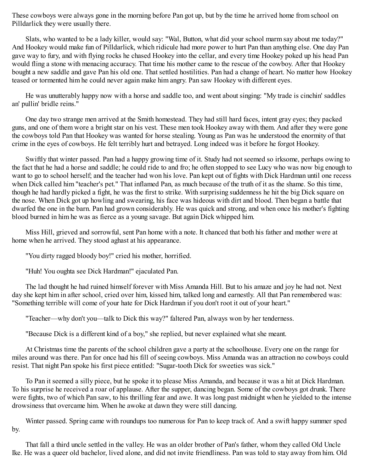These cowboys were always gone in the morning before Pan got up, but by the time he arrived home from school on Pilldarlick they were usually there.

Slats, who wanted to be a lady killer, would say: "Wal, Button, what did your school marm say about me today?" And Hookey would make fun of Pilldarlick, which ridicule had more power to hurt Pan than anything else. One day Pan gave way to fury, and with flying rocks he chased Hookey into the cellar, and every time Hookey poked up his head Pan would fling a stone with menacing accuracy. That time his mother came to the rescue of the cowboy. After that Hookey bought a new saddle and gave Pan his old one. That settled hostilities. Pan had a change of heart. No matter how Hookey teased or tormented him he could never again make him angry. Pan saw Hookey with different eyes.

He was unutterably happy now with a horse and saddle too, and went about singing: "My trade is cinchin' saddles an' pullin' bridle reins."

One day two strange men arrived at the Smith homestead. They had still hard faces, intent gray eyes; they packed guns, and one of them wore a bright star on his vest. These men took Hookey away with them. And after they were gone the cowboys told Pan that Hookey was wanted for horse stealing. Young as Pan was he understood the enormity of that crime in the eyes of cowboys. He felt terribly hurt and betrayed. Long indeed was it before he forgot Hookey.

Swiftly that winter passed. Pan had a happy growing time of it. Study had not seemed so irksome, perhaps owing to the fact that he had a horse and saddle; he could ride to and fro; he often stopped to see Lucy who was now big enough to want to go to school herself; and the teacher had won his love. Pan kept out of fights with Dick Hardman until one recess when Dick called him "teacher's pet." That inflamed Pan, as much because of the truth of it as the shame. So this time, though he had hardly picked a fight, he was the first to strike. With surprising suddenness he hit the big Dick square on the nose. When Dick got up howling and swearing, his face was hideous with dirt and blood. Then began a battle that dwarfed the one in the barn. Pan had grown considerably. He was quick and strong, and when once his mother's fighting blood burned in him he was as fierce as a young savage. But again Dick whipped him.

Miss Hill, grieved and sorrowful, sent Pan home with a note. It chanced that both his father and mother were at home when he arrived. They stood aghast at his appearance.

"You dirty ragged bloody boy!" cried his mother, horrified.

"Huh! You oughta see Dick Hardman!" ejaculated Pan.

The lad thought he had ruined himself forever with Miss Amanda Hill. But to his amaze and joy he had not. Next day she kept him in after school, cried over him, kissed him, talked long and earnestly. All that Pan remembered was: "Something terrible will come of your hate for Dick Hardman if you don't root it out of your heart."

"Teacher—why don't you—talk to Dick this way?" faltered Pan, always won by her tenderness.

"Because Dick is a different kind of a boy," she replied, but never explained what she meant.

At Christmas time the parents of the school children gave a party at the schoolhouse. Every one on the range for miles around was there. Pan for once had his fill of seeing cowboys. Miss Amanda was an attraction no cowboys could resist. That night Pan spoke his first piece entitled: "Sugar-tooth Dick for sweeties was sick."

To Pan it seemed a silly piece, but he spoke it to please Miss Amanda, and because it was a hit at Dick Hardman. To his surprise he received a roar of applause. After the supper, dancing began. Some of the cowboys got drunk. There were fights, two of which Pan saw, to his thrilling fear and awe. It was long past midnight when he yielded to the intense drowsiness that overcame him. When he awoke at dawn they were still dancing.

Winter passed. Spring came with roundups too numerous for Pan to keep track of. And a swift happy summer sped by.

That fall a third uncle settled in the valley. He was an older brother of Pan's father, whom they called Old Uncle Ike. He was a queer old bachelor, lived alone, and did not invite friendliness. Pan was told to stay away from him. Old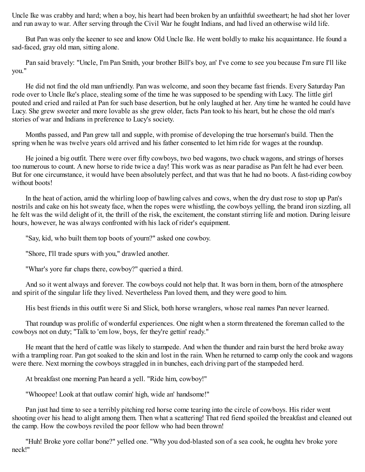Uncle Ike was crabby and hard; when a boy, his heart had been broken by an unfaithful sweetheart; he had shot her lover and run away to war. After serving through the Civil War he fought Indians, and had lived an otherwise wild life.

But Pan was only the keener to see and know Old Uncle Ike. He went boldly to make his acquaintance. He found a sad-faced, gray old man, sitting alone.

Pan said bravely: "Uncle, I'm Pan Smith, your brother Bill's boy, an' I've come to see you because I'm sure I'll like you."

He did not find the old man unfriendly. Pan was welcome, and soon they became fast friends. Every Saturday Pan rode over to Uncle Ike's place, stealing some of the time he was supposed to be spending with Lucy. The little girl pouted and cried and railed at Pan for such base desertion, but he only laughed at her. Any time he wanted he could have Lucy. She grew sweeter and more lovable as she grew older, facts Pan took to his heart, but he chose the old man's stories of war and Indians in preference to Lucy's society.

Months passed, and Pan grew tall and supple, with promise of developing the true horseman's build. Then the spring when he was twelve years old arrived and his father consented to let him ride for wages at the roundup.

He joined a big outfit. There were over fifty cowboys, two bed wagons, two chuck wagons, and strings of horses too numerous to count. A new horse to ride twice a day! This work was as near paradise as Pan felt he had ever been. But for one circumstance, it would have been absolutely perfect, and that was that he had no boots. A fast-riding cowboy without boots!

In the heat of action, amid the whirling loop of bawling calves and cows, when the dry dust rose to stop up Pan's nostrils and cake on his hot sweaty face, when the ropes were whistling, the cowboys yelling, the brand iron sizzling, all he felt was the wild delight of it, the thrill of the risk, the excitement, the constant stirring life and motion. During leisure hours, however, he was always confronted with his lack of rider's equipment.

"Say, kid, who built them top boots of yourn?" asked one cowboy.

"Shore, I'll trade spurs with you," drawled another.

"Whar's yore fur chaps there, cowboy?" queried a third.

And so it went always and forever. The cowboys could not help that. It was born in them, born of the atmosphere and spirit of the singular life they lived. Nevertheless Pan loved them, and they were good to him.

His best friends in this outfit were Si and Slick, both horse wranglers, whose real names Pan never learned.

That roundup was prolific of wonderful experiences. One night when a storm threatened the foreman called to the cowboys not on duty; "Talk to 'em low, boys, fer they're gettin' ready."

He meant that the herd of cattle was likely to stampede. And when the thunder and rain burst the herd broke away with a trampling roar. Pan got soaked to the skin and lost in the rain. When he returned to camp only the cook and wagons were there. Next morning the cowboys straggled in in bunches, each driving part of the stampeded herd.

At breakfast one morning Pan heard a yell. "Ride him, cowboy!"

"Whoopee! Look at that outlaw comin' high, wide an' handsome!"

Pan just had time to see a terribly pitching red horse come tearing into the circle of cowboys. His rider went shooting over his head to alight among them. Then what a scattering! That red fiend spoiled the breakfast and cleaned out the camp. How the cowboys reviled the poor fellow who had been thrown!

"Huh! Broke yore collar bone?" yelled one. "Why you dod-blasted son of a sea cook, he oughta hev broke yore neck!"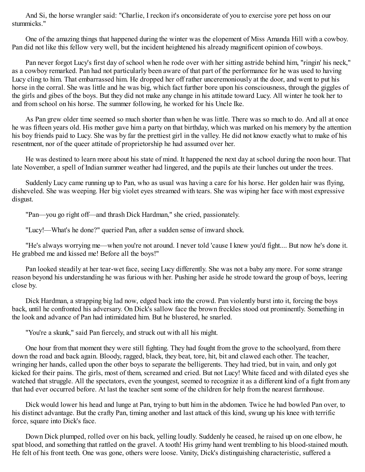And Si, the horse wrangler said: "Charlie, I reckon it's onconsiderate of you to exercise yore pet hoss on our stummicks."

One of the amazing things that happened during the winter was the elopement of Miss Amanda Hill with a cowboy. Pan did not like this fellow very well, but the incident heightened his already magnificent opinion of cowboys.

Pan never forgot Lucy's first day of school when he rode over with her sitting astride behind him, "ringin' his neck," as a cowboy remarked. Pan had not particularly been aware of that part of the performance for he was used to having Lucy cling to him. That embarrassed him. He dropped her off rather unceremoniously at the door, and went to put his horse in the corral. She was little and he was big, which fact further bore upon his consciousness, through the giggles of the girls and gibes of the boys. But they did not make any change in his attitude toward Lucy. All winter he took her to and from school on his horse. The summer following, he worked for his Uncle Ike.

As Pan grew older time seemed so much shorter than when he was little. There was so much to do. And all at once he was fifteen years old. His mother gave him a party on that birthday, which was marked on his memory by the attention his boy friends paid to Lucy. She was by far the prettiest girl in the valley. He did not know exactly what to make of his resentment, nor of the queer attitude of proprietorship he had assumed over her.

He was destined to learn more about his state of mind. It happened the next day at school during the noon hour. That late November, a spell of Indian summer weather had lingered, and the pupils ate their lunches out under the trees.

Suddenly Lucy came running up to Pan, who as usual was having a care for his horse. Her golden hair was flying, disheveled. She was weeping. Her big violet eyes streamed with tears. She was wiping her face with most expressive disgust.

"Pan—you go right off—and thrash Dick Hardman," she cried, passionately.

"Lucy!—What's he done?" queried Pan, after a sudden sense of inward shock.

"He's always worrying me—when you're not around. I never told 'cause I knew you'd fight.... But now he's done it. He grabbed me and kissed me! Before all the boys!"

Pan looked steadily at her tear-wet face, seeing Lucy differently. She was not a baby any more. For some strange reason beyond his understanding he was furious with her. Pushing her aside he strode toward the group of boys, leering close by.

Dick Hardman, a strapping big lad now, edged back into the crowd. Pan violently burst into it, forcing the boys back, until he confronted his adversary. On Dick's sallow face the brown freckles stood out prominently. Something in the look and advance of Pan had intimidated him. But he blustered, he snarled.

"You're a skunk," said Pan fiercely, and struck out with all his might.

One hour from that moment they were still fighting. They had fought from the grove to the schoolyard, from there down the road and back again. Bloody, ragged, black, they beat, tore, hit, bit and clawed each other. The teacher, wringing her hands, called upon the other boys to separate the belligerents. They had tried, but in vain, and only got kicked for their pains. The girls, most of them, screamed and cried. But not Lucy! White faced and with dilated eyes she watched that struggle. All the spectators, even the youngest, seemed to recognize it as a different kind of a fight from any that had ever occurred before. At last the teacher sent some of the children for help from the nearest farmhouse.

Dick would lower his head and lunge at Pan, trying to butt him in the abdomen. Twice he had bowled Pan over, to his distinct advantage. But the crafty Pan, timing another and last attack of this kind, swung up his knee with terrific force, square into Dick's face.

Down Dick plumped, rolled over on his back, yelling loudly. Suddenly he ceased, he raised up on one elbow, he spat blood, and something that rattled on the gravel. A tooth! His grimy hand went trembling to his blood-stained mouth. He felt of his front teeth. One was gone, others were loose. Vanity, Dick's distinguishing characteristic, suffered a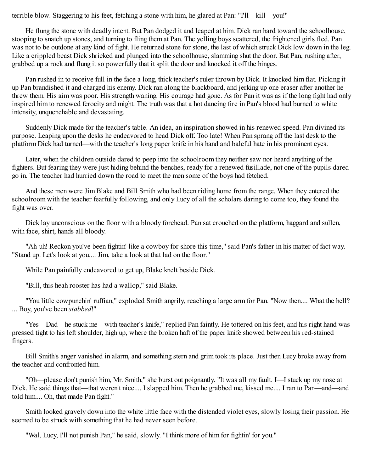terrible blow. Staggering to his feet, fetching a stone with him, he glared at Pan: "I'll—kill—you!"

He flung the stone with deadly intent. But Pan dodged it and leaped at him. Dick ran hard toward the schoolhouse, stooping to snatch up stones, and turning to fling them at Pan. The yelling boys scattered, the frightened girls fled. Pan was not to be outdone at any kind of fight. He returned stone for stone, the last of which struck Dick low down in the leg. Like a crippled beast Dick shrieked and plunged into the schoolhouse, slamming shut the door. But Pan, rushing after, grabbed up a rock and flung it so powerfully that it split the door and knocked it off the hinges.

Pan rushed in to receive full in the face a long, thick teacher's ruler thrown by Dick. It knocked him flat. Picking it up Pan brandished it and charged his enemy. Dick ran along the blackboard, and jerking up one eraser after another he threw them. His aim was poor. His strength waning. His courage had gone. As for Pan it was as if the long fight had only inspired him to renewed ferocity and might. The truth was that a hot dancing fire in Pan's blood had burned to white intensity, unquenchable and devastating.

Suddenly Dick made for the teacher's table. An idea, an inspiration showed in his renewed speed. Pan divined its purpose. Leaping upon the desks he endeavored to head Dick off. Too late! When Pan sprang off the last desk to the platform Dick had turned—with the teacher's long paper knife in his hand and baleful hate in his prominent eyes.

Later, when the children outside dared to peep into the schoolroom they neither saw nor heard anything of the fighters. But fearing they were just hiding behind the benches, ready for a renewed fusillade, not one of the pupils dared go in. The teacher had hurried down the road to meet the men some of the boys had fetched.

And these men were Jim Blake and Bill Smith who had been riding home from the range. When they entered the schoolroom with the teacher fearfully following, and only Lucy of all the scholars daring to come too, they found the fight was over.

Dick lay unconscious on the floor with a bloody forehead. Pan sat crouched on the platform, haggard and sullen, with face, shirt, hands all bloody.

"Ah-uh! Reckon you've been fightin' like a cowboy for shore this time," said Pan's father in his matter of fact way. "Stand up. Let's look at you.... Jim, take a look at that lad on the floor."

While Pan painfully endeavored to get up, Blake knelt beside Dick.

"Bill, this heah rooster has had a wallop," said Blake.

"You little cowpunchin' ruffian," exploded Smith angrily, reaching a large arm for Pan. "Now then.... What the hell? ... Boy, you've been *stabbed*!"

"Yes—Dad—he stuck me—with teacher's knife," replied Pan faintly. He tottered on his feet, and his right hand was pressed tight to his left shoulder, high up, where the broken haft of the paper knife showed between his red-stained fingers.

Bill Smith's anger vanished in alarm, and something stern and grim took its place. Just then Lucy broke away from the teacher and confronted him.

"Oh—please don't punish him, Mr. Smith," she burst out poignantly. "It was all my fault. I—I stuck up my nose at Dick. He said things that—that weren't nice.... I slapped him. Then he grabbed me, kissed me.... I ran to Pan—and—and told him.... Oh, that made Pan fight."

Smith looked gravely down into the white little face with the distended violet eyes, slowly losing their passion. He seemed to be struck with something that he had never seen before.

<span id="page-15-0"></span>"Wal, Lucy, I'll not punish Pan," he said, slowly. "I think more of him for fightin' for you."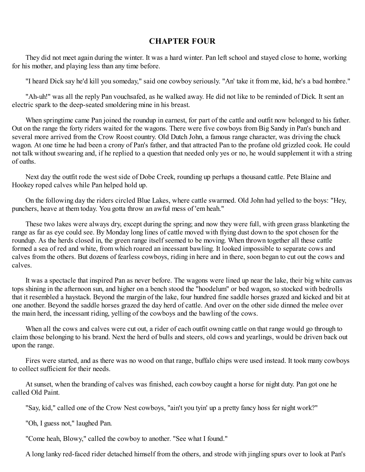#### **CHAPTER FOUR**

They did not meet again during the winter. It was a hard winter. Pan left school and stayed close to home, working for his mother, and playing less than any time before.

"I heard Dick say he'd kill you someday," said one cowboy seriously. "An' take it from me, kid, he's a bad hombre."

"Ah-uh!" was all the reply Pan vouchsafed, as he walked away. He did not like to be reminded of Dick. It sent an electric spark to the deep-seated smoldering mine in his breast.

When springtime came Pan joined the roundup in earnest, for part of the cattle and outfit now belonged to his father. Out on the range the forty riders waited for the wagons. There were five cowboys from Big Sandy in Pan's bunch and several more arrived from the Crow Roost country. Old Dutch John, a famous range character, was driving the chuck wagon. At one time he had been a crony of Pan's father, and that attracted Pan to the profane old grizzled cook. He could not talk without swearing and, if he replied to a question that needed only yes or no, he would supplement it with a string of oaths.

Next day the outfit rode the west side of Dobe Creek, rounding up perhaps a thousand cattle. Pete Blaine and Hookey roped calves while Pan helped hold up.

On the following day the riders circled Blue Lakes, where cattle swarmed. Old John had yelled to the boys: "Hey, punchers, heave at them today. You gotta throw an awful mess of 'em heah."

These two lakes were always dry, except during the spring; and now they were full, with green grass blanketing the range as far as eye could see. By Monday long lines of cattle moved with flying dust down to the spot chosen for the roundup. As the herds closed in, the green range itself seemed to be moving. When thrown together all these cattle formed a sea of red and white, from which roared an incessant bawling. It looked impossible to separate cows and calves from the others. But dozens of fearless cowboys, riding in here and in there, soon began to cut out the cows and calves.

It was a spectacle that inspired Pan as never before. The wagons were lined up near the lake, their big white canvas tops shining in the afternoon sun, and higher on a bench stood the "hoodelum" or bed wagon, so stocked with bedrolls that it resembled a haystack. Beyond the margin of the lake, four hundred fine saddle horses grazed and kicked and bit at one another. Beyond the saddle horses grazed the day herd of cattle. And over on the other side dinned the melee over the main herd, the incessant riding, yelling of the cowboys and the bawling of the cows.

When all the cows and calves were cut out, a rider of each outfit owning cattle on that range would go through to claim those belonging to his brand. Next the herd of bulls and steers, old cows and yearlings, would be driven back out upon the range.

Fires were started, and as there was no wood on that range, buffalo chips were used instead. It took many cowboys to collect sufficient for their needs.

At sunset, when the branding of calves was finished, each cowboy caught a horse for night duty. Pan got one he called Old Paint.

"Say, kid," called one of the Crow Nest cowboys, "ain't you tyin' up a pretty fancy hoss fer night work?"

"Oh, I guess not," laughed Pan.

"Come heah, Blowy," called the cowboy to another. "See what I found."

A long lanky red-faced rider detached himself from the others, and strode with jingling spurs over to look at Pan's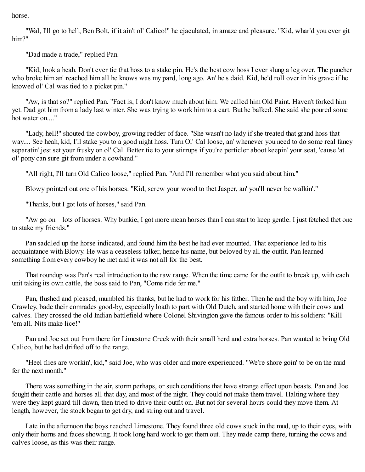horse.

"Wal, I'll go to hell, Ben Bolt, if it ain't ol' Calico!" he ejaculated, in amaze and pleasure. "Kid, whar'd you ever git him?"

"Dad made a trade," replied Pan.

"Kid, look a heah. Don't ever tie that hoss to a stake pin. He's the best cow hoss I ever slung a leg over. The puncher who broke him an' reached him all he knows was my pard, long ago. An' he's daid. Kid, he'd roll over in his grave if he knowed ol' Cal was tied to a picket pin."

"Aw, is that so?" replied Pan. "Fact is, I don't know much about him. We called him Old Paint. Haven't forked him yet. Dad got him from a lady last winter. She was trying to work him to a cart. But he balked. She said she poured some hot water on...."

"Lady, hell!" shouted the cowboy, growing redder of face. "She wasn't no lady if she treated that grand hoss that way.... See heah, kid, I'll stake you to a good night hoss. Turn Ol' Cal loose, an' whenever you need to do some real fancy separatin' jest set your frusky on ol' Cal. Better tie to your stirrups if you're perticler aboot keepin' your seat, 'cause 'at ol' pony can sure git from under a cowhand."

"All right, I'll turn Old Calico loose," replied Pan. "And I'll remember what you said about him."

Blowy pointed out one of his horses. "Kid, screw your wood to thet Jasper, an' you'll never be walkin'."

"Thanks, but I got lots of horses," said Pan.

"Aw go on—lots of horses. Why bunkie, I got more mean horses than I can start to keep gentle. I just fetched thet one to stake my friends."

Pan saddled up the horse indicated, and found him the best he had ever mounted. That experience led to his acquaintance with Blowy. He was a ceaseless talker, hence his name, but beloved by all the outfit. Pan learned something from every cowboy he met and it was not all for the best.

That roundup was Pan's real introduction to the raw range. When the time came for the outfit to break up, with each unit taking its own cattle, the boss said to Pan, "Come ride fer me."

Pan, flushed and pleased, mumbled his thanks, but he had to work for his father. Then he and the boy with him, Joe Crawley, bade their comrades good-by, especially loath to part with Old Dutch, and started home with their cows and calves. They crossed the old Indian battlefield where Colonel Shivington gave the famous order to his soldiers: "Kill 'em all. Nits make lice!"

Pan and Joe set out from there for Limestone Creek with their small herd and extra horses. Pan wanted to bring Old Calico, but he had drifted off to the range.

"Heel flies are workin', kid," said Joe, who was older and more experienced. "We're shore goin' to be on the mud fer the next month."

There was something in the air, storm perhaps, or such conditions that have strange effect upon beasts. Pan and Joe fought their cattle and horses all that day, and most of the night. They could not make them travel. Halting where they were they kept guard till dawn, then tried to drive their outfit on. But not for several hours could they move them. At length, however, the stock began to get dry, and string out and travel.

Late in the afternoon the boys reached Limestone. They found three old cows stuck in the mud, up to their eyes, with only their horns and faces showing. It took long hard work to get them out. They made camp there, turning the cows and calves loose, as this was their range.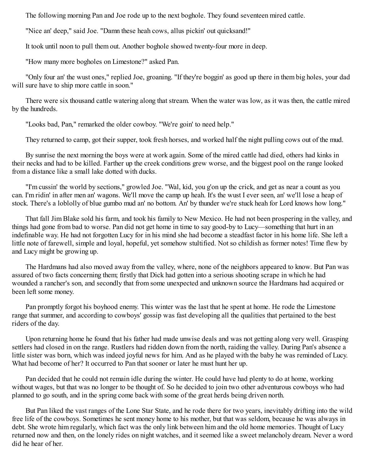The following morning Pan and Joe rode up to the next boghole. They found seventeen mired cattle.

"Nice an' deep," said Joe. "Damn these heah cows, allus pickin' out quicksand!"

It took until noon to pull them out. Another boghole showed twenty-four more in deep.

"How many more bogholes on Limestone?" asked Pan.

"Only four an' the wust ones," replied Joe, groaning. "If they're boggin' as good up there in them big holes, your dad will sure have to ship more cattle in soon."

There were six thousand cattle watering along that stream. When the water was low, as it was then, the cattle mired by the hundreds.

"Looks bad, Pan," remarked the older cowboy. "We're goin' to need help."

They returned to camp, got their supper, took fresh horses, and worked half the night pulling cows out of the mud.

By sunrise the next morning the boys were at work again. Some of the mired cattle had died, others had kinks in their necks and had to be killed. Farther up the creek conditions grew worse, and the biggest pool on the range looked from a distance like a small lake dotted with ducks.

"I'm cussin' the world by sections," growled Joe. "Wal, kid, you g'on up the crick, and get as near a count as you can. I'm ridin' in after men an' wagons. We'll move the camp up heah. It's the wust I ever seen, an' we'll lose a heap of stock. There's a loblolly of blue gumbo mud an' no bottom. An' by thunder we're stuck heah for Lord knows how long."

That fall Jim Blake sold his farm, and took his family to New Mexico. He had not been prospering in the valley, and things had gone from bad to worse. Pan did not get home in time to say good-by to Lucy—something that hurt in an indefinable way. He had not forgotten Lucy for in his mind she had become a steadfast factor in his home life. She left a little note of farewell, simple and loyal, hopeful, yet somehow stultified. Not so childish as former notes! Time flew by and Lucy might be growing up.

The Hardmans had also moved away from the valley, where, none of the neighbors appeared to know. But Pan was assured of two facts concerning them; firstly that Dick had gotten into a serious shooting scrape in which he had wounded a rancher's son, and secondly that from some unexpected and unknown source the Hardmans had acquired or been left some money.

Pan promptly forgot his boyhood enemy. This winter was the last that he spent at home. He rode the Limestone range that summer, and according to cowboys' gossip was fast developing all the qualities that pertained to the best riders of the day.

Upon returning home he found that his father had made unwise deals and was not getting along very well. Grasping settlers had closed in on the range. Rustlers had ridden down from the north, raiding the valley. During Pan's absence a little sister was born, which was indeed joyful news for him. And as he played with the baby he was reminded of Lucy. What had become of her? It occurred to Pan that sooner or later he must hunt her up.

Pan decided that he could not remain idle during the winter. He could have had plenty to do at home, working without wages, but that was no longer to be thought of. So he decided to join two other adventurous cowboys who had planned to go south, and in the spring come back with some of the great herds being driven north.

But Pan liked the vast ranges of the Lone Star State, and he rode there for two years, inevitably drifting into the wild free life of the cowboys. Sometimes he sent money home to his mother, but that was seldom, because he was always in debt. She wrote him regularly, which fact was the only link between him and the old home memories. Thought of Lucy returned now and then, on the lonely rides on night watches, and it seemed like a sweet melancholy dream. Never a word did he hear of her.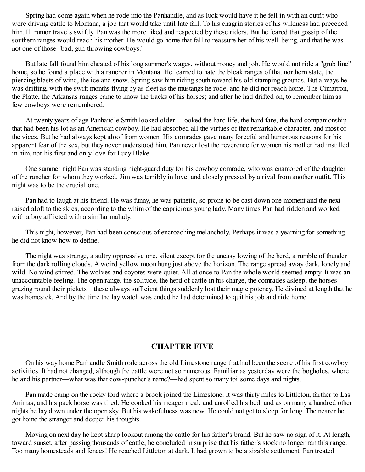Spring had come again when he rode into the Panhandle, and as luck would have it he fell in with an outfit who were driving cattle to Montana, a job that would take until late fall. To his chagrin stories of his wildness had preceded him. Ill rumor travels swiftly. Pan was the more liked and respected by these riders. But he feared that gossip of the southern ranges would reach his mother. He would go home that fall to reassure her of his well-being, and that he was not one of those "bad, gun-throwing cowboys."

But late fall found him cheated of his long summer's wages, without money and job. He would not ride a "grub line" home, so he found a place with a rancher in Montana. He learned to hate the bleak ranges of that northern state, the piercing blasts of wind, the ice and snow. Spring saw him riding south toward his old stamping grounds. But always he was drifting, with the swift months flying by as fleet as the mustangs he rode, and he did not reach home. The Cimarron, the Platte, the Arkansas ranges came to know the tracks of his horses; and after he had drifted on, to remember him as few cowboys were remembered.

At twenty years of age Panhandle Smith looked older—looked the hard life, the hard fare, the hard companionship that had been his lot as an American cowboy. He had absorbed all the virtues of that remarkable character, and most of the vices. But he had always kept aloof from women. His comrades gave many forceful and humorous reasons for his apparent fear of the sex, but they never understood him. Pan never lost the reverence for women his mother had instilled in him, nor his first and only love for Lucy Blake.

One summer night Pan was standing night-guard duty for his cowboy comrade, who was enamored of the daughter of the rancher for whom they worked. Jim was terribly in love, and closely pressed by a rival from another outfit. This night was to be the crucial one.

Pan had to laugh at his friend. He was funny, he was pathetic, so prone to be cast down one moment and the next raised aloft to the skies, according to the whim of the capricious young lady. Many times Pan had ridden and worked with a boy afflicted with a similar malady.

This night, however, Pan had been conscious of encroaching melancholy. Perhaps it was a yearning for something he did not know how to define.

The night was strange, a sultry oppressive one, silent except for the uneasy lowing of the herd, a rumble of thunder from the dark rolling clouds. A weird yellow moon hung just above the horizon. The range spread away dark, lonely and wild. No wind stirred. The wolves and covotes were quiet. All at once to Pan the whole world seemed empty. It was an unaccountable feeling. The open range, the solitude, the herd of cattle in his charge, the comrades asleep, the horses grazing round their pickets—these always sufficient things suddenly lost their magic potency. He divined at length that he was homesick. And by the time the lay watch was ended he had determined to quit his job and ride home.

#### **CHAPTER FIVE**

<span id="page-19-0"></span>On his way home Panhandle Smith rode across the old Limestone range that had been the scene of his first cowboy activities. It had not changed, although the cattle were not so numerous. Familiar as yesterday were the bogholes, where he and his partner—what was that cow-puncher's name?—had spent so many toilsome days and nights.

Pan made camp on the rocky ford where a brook joined the Limestone. It was thirty miles to Littleton, farther to Las Animas, and his pack horse was tired. He cooked his meager meal, and unrolled his bed, and as on many a hundred other nights he lay down under the open sky. But his wakefulness was new. He could not get to sleep for long. The nearer he got home the stranger and deeper his thoughts.

Moving on next day he kept sharp lookout among the cattle for his father's brand. But he saw no sign of it. At length, toward sunset, after passing thousands of cattle, he concluded in surprise that his father's stock no longer ran this range. Too many homesteads and fences! He reached Littleton at dark. It had grown to be a sizable settlement. Pan treated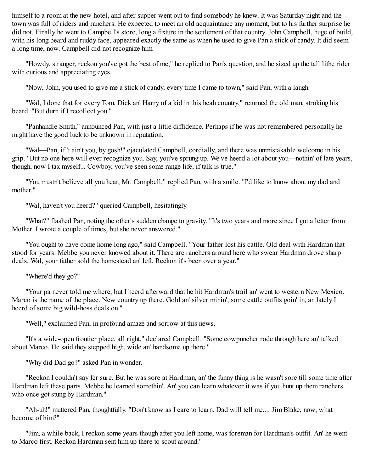himself to a room at the new hotel, and after supper went out to find somebody he knew. It was Saturday night and the town was full of riders and ranchers. He expected to meet an old acquaintance any moment, but to his further surprise he did not. Finally he went to Campbell's store, long a fixture in the settlement of that country. John Campbell, huge of build, with his long beard and ruddy face, appeared exactly the same as when he used to give Pan a stick of candy. It did seem a long time, now. Campbell did not recognize him.

"Howdy, stranger, reckon you've got the best of me," he replied to Pan's question, and he sized up the tall lithe rider with curious and appreciating eyes.

"Now, John, you used to give me a stick of candy, every time I came to town," said Pan, with a laugh.

"Wal, I done that for every Tom, Dick an' Harry of a kid in this heah country," returned the old man, stroking his beard. "But durn if I recollect you."

"Panhandle Smith," announced Pan, with just a little diffidence. Perhaps if he was not remembered personally he might have the good luck to be unknown in reputation.

"Wal—Pan, if 't ain't you, by gosh!" ejaculated Campbell, cordially, and there was unmistakable welcome in his grip. "But no one here will ever recognize you. Say, you've sprung up. We've heerd a lot about you—nothin' of late years, though, now I tax myself... Cowboy, you've seen some range life, if talk is true."

"You mustn't believe all you hear, Mr. Campbell," replied Pan, with a smile. "I'd like to know about my dad and mother."

"Wal, haven't you heerd?" queried Campbell, hesitatingly.

"What?" flashed Pan, noting the other's sudden change to gravity. "It's two years and more since I got a letter from Mother. I wrote a couple of times, but she never answered."

"You ought to have come home long ago," said Campbell. "Your father lost his cattle. Old deal with Hardman that stood for years. Mebbe you never knowed about it. There are ranchers around here who swear Hardman drove sharp deals. Wal, your father sold the homestead an' left. Reckon it's been over a year."

"Where'd they go?"

"Your pa never told me where, but I heerd afterward that he hit Hardman's trail an' went to western New Mexico. Marco is the name of the place. New country up there. Gold an' silver minin', some cattle outfits goin' in, an lately I heerd of some big wild-hoss deals on."

"Well," exclaimed Pan, in profound amaze and sorrow at this news.

"It's a wide-open frontier place, all right," declared Campbell. "Some cowpuncher rode through here an' talked about Marco. He said they stepped high, wide an' handsome up there."

"Why did Dad go?" asked Pan in wonder.

"Reckon I couldn't say fer sure. But he was sore at Hardman, an' the funny thing is he wasn't sore till some time after Hardman left these parts. Mebbe he learned somethin'. An' you can learn whatever it was if you hunt up them ranchers who once got stung by Hardman."

"Ah-uh!" muttered Pan, thoughtfully. "Don't know as I care to learn. Dad will tell me.... Jim Blake, now, what become of him?"

"Jim, a while back, I reckon some years though after you left home, was foreman for Hardman's outfit. An' he went to Marco first. Reckon Hardman sent him up there to scout around."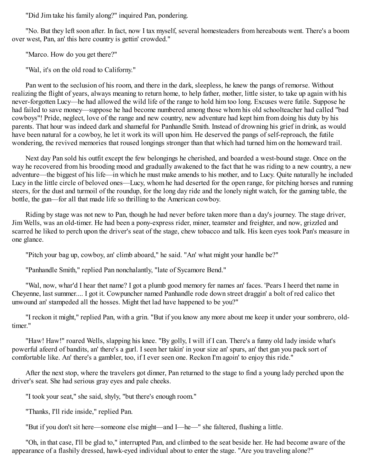"Did Jim take his family along?" inquired Pan, pondering.

"No. But they left soon after. In fact, now I tax myself, several homesteaders from hereabouts went. There's a boom over west, Pan, an' this here country is gettin' crowded."

"Marco. How do you get there?"

"Wal, it's on the old road to Californy."

Pan went to the seclusion of his room, and there in the dark, sleepless, he knew the pangs of remorse. Without realizing the flight of years, always meaning to return home, to help father, mother, little sister, to take up again with his never-forgotten Lucy—he had allowed the wild life of the range to hold him too long. Excuses were futile. Suppose he had failed to save money—suppose he had become numbered among those whom his old schoolteacher had called "bad cowboys"! Pride, neglect, love of the range and new country, new adventure had kept him from doing his duty by his parents. That hour was indeed dark and shameful for Panhandle Smith. Instead of drowning his grief in drink, as would have been natural for a cowboy, he let it work its will upon him. He deserved the pangs of self-reproach, the futile wondering, the revived memories that roused longings stronger than that which had turned him on the homeward trail.

Next day Pan sold his outfit except the few belongings he cherished, and boarded a west-bound stage. Once on the way he recovered from his brooding mood and gradually awakened to the fact that he was riding to a new country, a new adventure—the biggest of his life—in which he must make amends to his mother, and to Lucy. Quite naturally he included Lucy in the little circle of beloved ones—Lucy, whom he had deserted for the open range, for pitching horses and running steers, for the dust and turmoil of the roundup, for the long day ride and the lonely night watch, for the gaming table, the bottle, the gun—for all that made life so thrilling to the American cowboy.

Riding by stage was not new to Pan, though he had never before taken more than a day's journey. The stage driver, Jim Wells, was an old-timer. He had been a pony-express rider, miner, teamster and freighter, and now, grizzled and scarred he liked to perch upon the driver's seat of the stage, chew tobacco and talk. His keen eyes took Pan's measure in one glance.

"Pitch your bag up, cowboy, an' climb aboard," he said. "An' what might your handle be?"

"Panhandle Smith," replied Pan nonchalantly, "late of Sycamore Bend."

"Wal, now, whar'd I hear thet name? I got a plumb good memory fer names an' faces. 'Pears I heerd thet name in Cheyenne, last summer.... I got it. Cowpuncher named Panhandle rode down street draggin' a bolt of red calico thet unwound an' stampeded all the hosses. Might thet lad have happened to be you?"

"I reckon it might," replied Pan, with a grin. "But if you know any more about me keep it under your sombrero, oldtimer."

"Haw! Haw!" roared Wells, slapping his knee. "By golly, I will if I can. There's a funny old lady inside what's powerful afeerd of bandits, an' there's a gurl. I seen her takin' in your size an' spurs, an' thet gun you pack sort of comfortable like. An' there's a gambler, too, if I ever seen one. Reckon I'm agoin' to enjoy this ride."

After the next stop, where the travelers got dinner, Pan returned to the stage to find a young lady perched upon the driver's seat. She had serious gray eyes and pale cheeks.

"I took your seat," she said, shyly, "but there's enough room."

"Thanks, I'll ride inside," replied Pan.

"But if you don't sit here—someone else might—and I—he—" she faltered, flushing a little.

"Oh, in that case, I'll be glad to," interrupted Pan, and climbed to the seat beside her. He had become aware of the appearance of a flashily dressed, hawk-eyed individual about to enter the stage. "Are you traveling alone?"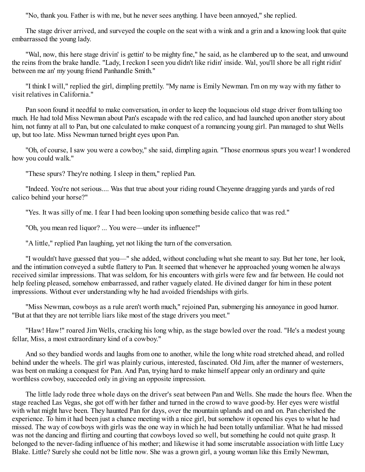"No, thank you. Father is with me, but he never sees anything. I have been annoyed," she replied.

The stage driver arrived, and surveyed the couple on the seat with a wink and a grin and a knowing look that quite embarrassed the young lady.

"Wal, now, this here stage drivin' is gettin' to be mighty fine," he said, as he clambered up to the seat, and unwound the reins from the brake handle. "Lady, I reckon I seen you didn't like ridin' inside. Wal, you'll shore be all right ridin' between me an' my young friend Panhandle Smith."

"I think I will," replied the girl, dimpling prettily. "My name is Emily Newman. I'm on my way with my father to visit relatives in California."

Pan soon found it needful to make conversation, in order to keep the loquacious old stage driver from talking too much. He had told Miss Newman about Pan's escapade with the red calico, and had launched upon another story about him, not funny at all to Pan, but one calculated to make conquest of a romancing young girl. Pan managed to shut Wells up, but too late. Miss Newman turned bright eyes upon Pan.

"Oh, of course, I saw you were a cowboy," she said, dimpling again. "Those enormous spurs you wear! I wondered how you could walk."

"These spurs? They're nothing. I sleep in them," replied Pan.

"Indeed. You're not serious.... Was that true about your riding round Cheyenne dragging yards and yards of red calico behind your horse?"

"Yes. It was silly of me. I fear I had been looking upon something beside calico that was red."

"Oh, you mean red liquor? ... You were—under its influence!"

"A little," replied Pan laughing, yet not liking the turn of the conversation.

"I wouldn't have guessed that you—" she added, without concluding what she meant to say. But her tone, her look, and the intimation conveyed a subtle flattery to Pan. It seemed that whenever he approached young women he always received similar impressions. That was seldom, for his encounters with girls were few and far between. He could not help feeling pleased, somehow embarrassed, and rather vaguely elated. He divined danger for him in these potent impressions. Without ever understanding why he had avoided friendships with girls.

"Miss Newman, cowboys as a rule aren't worth much," rejoined Pan, submerging his annoyance in good humor. "But at that they are not terrible liars like most of the stage drivers you meet."

"Haw! Haw!" roared Jim Wells, cracking his long whip, as the stage bowled over the road. "He's a modest young fellar, Miss, a most extraordinary kind of a cowboy."

And so they bandied words and laughs from one to another, while the long white road stretched ahead, and rolled behind under the wheels. The girl was plainly curious, interested, fascinated. Old Jim, after the manner of westerners, was bent on making a conquest for Pan. And Pan, trying hard to make himself appear only an ordinary and quite worthless cowboy, succeeded only in giving an opposite impression.

The little lady rode three whole days on the driver's seat between Pan and Wells. She made the hours flee. When the stage reached Las Vegas, she got off with her father and turned in the crowd to wave good-by. Her eyes were wistful with what might have been. They haunted Pan for days, over the mountain uplands and on and on. Pan cherished the experience. To him it had been just a chance meeting with a nice girl, but somehow it opened his eyes to what he had missed. The way of cowboys with girls was the one way in which he had been totally unfamiliar. What he had missed was not the dancing and flirting and courting that cowboys loved so well, but something he could not quite grasp. It belonged to the never-fading influence of his mother; and likewise it had some inscrutable association with little Lucy Blake. Little? Surely she could not be little now. She was a grown girl, a young woman like this Emily Newman,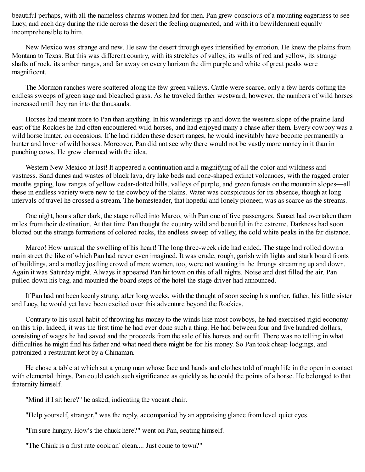beautiful perhaps, with all the nameless charms women had for men. Pan grew conscious of a mounting eagerness to see Lucy, and each day during the ride across the desert the feeling augmented, and with it a bewilderment equally incomprehensible to him.

New Mexico was strange and new. He saw the desert through eyes intensified by emotion. He knew the plains from Montana to Texas. But this was different country, with its stretches of valley, its walls of red and yellow, its strange shafts of rock, its amber ranges, and far away on every horizon the dim purple and white of great peaks were magnificent.

The Mormon ranches were scattered along the few green valleys. Cattle were scarce, only a few herds dotting the endless sweeps of green sage and bleached grass. As he traveled farther westward, however, the numbers of wild horses increased until they ran into the thousands.

Horses had meant more to Pan than anything. In his wanderings up and down the western slope of the prairie land east of the Rockies he had often encountered wild horses, and had enjoyed many a chase after them. Every cowboy was a wild horse hunter, on occasions. If he had ridden these desert ranges, he would inevitably have become permanently a hunter and lover of wild horses. Moreover, Pan did not see why there would not be vastly more money in it than in punching cows. He grew charmed with the idea.

Western New Mexico at last! It appeared a continuation and a magnifying of all the color and wildness and vastness. Sand dunes and wastes of black lava, dry lake beds and cone-shaped extinct volcanoes, with the ragged crater mouths gaping, low ranges of yellow cedar-dotted hills, valleys of purple, and green forests on the mountain slopes—all these in endless variety were new to the cowboy of the plains. Water was conspicuous for its absence, though at long intervals of travel he crossed a stream. The homesteader, that hopeful and lonely pioneer, was as scarce as the streams.

One night, hours after dark, the stage rolled into Marco, with Pan one of five passengers. Sunset had overtaken them miles from their destination. At that time Pan thought the country wild and beautiful in the extreme. Darkness had soon blotted out the strange formations of colored rocks, the endless sweep of valley, the cold white peaks in the far distance.

Marco! How unusual the swelling of his heart! The long three-week ride had ended. The stage had rolled down a main street the like of which Pan had never even imagined. It was crude, rough, garish with lights and stark board fronts of buildings, and a motley jostling crowd of men; women, too, were not wanting in the throngs streaming up and down. Again it was Saturday night. Always it appeared Pan hit town on this of all nights. Noise and dust filled the air. Pan pulled down his bag, and mounted the board steps of the hotel the stage driver had announced.

If Pan had not been keenly strung, after long weeks, with the thought of soon seeing his mother, father, his little sister and Lucy, he would yet have been excited over this adventure beyond the Rockies.

Contrary to his usual habit of throwing his money to the winds like most cowboys, he had exercised rigid economy on this trip. Indeed, it was the first time he had ever done such a thing. He had between four and five hundred dollars, consisting of wages he had saved and the proceeds from the sale of his horses and outfit. There was no telling in what difficulties he might find his father and what need there might be for his money. So Pan took cheap lodgings, and patronized a restaurant kept by a Chinaman.

He chose a table at which sat a young man whose face and hands and clothes told of rough life in the open in contact with elemental things. Pan could catch such significance as quickly as he could the points of a horse. He belonged to that fraternity himself.

"Mind if I sit here?" he asked, indicating the vacant chair.

"Help yourself, stranger," was the reply, accompanied by an appraising glance from level quiet eyes.

"I'm sure hungry. How's the chuck here?" went on Pan, seating himself.

"The Chink is a first rate cook an' clean.... Just come to town?"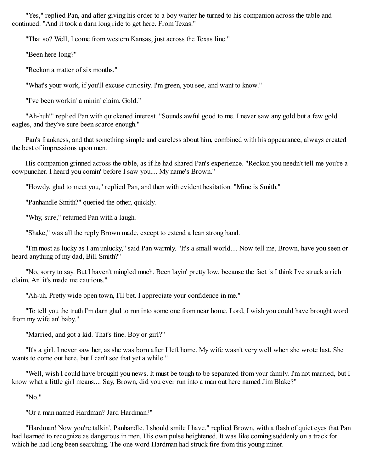"Yes," replied Pan, and after giving his order to a boy waiter he turned to his companion across the table and continued. "And it took a darn long ride to get here. From Texas."

"That so? Well, I come from western Kansas, just across the Texas line."

"Been here long?"

"Reckon a matter of six months."

"What's your work, if you'll excuse curiosity. I'm green, you see, and want to know."

"I've been workin' a minin' claim. Gold."

"Ah-huh!" replied Pan with quickened interest. "Sounds awful good to me. I never saw any gold but a few gold eagles, and they've sure been scarce enough."

Pan's frankness, and that something simple and careless about him, combined with his appearance, always created the best of impressions upon men.

His companion grinned across the table, as if he had shared Pan's experience. "Reckon you needn't tell me you're a cowpuncher. I heard you comin' before I saw you.... My name's Brown."

"Howdy, glad to meet you," replied Pan, and then with evident hesitation. "Mine is Smith."

"Panhandle Smith?" queried the other, quickly.

"Why, sure," returned Pan with a laugh.

"Shake," was all the reply Brown made, except to extend a lean strong hand.

"I'm most as lucky as I am unlucky," said Pan warmly. "It's a small world.... Now tell me, Brown, have you seen or heard anything of my dad, Bill Smith?"

"No, sorry to say. But I haven't mingled much. Been layin' pretty low, because the fact is I think I've struck a rich claim. An' it's made me cautious."

"Ah-uh. Pretty wide open town, I'll bet. I appreciate your confidence in me."

"To tell you the truth I'm darn glad to run into some one from near home. Lord, I wish you could have brought word from my wife an' baby."

"Married, and got a kid. That's fine. Boy or girl?"

"It's a girl. I never saw her, as she was born after I left home. My wife wasn't very well when she wrote last. She wants to come out here, but I can't see that yet a while."

"Well, wish I could have brought you news. It must be tough to be separated from your family. I'm not married, but I know what a little girl means.... Say, Brown, did you ever run into a man out here named Jim Blake?"

"No."

"Or a man named Hardman? Jard Hardman?"

"Hardman! Now you're talkin', Panhandle. I should smile I have," replied Brown, with a flash of quiet eyes that Pan had learned to recognize as dangerous in men. His own pulse heightened. It was like coming suddenly on a track for which he had long been searching. The one word Hardman had struck fire from this young miner.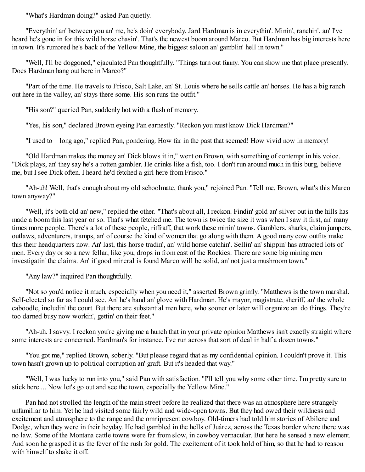"What's Hardman doing?" asked Pan quietly.

"Everythin' an' between you an' me, he's doin' everybody. Jard Hardman is in everythin'. Minin', ranchin', an' I've heard he's gone in for this wild horse chasin'. That's the newest boom around Marco. But Hardman has big interests here in town. It's rumored he's back of the Yellow Mine, the biggest saloon an' gamblin' hell in town."

"Well, I'll be doggoned," ejaculated Pan thoughtfully. "Things turn out funny. You can show me that place presently. Does Hardman hang out here in Marco?"

"Part of the time. He travels to Frisco, Salt Lake, an' St. Louis where he sells cattle an' horses. He has a big ranch out here in the valley, an' stays there some. His son runs the outfit."

"His son?" queried Pan, suddenly hot with a flash of memory.

"Yes, his son," declared Brown eyeing Pan earnestly. "Reckon you must know Dick Hardman?"

"I used to—long ago," replied Pan, pondering. How far in the past that seemed! How vivid now in memory!

"Old Hardman makes the money an' Dick blows it in," went on Brown, with something of contempt in his voice. "Dick plays, an' they say he's a rotten gambler. He drinks like a fish, too. I don't run around much in this burg, believe me, but I see Dick often. I heard he'd fetched a girl here from Frisco."

"Ah-uh! Well, that's enough about my old schoolmate, thank you," rejoined Pan. "Tell me, Brown, what's this Marco town anyway?"

"Well, it's both old an' new," replied the other. "That's about all, I reckon. Findin' gold an' silver out in the hills has made a boom this last year or so. That's what fetched me. The town is twice the size it was when I saw it first, an' many times more people. There's a lot of these people, riffraff, that work these minin' towns. Gamblers, sharks, claim jumpers, outlaws, adventurers, tramps, an' of course the kind of women that go along with them. A good many cow outfits make this their headquarters now. An' last, this horse tradin', an' wild horse catchin'. Sellin' an' shippin' has attracted lots of men. Every day or so a new fellar, like you, drops in from east of the Rockies. There are some big mining men investigatin' the claims. An' if good mineral is found Marco will be solid, an' not just a mushroom town."

"Any law?" inquired Pan thoughtfully.

"Not so you'd notice it much, especially when you need it," asserted Brown grimly. "Matthews is the town marshal. Self-elected so far as I could see. An' he's hand an' glove with Hardman. He's mayor, magistrate, sheriff, an' the whole caboodle, includin' the court. But there are substantial men here, who sooner or later will organize an' do things. They're too darned busy now workin', gettin' on their feet."

"Ah-uh. I savvy. I reckon you're giving me a hunch that in your private opinion Matthews isn't exactly straight where some interests are concerned. Hardman's for instance. I've run across that sort of deal in half a dozen towns."

"You got me," replied Brown, soberly. "But please regard that as my confidential opinion. I couldn't prove it. This town hasn't grown up to political corruption an' graft. But it's headed that way."

"Well, I was lucky to run into you," said Pan with satisfaction. "I'll tell you why some other time. I'm pretty sure to stick here.... Now let's go out and see the town, especially the Yellow Mine."

Pan had not strolled the length of the main street before he realized that there was an atmosphere here strangely unfamiliar to him. Yet he had visited some fairly wild and wide-open towns. But they had owed their wildness and excitement and atmosphere to the range and the omnipresent cowboy. Old-timers had told him stories of Abilene and Dodge, when they were in their heyday. He had gambled in the hells of Juárez, across the Texas border where there was no law. Some of the Montana cattle towns were far from slow, in cowboy vernacular. But here he sensed a new element. And soon he grasped it as the fever of the rush for gold. The excitement of it took hold of him, so that he had to reason with himself to shake it off.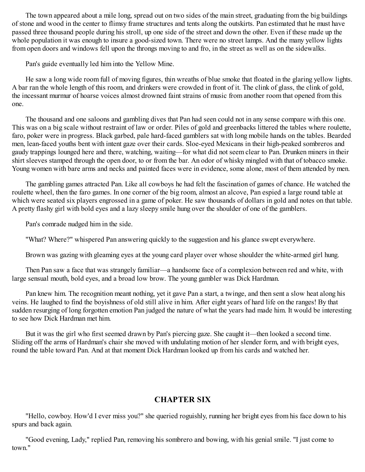The town appeared about a mile long, spread out on two sides of the main street, graduating from the big buildings of stone and wood in the center to flimsy frame structures and tents along the outskirts. Pan estimated that he must have passed three thousand people during his stroll, up one side of the street and down the other. Even if these made up the whole population it was enough to insure a good-sized town. There were no street lamps. And the many yellow lights from open doors and windows fell upon the throngs moving to and fro, in the street as well as on the sidewalks.

Pan's guide eventually led him into the Yellow Mine.

He saw a long wide room full of moving figures, thin wreaths of blue smoke that floated in the glaring yellow lights. A bar ran the whole length of this room, and drinkers were crowded in front of it. The clink of glass, the clink of gold, the incessant murmur of hoarse voices almost drowned faint strains of music from another room that opened from this one.

The thousand and one saloons and gambling dives that Pan had seen could not in any sense compare with this one. This was on a big scale without restraint of law or order. Piles of gold and greenbacks littered the tables where roulette, faro, poker were in progress. Black garbed, pale hard-faced gamblers sat with long mobile hands on the tables. Bearded men, lean-faced youths bent with intent gaze over their cards. Sloe-eyed Mexicans in their high-peaked sombreros and gaudy trappings lounged here and there, watching, waiting—for what did not seem clear to Pan. Drunken miners in their shirt sleeves stamped through the open door, to or from the bar. An odor of whisky mingled with that of tobacco smoke. Young women with bare arms and necks and painted faces were in evidence, some alone, most of them attended by men.

The gambling games attracted Pan. Like all cowboys he had felt the fascination of games of chance. He watched the roulette wheel, then the faro games. In one corner of the big room, almost an alcove, Pan espied a large round table at which were seated six players engrossed in a game of poker. He saw thousands of dollars in gold and notes on that table. A pretty flashy girl with bold eyes and a lazy sleepy smile hung over the shoulder of one of the gamblers.

Pan's comrade nudged him in the side.

"What? Where?" whispered Pan answering quickly to the suggestion and his glance swept everywhere.

Brown was gazing with gleaming eyes at the young card player over whose shoulder the white-armed girl hung.

Then Pan saw a face that was strangely familiar—a handsome face of a complexion between red and white, with large sensual mouth, bold eyes, and a broad low brow. The young gambler was Dick Hardman.

Pan knew him. The recognition meant nothing, yet it gave Pan a start, a twinge, and then sent a slow heat along his veins. He laughed to find the boyishness of old still alive in him. After eight years of hard life on the ranges! By that sudden resurging of long forgotten emotion Pan judged the nature of what the years had made him. It would be interesting to see how Dick Hardman met him.

<span id="page-26-0"></span>But it was the girl who first seemed drawn by Pan's piercing gaze. She caught it—then looked a second time. Sliding off the arms of Hardman's chair she moved with undulating motion of her slender form, and with bright eyes, round the table toward Pan. And at that moment Dick Hardman looked up from his cards and watched her.

#### **CHAPTER SIX**

"Hello, cowboy. How'd I ever miss you?" she queried roguishly, running her bright eyes from his face down to his spurs and back again.

"Good evening, Lady," replied Pan, removing his sombrero and bowing, with his genial smile. "I just come to town."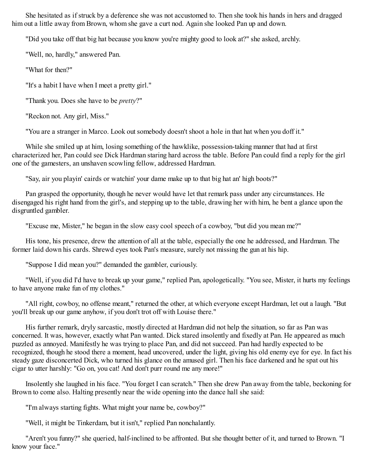She hesitated as if struck by a deference she was not accustomed to. Then she took his hands in hers and dragged him out a little away from Brown, whom she gave a curt nod. Again she looked Pan up and down.

"Did you take off that big hat because you know you're mighty good to look at?" she asked, archly.

"Well, no, hardly," answered Pan.

"What for then?"

"It's a habit I have when I meet a pretty girl."

"Thank you. Does she have to be *pretty*?"

"Reckon not. Any girl, Miss."

"You are a stranger in Marco. Look out somebody doesn't shoot a hole in that hat when you doff it."

While she smiled up at him, losing something of the hawklike, possession-taking manner that had at first characterized her, Pan could see Dick Hardman staring hard across the table. Before Pan could find a reply for the girl one of the gamesters, an unshaven scowling fellow, addressed Hardman.

"Say, air you playin' cairds or watchin' your dame make up to that big hat an' high boots?"

Pan grasped the opportunity, though he never would have let that remark pass under any circumstances. He disengaged his right hand from the girl's, and stepping up to the table, drawing her with him, he bent a glance upon the disgruntled gambler.

"Excuse me, Mister," he began in the slow easy cool speech of a cowboy, "but did you mean me?"

His tone, his presence, drew the attention of all at the table, especially the one he addressed, and Hardman. The former laid down his cards. Shrewd eyes took Pan's measure, surely not missing the gun at his hip.

"Suppose I did mean you?" demanded the gambler, curiously.

"Well, if you did I'd have to break up your game," replied Pan, apologetically. "You see, Mister, it hurts my feelings to have anyone make fun of my clothes."

"All right, cowboy, no offense meant," returned the other, at which everyone except Hardman, let out a laugh. "But you'll break up our game anyhow, if you don't trot off with Louise there."

His further remark, dryly sarcastic, mostly directed at Hardman did not help the situation, so far as Pan was concerned. It was, however, exactly what Pan wanted. Dick stared insolently and fixedly at Pan. He appeared as much puzzled as annoyed. Manifestly he was trying to place Pan, and did not succeed. Pan had hardly expected to be recognized, though he stood there a moment, head uncovered, under the light, giving his old enemy eye for eye. In fact his steady gaze disconcerted Dick, who turned his glance on the amused girl. Then his face darkened and he spat out his cigar to utter harshly: "Go on, you cat! And don't purr round me any more!"

Insolently she laughed in his face. "You forget I can scratch." Then she drew Pan away from the table, beckoning for Brown to come also. Halting presently near the wide opening into the dance hall she said:

"I'm always starting fights. What might your name be, cowboy?"

"Well, it might be Tinkerdam, but it isn't," replied Pan nonchalantly.

"Aren't you funny?" she queried, half-inclined to be affronted. But she thought better of it, and turned to Brown. "I know your face."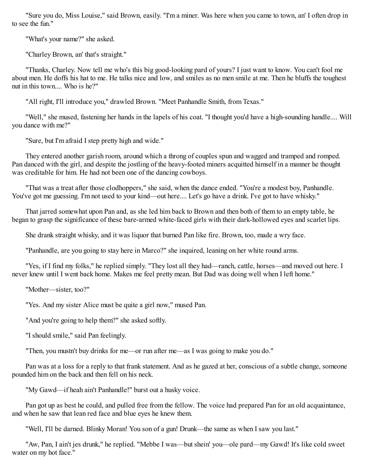"Sure you do, Miss Louise," said Brown, easily. "I'm a miner. Was here when you came to town, an' I often drop in to see the fun."

"What's your name?" she asked.

"Charley Brown, an' that's straight."

"Thanks, Charley. Now tell me who's this big good-looking pard of yours? I just want to know. You can't fool me about men. He doffs his hat to me. He talks nice and low, and smiles as no men smile at me. Then he bluffs the toughest nut in this town.... Who is he?"

"All right, I'll introduce you," drawled Brown. "Meet Panhandle Smith, from Texas."

"Well," she mused, fastening her hands in the lapels of his coat. "I thought you'd have a high-sounding handle.... Will you dance with me?"

"Sure, but I'm afraid I step pretty high and wide."

They entered another garish room, around which a throng of couples spun and wagged and tramped and romped. Pan danced with the girl, and despite the jostling of the heavy-footed miners acquitted himself in a manner he thought was creditable for him. He had not been one of the dancing cowboys.

"That was a treat after those clodhoppers," she said, when the dance ended. "You're a modest boy, Panhandle. You've got me guessing. I'm not used to your kind—out here.... Let's go have a drink. I've got to have whisky."

That jarred somewhat upon Pan and, as she led him back to Brown and then both of them to an empty table, he began to grasp the significance of these bare-armed white-faced girls with their dark-hollowed eyes and scarlet lips.

She drank straight whisky, and it was liquor that burned Pan like fire. Brown, too, made a wry face.

"Panhandle, are you going to stay here in Marco?" she inquired, leaning on her white round arms.

"Yes, if I find my folks," he replied simply. "They lost all they had—ranch, cattle, horses—and moved out here. I never knew until I went back home. Makes me feel pretty mean. But Dad was doing well when I left home."

"Mother—sister, too?"

"Yes. And my sister Alice must be quite a girl now," mused Pan.

"And you're going to help them?" she asked softly.

"I should smile," said Pan feelingly.

"Then, you mustn't buy drinks for me—or run after me—as I was going to make you do."

Pan was at a loss for a reply to that frank statement. And as he gazed at her, conscious of a subtle change, someone pounded him on the back and then fell on his neck.

"My Gawd—if heah ain't Panhandle!" burst out a husky voice.

Pan got up as best he could, and pulled free from the fellow. The voice had prepared Pan for an old acquaintance, and when he saw that lean red face and blue eyes he knew them.

"Well, I'll be darned. Blinky Moran! You son of a gun! Drunk—the same as when I saw you last."

"Aw, Pan, I ain't jes drunk," he replied. "Mebbe I was—but shein' you—ole pard—my Gawd! It's like cold sweet water on my hot face."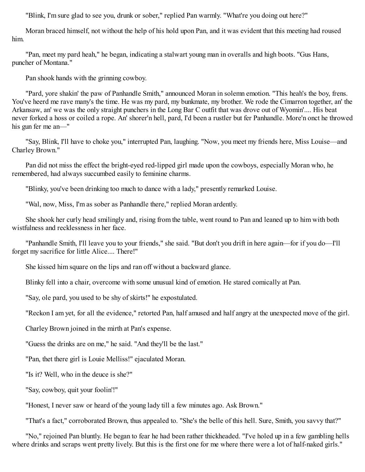"Blink, I'm sure glad to see you, drunk or sober," replied Pan warmly. "What're you doing out here?"

Moran braced himself, not without the help of his hold upon Pan, and it was evident that this meeting had roused him.

"Pan, meet my pard heah," he began, indicating a stalwart young man in overalls and high boots. "Gus Hans, puncher of Montana."

Pan shook hands with the grinning cowboy.

"Pard, yore shakin' the paw of Panhandle Smith," announced Moran in solemn emotion. "This heah's the boy, frens. You've heerd me rave many's the time. He was my pard, my bunkmate, my brother. We rode the Cimarron together, an' the Arkansaw, an' we was the only straight punchers in the Long Bar C outfit that was drove out of Wyomin'.... His beat never forked a hoss or coiled a rope. An' shorer'n hell, pard, I'd been a rustler but fer Panhandle. More'n onct he throwed his gun fer me an—"

"Say, Blink, I'll have to choke you," interrupted Pan, laughing. "Now, you meet my friends here, Miss Louise—and Charley Brown."

Pan did not miss the effect the bright-eyed red-lipped girl made upon the cowboys, especially Moran who, he remembered, had always succumbed easily to feminine charms.

"Blinky, you've been drinking too much to dance with a lady," presently remarked Louise.

"Wal, now, Miss, I'm as sober as Panhandle there," replied Moran ardently.

She shook her curly head smilingly and, rising from the table, went round to Pan and leaned up to him with both wistfulness and recklessness in her face.

"Panhandle Smith, I'll leave you to your friends," she said. "But don't you drift in here again—for if you do—I'll forget my sacrifice for little Alice.... There!"

She kissed him square on the lips and ran off without a backward glance.

Blinky fell into a chair, overcome with some unusual kind of emotion. He stared comically at Pan.

"Say, ole pard, you used to be shy of skirts!" he expostulated.

"Reckon I am yet, for all the evidence," retorted Pan, half amused and half angry at the unexpected move of the girl.

Charley Brown joined in the mirth at Pan's expense.

"Guess the drinks are on me," he said. "And they'll be the last."

"Pan, thet there girl is Louie Melliss!" ejaculated Moran.

"Is it? Well, who in the deuce is she?"

"Say, cowboy, quit your foolin'!"

"Honest, I never saw or heard of the young lady till a few minutes ago. Ask Brown."

"That's a fact," corroborated Brown, thus appealed to. "She's the belle of this hell. Sure, Smith, you savvy that?"

"No," rejoined Pan bluntly. He began to fear he had been rather thickheaded. "I've holed up in a few gambling hells where drinks and scraps went pretty lively. But this is the first one for me where there were a lot of half-naked girls."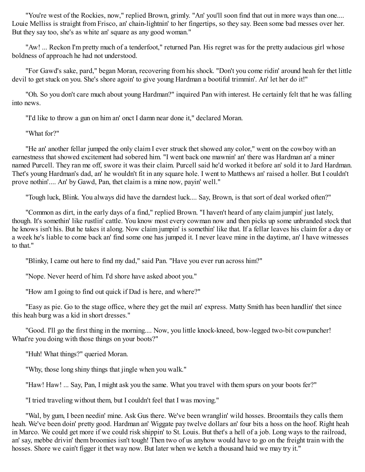"You're west of the Rockies, now," replied Brown, grimly. "An' you'll soon find that out in more ways than one.... Louie Melliss is straight from Frisco, an' chain-lightnin' to her fingertips, so they say. Been some bad messes over her. But they say too, she's as white an' square as any good woman."

"Aw! ... Reckon I'm pretty much of a tenderfoot," returned Pan. His regret was for the pretty audacious girl whose boldness of approach he had not understood.

"For Gawd's sake, pard," began Moran, recovering from his shock. "Don't you come ridin' around heah fer thet little devil to get stuck on you. She's shore agoin' to give young Hardman a bootiful trimmin'. An' let her do it!"

"Oh. So you don't care much about young Hardman?" inquired Pan with interest. He certainly felt that he was falling into news.

"I'd like to throw a gun on him an' onct I damn near done it," declared Moran.

"What for?"

"He an' another fellar jumped the only claim I ever struck thet showed any color," went on the cowboy with an earnestness that showed excitement had sobered him. "I went back one mawnin' an' there was Hardman an' a miner named Purcell. They ran me off, swore it was their claim. Purcell said he'd worked it before an' sold it to Jard Hardman. Thet's young Hardman's dad, an' he wouldn't fit in any square hole. I went to Matthews an' raised a holler. But I couldn't prove nothin'.... An' by Gawd, Pan, thet claim is a mine now, payin' well."

"Tough luck, Blink. You always did have the darndest luck.... Say, Brown, is that sort of deal worked often?"

"Common as dirt, in the early days of a find," replied Brown. "I haven't heard of any claim jumpin' just lately, though. It's somethin' like rustlin' cattle. You know most every cowman now and then picks up some unbranded stock that he knows isn't his. But he takes it along. Now claim jumpin' is somethin' like that. If a fellar leaves his claim for a day or a week he's liable to come back an' find some one has jumped it. I never leave mine in the daytime, an' I have witnesses to that."

"Blinky, I came out here to find my dad," said Pan. "Have you ever run across him?"

"Nope. Never heerd of him. I'd shore have asked aboot you."

"How am I going to find out quick if Dad is here, and where?"

"Easy as pie. Go to the stage office, where they get the mail an' express. Matty Smith has been handlin' thet since this heah burg was a kid in short dresses."

"Good. I'll go the first thing in the morning.... Now, you little knock-kneed, bow-legged two-bit cowpuncher! What're you doing with those things on your boots?"

"Huh! What things?" queried Moran.

"Why, those long shiny things that jingle when you walk."

"Haw! Haw! ... Say, Pan, I might ask you the same. What you travel with them spurs on your boots fer?"

"I tried traveling without them, but I couldn't feel that I was moving."

"Wal, by gum, I been needin' mine. Ask Gus there. We've been wranglin' wild hosses. Broomtails they calls them heah. We've been doin' pretty good. Hardman an' Wiggate pay twelve dollars an' four bits a hoss on the hoof. Right heah in Marco. We could get more if we could risk shippin' to St. Louis. But thet's a hell of a job. Long ways to the railroad, an' say, mebbe drivin' them broomies isn't tough! Then two of us anyhow would have to go on the freight train with the hosses. Shore we cain't figger it thet way now. But later when we ketch a thousand haid we may try it."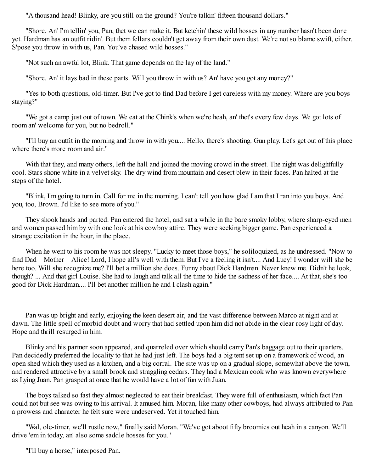"A thousand head! Blinky, are you still on the ground? You're talkin' fifteen thousand dollars."

"Shore. An' I'm tellin' you, Pan, thet we can make it. But ketchin' these wild hosses in any number hasn't been done yet. Hardman has an outfit ridin'. But them fellars couldn't get away from their own dust. We're not so blame swift, either. S'pose you throw in with us, Pan. You've chased wild hosses."

"Not such an awful lot, Blink. That game depends on the lay of the land."

"Shore. An' it lays bad in these parts. Will you throw in with us? An' have you got any money?"

"Yes to both questions, old-timer. But I've got to find Dad before I get careless with my money. Where are you boys staying?"

"We got a camp just out of town. We eat at the Chink's when we're heah, an' thet's every few days. We got lots of room an' welcome for you, but no bedroll."

"I'll buy an outfit in the morning and throw in with you.... Hello, there's shooting. Gun play. Let's get out of this place where there's more room and air."

With that they, and many others, left the hall and joined the moving crowd in the street. The night was delightfully cool. Stars shone white in a velvet sky. The dry wind from mountain and desert blew in their faces. Pan halted at the steps of the hotel.

"Blink, I'm going to turn in. Call for me in the morning. I can't tell you how glad I am that I ran into you boys. And you, too, Brown. I'd like to see more of you."

They shook hands and parted. Pan entered the hotel, and sat a while in the bare smoky lobby, where sharp-eyed men and women passed him by with one look at his cowboy attire. They were seeking bigger game. Pan experienced a strange excitation in the hour, in the place.

When he went to his room he was not sleepy. "Lucky to meet those boys," he soliloquized, as he undressed. "Now to find Dad—Mother—Alice! Lord, I hope all's well with them. But I've a feeling it isn't.... And Lucy! I wonder will she be here too. Will she recognize me? I'll bet a million she does. Funny about Dick Hardman. Never knew me. Didn't he look, though? ... And that girl Louise. She had to laugh and talk all the time to hide the sadness of her face.... At that, she's too good for Dick Hardman.... I'll bet another million he and I clash again."

Pan was up bright and early, enjoying the keen desert air, and the vast difference between Marco at night and at dawn. The little spell of morbid doubt and worry that had settled upon him did not abide in the clear rosy light of day. Hope and thrill resurged in him.

Blinky and his partner soon appeared, and quarreled over which should carry Pan's baggage out to their quarters. Pan decidedly preferred the locality to that he had just left. The boys had a big tent set up on a framework of wood, an open shed which they used as a kitchen, and a big corral. The site was up on a gradual slope, somewhat above the town, and rendered attractive by a small brook and straggling cedars. They had a Mexican cook who was known everywhere as Lying Juan. Pan grasped at once that he would have a lot of fun with Juan.

The boys talked so fast they almost neglected to eat their breakfast. They were full of enthusiasm, which fact Pan could not but see was owing to his arrival. It amused him. Moran, like many other cowboys, had always attributed to Pan a prowess and character he felt sure were undeserved. Yet it touched him.

"Wal, ole-timer, we'll rustle now," finally said Moran. "We've got aboot fifty broomies out heah in a canyon. We'll drive 'em in today, an' also some saddle hosses for you."

"I'll buy a horse," interposed Pan.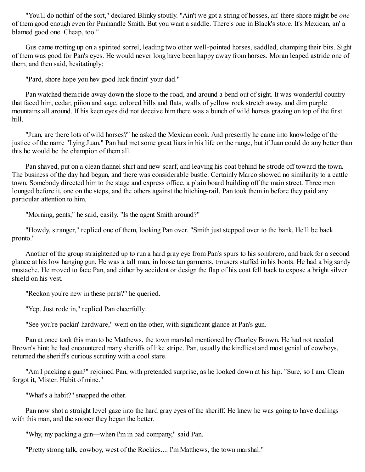"You'll do nothin' of the sort," declared Blinky stoutly. "Ain't we got a string of hosses, an' there shore might be *one* of them good enough even for Panhandle Smith. But you want a saddle. There's one in Black's store. It's Mexican, an' a blamed good one. Cheap, too."

Gus came trotting up on a spirited sorrel, leading two other well-pointed horses, saddled, champing their bits. Sight of them was good for Pan's eyes. He would never long have been happy away from horses. Moran leaped astride one of them, and then said, hesitatingly:

"Pard, shore hope you hev good luck findin' your dad."

Pan watched them ride away down the slope to the road, and around a bend out of sight. It was wonderful country that faced him, cedar, piñon and sage, colored hills and flats, walls of yellow rock stretch away, and dim purple mountains all around. If his keen eyes did not deceive him there was a bunch of wild horses grazing on top of the first hill.

"Juan, are there lots of wild horses?" he asked the Mexican cook. And presently he came into knowledge of the justice of the name "Lying Juan." Pan had met some great liars in his life on the range, but if Juan could do any better than this he would be the champion of them all.

Pan shaved, put on a clean flannel shirt and new scarf, and leaving his coat behind he strode off toward the town. The business of the day had begun, and there was considerable bustle. Certainly Marco showed no similarity to a cattle town. Somebody directed him to the stage and express office, a plain board building off the main street. Three men lounged before it, one on the steps, and the others against the hitching-rail. Pan took them in before they paid any particular attention to him.

"Morning, gents," he said, easily. "Is the agent Smith around?"

"Howdy, stranger," replied one of them, looking Pan over. "Smith just stepped over to the bank. He'll be back pronto."

Another of the group straightened up to run a hard gray eye from Pan's spurs to his sombrero, and back for a second glance at his low hanging gun. He was a tall man, in loose tan garments, trousers stuffed in his boots. He had a big sandy mustache. He moved to face Pan, and either by accident or design the flap of his coat fell back to expose a bright silver shield on his vest.

"Reckon you're new in these parts?" he queried.

"Yep. Just rode in," replied Pan cheerfully.

"See you're packin' hardware," went on the other, with significant glance at Pan's gun.

Pan at once took this man to be Matthews, the town marshal mentioned by Charley Brown. He had not needed Brown's hint; he had encountered many sheriffs of like stripe. Pan, usually the kindliest and most genial of cowboys, returned the sheriff's curious scrutiny with a cool stare.

"Am I packing a gun?" rejoined Pan, with pretended surprise, as he looked down at his hip. "Sure, so I am. Clean forgot it, Mister. Habit of mine."

"What's a habit?" snapped the other.

Pan now shot a straight level gaze into the hard gray eyes of the sheriff. He knew he was going to have dealings with this man, and the sooner they began the better.

"Why, my packing a gun—when I'm in bad company," said Pan.

"Pretty strong talk, cowboy, west of the Rockies.... I'm Matthews, the town marshal."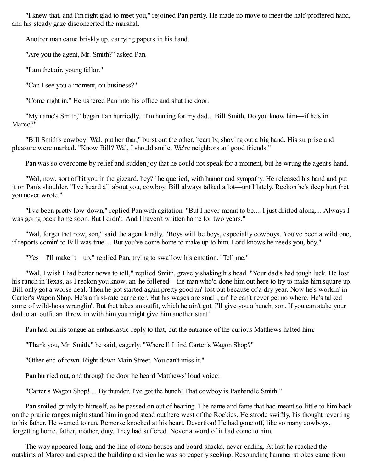"I knew that, and I'm right glad to meet you," rejoined Pan pertly. He made no move to meet the half-proffered hand, and his steady gaze disconcerted the marshal.

Another man came briskly up, carrying papers in his hand.

"Are you the agent, Mr. Smith?" asked Pan.

"I am thet air, young fellar."

"Can I see you a moment, on business?"

"Come right in." He ushered Pan into his office and shut the door.

"My name's Smith," began Pan hurriedly. "I'm hunting for my dad... Bill Smith. Do you know him—if he's in Marco?"

"Bill Smith's cowboy! Wal, put her thar," burst out the other, heartily, shoving out a big hand. His surprise and pleasure were marked. "Know Bill? Wal, I should smile. We're neighbors an' good friends."

Pan was so overcome by relief and sudden joy that he could not speak for a moment, but he wrung the agent's hand.

"Wal, now, sort of hit you in the gizzard, hey?" he queried, with humor and sympathy. He released his hand and put it on Pan's shoulder. "I've heard all about you, cowboy. Bill always talked a lot—until lately. Reckon he's deep hurt thet you never wrote."

"I've been pretty low-down," replied Pan with agitation. "But I never meant to be.... I just drifted along.... Always I was going back home soon. But I didn't. And I haven't written home for two years."

"Wal, forget thet now, son," said the agent kindly. "Boys will be boys, especially cowboys. You've been a wild one, if reports comin' to Bill was true.... But you've come home to make up to him. Lord knows he needs you, boy."

"Yes—I'll make it—up," replied Pan, trying to swallow his emotion. "Tell me."

"Wal, I wish I had better news to tell," replied Smith, gravely shaking his head. "Your dad's had tough luck. He lost his ranch in Texas, as I reckon you know, an' he follered—the man who'd done him out here to try to make him square up. Bill only got a worse deal. Then he got started again pretty good an' lost out because of a dry year. Now he's workin' in Carter's Wagon Shop. He's a first-rate carpenter. But his wages are small, an' he can't never get no where. He's talked some of wild-hoss wranglin'. But thet takes an outfit, which he ain't got. I'll give you a hunch, son. If you can stake your dad to an outfit an' throw in with him you might give him another start."

Pan had on his tongue an enthusiastic reply to that, but the entrance of the curious Matthews halted him.

"Thank you, Mr. Smith," he said, eagerly. "Where'll I find Carter's Wagon Shop?"

"Other end of town. Right down Main Street. You can't miss it."

Pan hurried out, and through the door he heard Matthews' loud voice:

"Carter's Wagon Shop! ... By thunder, I've got the hunch! That cowboy is Panhandle Smith!"

Pan smiled grimly to himself, as he passed on out of hearing. The name and fame that had meant so little to him back on the prairie ranges might stand him in good stead out here west of the Rockies. He strode swiftly, his thought reverting to his father. He wanted to run. Remorse knocked at his heart. Desertion! He had gone off, like so many cowboys, forgetting home, father, mother, duty. They had suffered. Never a word of it had come to him.

The way appeared long, and the line of stone houses and board shacks, never ending. At last he reached the outskirts of Marco and espied the building and sign he was so eagerly seeking. Resounding hammer strokes came from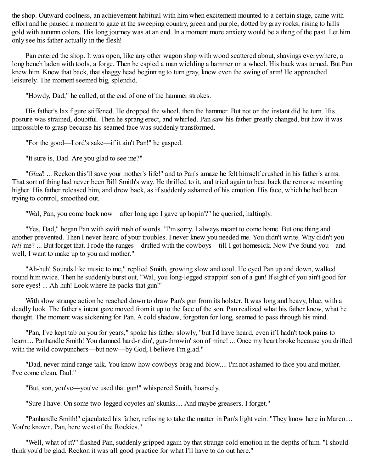the shop. Outward coolness, an achievement habitual with him when excitement mounted to a certain stage, came with effort and he paused a moment to gaze at the sweeping country, green and purple, dotted by gray rocks, rising to hills gold with autumn colors. His long journey was at an end. In a moment more anxiety would be a thing of the past. Let him only see his father actually in the flesh!

Pan entered the shop. It was open, like any other wagon shop with wood scattered about, shavings everywhere, a long bench laden with tools, a forge. Then he espied a man wielding a hammer on a wheel. His back was turned. But Pan knew him. Knew that back, that shaggy head beginning to turn gray, knew even the swing of arm! He approached leisurely. The moment seemed big, splendid.

"Howdy, Dad," he called, at the end of one of the hammer strokes.

His father's lax figure stiffened. He dropped the wheel, then the hammer. But not on the instant did he turn. His posture was strained, doubtful. Then he sprang erect, and whirled. Pan saw his father greatly changed, but how it was impossible to grasp because his seamed face was suddenly transformed.

"For the good—Lord's sake—if it ain't Pan!" he gasped.

"It sure is, Dad. Are you glad to see me?"

"*Glad*! ... Reckon this'll save your mother's life!" and to Pan's amaze he felt himself crushed in his father's arms. That sort of thing had never been Bill Smith's way. He thrilled to it, and tried again to beat back the remorse mounting higher. His father released him, and drew back, as if suddenly ashamed of his emotion. His face, which he had been trying to control, smoothed out.

"Wal, Pan, you come back now—after long ago I gave up hopin'?" he queried, haltingly.

"Yes, Dad," began Pan with swift rush of words. "I'm sorry. I always meant to come home. But one thing and another prevented. Then I never heard of your troubles. I never knew you needed me. You didn't write. Why didn't you *tell* me? ... But forget that. I rode the ranges—drifted with the cowboys—till I got homesick. Now I've found you—and well, I want to make up to you and mother."

"Ah-huh! Sounds like music to me," replied Smith, growing slow and cool. He eyed Pan up and down, walked round him twice. Then he suddenly burst out, "Wal, you long-legged strappin' son of a gun! If sight of you ain't good for sore eyes! ... Ah-huh! Look where he packs that gun!"

With slow strange action he reached down to draw Pan's gun from its holster. It was long and heavy, blue, with a deadly look. The father's intent gaze moved from it up to the face of the son. Pan realized what his father knew, what he thought. The moment was sickening for Pan. A cold shadow, forgotten for long, seemed to pass through his mind.

"Pan, I've kept tab on you for years," spoke his father slowly, "but I'd have heard, even if I hadn't took pains to learn.... Panhandle Smith! You damned hard-ridin', gun-throwin' son of mine! ... Once my heart broke because you drifted with the wild cowpunchers—but now—by God, I believe I'm glad."

"Dad, never mind range talk. You know how cowboys brag and blow.... I'm not ashamed to face you and mother. I've come clean, Dad."

"But, son, you've—you've used that gun!" whispered Smith, hoarsely.

"Sure I have. On some two-legged coyotes an' skunks.... And maybe greasers. I forget."

"Panhandle Smith!" ejaculated his father, refusing to take the matter in Pan's light vein. "They know here in Marco.... You're known, Pan, here west of the Rockies."

"Well, what of it?" flashed Pan, suddenly gripped again by that strange cold emotion in the depths of him. "I should think you'd be glad. Reckon it was all good practice for what I'll have to do out here."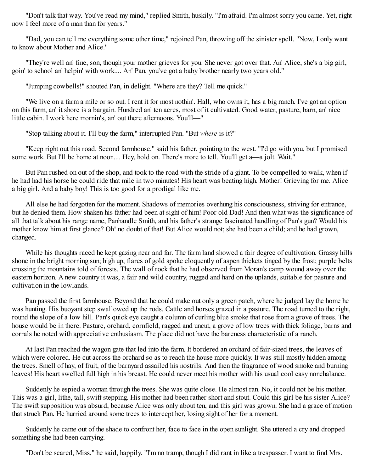"Don't talk that way. You've read my mind," replied Smith, huskily. "I'm afraid. I'm almost sorry you came. Yet, right now I feel more of a man than for years."

"Dad, you can tell me everything some other time," rejoined Pan, throwing off the sinister spell. "Now, I only want to know about Mother and Alice."

"They're well an' fine, son, though your mother grieves for you. She never got over that. An' Alice, she's a big girl, goin' to school an' helpin' with work.... An' Pan, you've got a baby brother nearly two years old."

"Jumping cowbells!" shouted Pan, in delight. "Where are they? Tell me quick."

"We live on a farm a mile or so out. I rent it for most nothin'. Hall, who owns it, has a big ranch. I've got an option on this farm, an' it shore is a bargain. Hundred an' ten acres, most of it cultivated. Good water, pasture, barn, an' nice little cabin. I work here mornin's, an' out there afternoons. You'll—"

"Stop talking about it. I'll buy the farm," interrupted Pan. "But *where* is it?"

"Keep right out this road. Second farmhouse," said his father, pointing to the west. "I'd go with you, but I promised some work. But I'll be home at noon.... Hey, hold on. There's more to tell. You'll get a—a jolt. Wait."

But Pan rushed on out of the shop, and took to the road with the stride of a giant. To be compelled to walk, when if he had had his horse he could ride that mile in two minutes! His heart was beating high. Mother! Grieving for me. Alice a big girl. And a baby boy! This is too good for a prodigal like me.

All else he had forgotten for the moment. Shadows of memories overhung his consciousness, striving for entrance, but he denied them. How shaken his father had been at sight of him! Poor old Dad! And then what was the significance of all that talk about his range name, Panhandle Smith, and his father's strange fascinated handling of Pan's gun? Would his mother know him at first glance? Oh! no doubt of that! But Alice would not; she had been a child; and he had grown, changed.

While his thoughts raced he kept gazing near and far. The farm land showed a fair degree of cultivation. Grassy hills shone in the bright morning sun; high up, flares of gold spoke eloquently of aspen thickets tinged by the frost; purple belts crossing the mountains told of forests. The wall of rock that he had observed from Moran's camp wound away over the eastern horizon. A new country it was, a fair and wild country, rugged and hard on the uplands, suitable for pasture and cultivation in the lowlands.

Pan passed the first farmhouse. Beyond that he could make out only a green patch, where he judged lay the home he was hunting. His buoyant step swallowed up the rods. Cattle and horses grazed in a pasture. The road turned to the right, round the slope of a low hill. Pan's quick eye caught a column of curling blue smoke that rose from a grove of trees. The house would be in there. Pasture, orchard, cornfield, ragged and uncut, a grove of low trees with thick foliage, barns and corrals he noted with appreciative enthusiasm. The place did not have the bareness characteristic of a ranch.

At last Pan reached the wagon gate that led into the farm. It bordered an orchard of fair-sized trees, the leaves of which were colored. He cut across the orchard so as to reach the house more quickly. It was still mostly hidden among the trees. Smell of hay, of fruit, of the barnyard assailed his nostrils. And then the fragrance of wood smoke and burning leaves! His heart swelled full high in his breast. He could never meet his mother with his usual cool easy nonchalance.

Suddenly he espied a woman through the trees. She was quite close. He almost ran. No, it could not be his mother. This was a girl, lithe, tall, swift stepping. His mother had been rather short and stout. Could this girl be his sister Alice? The swift supposition was absurd, because Alice was only about ten, and this girl was grown. She had a grace of motion that struck Pan. He hurried around some trees to intercept her, losing sight of her for a moment.

Suddenly he came out of the shade to confront her, face to face in the open sunlight. She uttered a cry and dropped something she had been carrying.

"Don't be scared, Miss," he said, happily. "I'm no tramp, though I did rant in like a trespasser. I want to find Mrs.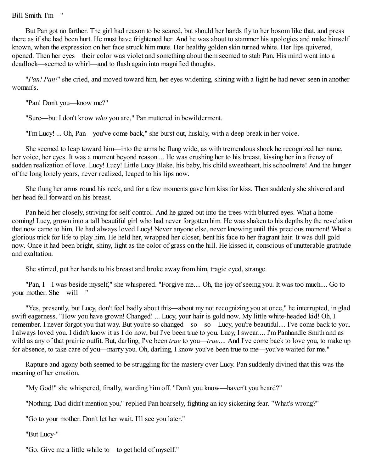#### Bill Smith. I'm—"

But Pan got no farther. The girl had reason to be scared, but should her hands fly to her bosom like that, and press there as if she had been hurt. He must have frightened her. And he was about to stammer his apologies and make himself known, when the expression on her face struck him mute. Her healthy golden skin turned white. Her lips quivered, opened. Then her eyes—their color was violet and something about them seemed to stab Pan. His mind went into a deadlock—seemed to whirl—and to flash again into magnified thoughts.

"*Pan! Pan!*" she cried, and moved toward him, her eyes widening, shining with a light he had never seen in another woman's.

"Pan! Don't you—know me?"

"Sure—but I don't know *who* you are," Pan muttered in bewilderment.

"I'm Lucy! ... Oh, Pan—you've come back," she burst out, huskily, with a deep break in her voice.

She seemed to leap toward him—into the arms he flung wide, as with tremendous shock he recognized her name, her voice, her eyes. It was a moment beyond reason.... He was crushing her to his breast, kissing her in a frenzy of sudden realization of love. Lucy! Lucy! Little Lucy Blake, his baby, his child sweetheart, his schoolmate! And the hunger of the long lonely years, never realized, leaped to his lips now.

She flung her arms round his neck, and for a few moments gave him kiss for kiss. Then suddenly she shivered and her head fell forward on his breast.

Pan held her closely, striving for self-control. And he gazed out into the trees with blurred eyes. What a homecoming! Lucy, grown into a tall beautiful girl who had never forgotten him. He was shaken to his depths by the revelation that now came to him. He had always loved Lucy! Never anyone else, never knowing until this precious moment! What a glorious trick for life to play him. He held her, wrapped her closer, bent his face to her fragrant hair. It was dull gold now. Once it had been bright, shiny, light as the color of grass on the hill. He kissed it, conscious of unutterable gratitude and exaltation.

She stirred, put her hands to his breast and broke away from him, tragic eyed, strange.

"Pan, I—I was beside myself," she whispered. "Forgive me.... Oh, the joy of seeing you. It was too much.... Go to your mother. She—will—"

"Yes, presently, but Lucy, don't feel badly about this—about my not recognizing you at once," he interrupted, in glad swift eagerness. "How you have grown! Changed! ... Lucy, your hair is gold now. My little white-headed kid! Oh, I remember. I never forgot you that way. But you're so changed—so—so—Lucy, you're beautiful.... I've come back to you. I always loved you. I didn't know it as I do now, but I've been true to you. Lucy, I swear.... I'm Panhandle Smith and as wild as any of that prairie outfit. But, darling, I've been *true* to you—*true*.... And I've come back to love you, to make up for absence, to take care of you—marry you. Oh, darling, I know you've been true to me—you've waited for me."

Rapture and agony both seemed to be struggling for the mastery over Lucy. Pan suddenly divined that this was the meaning of her emotion.

"My God!" she whispered, finally, warding him off. "Don't you know—haven't you heard?"

"Nothing. Dad didn't mention you," replied Pan hoarsely, fighting an icy sickening fear. "What's wrong?"

"Go to your mother. Don't let her wait. I'll see you later."

"But Lucy-"

"Go. Give me a little while to—to get hold of myself."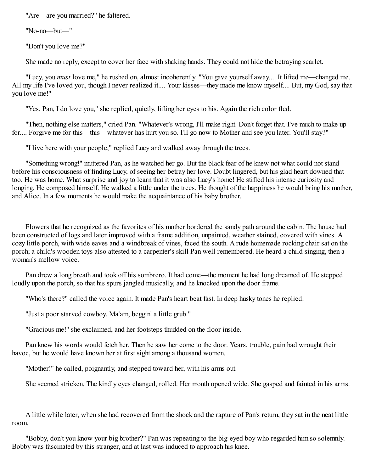"Are—are you married?" he faltered.

"No-no—but—"

"Don't you love me?"

She made no reply, except to cover her face with shaking hands. They could not hide the betraying scarlet.

"Lucy, you *must* love me," he rushed on, almost incoherently. "You gave yourself away.... It lifted me—changed me. All my life I've loved you, though I never realized it.... Your kisses—they made me know myself.... But, my God, say that you love me!"

"Yes, Pan, I do love you," she replied, quietly, lifting her eyes to his. Again the rich color fled.

"Then, nothing else matters," cried Pan. "Whatever's wrong, I'll make right. Don't forget that. I've much to make up for.... Forgive me for this—this—whatever has hurt you so. I'll go now to Mother and see you later. You'll stay?"

"I live here with your people," replied Lucy and walked away through the trees.

"Something wrong!" muttered Pan, as he watched her go. But the black fear of he knew not what could not stand before his consciousness of finding Lucy, of seeing her betray her love. Doubt lingered, but his glad heart downed that too. He was home. What surprise and joy to learn that it was also Lucy's home! He stifled his intense curiosity and longing. He composed himself. He walked a little under the trees. He thought of the happiness he would bring his mother, and Alice. In a few moments he would make the acquaintance of his baby brother.

Flowers that he recognized as the favorites of his mother bordered the sandy path around the cabin. The house had been constructed of logs and later improved with a frame addition, unpainted, weather stained, covered with vines. A cozy little porch, with wide eaves and a windbreak of vines, faced the south. A rude homemade rocking chair sat on the porch; a child's wooden toys also attested to a carpenter's skill Pan well remembered. He heard a child singing, then a woman's mellow voice.

Pan drew a long breath and took off his sombrero. It had come—the moment he had long dreamed of. He stepped loudly upon the porch, so that his spurs jangled musically, and he knocked upon the door frame.

"Who's there?" called the voice again. It made Pan's heart beat fast. In deep husky tones he replied:

"Just a poor starved cowboy, Ma'am, beggin' a little grub."

"Gracious me!" she exclaimed, and her footsteps thudded on the floor inside.

Pan knew his words would fetch her. Then he saw her come to the door. Years, trouble, pain had wrought their havoc, but he would have known her at first sight among a thousand women.

"Mother!" he called, poignantly, and stepped toward her, with his arms out.

She seemed stricken. The kindly eyes changed, rolled. Her mouth opened wide. She gasped and fainted in his arms.

A little while later, when she had recovered from the shock and the rapture of Pan's return, they sat in the neat little room.

"Bobby, don't you know your big brother?" Pan was repeating to the big-eyed boy who regarded him so solemnly. Bobby was fascinated by this stranger, and at last was induced to approach his knee.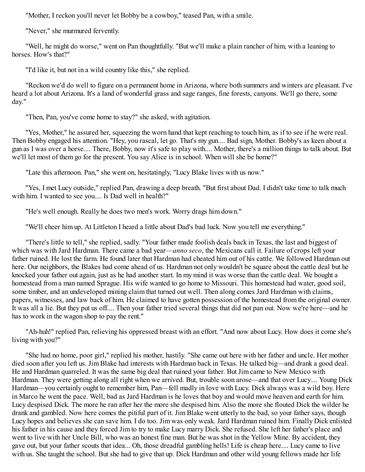"Mother, I reckon you'll never let Bobby be a cowboy," teased Pan, with a smile.

"Never," she murmured fervently.

"Well, he might do worse," went on Pan thoughtfully. "But we'll make a plain rancher of him, with a leaning to horses. How's that?"

"I'd like it, but not in a wild country like this," she replied.

"Reckon we'd do well to figure on a permanent home in Arizona, where both summers and winters are pleasant. I've heard a lot about Arizona. It's a land of wonderful grass and sage ranges, fine forests, canyons. We'll go there, some day."

"Then, Pan, you've come home to stay?" she asked, with agitation.

"Yes, Mother," he assured her, squeezing the worn hand that kept reaching to touch him, as if to see if he were real. Then Bobby engaged his attention. "Hey, you rascal, let go. That's my gun.... Bad sign, Mother. Bobby's as keen about a gun as I was over a horse.... There, Bobby, now it's safe to play with.... Mother, there's a million things to talk about. But we'll let most of them go for the present. You say Alice is in school. When will she be home?"

"Late this afternoon. Pan," she went on, hesitatingly, "Lucy Blake lives with us now."

"Yes, I met Lucy outside," replied Pan, drawing a deep breath. "But first about Dad. I didn't take time to talk much with him. I wanted to see you.... Is Dad well in health?"

"He's well enough. Really he does two men's work. Worry drags him down."

"We'll cheer him up. At Littleton I heard a little about Dad's bad luck. Now you tell me everything."

"There's little to tell," she replied, sadly. "Your father made foolish deals back in Texas, the last and biggest of which was with Jard Hardman. There came a bad year—*anno seco*, the Mexicans call it. Failure of crops left your father ruined. He lost the farm. He found later that Hardman had cheated him out of his cattle. We followed Hardman out here. Our neighbors, the Blakes had come ahead of us. Hardman not only wouldn't be square about the cattle deal but he knocked your father out again, just as he had another start. In my mind it was worse than the cattle deal. We bought a homestead from a man named Sprague. His wife wanted to go home to Missouri. This homestead had water, good soil, some timber, and an undeveloped mining claim that turned out well. Then along comes Jard Hardman with claims, papers, witnesses, and law back of him. He claimed to have gotten possession of the homestead from the original owner. It was all a lie. But they put us off.... Then your father tried several things that did not pan out. Now we're here—and he has to work in the wagon shop to pay the rent."

"Ah-huh!" replied Pan, relieving his oppressed breast with an effort. "And now about Lucy. How does it come she's living with you?"

"She had no home, poor girl," replied his mother, hastily. "She came out here with her father and uncle. Her mother died soon after you left us. Jim Blake had interests with Hardman back in Texas. He talked big—and drank a good deal. He and Hardman quarreled. It was the same big deal that ruined your father. But Jim came to New Mexico with Hardman. They were getting along all right when we arrived. But, trouble soon arose—and that over Lucy.... Young Dick Hardman—you certainly ought to remember him, Pan—fell madly in love with Lucy. Dick always was a wild boy. Here in Marco he went the pace. Well, bad as Jard Hardman is he loves that boy and would move heaven and earth for him. Lucy despised Dick. The more he ran after her the more she despised him. Also the more she flouted Dick the wilder he drank and gambled. Now here comes the pitiful part of it. Jim Blake went utterly to the bad, so your father says, though Lucy hopes and believes she can save him. I do too. Jim was only weak. Jard Hardman ruined him. Finally Dick enlisted his father in his cause and they forced Jim to try to make Lucy marry Dick. She refused. She left her father's place and went to live with her Uncle Bill, who was an honest fine man. But he was shot in the Yellow Mine. By accident, they gave out, but your father scouts that idea... Oh, those dreadful gambling hells! Life is cheap here.... Lucy came to live with us. She taught the school. But she had to give that up. Dick Hardman and other wild young fellows made her life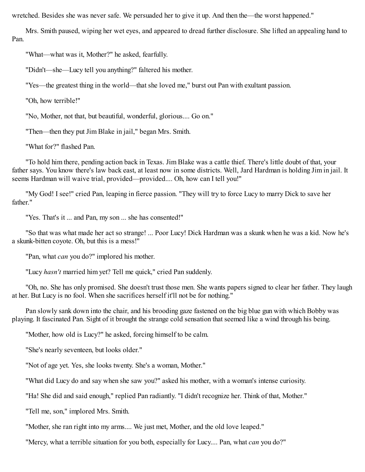wretched. Besides she was never safe. We persuaded her to give it up. And then the—the worst happened."

Mrs. Smith paused, wiping her wet eyes, and appeared to dread further disclosure. She lifted an appealing hand to Pan.

"What—what was it, Mother?" he asked, fearfully.

"Didn't—she—Lucy tell you anything?" faltered his mother.

"Yes—the greatest thing in the world—that she loved me," burst out Pan with exultant passion.

"Oh, how terrible!"

"No, Mother, not that, but beautiful, wonderful, glorious.... Go on."

"Then—then they put Jim Blake in jail," began Mrs. Smith.

"What for?" flashed Pan.

"To hold him there, pending action back in Texas. Jim Blake was a cattle thief. There's little doubt of that, your father says. You know there's law back east, at least now in some districts. Well, Jard Hardman is holding Jim in jail. It seems Hardman will waive trial, provided—provided.... Oh, how can I tell you!"

"My God! I see!" cried Pan, leaping in fierce passion. "They will try to force Lucy to marry Dick to save her father."

"Yes. That's it ... and Pan, my son ... she has consented!"

"So that was what made her act so strange! ... Poor Lucy! Dick Hardman was a skunk when he was a kid. Now he's a skunk-bitten coyote. Oh, but this is a mess!"

"Pan, what *can* you do?" implored his mother.

"Lucy *hasn't* married him yet? Tell me quick," cried Pan suddenly.

"Oh, no. She has only promised. She doesn't trust those men. She wants papers signed to clear her father. They laugh at her. But Lucy is no fool. When she sacrifices herself it'll not be for nothing."

Pan slowly sank down into the chair, and his brooding gaze fastened on the big blue gun with which Bobby was playing. It fascinated Pan. Sight of it brought the strange cold sensation that seemed like a wind through his being.

"Mother, how old is Lucy?" he asked, forcing himself to be calm.

"She's nearly seventeen, but looks older."

"Not of age yet. Yes, she looks twenty. She's a woman, Mother."

"What did Lucy do and say when she saw you?" asked his mother, with a woman's intense curiosity.

"Ha! She did and said enough," replied Pan radiantly. "I didn't recognize her. Think of that, Mother."

"Tell me, son," implored Mrs. Smith.

"Mother, she ran right into my arms.... We just met, Mother, and the old love leaped."

"Mercy, what a terrible situation for you both, especially for Lucy.... Pan, what *can* you do?"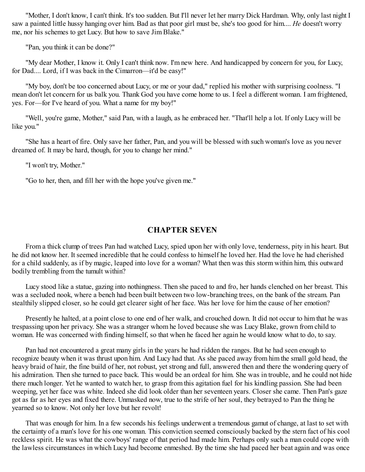"Mother, I don't know, I can't think. It's too sudden. But I'll never let her marry Dick Hardman. Why, only last night I saw a painted little hussy hanging over him. Bad as that poor girl must be, she's too good for him.... *He* doesn't worry me, nor his schemes to get Lucy. But how to save Jim Blake."

"Pan, you think it can be done?"

"My dear Mother, I know it. Only I can't think now. I'm new here. And handicapped by concern for you, for Lucy, for Dad.... Lord, if I was back in the Cimarron—it'd be easy!"

"My boy, don't be too concerned about Lucy, or me or your dad," replied his mother with surprising coolness. "I mean don't let concern for us balk you. Thank God you have come home to us. I feel a different woman. I am frightened, yes. For—for I've heard of you. What a name for my boy!"

"Well, you're game, Mother," said Pan, with a laugh, as he embraced her. "That'll help a lot. If only Lucy will be like you."

"She has a heart of fire. Only save her father, Pan, and you will be blessed with such woman's love as you never dreamed of. It may be hard, though, for you to change her mind."

"I won't try, Mother."

"Go to her, then, and fill her with the hope you've given me."

# **CHAPTER SEVEN**

From a thick clump of trees Pan had watched Lucy, spied upon her with only love, tenderness, pity in his heart. But he did not know her. It seemed incredible that he could confess to himself he loved her. Had the love he had cherished for a child suddenly, as if by magic, leaped into love for a woman? What then was this storm within him, this outward bodily trembling from the tumult within?

Lucy stood like a statue, gazing into nothingness. Then she paced to and fro, her hands clenched on her breast. This was a secluded nook, where a bench had been built between two low-branching trees, on the bank of the stream. Pan stealthily slipped closer, so he could get clearer sight of her face. Was her love for him the cause of her emotion?

Presently he halted, at a point close to one end of her walk, and crouched down. It did not occur to him that he was trespassing upon her privacy. She was a stranger whom he loved because she was Lucy Blake, grown from child to woman. He was concerned with finding himself, so that when he faced her again he would know what to do, to say.

Pan had not encountered a great many girls in the years he had ridden the ranges. But he had seen enough to recognize beauty when it was thrust upon him. And Lucy had that. As she paced away from him the small gold head, the heavy braid of hair, the fine build of her, not robust, yet strong and full, answered then and there the wondering query of his admiration. Then she turned to pace back. This would be an ordeal for him. She was in trouble, and he could not hide there much longer. Yet he wanted to watch her, to grasp from this agitation fuel for his kindling passion. She had been weeping, yet her face was white. Indeed she did look older than her seventeen years. Closer she came. Then Pan's gaze got as far as her eyes and fixed there. Unmasked now, true to the strife of her soul, they betrayed to Pan the thing he yearned so to know. Not only her love but her revolt!

That was enough for him. In a few seconds his feelings underwent a tremendous gamut of change, at last to set with the certainty of a man's love for his one woman. This conviction seemed consciously backed by the stern fact of his cool reckless spirit. He was what the cowboys' range of that period had made him. Perhaps only such a man could cope with the lawless circumstances in which Lucy had become enmeshed. By the time she had paced her beat again and was once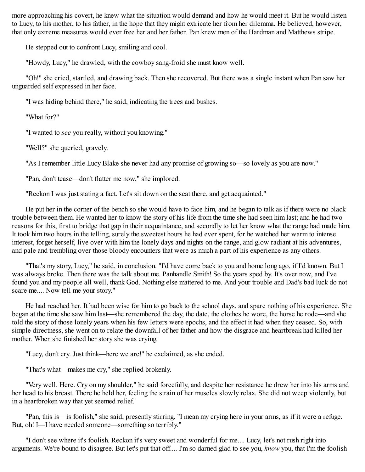more approaching his covert, he knew what the situation would demand and how he would meet it. But he would listen to Lucy, to his mother, to his father, in the hope that they might extricate her from her dilemma. He believed, however, that only extreme measures would ever free her and her father. Pan knew men of the Hardman and Matthews stripe.

He stepped out to confront Lucy, smiling and cool.

"Howdy, Lucy," he drawled, with the cowboy sang-froid she must know well.

"Oh!" she cried, startled, and drawing back. Then she recovered. But there was a single instant when Pan saw her unguarded self expressed in her face.

"I was hiding behind there," he said, indicating the trees and bushes.

"What for?"

"I wanted to *see* you really, without you knowing."

"Well?" she queried, gravely.

"As I remember little Lucy Blake she never had any promise of growing so—so lovely as you are now."

"Pan, don't tease—don't flatter me now," she implored.

"Reckon I was just stating a fact. Let's sit down on the seat there, and get acquainted."

He put her in the corner of the bench so she would have to face him, and he began to talk as if there were no black trouble between them. He wanted her to know the story of his life from the time she had seen him last; and he had two reasons for this, first to bridge that gap in their acquaintance, and secondly to let her know what the range had made him. It took him two hours in the telling, surely the sweetest hours he had ever spent, for he watched her warm to intense interest, forget herself, live over with him the lonely days and nights on the range, and glow radiant at his adventures, and pale and trembling over those bloody encounters that were as much a part of his experience as any others.

"That's my story, Lucy," he said, in conclusion. "I'd have come back to you and home long ago, if I'd known. But I was always broke. Then there was the talk about me. Panhandle Smith! So the years sped by. It's over now, and I've found you and my people all well, thank God. Nothing else mattered to me. And your trouble and Dad's bad luck do not scare me.... Now tell me your story."

He had reached her. It had been wise for him to go back to the school days, and spare nothing of his experience. She began at the time she saw him last—she remembered the day, the date, the clothes he wore, the horse he rode—and she told the story of those lonely years when his few letters were epochs, and the effect it had when they ceased. So, with simple directness, she went on to relate the downfall of her father and how the disgrace and heartbreak had killed her mother. When she finished her story she was crying.

"Lucy, don't cry. Just think—here we are!" he exclaimed, as she ended.

"That's what—makes me cry," she replied brokenly.

"Very well. Here. Cry on my shoulder," he said forcefully, and despite her resistance he drew her into his arms and her head to his breast. There he held her, feeling the strain of her muscles slowly relax. She did not weep violently, but in a heartbroken way that yet seemed relief.

"Pan, this is—is foolish," she said, presently stirring. "I mean my crying here in your arms, as if it were a refuge. But, oh! I—I have needed someone—something so terribly."

"I don't see where it's foolish. Reckon it's very sweet and wonderful for me.... Lucy, let's not rush right into arguments. We're bound to disagree. But let's put that off.... I'm so darned glad to see you, *know* you, that I'm the foolish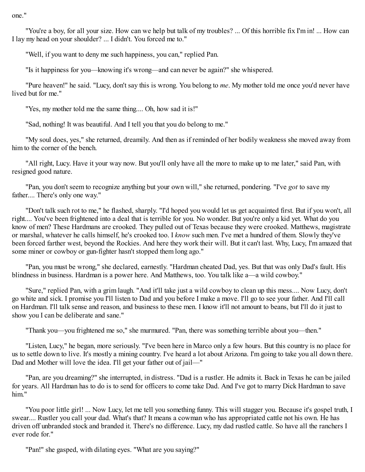one."

"You're a boy, for all your size. How can we help but talk of my troubles? ... Of this horrible fix I'm in! ... How can I lay my head on your shoulder? ... I didn't. You forced me to."

"Well, if you want to deny me such happiness, you can," replied Pan.

"Is it happiness for you—knowing it's wrong—and can never be again?" she whispered.

"Pure heaven!" he said. "Lucy, don't say this is wrong. You belong to *me*. My mother told me once you'd never have lived but for me."

"Yes, my mother told me the same thing.... Oh, how sad it is!"

"Sad, nothing! It was beautiful. And I tell you that you do belong to me."

"My soul does, yes," she returned, dreamily. And then as if reminded of her bodily weakness she moved away from him to the corner of the bench.

"All right, Lucy. Have it your way now. But you'll only have all the more to make up to me later," said Pan, with resigned good nature.

"Pan, you don't seem to recognize anything but your own will," she returned, pondering. "I've *got* to save my father.... There's only one way."

"Don't talk such rot to me," he flashed, sharply. "I'd hoped you would let us get acquainted first. But if you won't, all right.... You've been frightened into a deal that is terrible for you. No wonder. But you're only a kid yet. What do you know of men? These Hardmans are crooked. They pulled out of Texas because they were crooked. Matthews, magistrate or marshal, whatever he calls himself, he's crooked too. I *know* such men. I've met a hundred of them. Slowly they've been forced farther west, beyond the Rockies. And here they work their will. But it can't last. Why, Lucy, I'm amazed that some miner or cowboy or gun-fighter hasn't stopped them long ago."

"Pan, you must be wrong," she declared, earnestly. "Hardman cheated Dad, yes. But that was only Dad's fault. His blindness in business. Hardman is a power here. And Matthews, too. You talk like a—a wild cowboy."

"Sure," replied Pan, with a grim laugh. "And it'll take just a wild cowboy to clean up this mess.... Now Lucy, don't go white and sick. I promise you I'll listen to Dad and you before I make a move. I'll go to see your father. And I'll call on Hardman. I'll talk sense and reason, and business to these men. I know it'll not amount to beans, but I'll do it just to show you I can be deliberate and sane."

"Thank you—you frightened me so," she murmured. "Pan, there was something terrible about you—then."

"Listen, Lucy," he began, more seriously. "I've been here in Marco only a few hours. But this country is no place for us to settle down to live. It's mostly a mining country. I've heard a lot about Arizona. I'm going to take you all down there. Dad and Mother will love the idea. I'll get your father out of jail—"

"Pan, are you dreaming?" she interrupted, in distress. "Dad is a rustler. He admits it. Back in Texas he can be jailed for years. All Hardman has to do is to send for officers to come take Dad. And I've got to marry Dick Hardman to save him."

"You poor little girl! ... Now Lucy, let me tell you something funny. This will stagger you. Because it's gospel truth, I swear.... Rustler you call your dad. What's that? It means a cowman who has appropriated cattle not his own. He has driven off unbranded stock and branded it. There's no difference. Lucy, my dad rustled cattle. So have all the ranchers I ever rode for "

"Pan!" she gasped, with dilating eyes. "What are you saying?"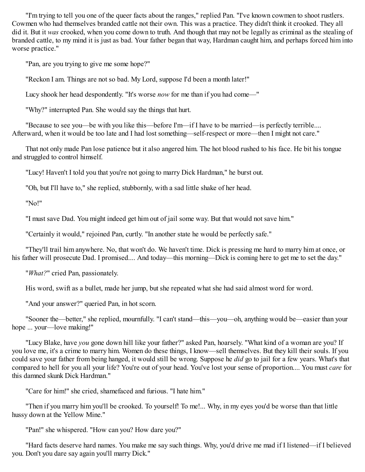"I'm trying to tell you one of the queer facts about the ranges," replied Pan. "I've known cowmen to shoot rustlers. Cowmen who had themselves branded cattle not their own. This was a practice. They didn't think it crooked. They all did it. But it *was* crooked, when you come down to truth. And though that may not be legally as criminal as the stealing of branded cattle, to my mind it is just as bad. Your father began that way, Hardman caught him, and perhaps forced him into worse practice."

"Pan, are you trying to give me some hope?"

"Reckon I am. Things are not so bad. My Lord, suppose I'd been a month later!"

Lucy shook her head despondently. "It's worse *now* for me than if you had come—"

"Why?" interrupted Pan. She would say the things that hurt.

"Because to see you—be with you like this—before I'm—if I have to be married—is perfectly terrible.... Afterward, when it would be too late and I had lost something—self-respect or more—then I might not care."

That not only made Pan lose patience but it also angered him. The hot blood rushed to his face. He bit his tongue and struggled to control himself.

"Lucy! Haven't I told you that you're not going to marry Dick Hardman," he burst out.

"Oh, but I'll have to," she replied, stubbornly, with a sad little shake of her head.

"No!"

"I must save Dad. You might indeed get him out of jail some way. But that would not save him."

"Certainly it would," rejoined Pan, curtly. "In another state he would be perfectly safe."

"They'll trail him anywhere. No, that won't do. We haven't time. Dick is pressing me hard to marry him at once, or his father will prosecute Dad. I promised.... And today—this morning—Dick is coming here to get me to set the day."

"*What?*" cried Pan, passionately.

His word, swift as a bullet, made her jump, but she repeated what she had said almost word for word.

"And your answer?" queried Pan, in hot scorn.

"Sooner the—better," she replied, mournfully. "I can't stand—this—you—oh, anything would be—easier than your hope ... your—love making!"

"Lucy Blake, have *you* gone down hill like your father?" asked Pan, hoarsely. "What kind of a woman are you? If you love me, it's a crime to marry him. Women do these things, I know—sell themselves. But they kill their souls. If you could save your father from being hanged, it would still be wrong. Suppose he *did* go to jail for a few years. What's that compared to hell for you all your life? You're out of your head. You've lost your sense of proportion.... You must *care* for this damned skunk Dick Hardman."

"Care for him!" she cried, shamefaced and furious. "I hate him."

"Then if you marry him you'll be crooked. To yourself! To me!... Why, in my eyes you'd be worse than that little hussy down at the Yellow Mine."

"Pan!" she whispered. "How can you? How dare you?"

"Hard facts deserve hard names. You make me say such things. Why, you'd drive me mad if I listened—if I believed you. Don't you dare say again you'll marry Dick."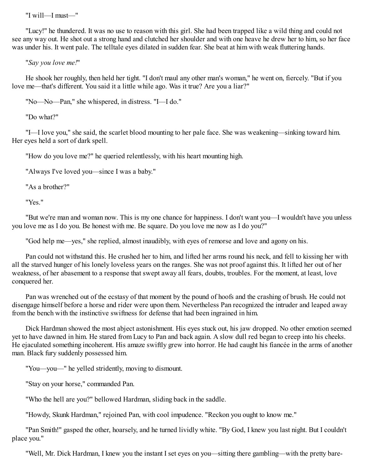"I will—I must—"

"Lucy!" he thundered. It was no use to reason with this girl. She had been trapped like a wild thing and could not see any way out. He shot out a strong hand and clutched her shoulder and with one heave he drew her to him, so her face was under his. It went pale. The telltale eyes dilated in sudden fear. She beat at him with weak fluttering hands.

"*Say you love me!*"

He shook her roughly, then held her tight. "I don't maul any other man's woman," he went on, fiercely. "But if you love me—that's different. You said it a little while ago. Was it true? Are you a liar?"

"No—No—Pan," she whispered, in distress. "I—I do."

"Do what?"

"I—I love you," she said, the scarlet blood mounting to her pale face. She was weakening—sinking toward him. Her eyes held a sort of dark spell.

"How do you love me?" he queried relentlessly, with his heart mounting high.

"Always I've loved you—since I was a baby."

"As a brother?"

"Yes."

"But we're man and woman now. This is my one chance for happiness. I don't want you—I wouldn't have you unless you love me as I do you. Be honest with me. Be square. Do you love me now as I do you?"

"God help me—yes," she replied, almost inaudibly, with eyes of remorse and love and agony on his.

Pan could not withstand this. He crushed her to him, and lifted her arms round his neck, and fell to kissing her with all the starved hunger of his lonely loveless years on the ranges. She was not proof against this. It lifted her out of her weakness, of her abasement to a response that swept away all fears, doubts, troubles. For the moment, at least, love conquered her.

Pan was wrenched out of the ecstasy of that moment by the pound of hoofs and the crashing of brush. He could not disengage himself before a horse and rider were upon them. Nevertheless Pan recognized the intruder and leaped away from the bench with the instinctive swiftness for defense that had been ingrained in him.

Dick Hardman showed the most abject astonishment. His eyes stuck out, his jaw dropped. No other emotion seemed yet to have dawned in him. He stared from Lucy to Pan and back again. A slow dull red began to creep into his cheeks. He ejaculated something incoherent. His amaze swiftly grew into horror. He had caught his fiancée in the arms of another man. Black fury suddenly possessed him.

"You—you—" he yelled stridently, moving to dismount.

"Stay on your horse," commanded Pan.

"Who the hell are you?" bellowed Hardman, sliding back in the saddle.

"Howdy, Skunk Hardman," rejoined Pan, with cool impudence. "Reckon you ought to know me."

"Pan Smith!" gasped the other, hoarsely, and he turned lividly white. "By God, I knew you last night. But I couldn't place you."

"Well, Mr. Dick Hardman, I knew you the instant I set eyes on you—sitting there gambling—with the pretty bare-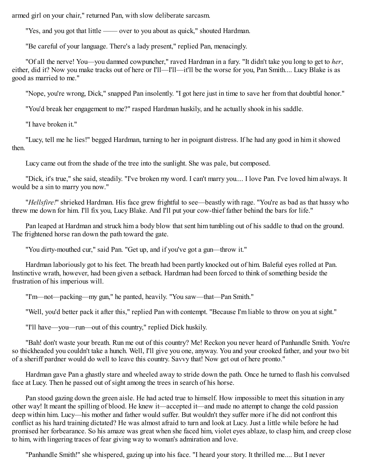armed girl on your chair," returned Pan, with slow deliberate sarcasm.

"Yes, and you got that little —— over to you about as quick," shouted Hardman.

"Be careful of your language. There's a lady present," replied Pan, menacingly.

"Of all the nerve! You—you damned cowpuncher," raved Hardman in a fury. "It didn't take you long to get to *her*, either, did it? Now you make tracks out of here or I'll—I'll—it'll be the worse for you, Pan Smith.... Lucy Blake is as good as married to me."

"Nope, you're wrong, Dick," snapped Pan insolently. "I got here just in time to save her from that doubtful honor."

"You'd break her engagement to me?" rasped Hardman huskily, and he actually shook in his saddle.

"I have broken it."

"Lucy, tell me he lies!" begged Hardman, turning to her in poignant distress. If he had any good in him it showed then.

Lucy came out from the shade of the tree into the sunlight. She was pale, but composed.

"Dick, it's true," she said, steadily. "I've broken my word. I can't marry you.... I love Pan. I've loved him always. It would be a sin to marry you now."

"*Hellsfire!*" shrieked Hardman. His face grew frightful to see—beastly with rage. "You're as bad as that hussy who threw me down for him. I'll fix you, Lucy Blake. And I'll put your cow-thief father behind the bars for life."

Pan leaped at Hardman and struck him a body blow that sent him tumbling out of his saddle to thud on the ground. The frightened horse ran down the path toward the gate.

"You dirty-mouthed cur," said Pan. "Get up, and if you've got a gun—throw it."

Hardman laboriously got to his feet. The breath had been partly knocked out of him. Baleful eyes rolled at Pan. Instinctive wrath, however, had been given a setback. Hardman had been forced to think of something beside the frustration of his imperious will.

"I'm—not—packing—my gun," he panted, heavily. "You saw—that—Pan Smith."

"Well, you'd better pack it after this," replied Pan with contempt. "Because I'm liable to throw on you at sight."

"I'll have—you—run—out of this country," replied Dick huskily.

"Bah! don't waste your breath. Run me out of this country? Me! Reckon you never heard of Panhandle Smith. You're so thickheaded you couldn't take a hunch. Well, I'll give you one, anyway. You and your crooked father, and your two bit of a sheriff pardner would do well to leave this country. Savvy that! Now get out of here pronto."

Hardman gave Pan a ghastly stare and wheeled away to stride down the path. Once he turned to flash his convulsed face at Lucy. Then he passed out of sight among the trees in search of his horse.

Pan stood gazing down the green aisle. He had acted true to himself. How impossible to meet this situation in any other way! It meant the spilling of blood. He knew it—accepted it—and made no attempt to change the cold passion deep within him. Lucy—his mother and father would suffer. But wouldn't they suffer more if he did not confront this conflict as his hard training dictated? He was almost afraid to turn and look at Lucy. Just a little while before he had promised her forbearance. So his amaze was great when she faced him, violet eyes ablaze, to clasp him, and creep close to him, with lingering traces of fear giving way to woman's admiration and love.

"Panhandle Smith!" she whispered, gazing up into his face. "I heard your story. It thrilled me.... But I never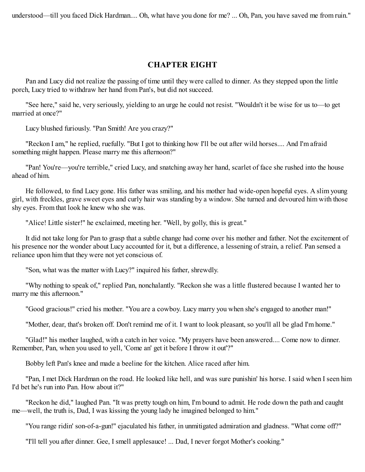understood—till you faced Dick Hardman.... Oh, what have you done for me? ... Oh, Pan, you have saved me from ruin."

### **CHAPTER EIGHT**

Pan and Lucy did not realize the passing of time until they were called to dinner. As they stepped upon the little porch, Lucy tried to withdraw her hand from Pan's, but did not succeed.

"See here," said he, very seriously, yielding to an urge he could not resist. "Wouldn't it be wise for us to—to get married at once?"

Lucy blushed furiously. "Pan Smith! Are you crazy?"

"Reckon I am," he replied, ruefully. "But I got to thinking how I'll be out after wild horses.... And I'm afraid something might happen. Please marry me this afternoon?"

"Pan! You're—you're terrible," cried Lucy, and snatching away her hand, scarlet of face she rushed into the house ahead of him.

He followed, to find Lucy gone. His father was smiling, and his mother had wide-open hopeful eyes. A slim young girl, with freckles, grave sweet eyes and curly hair was standing by a window. She turned and devoured him with those shy eyes. From that look he knew who she was.

"Alice! Little sister!" he exclaimed, meeting her. "Well, by golly, this is great."

It did not take long for Pan to grasp that a subtle change had come over his mother and father. Not the excitement of his presence nor the wonder about Lucy accounted for it, but a difference, a lessening of strain, a relief. Pan sensed a reliance upon him that they were not yet conscious of.

"Son, what was the matter with Lucy?" inquired his father, shrewdly.

"Why nothing to speak of," replied Pan, nonchalantly. "Reckon she was a little flustered because I wanted her to marry me this afternoon."

"Good gracious!" cried his mother. "You are a cowboy. Lucy marry you when she's engaged to another man!"

"Mother, dear, that's broken off. Don't remind me of it. I want to look pleasant, so you'll all be glad I'm home."

"Glad!" his mother laughed, with a catch in her voice. "My prayers have been answered.... Come now to dinner. Remember, Pan, when you used to yell, 'Come an' get it before I throw it out'?"

Bobby left Pan's knee and made a beeline for the kitchen. Alice raced after him.

"Pan, I met Dick Hardman on the road. He looked like hell, and was sure punishin' his horse. I said when I seen him I'd bet he's run into Pan. How about it?"

"Reckon he did," laughed Pan. "It was pretty tough on him, I'm bound to admit. He rode down the path and caught me—well, the truth is, Dad, I was kissing the young lady he imagined belonged to him."

"You range ridin' son-of-a-gun!" ejaculated his father, in unmitigated admiration and gladness. "What come off?"

"I'll tell you after dinner. Gee, I smell applesauce! ... Dad, I never forgot Mother's cooking."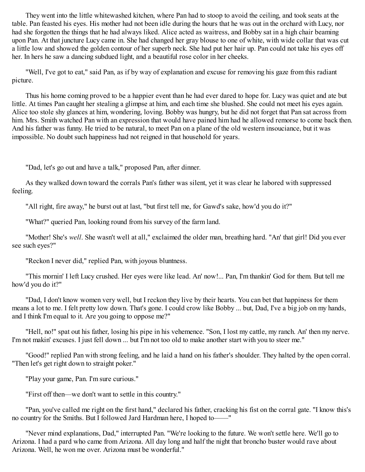They went into the little whitewashed kitchen, where Pan had to stoop to avoid the ceiling, and took seats at the table. Pan feasted his eyes. His mother had not been idle during the hours that he was out in the orchard with Lucy, nor had she forgotten the things that he had always liked. Alice acted as waitress, and Bobby sat in a high chair beaming upon Pan. At that juncture Lucy came in. She had changed her gray blouse to one of white, with wide collar that was cut a little low and showed the golden contour of her superb neck. She had put her hair up. Pan could not take his eyes off her. In hers he saw a dancing subdued light, and a beautiful rose color in her cheeks.

"Well, I've got to eat," said Pan, as if by way of explanation and excuse for removing his gaze from this radiant picture.

Thus his home coming proved to be a happier event than he had ever dared to hope for. Lucy was quiet and ate but little. At times Pan caught her stealing a glimpse at him, and each time she blushed. She could not meet his eyes again. Alice too stole shy glances at him, wondering, loving. Bobby was hungry, but he did not forget that Pan sat across from him. Mrs. Smith watched Pan with an expression that would have pained him had he allowed remorse to come back then. And his father was funny. He tried to be natural, to meet Pan on a plane of the old western insouciance, but it was impossible. No doubt such happiness had not reigned in that household for years.

"Dad, let's go out and have a talk," proposed Pan, after dinner.

As they walked down toward the corrals Pan's father was silent, yet it was clear he labored with suppressed feeling.

"All right, fire away," he burst out at last, "but first tell me, for Gawd's sake, how'd you do it?"

"What?" queried Pan, looking round from his survey of the farm land.

"Mother! She's *well*. She wasn't well at all," exclaimed the older man, breathing hard. "An' that girl! Did you ever see such eyes?"

"Reckon I never did," replied Pan, with joyous bluntness.

"This mornin' I left Lucy crushed. Her eyes were like lead. An' now!... Pan, I'm thankin' God for them. But tell me how'd you do it?"

"Dad, I don't know women very well, but I reckon they live by their hearts. You can bet that happiness for them means a lot to me. I felt pretty low down. That's gone. I could crow like Bobby ... but, Dad, I've a big job on my hands, and I think I'm equal to it. Are you going to oppose me?"

"Hell, no!" spat out his father, losing his pipe in his vehemence. "Son, I lost my cattle, my ranch. An' then my nerve. I'm not makin' excuses. I just fell down ... but I'm not too old to make another start with you to steer me."

"Good!" replied Pan with strong feeling, and he laid a hand on his father's shoulder. They halted by the open corral. "Then let's get right down to straight poker."

"Play your game, Pan. I'm sure curious."

"First off then—we don't want to settle in this country."

"Pan, you've called me right on the first hand," declared his father, cracking his fist on the corral gate. "I know this's no country for the Smiths. But I followed Jard Hardman here, I hoped to——"

"Never mind explanations, Dad," interrupted Pan. "We're looking to the future. We won't settle here. We'll go to Arizona. I had a pard who came from Arizona. All day long and half the night that broncho buster would rave about Arizona. Well, he won me over. Arizona must be wonderful."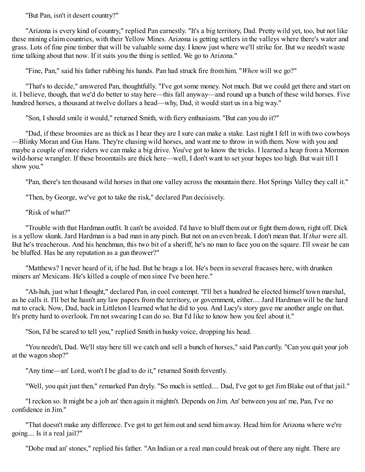"But Pan, isn't it desert country?"

"Arizona is every kind of country," replied Pan earnestly. "It's a big territory, Dad. Pretty wild yet, too, but not like these mining claim countries, with their Yellow Mines. Arizona is getting settlers in the valleys where there's water and grass. Lots of fine pine timber that will be valuable some day. I know just where we'll strike for. But we needn't waste time talking about that now. If it suits you the thing is settled. We go to Arizona."

"Fine, Pan," said his father rubbing his hands. Pan had struck fire from him. "*When* will we go?"

"That's to decide," answered Pan, thoughtfully. "I've got some money. Not much. But we could get there and start on it. I believe, though, that we'd do better to stay here—this fall anyway—and round up a bunch of these wild horses. Five hundred horses, a thousand at twelve dollars a head—why, Dad, it would start us in a big way."

"Son, I should smile it would," returned Smith, with fiery enthusiasm. "But can you do it?"

"Dad, if these broomies are as thick as I hear they are I sure can make a stake. Last night I fell in with two cowboys —Blinky Moran and Gus Hans. They're chasing wild horses, and want me to throw in with them. Now with you and maybe a couple of more riders we can make a big drive. You've got to know the tricks. I learned a heap from a Mormon wild-horse wrangler. If these broomtails are thick here—well, I don't want to set your hopes too high. But wait till I show you."

"Pan, there's ten thousand wild horses in that one valley across the mountain there. Hot Springs Valley they call it."

"Then, by George, we've got to take the risk," declared Pan decisively.

"Risk of what?"

"Trouble with that Hardman outfit. It can't be avoided. I'd have to bluff them out or fight them down, right off. Dick is a yellow skunk. Jard Hardman is a bad man in any pinch. But not on an even break. I don't mean that. If *that* were all. But he's treacherous. And his henchman, this two bit of a sheriff, he's no man to face you on the square. I'll swear he can be bluffed. Has he any reputation as a gun thrower?"

"Matthews? I never heard of it, if he had. But he brags a lot. He's been in several fracases here, with drunken miners an' Mexicans. He's killed a couple of men since I've been here."

"Ah-huh, just what I thought," declared Pan, in cool contempt. "I'll bet a hundred he elected himself town marshal, as he calls it. I'll bet he hasn't any law papers from the territory, or government, either.... Jard Hardman will be the hard nut to crack. Now, Dad, back in Littleton I learned what he did to you. And Lucy's story gave me another angle on that. It's pretty hard to overlook. I'm not swearing I can do so. But I'd like to know how you feel about it."

"Son, I'd be scared to tell you," replied Smith in husky voice, dropping his head.

"You needn't, Dad. We'll stay here till we catch and sell a bunch of horses," said Pan curtly. "Can you quit your job at the wagon shop?"

"Any time—an' Lord, won't I be glad to do it," returned Smith fervently.

"Well, you quit just then," remarked Pan dryly. "So much is settled.... Dad, I've got to get Jim Blake out of that jail."

"I reckon so. It might be a job an' then again it mightn't. Depends on Jim. An' between you an' me, Pan, I've no confidence in Jim."

"That doesn't make any difference. I've got to get him out and send him away. Head him for Arizona where we're going.... Is it a real jail?"

"Dobe mud an' stones," replied his father. "An Indian or a real man could break out of there any night. There are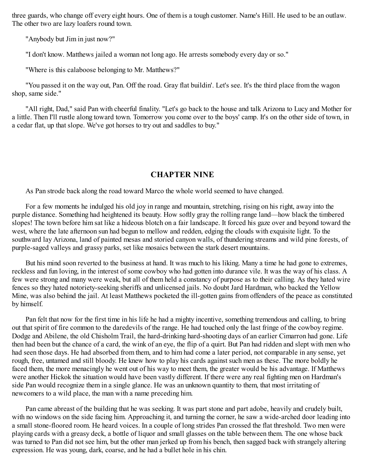three guards, who change off every eight hours. One of them is a tough customer. Name's Hill. He used to be an outlaw. The other two are lazy loafers round town.

"Anybody but Jim in just now?"

"I don't know. Matthews jailed a woman not long ago. He arrests somebody every day or so."

"Where is this calaboose belonging to Mr. Matthews?"

"You passed it on the way out, Pan. Off the road. Gray flat buildin'. Let's see. It's the third place from the wagon shop, same side."

"All right, Dad," said Pan with cheerful finality. "Let's go back to the house and talk Arizona to Lucy and Mother for a little. Then I'll rustle along toward town. Tomorrow you come over to the boys' camp. It's on the other side of town, in a cedar flat, up that slope. We've got horses to try out and saddles to buy."

### **CHAPTER NINE**

As Pan strode back along the road toward Marco the whole world seemed to have changed.

For a few moments he indulged his old joy in range and mountain, stretching, rising on his right, away into the purple distance. Something had heightened its beauty. How softly gray the rolling range land—how black the timbered slopes! The town before him sat like a hideous blotch on a fair landscape. It forced his gaze over and beyond toward the west, where the late afternoon sun had begun to mellow and redden, edging the clouds with exquisite light. To the southward lay Arizona, land of painted mesas and storied canyon walls, of thundering streams and wild pine forests, of purple-saged valleys and grassy parks, set like mosaics between the stark desert mountains.

But his mind soon reverted to the business at hand. It was much to his liking. Many a time he had gone to extremes, reckless and fun loving, in the interest of some cowboy who had gotten into durance vile. It was the way of his class. A few were strong and many were weak, but all of them held a constancy of purpose as to their calling. As they hated wire fences so they hated notoriety-seeking sheriffs and unlicensed jails. No doubt Jard Hardman, who backed the Yellow Mine, was also behind the jail. At least Matthews pocketed the ill-gotten gains from offenders of the peace as constituted by himself.

Pan felt that now for the first time in his life he had a mighty incentive, something tremendous and calling, to bring out that spirit of fire common to the daredevils of the range. He had touched only the last fringe of the cowboy regime. Dodge and Abilene, the old Chisholm Trail, the hard-drinking hard-shooting days of an earlier Cimarron had gone. Life then had been but the chance of a card, the wink of an eye, the flip of a quirt. But Pan had ridden and slept with men who had seen those days. He had absorbed from them, and to him had come a later period, not comparable in any sense, yet rough, free, untamed and still bloody. He knew how to play his cards against such men as these. The more boldly he faced them, the more menacingly he went out of his way to meet them, the greater would be his advantage. If Matthews were another Hickok the situation would have been vastly different. If there were any real fighting men on Hardman's side Pan would recognize them in a single glance. He was an unknown quantity to them, that most irritating of newcomers to a wild place, the man with a name preceding him.

Pan came abreast of the building that he was seeking. It was part stone and part adobe, heavily and crudely built, with no windows on the side facing him. Approaching it, and turning the corner, he saw a wide-arched door leading into a small stone-floored room. He heard voices. In a couple of long strides Pan crossed the flat threshold. Two men were playing cards with a greasy deck, a bottle of liquor and small glasses on the table between them. The one whose back was turned to Pan did not see him, but the other man jerked up from his bench, then sagged back with strangely altering expression. He was young, dark, coarse, and he had a bullet hole in his chin.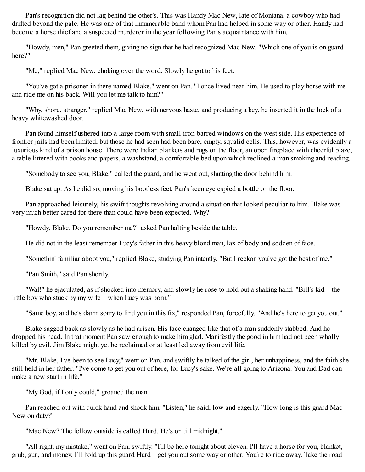Pan's recognition did not lag behind the other's. This was Handy Mac New, late of Montana, a cowboy who had drifted beyond the pale. He was one of that innumerable band whom Pan had helped in some way or other. Handy had become a horse thief and a suspected murderer in the year following Pan's acquaintance with him.

"Howdy, men," Pan greeted them, giving no sign that he had recognized Mac New. "Which one of you is on guard here?"

"Me," replied Mac New, choking over the word. Slowly he got to his feet.

"You've got a prisoner in there named Blake," went on Pan. "I once lived near him. He used to play horse with me and ride me on his back. Will you let me talk to him?"

"Why, shore, stranger," replied Mac New, with nervous haste, and producing a key, he inserted it in the lock of a heavy whitewashed door.

Pan found himself ushered into a large room with small iron-barred windows on the west side. His experience of frontier jails had been limited, but those he had seen had been bare, empty, squalid cells. This, however, was evidently a luxurious kind of a prison house. There were Indian blankets and rugs on the floor, an open fireplace with cheerful blaze, a table littered with books and papers, a washstand, a comfortable bed upon which reclined a man smoking and reading.

"Somebody to see you, Blake," called the guard, and he went out, shutting the door behind him.

Blake sat up. As he did so, moving his bootless feet, Pan's keen eye espied a bottle on the floor.

Pan approached leisurely, his swift thoughts revolving around a situation that looked peculiar to him. Blake was very much better cared for there than could have been expected. Why?

"Howdy, Blake. Do you remember me?" asked Pan halting beside the table.

He did not in the least remember Lucy's father in this heavy blond man, lax of body and sodden of face.

"Somethin' familiar aboot you," replied Blake, studying Pan intently. "But I reckon you've got the best of me."

"Pan Smith," said Pan shortly.

"Wal!" he ejaculated, as if shocked into memory, and slowly he rose to hold out a shaking hand. "Bill's kid—the little boy who stuck by my wife—when Lucy was born."

"Same boy, and he's damn sorry to find you in this fix," responded Pan, forcefully. "And he's here to get you out."

Blake sagged back as slowly as he had arisen. His face changed like that of a man suddenly stabbed. And he dropped his head. In that moment Pan saw enough to make him glad. Manifestly the good in him had not been wholly killed by evil. Jim Blake might yet be reclaimed or at least led away from evil life.

"Mr. Blake, I've been to see Lucy," went on Pan, and swiftly he talked of the girl, her unhappiness, and the faith she still held in her father. "I've come to get you out of here, for Lucy's sake. We're all going to Arizona. You and Dad can make a new start in life."

"My God, if I only could," groaned the man.

Pan reached out with quick hand and shook him. "Listen," he said, low and eagerly. "How long is this guard Mac New on duty?"

"Mac New? The fellow outside is called Hurd. He's on till midnight."

"All right, my mistake," went on Pan, swiftly. "I'll be here tonight about eleven. I'll have a horse for you, blanket, grub, gun, and money. I'll hold up this guard Hurd—get you out some way or other. You're to ride away. Take the road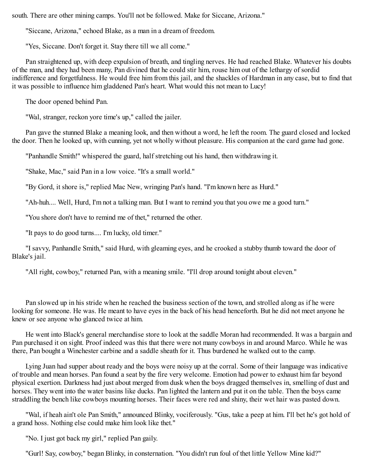south. There are other mining camps. You'll not be followed. Make for Siccane, Arizona."

"Siccane, Arizona," echoed Blake, as a man in a dream of freedom.

"Yes, Siccane. Don't forget it. Stay there till we all come."

Pan straightened up, with deep expulsion of breath, and tingling nerves. He had reached Blake. Whatever his doubts of the man, and they had been many, Pan divined that he could stir him, rouse him out of the lethargy of sordid indifference and forgetfulness. He would free him from this jail, and the shackles of Hardman in any case, but to find that it was possible to influence him gladdened Pan's heart. What would this not mean to Lucy!

The door opened behind Pan.

"Wal, stranger, reckon yore time's up," called the jailer.

Pan gave the stunned Blake a meaning look, and then without a word, he left the room. The guard closed and locked the door. Then he looked up, with cunning, yet not wholly without pleasure. His companion at the card game had gone.

"Panhandle Smith!" whispered the guard, half stretching out his hand, then withdrawing it.

"Shake, Mac," said Pan in a low voice. "It's a small world."

"By Gord, it shore is," replied Mac New, wringing Pan's hand. "I'm known here as Hurd."

"Ah-huh.... Well, Hurd, I'm not a talking man. But I want to remind you that you owe me a good turn."

"You shore don't have to remind me of thet," returned the other.

"It pays to do good turns.... I'm lucky, old timer."

"I savvy, Panhandle Smith," said Hurd, with gleaming eyes, and he crooked a stubby thumb toward the door of Blake's jail.

"All right, cowboy," returned Pan, with a meaning smile. "I'll drop around tonight about eleven."

Pan slowed up in his stride when he reached the business section of the town, and strolled along as if he were looking for someone. He was. He meant to have eyes in the back of his head henceforth. But he did not meet anyone he knew or see anyone who glanced twice at him.

He went into Black's general merchandise store to look at the saddle Moran had recommended. It was a bargain and Pan purchased it on sight. Proof indeed was this that there were not many cowboys in and around Marco. While he was there, Pan bought a Winchester carbine and a saddle sheath for it. Thus burdened he walked out to the camp.

Lying Juan had supper about ready and the boys were noisy up at the corral. Some of their language was indicative of trouble and mean horses. Pan found a seat by the fire very welcome. Emotion had power to exhaust him far beyond physical exertion. Darkness had just about merged from dusk when the boys dragged themselves in, smelling of dust and horses. They went into the water basins like ducks. Pan lighted the lantern and put it on the table. Then the boys came straddling the bench like cowboys mounting horses. Their faces were red and shiny, their wet hair was pasted down.

"Wal, if heah ain't ole Pan Smith," announced Blinky, vociferously. "Gus, take a peep at him. I'll bet he's got hold of a grand hoss. Nothing else could make him look like thet."

"No. I just got back my girl," replied Pan gaily.

"Gurl! Say, cowboy," began Blinky, in consternation. "You didn't run foul of thet little Yellow Mine kid?"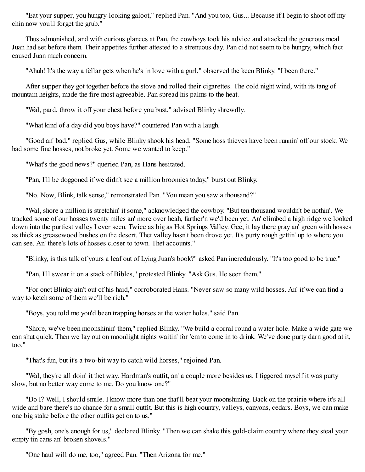"Eat your supper, you hungry-looking galoot," replied Pan. "And you too, Gus... Because if I begin to shoot off my chin now you'll forget the grub."

Thus admonished, and with curious glances at Pan, the cowboys took his advice and attacked the generous meal Juan had set before them. Their appetites further attested to a strenuous day. Pan did not seem to be hungry, which fact caused Juan much concern.

"Ahuh! It's the way a fellar gets when he's in love with a gurl," observed the keen Blinky. "I been there."

After supper they got together before the stove and rolled their cigarettes. The cold night wind, with its tang of mountain heights, made the fire most agreeable. Pan spread his palms to the heat.

"Wal, pard, throw it off your chest before you bust," advised Blinky shrewdly.

"What kind of a day did you boys have?" countered Pan with a laugh.

"Good an' bad," replied Gus, while Blinky shook his head. "Some hoss thieves have been runnin' off our stock. We had some fine hosses, not broke yet. Some we wanted to keep."

"What's the good news?" queried Pan, as Hans hesitated.

"Pan, I'll be doggoned if we didn't see a million broomies today," burst out Blinky.

"No. Now, Blink, talk sense," remonstrated Pan. "You mean you saw a thousand?"

"Wal, shore a million is stretchin' it some," acknowledged the cowboy. "But ten thousand wouldn't be nothin'. We tracked some of our hosses twenty miles an' more over heah, farther'n we'd been yet. An' climbed a high ridge we looked down into the purtiest valley I ever seen. Twice as big as Hot Springs Valley. Gee, it lay there gray an' green with hosses as thick as greasewood bushes on the desert. Thet valley hasn't been drove yet. It's purty rough gettin' up to where you can see. An' there's lots of hosses closer to town. Thet accounts."

"Blinky, is this talk of yours a leaf out of Lying Juan's book?" asked Pan incredulously. "It's too good to be true."

"Pan, I'll swear it on a stack of Bibles," protested Blinky. "Ask Gus. He seen them."

"For onct Blinky ain't out of his haid," corroborated Hans. "Never saw so many wild hosses. An' if we can find a way to ketch some of them we'll be rich."

"Boys, you told me you'd been trapping horses at the water holes," said Pan.

"Shore, we've been moonshinin' them," replied Blinky. "We build a corral round a water hole. Make a wide gate we can shut quick. Then we lay out on moonlight nights waitin' for 'em to come in to drink. We've done purty darn good at it, too."

"That's fun, but it's a two-bit way to catch wild horses," rejoined Pan.

"Wal, they're all doin' it thet way. Hardman's outfit, an' a couple more besides us. I figgered myself it was purty slow, but no better way come to me. Do you know one?"

"Do I? Well, I should smile. I know more than one that'll beat your moonshining. Back on the prairie where it's all wide and bare there's no chance for a small outfit. But this is high country, valleys, canyons, cedars. Boys, we can make one big stake before the other outfits get on to us."

"By gosh, one's enough for us," declared Blinky. "Then we can shake this gold-claim country where they steal your empty tin cans an' broken shovels."

"One haul will do me, too," agreed Pan. "Then Arizona for me."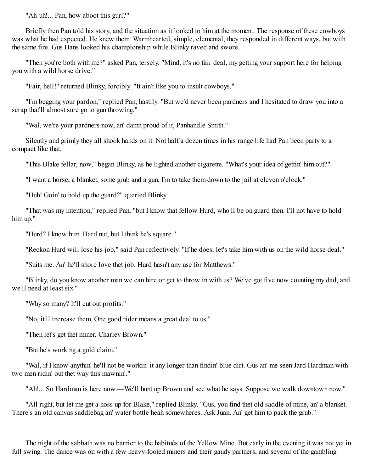"Ah-uh!... Pan, how aboot this gurl?"

Briefly then Pan told his story, and the situation as it looked to him at the moment. The response of these cowboys was what he had expected. He knew them. Warmhearted, simple, elemental, they responded in different ways, but with the same fire. Gus Hans looked his championship while Blinky raved and swore.

"Then you're both with me?" asked Pan, tersely. "Mind, it's no fair deal, my getting your support here for helping you with a wild horse drive."

"Fair, hell!" returned Blinky, forcibly. "It ain't like you to insult cowboys."

"I'm begging your pardon," replied Pan, hastily. "But we'd never been pardners and I hesitated to draw you into a scrap that'll almost sure go to gun throwing."

"Wal, we're your pardners now, an' damn proud of it, Panhandle Smith."

Silently and grimly they all shook hands on it. Not half a dozen times in his range life had Pan been party to a compact like that.

"This Blake fellar, now," began Blinky, as he lighted another cigarette. "What's your idea of gettin' him out?"

"I want a horse, a blanket, some grub and a gun. I'm to take them down to the jail at eleven o'clock."

"Huh! Goin' to hold up the guard?" queried Blinky.

"That was my intention," replied Pan, "but I know that fellow Hurd, who'll be on guard then. I'll not have to hold him up."

"Hurd? I know him. Hard nut, but I think he's square."

"Reckon Hurd will lose his job," said Pan reflectively. "If he does, let's take him with us on the wild horse deal."

"Suits me. An' he'll shore love thet job. Hurd hasn't any use for Matthews."

"Blinky, do you know another man we can hire or get to throw in with us? We've got five now counting my dad, and we'll need at least six."

"Why so many? It'll cut out profits."

"No, it'll increase them. One good rider means a great deal to us."

"Then let's get thet miner, Charley Brown."

"But he's working a gold claim."

"Wal, if I know anythin' he'll not be workin' it any longer than findin' blue dirt. Gus an' me seen Jard Hardman with two men ridin' out thet way this mawnin'."

"Ah!... So Hardman is here now.—We'll hunt up Brown and see what he says. Suppose we walk downtown now."

"All right, but let me get a hoss up for Blake," replied Blinky. "Gus, you find thet old saddle of mine, an' a blanket. There's an old canvas saddlebag an' water bottle heah somewheres. Ask Juan. An' get him to pack the grub."

The night of the sabbath was no barrier to the habitués of the Yellow Mine. But early in the evening it was not yet in full swing. The dance was on with a few heavy-footed miners and their gaudy partners, and several of the gambling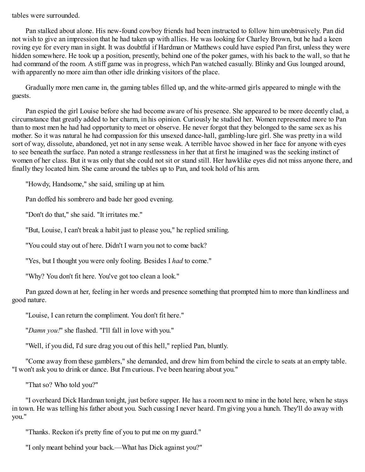tables were surrounded.

Pan stalked about alone. His new-found cowboy friends had been instructed to follow him unobtrusively. Pan did not wish to give an impression that he had taken up with allies. He was looking for Charley Brown, but he had a keen roving eye for every man in sight. It was doubtful if Hardman or Matthews could have espied Pan first, unless they were hidden somewhere. He took up a position, presently, behind one of the poker games, with his back to the wall, so that he had command of the room. A stiff game was in progress, which Pan watched casually. Blinky and Gus lounged around, with apparently no more aim than other idle drinking visitors of the place.

Gradually more men came in, the gaming tables filled up, and the white-armed girls appeared to mingle with the guests.

Pan espied the girl Louise before she had become aware of his presence. She appeared to be more decently clad, a circumstance that greatly added to her charm, in his opinion. Curiously he studied her. Women represented more to Pan than to most men he had had opportunity to meet or observe. He never forgot that they belonged to the same sex as his mother. So it was natural he had compassion for this unsexed dance-hall, gambling-lure girl. She was pretty in a wild sort of way, dissolute, abandoned, yet not in any sense weak. A terrible havoc showed in her face for anyone with eyes to see beneath the surface. Pan noted a strange restlessness in her that at first he imagined was the seeking instinct of women of her class. But it was only that she could not sit or stand still. Her hawklike eyes did not miss anyone there, and finally they located him. She came around the tables up to Pan, and took hold of his arm.

"Howdy, Handsome," she said, smiling up at him.

Pan doffed his sombrero and bade her good evening.

"Don't do that," she said. "It irritates me."

"But, Louise, I can't break a habit just to please you," he replied smiling.

"You could stay out of here. Didn't I warn you not to come back?

"Yes, but I thought you were only fooling. Besides I *had* to come."

"Why? You don't fit here. You've got too clean a look."

Pan gazed down at her, feeling in her words and presence something that prompted him to more than kindliness and good nature.

"Louise, I can return the compliment. You don't fit here."

"*Damn you!*" she flashed. "I'll fall in love with you."

"Well, if you did, I'd sure drag you out of this hell," replied Pan, bluntly.

"Come away from these gamblers," she demanded, and drew him from behind the circle to seats at an empty table. "I won't ask you to drink or dance. But I'm curious. I've been hearing about you."

"That so? Who told you?"

"I overheard Dick Hardman tonight, just before supper. He has a room next to mine in the hotel here, when he stays in town. He was telling his father about you. Such cussing I never heard. I'm giving you a hunch. They'll do away with you."

"Thanks. Reckon it's pretty fine of you to put me on my guard."

"I only meant behind your back.—What has Dick against you?"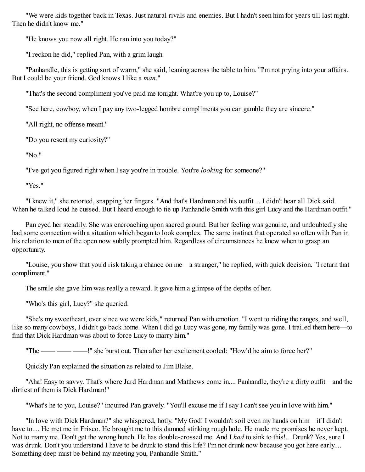"We were kids together back in Texas. Just natural rivals and enemies. But I hadn't seen him for years till last night. Then he didn't know me."

"He knows you now all right. He ran into you today?"

"I reckon he did," replied Pan, with a grim laugh.

"Panhandle, this is getting sort of warm," she said, leaning across the table to him. "I'm not prying into your affairs. But I could be your friend. God knows I like a *man*."

"That's the second compliment you've paid me tonight. What're you up to, Louise?"

"See here, cowboy, when I pay any two-legged hombre compliments you can gamble they are sincere."

"All right, no offense meant."

"Do you resent my curiosity?"

"No."

"I've got you figured right when I say you're in trouble. You're *looking* for someone?"

"Yes."

"I knew it," she retorted, snapping her fingers. "And that's Hardman and his outfit ... I didn't hear all Dick said. When he talked loud he cussed. But I heard enough to tie up Panhandle Smith with this girl Lucy and the Hardman outfit."

Pan eyed her steadily. She was encroaching upon sacred ground. But her feeling was genuine, and undoubtedly she had some connection with a situation which began to look complex. The same instinct that operated so often with Pan in his relation to men of the open now subtly prompted him. Regardless of circumstances he knew when to grasp an opportunity.

"Louise, you show that you'd risk taking a chance on me—a stranger," he replied, with quick decision. "I return that compliment."

The smile she gave him was really a reward. It gave him a glimpse of the depths of her.

"Who's this girl, Lucy?" she queried.

"She's my sweetheart, ever since we were kids," returned Pan with emotion. "I went to riding the ranges, and well, like so many cowboys, I didn't go back home. When I did go Lucy was gone, my family was gone. I trailed them here—to find that Dick Hardman was about to force Lucy to marry him."

"The —— —— !" she burst out. Then after her excitement cooled: "How'd he aim to force her?"

Quickly Pan explained the situation as related to Jim Blake.

"Aha! Easy to savvy. That's where Jard Hardman and Matthews come in.... Panhandle, they're a dirty outfit—and the dirtiest of them is Dick Hardman!"

"What's he to you, Louise?" inquired Pan gravely. "You'll excuse me if I say I can't see you in love with him."

"In love with Dick Hardman?" she whispered, hotly. "My God! I wouldn't soil even my hands on him—if I didn't have to.... He met me in Frisco. He brought me to this damned stinking rough hole. He made me promises he never kept. Not to marry me. Don't get the wrong hunch. He has double-crossed me. And I *had* to sink to this!... Drunk? Yes, sure I was drunk. Don't you understand I have to be drunk to stand this life? I'm not drunk now because you got here early.... Something deep must be behind my meeting you, Panhandle Smith."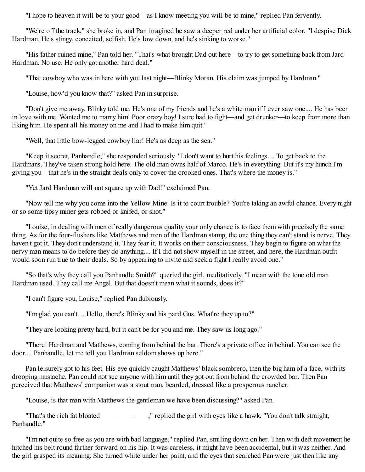"I hope to heaven it will be to your good—as I know meeting you will be to mine," replied Pan fervently.

"We're off the track," she broke in, and Pan imagined he saw a deeper red under her artificial color. "I despise Dick Hardman. He's stingy, conceited, selfish. He's low down, and he's sinking to worse."

"His father ruined mine," Pan told her. "That's what brought Dad out here—to try to get something back from Jard Hardman. No use. He only got another hard deal."

"That cowboy who was in here with you last night—Blinky Moran. His claim was jumped by Hardman."

"Louise, how'd you know that?" asked Pan in surprise.

"Don't give me away. Blinky told me. He's one of my friends and he's a white man if I ever saw one.... He has been in love with me. Wanted me to marry him! Poor crazy boy! I sure had to fight—and get drunker—to keep from more than liking him. He spent all his money on me and I had to make him quit."

"Well, that little bow-legged cowboy liar! He's as deep as the sea."

"Keep it secret, Panhandle," she responded seriously. "I don't want to hurt his feelings.... To get back to the Hardmans. They've taken strong hold here. The old man owns half of Marco. He's in everything. But it's my hunch I'm giving you—that he's in the straight deals only to cover the crooked ones. That's where the money is."

"Yet Jard Hardman will not square up with Dad!" exclaimed Pan.

"Now tell me why you come into the Yellow Mine. Is it to court trouble? You're taking an awful chance. Every night or so some tipsy miner gets robbed or knifed, or shot."

"Louise, in dealing with men of really dangerous quality your only chance is to face them with precisely the same thing. As for the four-flushers like Matthews and men of the Hardman stamp, the one thing they can't stand is nerve. They haven't got it. They don't understand it. They fear it. It works on their consciousness. They begin to figure on what the nervy man means to do before they do anything.... If I did not show myself in the street, and here, the Hardman outfit would soon run true to their deals. So by appearing to invite and seek a fight I really avoid one."

"So that's why they call you Panhandle Smith?" queried the girl, meditatively. "I mean with the tone old man Hardman used. They call me Angel. But that doesn't mean what it sounds, does it?"

"I can't figure you, Louise," replied Pan dubiously.

"I'm glad you can't.... Hello, there's Blinky and his pard Gus. What're they up to?"

"They are looking pretty hard, but it can't be for you and me. They saw us long ago."

"There! Hardman and Matthews, coming from behind the bar. There's a private office in behind. You can see the door.... Panhandle, let me tell you Hardman seldom shows up here."

Pan leisurely got to his feet. His eye quickly caught Matthews' black sombrero, then the big ham of a face, with its drooping mustache. Pan could not see anyone with him until they got out from behind the crowded bar. Then Pan perceived that Matthews' companion was a stout man, bearded, dressed like a prosperous rancher.

"Louise, is that man with Matthews the gentleman we have been discussing?" asked Pan.

"That's the rich fat bloated —— ———," replied the girl with eyes like a hawk. "You don't talk straight, Panhandle."

"I'm not quite so free as you are with bad language," replied Pan, smiling down on her. Then with deft movement he hitched his belt round farther forward on his hip. It was careless, it might have been accidental, but it was neither. And the girl grasped its meaning. She turned white under her paint, and the eyes that searched Pan were just then like any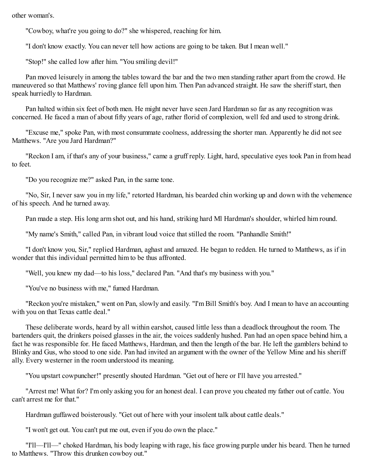other woman's.

"Cowboy, what're you going to do?" she whispered, reaching for him.

"I don't know exactly. You can never tell how actions are going to be taken. But I mean well."

"Stop!" she called low after him. "You smiling devil!"

Pan moved leisurely in among the tables toward the bar and the two men standing rather apart from the crowd. He maneuvered so that Matthews' roving glance fell upon him. Then Pan advanced straight. He saw the sheriff start, then speak hurriedly to Hardman.

Pan halted within six feet of both men. He might never have seen Jard Hardman so far as any recognition was concerned. He faced a man of about fifty years of age, rather florid of complexion, well fed and used to strong drink.

"Excuse me," spoke Pan, with most consummate coolness, addressing the shorter man. Apparently he did not see Matthews. "Are you Jard Hardman?"

"Reckon I am, if that's any of your business," came a gruff reply. Light, hard, speculative eyes took Pan in from head to feet.

"Do you recognize me?" asked Pan, in the same tone.

"No, Sir, I never saw you in my life," retorted Hardman, his bearded chin working up and down with the vehemence of his speech. And he turned away.

Pan made a step. His long arm shot out, and his hand, striking hard Ml Hardman's shoulder, whirled him round.

"My name's Smith," called Pan, in vibrant loud voice that stilled the room. "Panhandle Smith!"

"I don't know you, Sir," replied Hardman, aghast and amazed. He began to redden. He turned to Matthews, as if in wonder that this individual permitted him to be thus affronted.

"Well, you knew my dad—to his loss," declared Pan. "And that's my business with you."

"You've no business with me," fumed Hardman.

"Reckon you're mistaken," went on Pan, slowly and easily. "I'm Bill Smith's boy. And I mean to have an accounting with you on that Texas cattle deal."

These deliberate words, heard by all within earshot, caused little less than a deadlock throughout the room. The bartenders quit, the drinkers poised glasses in the air, the voices suddenly hushed. Pan had an open space behind him, a fact he was responsible for. He faced Matthews, Hardman, and then the length of the bar. He left the gamblers behind to Blinky and Gus, who stood to one side. Pan had invited an argument with the owner of the Yellow Mine and his sheriff ally. Every westerner in the room understood its meaning.

"You upstart cowpuncher!" presently shouted Hardman. "Get out of here or I'll have you arrested."

"Arrest me! What for? I'm only asking you for an honest deal. I can prove you cheated my father out of cattle. You can't arrest me for that."

Hardman guffawed boisterously. "Get out of here with your insolent talk about cattle deals."

"I won't get out. You can't put me out, even if you do own the place."

"I'll—I'll—" choked Hardman, his body leaping with rage, his face growing purple under his beard. Then he turned to Matthews. "Throw this drunken cowboy out."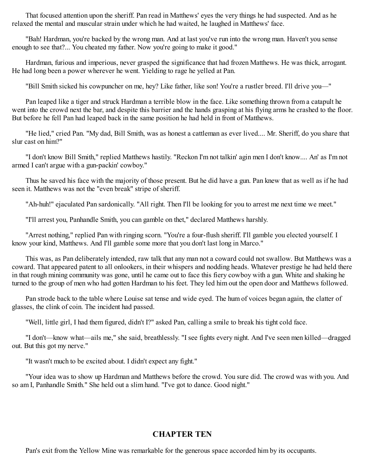That focused attention upon the sheriff. Pan read in Matthews' eyes the very things he had suspected. And as he relaxed the mental and muscular strain under which he had waited, he laughed in Matthews' face.

"Bah! Hardman, you're backed by the wrong man. And at last you've run into the wrong man. Haven't you sense enough to see that?... You cheated my father. Now you're going to make it good."

Hardman, furious and imperious, never grasped the significance that had frozen Matthews. He was thick, arrogant. He had long been a power wherever he went. Yielding to rage he yelled at Pan.

"Bill Smith sicked his cowpuncher on me, hey? Like father, like son! You're a rustler breed. I'll drive you—"

Pan leaped like a tiger and struck Hardman a terrible blow in the face. Like something thrown from a catapult he went into the crowd next the bar, and despite this barrier and the hands grasping at his flying arms he crashed to the floor. But before he fell Pan had leaped back in the same position he had held in front of Matthews.

"He lied," cried Pan. "My dad, Bill Smith, was as honest a cattleman as ever lived.... Mr. Sheriff, do you share that slur cast on him?"

"I don't know Bill Smith," replied Matthews hastily. "Reckon I'm not talkin' agin men I don't know.... An' as I'm not armed I can't argue with a gun-packin' cowboy."

Thus he saved his face with the majority of those present. But he did have a gun. Pan knew that as well as if he had seen it. Matthews was not the "even break" stripe of sheriff.

"Ah-huh!" ejaculated Pan sardonically. "All right. Then I'll be looking for you to arrest me next time we meet."

"I'll arrest you, Panhandle Smith, you can gamble on thet," declared Matthews harshly.

"Arrest nothing," replied Pan with ringing scorn. "You're a four-flush sheriff. I'll gamble you elected yourself. I know your kind, Matthews. And I'll gamble some more that you don't last long in Marco."

This was, as Pan deliberately intended, raw talk that any man not a coward could not swallow. But Matthews was a coward. That appeared patent to all onlookers, in their whispers and nodding heads. Whatever prestige he had held there in that rough mining community was gone, until he came out to face this fiery cowboy with a gun. White and shaking he turned to the group of men who had gotten Hardman to his feet. They led him out the open door and Matthews followed.

Pan strode back to the table where Louise sat tense and wide eyed. The hum of voices began again, the clatter of glasses, the clink of coin. The incident had passed.

"Well, little girl, I had them figured, didn't I?" asked Pan, calling a smile to break his tight cold face.

"I don't—know what—ails me," she said, breathlessly. "I see fights every night. And I've seen men killed—dragged out. But this got my nerve."

"It wasn't much to be excited about. I didn't expect any fight."

"Your idea was to show up Hardman and Matthews before the crowd. You sure did. The crowd was with you. And so am I, Panhandle Smith." She held out a slim hand. "I've got to dance. Good night."

# **CHAPTER TEN**

Pan's exit from the Yellow Mine was remarkable for the generous space accorded him by its occupants.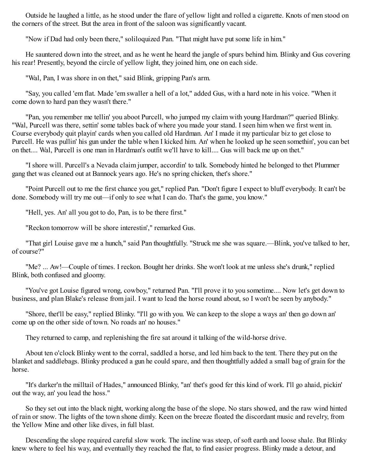Outside he laughed a little, as he stood under the flare of yellow light and rolled a cigarette. Knots of men stood on the corners of the street. But the area in front of the saloon was significantly vacant.

"Now if Dad had only been there," soliloquized Pan. "That might have put some life in him."

He sauntered down into the street, and as he went he heard the jangle of spurs behind him. Blinky and Gus covering his rear! Presently, beyond the circle of yellow light, they joined him, one on each side.

"Wal, Pan, I was shore in on thet," said Blink, gripping Pan's arm.

"Say, you called 'em flat. Made 'em swaller a hell of a lot," added Gus, with a hard note in his voice. "When it come down to hard pan they wasn't there."

"Pan, you remember me tellin' you aboot Purcell, who jumped my claim with young Hardman?" queried Blinky. "Wal, Purcell was there, settin' some tables back of where you made your stand. I seen him when we first went in. Course everybody quit playin' cards when you called old Hardman. An' I made it my particular biz to get close to Purcell. He was pullin' his gun under the table when I kicked him. An' when he looked up he seen somethin', you can bet on thet.... Wal, Purcell is one man in Hardman's outfit we'll have to kill.... Gus will back me up on thet."

"I shore will. Purcell's a Nevada claim jumper, accordin' to talk. Somebody hinted he belonged to thet Plummer gang thet was cleaned out at Bannock years ago. He's no spring chicken, thet's shore."

"Point Purcell out to me the first chance you get," replied Pan. "Don't figure I expect to bluff everybody. It can't be done. Somebody will try me out—if only to see what I can do. That's the game, you know."

"Hell, yes. An' all you got to do, Pan, is to be there first."

"Reckon tomorrow will be shore interestin'," remarked Gus.

"That girl Louise gave me a hunch," said Pan thoughtfully. "Struck me she was square.—Blink, you've talked to her, of course?"

"Me? ... Aw!—Couple of times. I reckon. Bought her drinks. She won't look at me unless she's drunk," replied Blink, both confused and gloomy.

"You've got Louise figured wrong, cowboy," returned Pan. "I'll prove it to you sometime.... Now let's get down to business, and plan Blake's release from jail. I want to lead the horse round about, so I won't be seen by anybody."

"Shore, thet'll be easy," replied Blinky. "I'll go with you. We can keep to the slope a ways an' then go down an' come up on the other side of town. No roads an' no houses."

They returned to camp, and replenishing the fire sat around it talking of the wild-horse drive.

About ten o'clock Blinky went to the corral, saddled a horse, and led him back to the tent. There they put on the blanket and saddlebags. Blinky produced a gun he could spare, and then thoughtfully added a small bag of grain for the horse.

"It's darker'n the milltail of Hades," announced Blinky, "an' thet's good fer this kind of work. I'll go ahaid, pickin' out the way, an' you lead the hoss."

So they set out into the black night, working along the base of the slope. No stars showed, and the raw wind hinted of rain or snow. The lights of the town shone dimly. Keen on the breeze floated the discordant music and revelry, from the Yellow Mine and other like dives, in full blast.

Descending the slope required careful slow work. The incline was steep, of soft earth and loose shale. But Blinky knew where to feel his way, and eventually they reached the flat, to find easier progress. Blinky made a detour, and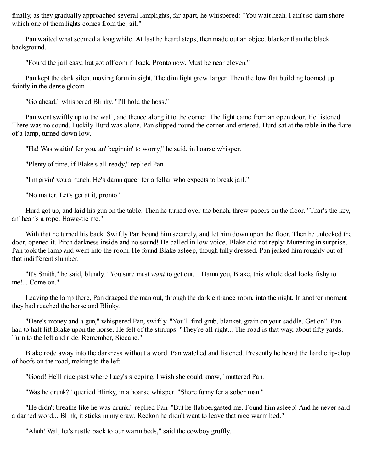finally, as they gradually approached several lamplights, far apart, he whispered: "You wait heah. I ain't so darn shore which one of them lights comes from the jail."

Pan waited what seemed a long while. At last he heard steps, then made out an object blacker than the black background.

"Found the jail easy, but got off comin' back. Pronto now. Must be near eleven."

Pan kept the dark silent moving form in sight. The dim light grew larger. Then the low flat building loomed up faintly in the dense gloom.

"Go ahead," whispered Blinky. "I'll hold the hoss."

Pan went swiftly up to the wall, and thence along it to the corner. The light came from an open door. He listened. There was no sound. Luckily Hurd was alone. Pan slipped round the corner and entered. Hurd sat at the table in the flare of a lamp, turned down low.

"Ha! Was waitin' fer you, an' beginnin' to worry," he said, in hoarse whisper.

"Plenty of time, if Blake's all ready," replied Pan.

"I'm givin' you a hunch. He's damn queer fer a fellar who expects to break jail."

"No matter. Let's get at it, pronto."

Hurd got up, and laid his gun on the table. Then he turned over the bench, threw papers on the floor. "Thar's the key, an' heah's a rope. Hawg-tie me."

With that he turned his back. Swiftly Pan bound him securely, and let him down upon the floor. Then he unlocked the door, opened it. Pitch darkness inside and no sound! He called in low voice. Blake did not reply. Muttering in surprise, Pan took the lamp and went into the room. He found Blake asleep, though fully dressed. Pan jerked him roughly out of that indifferent slumber.

"It's Smith," he said, bluntly. "You sure must *want* to get out.... Damn you, Blake, this whole deal looks fishy to me!... Come on."

Leaving the lamp there, Pan dragged the man out, through the dark entrance room, into the night. In another moment they had reached the horse and Blinky.

"Here's money and a gun," whispered Pan, swiftly. "You'll find grub, blanket, grain on your saddle. Get on!" Pan had to half lift Blake upon the horse. He felt of the stirrups. "They're all right... The road is that way, about fifty yards. Turn to the left and ride. Remember, Siccane."

Blake rode away into the darkness without a word. Pan watched and listened. Presently he heard the hard clip-clop of hoofs on the road, making to the left.

"Good! He'll ride past where Lucy's sleeping. I wish she could know," muttered Pan.

"Was he drunk?" queried Blinky, in a hoarse whisper. "Shore funny fer a sober man."

"He didn't breathe like he was drunk," replied Pan. "But he flabbergasted me. Found him asleep! And he never said a darned word... Blink, it sticks in my craw. Reckon he didn't want to leave that nice warm bed."

"Ahuh! Wal, let's rustle back to our warm beds," said the cowboy gruffly.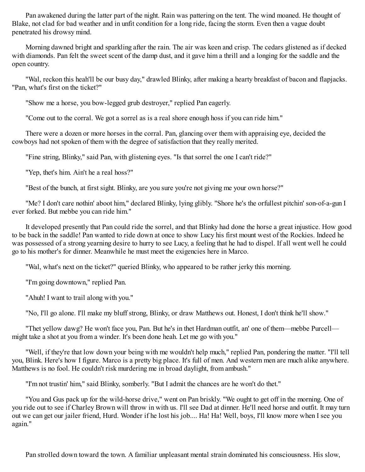Pan awakened during the latter part of the night. Rain was pattering on the tent. The wind moaned. He thought of Blake, not clad for bad weather and in unfit condition for a long ride, facing the storm. Even then a vague doubt penetrated his drowsy mind.

Morning dawned bright and sparkling after the rain. The air was keen and crisp. The cedars glistened as if decked with diamonds. Pan felt the sweet scent of the damp dust, and it gave him a thrill and a longing for the saddle and the open country.

"Wal, reckon this heah'll be our busy day," drawled Blinky, after making a hearty breakfast of bacon and flapjacks. "Pan, what's first on the ticket?"

"Show me a horse, you bow-legged grub destroyer," replied Pan eagerly.

"Come out to the corral. We got a sorrel as is a real shore enough hoss if you can ride him."

There were a dozen or more horses in the corral. Pan, glancing over them with appraising eye, decided the cowboys had not spoken of them with the degree of satisfaction that they really merited.

"Fine string, Blinky," said Pan, with glistening eyes. "Is that sorrel the one I can't ride?"

"Yep, thet's him. Ain't he a real hoss?"

"Best of the bunch, at first sight. Blinky, are you sure you're not giving me your own horse?"

"Me? I don't care nothin' aboot him," declared Blinky, lying glibly. "Shore he's the orfullest pitchin' son-of-a-gun I ever forked. But mebbe you can ride him."

It developed presently that Pan could ride the sorrel, and that Blinky had done the horse a great injustice. How good to be back in the saddle! Pan wanted to ride down at once to show Lucy his first mount west of the Rockies. Indeed he was possessed of a strong yearning desire to hurry to see Lucy, a feeling that he had to dispel. If all went well he could go to his mother's for dinner. Meanwhile he must meet the exigencies here in Marco.

"Wal, what's next on the ticket?" queried Blinky, who appeared to be rather jerky this morning.

"I'm going downtown," replied Pan.

"Ahuh! I want to trail along with you."

"No, I'll go alone. I'll make my bluff strong, Blinky, or draw Matthews out. Honest, I don't think he'll show."

"Thet yellow dawg? He won't face you, Pan. But he's in thet Hardman outfit, an' one of them—mebbe Purcell might take a shot at you from a winder. It's been done heah. Let me go with you."

"Well, if they're that low down your being with me wouldn't help much," replied Pan, pondering the matter. "I'll tell you, Blink. Here's how I figure. Marco is a pretty big place. It's full of men. And western men are much alike anywhere. Matthews is no fool. He couldn't risk murdering me in broad daylight, from ambush."

"I'm not trustin' him," said Blinky, somberly. "But I admit the chances are he won't do thet."

"You and Gus pack up for the wild-horse drive," went on Pan briskly. "We ought to get off in the morning. One of you ride out to see if Charley Brown will throw in with us. I'll see Dad at dinner. He'll need horse and outfit. It may turn out we can get our jailer friend, Hurd. Wonder if he lost his job.... Ha! Ha! Well, boys, I'll know more when I see you again."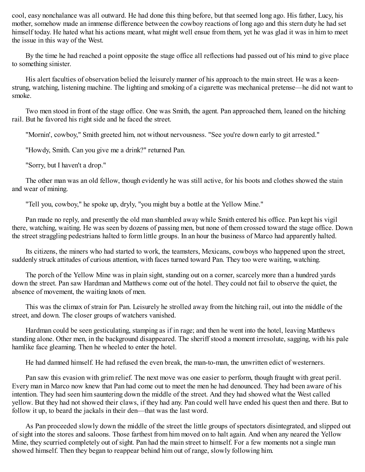cool, easy nonchalance was all outward. He had done this thing before, but that seemed long ago. His father, Lucy, his mother, somehow made an immense difference between the cowboy reactions of long ago and this stern duty he had set himself today. He hated what his actions meant, what might well ensue from them, yet he was glad it was in him to meet the issue in this way of the West.

By the time he had reached a point opposite the stage office all reflections had passed out of his mind to give place to something sinister.

His alert faculties of observation belied the leisurely manner of his approach to the main street. He was a keenstrung, watching, listening machine. The lighting and smoking of a cigarette was mechanical pretense—he did not want to smoke.

Two men stood in front of the stage office. One was Smith, the agent. Pan approached them, leaned on the hitching rail. But he favored his right side and he faced the street.

"Mornin', cowboy," Smith greeted him, not without nervousness. "See you're down early to git arrested."

"Howdy, Smith. Can you give me a drink?" returned Pan.

"Sorry, but I haven't a drop."

The other man was an old fellow, though evidently he was still active, for his boots and clothes showed the stain and wear of mining.

"Tell you, cowboy," he spoke up, dryly, "you might buy a bottle at the Yellow Mine."

Pan made no reply, and presently the old man shambled away while Smith entered his office. Pan kept his vigil there, watching, waiting. He was seen by dozens of passing men, but none of them crossed toward the stage office. Down the street straggling pedestrians halted to form little groups. In an hour the business of Marco had apparently halted.

Its citizens, the miners who had started to work, the teamsters, Mexicans, cowboys who happened upon the street, suddenly struck attitudes of curious attention, with faces turned toward Pan. They too were waiting, watching.

The porch of the Yellow Mine was in plain sight, standing out on a corner, scarcely more than a hundred yards down the street. Pan saw Hardman and Matthews come out of the hotel. They could not fail to observe the quiet, the absence of movement, the waiting knots of men.

This was the climax of strain for Pan. Leisurely he strolled away from the hitching rail, out into the middle of the street, and down. The closer groups of watchers vanished.

Hardman could be seen gesticulating, stamping as if in rage; and then he went into the hotel, leaving Matthews standing alone. Other men, in the background disappeared. The sheriff stood a moment irresolute, sagging, with his pale hamlike face gleaming. Then he wheeled to enter the hotel.

He had damned himself. He had refused the even break, the man-to-man, the unwritten edict of westerners.

Pan saw this evasion with grim relief. The next move was one easier to perform, though fraught with great peril. Every man in Marco now knew that Pan had come out to meet the men he had denounced. They had been aware of his intention. They had seen him sauntering down the middle of the street. And they had showed what the West called yellow. But they had not showed their claws, if they had any. Pan could well have ended his quest then and there. But to follow it up, to beard the jackals in their den—that was the last word.

As Pan proceeded slowly down the middle of the street the little groups of spectators disintegrated, and slipped out of sight into the stores and saloons. Those farthest from him moved on to halt again. And when any neared the Yellow Mine, they scurried completely out of sight. Pan had the main street to himself. For a few moments not a single man showed himself. Then they began to reappear behind him out of range, slowly following him.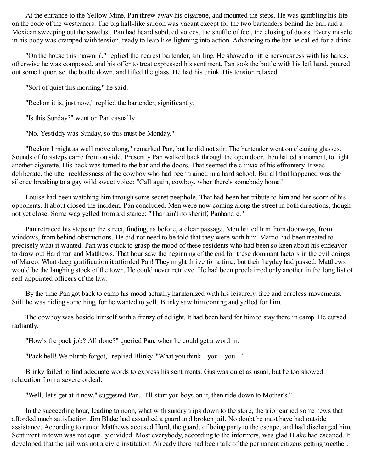At the entrance to the Yellow Mine, Pan threw away his cigarette, and mounted the steps. He was gambling his life on the code of the westerners. The big hall-like saloon was vacant except for the two bartenders behind the bar, and a Mexican sweeping out the sawdust. Pan had heard subdued voices, the shuffle of feet, the closing of doors. Every muscle in his body was cramped with tension, ready to leap like lightning into action. Advancing to the bar he called for a drink.

"On the house this mawnin'," replied the nearest bartender, smiling. He showed a little nervousness with his hands, otherwise he was composed, and his offer to treat expressed his sentiment. Pan took the bottle with his left hand, poured out some liquor, set the bottle down, and lifted the glass. He had his drink. His tension relaxed.

"Sort of quiet this morning," he said.

"Reckon it is, just now," replied the bartender, significantly.

"Is this Sunday?" went on Pan casually.

"No. Yestiddy was Sunday, so this must be Monday."

"Reckon I might as well move along," remarked Pan, but he did not stir. The bartender went on cleaning glasses. Sounds of footsteps came from outside. Presently Pan walked back through the open door, then halted a moment, to light another cigarette. His back was turned to the bar and the doors. That seemed the climax of his effrontery. It was deliberate, the utter recklessness of the cowboy who had been trained in a hard school. But all that happened was the silence breaking to a gay wild sweet voice: "Call again, cowboy, when there's somebody home!"

Louise had been watching him through some secret peephole. That had been her tribute to him and her scorn of his opponents. It about closed the incident, Pan concluded. Men were now coming along the street in both directions, though not yet close. Some wag yelled from a distance: "Thar ain't no sheriff, Panhandle."

Pan retraced his steps up the street, finding, as before, a clear passage. Men hailed him from doorways, from windows, from behind obstructions. He did not need to be told that they were with him. Marco had been treated to precisely what it wanted. Pan was quick to grasp the mood of these residents who had been so keen about his endeavor to draw out Hardman and Matthews. That hour saw the beginning of the end for these dominant factors in the evil doings of Marco. What deep gratification it afforded Pan! They might thrive for a time, but their heyday had passed. Matthews would be the laughing stock of the town. He could never retrieve. He had been proclaimed only another in the long list of self-appointed officers of the law.

By the time Pan got back to camp his mood actually harmonized with his leisurely, free and careless movements. Still he was hiding something, for he wanted to yell. Blinky saw him coming and yelled for him.

The cowboy was beside himself with a frenzy of delight. It had been hard for him to stay there in camp. He cursed radiantly.

"How's the pack job? All done?" queried Pan, when he could get a word in.

"Pack hell! We plumb forgot," replied Blinky. "What you think—you—you—"

Blinky failed to find adequate words to express his sentiments. Gus was quiet as usual, but he too showed relaxation from a severe ordeal.

"Well, let's get at it now," suggested Pan. "I'll start you boys on it, then ride down to Mother's."

In the succeeding hour, leading to noon, what with sundry trips down to the store, the trio learned some news that afforded much satisfaction. Jim Blake had assaulted a guard and broken jail. No doubt he must have had outside assistance. According to rumor Matthews accused Hurd, the guard, of being party to the escape, and had discharged him. Sentiment in town was not equally divided. Most everybody, according to the informers, was glad Blake had escaped. It developed that the jail was not a civic institution. Already there had been talk of the permanent citizens getting together.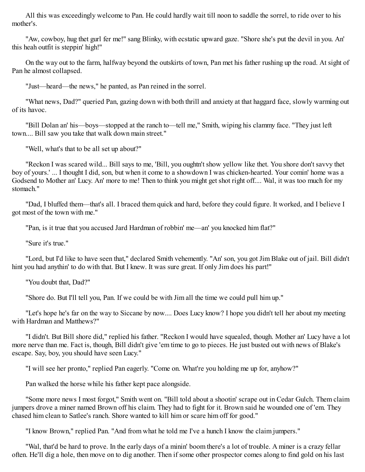All this was exceedingly welcome to Pan. He could hardly wait till noon to saddle the sorrel, to ride over to his mother's.

"Aw, cowboy, hug thet gurl fer me!" sang Blinky, with ecstatic upward gaze. "Shore she's put the devil in you. An' this heah outfit is steppin' high!"

On the way out to the farm, halfway beyond the outskirts of town, Pan met his father rushing up the road. At sight of Pan he almost collapsed.

"Just—heard—the news," he panted, as Pan reined in the sorrel.

"What news, Dad?" queried Pan, gazing down with both thrill and anxiety at that haggard face, slowly warming out of its havoc.

"Bill Dolan an' his—boys—stopped at the ranch to—tell me," Smith, wiping his clammy face. "They just left town.... Bill saw you take that walk down main street."

"Well, what's that to be all set up about?"

"Reckon I was scared wild... Bill says to me, 'Bill, you oughtn't show yellow like thet. You shore don't savvy thet boy of yours.' ... I thought I did, son, but when it come to a showdown I was chicken-hearted. Your comin' home was a Godsend to Mother an' Lucy. An' more to me! Then to think you might get shot right off.... Wal, it was too much for my stomach"

"Dad, I bluffed them—that's all. I braced them quick and hard, before they could figure. It worked, and I believe I got most of the town with me."

"Pan, is it true that you accused Jard Hardman of robbin' me—an' you knocked him flat?"

"Sure it's true."

"Lord, but I'd like to have seen that," declared Smith vehemently. "An' son, you got Jim Blake out of jail. Bill didn't hint you had anythin' to do with that. But I knew. It was sure great. If only Jim does his part!"

"You doubt that, Dad?"

"Shore do. But I'll tell you, Pan. If we could be with Jim all the time we could pull him up."

"Let's hope he's far on the way to Siccane by now.... Does Lucy know? I hope you didn't tell her about my meeting with Hardman and Matthews?"

"I didn't. But Bill shore did," replied his father. "Reckon I would have squealed, though. Mother an' Lucy have a lot more nerve than me. Fact is, though, Bill didn't give 'em time to go to pieces. He just busted out with news of Blake's escape. Say, boy, you should have seen Lucy."

"I will see her pronto," replied Pan eagerly. "Come on. What're you holding me up for, anyhow?"

Pan walked the horse while his father kept pace alongside.

"Some more news I most forgot," Smith went on. "Bill told about a shootin' scrape out in Cedar Gulch. Them claim jumpers drove a miner named Brown off his claim. They had to fight for it. Brown said he wounded one of 'em. They chased him clean to Satlee's ranch. Shore wanted to kill him or scare him off for good."

"I know Brown," replied Pan. "And from what he told me I've a hunch I know the claim jumpers."

"Wal, that'd be hard to prove. In the early days of a minin' boom there's a lot of trouble. A miner is a crazy fellar often. He'll dig a hole, then move on to dig another. Then if some other prospector comes along to find gold on his last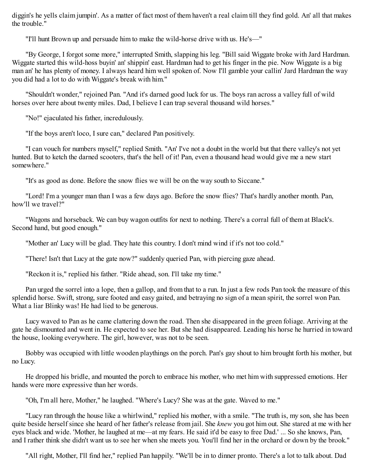diggin's he yells claim jumpin'. As a matter of fact most of them haven't a real claim till they find gold. An' all that makes the trouble."

"I'll hunt Brown up and persuade him to make the wild-horse drive with us. He's—"

"By George, I forgot some more," interrupted Smith, slapping his leg. "Bill said Wiggate broke with Jard Hardman. Wiggate started this wild-hoss buyin' an' shippin' east. Hardman had to get his finger in the pie. Now Wiggate is a big man an' he has plenty of money. I always heard him well spoken of. Now I'll gamble your callin' Jard Hardman the way you did had a lot to do with Wiggate's break with him."

"Shouldn't wonder," rejoined Pan. "And it's darned good luck for us. The boys ran across a valley full of wild horses over here about twenty miles. Dad, I believe I can trap several thousand wild horses."

"No!" ejaculated his father, incredulously.

"If the boys aren't loco, I sure can," declared Pan positively.

"I can vouch for numbers myself," replied Smith. "An' I've not a doubt in the world but that there valley's not yet hunted. But to ketch the darned scooters, that's the hell of it! Pan, even a thousand head would give me a new start somewhere."

"It's as good as done. Before the snow flies we will be on the way south to Siccane."

"Lord! I'm a younger man than I was a few days ago. Before the snow flies? That's hardly another month. Pan, how'll we travel?"

"Wagons and horseback. We can buy wagon outfits for next to nothing. There's a corral full of them at Black's. Second hand, but good enough."

"Mother an' Lucy will be glad. They hate this country. I don't mind wind if it's not too cold."

"There! Isn't that Lucy at the gate now?" suddenly queried Pan, with piercing gaze ahead.

"Reckon it is," replied his father. "Ride ahead, son. I'll take my time."

Pan urged the sorrel into a lope, then a gallop, and from that to a run. In just a few rods Pan took the measure of this splendid horse. Swift, strong, sure footed and easy gaited, and betraying no sign of a mean spirit, the sorrel won Pan. What a liar Blinky was! He had lied to be generous.

Lucy waved to Pan as he came clattering down the road. Then she disappeared in the green foliage. Arriving at the gate he dismounted and went in. He expected to see her. But she had disappeared. Leading his horse he hurried in toward the house, looking everywhere. The girl, however, was not to be seen.

Bobby was occupied with little wooden playthings on the porch. Pan's gay shout to him brought forth his mother, but no Lucy.

He dropped his bridle, and mounted the porch to embrace his mother, who met him with suppressed emotions. Her hands were more expressive than her words.

"Oh, I'm all here, Mother," he laughed. "Where's Lucy? She was at the gate. Waved to me."

"Lucy ran through the house like a whirlwind," replied his mother, with a smile. "The truth is, my son, she has been quite beside herself since she heard of her father's release from jail. She *knew* you got him out. She stared at me with her eyes black and wide. 'Mother, he laughed at me—at my fears. He said it'd be easy to free Dad.' ... So she knows, Pan, and I rather think she didn't want us to see her when she meets you. You'll find her in the orchard or down by the brook."

"All right, Mother, I'll find her," replied Pan happily. "We'll be in to dinner pronto. There's a lot to talk about. Dad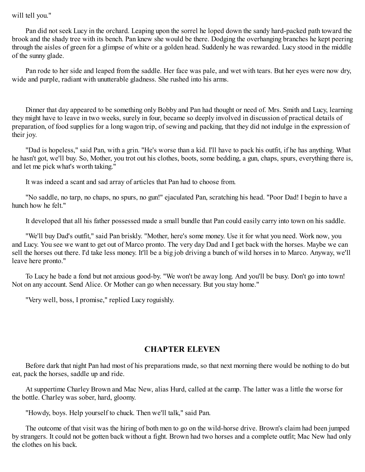#### will tell you."

Pan did not seek Lucy in the orchard. Leaping upon the sorrel he loped down the sandy hard-packed path toward the brook and the shady tree with its bench. Pan knew she would be there. Dodging the overhanging branches he kept peering through the aisles of green for a glimpse of white or a golden head. Suddenly he was rewarded. Lucy stood in the middle of the sunny glade.

Pan rode to her side and leaped from the saddle. Her face was pale, and wet with tears. But her eyes were now dry, wide and purple, radiant with unutterable gladness. She rushed into his arms.

Dinner that day appeared to be something only Bobby and Pan had thought or need of. Mrs. Smith and Lucy, learning they might have to leave in two weeks, surely in four, became so deeply involved in discussion of practical details of preparation, of food supplies for a long wagon trip, of sewing and packing, that they did not indulge in the expression of their joy.

"Dad is hopeless," said Pan, with a grin. "He's worse than a kid. I'll have to pack his outfit, if he has anything. What he hasn't got, we'll buy. So, Mother, you trot out his clothes, boots, some bedding, a gun, chaps, spurs, everything there is, and let me pick what's worth taking."

It was indeed a scant and sad array of articles that Pan had to choose from.

"No saddle, no tarp, no chaps, no spurs, no gun!" ejaculated Pan, scratching his head. "Poor Dad! I begin to have a hunch how he felt."

It developed that all his father possessed made a small bundle that Pan could easily carry into town on his saddle.

"We'll buy Dad's outfit," said Pan briskly. "Mother, here's some money. Use it for what you need. Work now, you and Lucy. You see we want to get out of Marco pronto. The very day Dad and I get back with the horses. Maybe we can sell the horses out there. I'd take less money. It'll be a big job driving a bunch of wild horses in to Marco. Anyway, we'll leave here pronto."

To Lucy he bade a fond but not anxious good-by. "We won't be away long. And you'll be busy. Don't go into town! Not on any account. Send Alice. Or Mother can go when necessary. But you stay home."

"Very well, boss, I promise," replied Lucy roguishly.

# **CHAPTER ELEVEN**

Before dark that night Pan had most of his preparations made, so that next morning there would be nothing to do but eat, pack the horses, saddle up and ride.

At suppertime Charley Brown and Mac New, alias Hurd, called at the camp. The latter was a little the worse for the bottle. Charley was sober, hard, gloomy.

"Howdy, boys. Help yourself to chuck. Then we'll talk," said Pan.

The outcome of that visit was the hiring of both men to go on the wild-horse drive. Brown's claim had been jumped by strangers. It could not be gotten back without a fight. Brown had two horses and a complete outfit; Mac New had only the clothes on his back.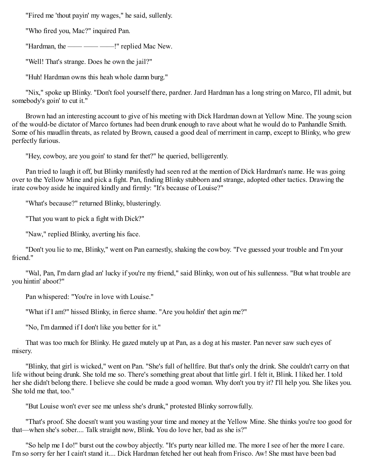"Fired me 'thout payin' my wages," he said, sullenly.

"Who fired you, Mac?" inquired Pan.

"Hardman, the —— —— —— !" replied Mac New.

"Well! That's strange. Does he own the jail?"

"Huh! Hardman owns this heah whole damn burg."

"Nix," spoke up Blinky. "Don't fool yourself there, pardner. Jard Hardman has a long string on Marco, I'll admit, but somebody's goin' to cut it."

Brown had an interesting account to give of his meeting with Dick Hardman down at Yellow Mine. The young scion of the would-be dictator of Marco fortunes had been drunk enough to rave about what he would do to Panhandle Smith. Some of his maudlin threats, as related by Brown, caused a good deal of merriment in camp, except to Blinky, who grew perfectly furious.

"Hey, cowboy, are you goin' to stand fer thet?" he queried, belligerently.

Pan tried to laugh it off, but Blinky manifestly had seen red at the mention of Dick Hardman's name. He was going over to the Yellow Mine and pick a fight. Pan, finding Blinky stubborn and strange, adopted other tactics. Drawing the irate cowboy aside he inquired kindly and firmly: "It's because of Louise?"

"What's because?" returned Blinky, blusteringly.

"That you want to pick a fight with Dick?"

"Naw," replied Blinky, averting his face.

"Don't you lie to me, Blinky," went on Pan earnestly, shaking the cowboy. "I've guessed your trouble and I'm your friend."

"Wal, Pan, I'm darn glad an' lucky if you're my friend," said Blinky, won out of his sullenness. "But what trouble are you hintin' aboot?"

Pan whispered: "You're in love with Louise."

"What if I am?" hissed Blinky, in fierce shame. "Are you holdin' thet agin me?"

"No, I'm damned if I don't like you better for it."

That was too much for Blinky. He gazed mutely up at Pan, as a dog at his master. Pan never saw such eyes of misery.

"Blinky, that girl is wicked," went on Pan. "She's full of hellfire. But that's only the drink. She couldn't carry on that life without being drunk. She told me so. There's something great about that little girl. I felt it, Blink. I liked her. I told her she didn't belong there. I believe she could be made a good woman. Why don't you try it? I'll help you. She likes you. She told me that, too."

"But Louise won't ever see me unless she's drunk," protested Blinky sorrowfully.

"That's proof. She doesn't want you wasting your time and money at the Yellow Mine. She thinks you're too good for that—when she's sober.... Talk straight now, Blink. You do love her, bad as she is?"

"So help me I do!" burst out the cowboy abjectly. "It's purty near killed me. The more I see of her the more I care. I'm so sorry fer her I cain't stand it.... Dick Hardman fetched her out heah from Frisco. Aw! She must have been bad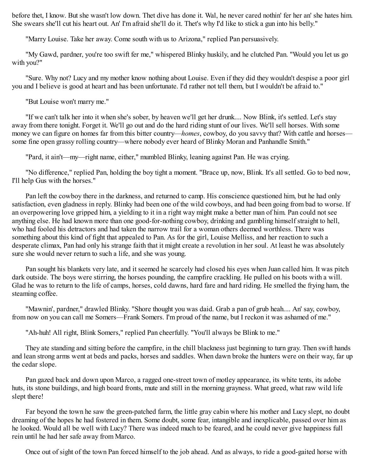before thet, I know. But she wasn't low down. Thet dive has done it. Wal, he never cared nothin' fer her an' she hates him. She swears she'll cut his heart out. An' I'm afraid she'll do it. Thet's why I'd like to stick a gun into his belly."

"Marry Louise. Take her away. Come south with us to Arizona," replied Pan persuasively.

"My Gawd, pardner, you're too swift fer me," whispered Blinky huskily, and he clutched Pan. "Would you let us go with you?"

"Sure. Why not? Lucy and my mother know nothing about Louise. Even if they did they wouldn't despise a poor girl you and I believe is good at heart and has been unfortunate. I'd rather not tell them, but I wouldn't be afraid to."

"But Louise won't marry me."

"If we can't talk her into it when she's sober, by heaven we'll get her drunk.... Now Blink, it's settled. Let's stay away from there tonight. Forget it. We'll go out and do the hard riding stunt of our lives. We'll sell horses. With some money we can figure on homes far from this bitter country—*homes*, cowboy, do you savvy that? With cattle and horses some fine open grassy rolling country—where nobody ever heard of Blinky Moran and Panhandle Smith."

"Pard, it ain't—my—right name, either," mumbled Blinky, leaning against Pan. He was crying.

"No difference," replied Pan, holding the boy tight a moment. "Brace up, now, Blink. It's all settled. Go to bed now, I'll help Gus with the horses."

Pan left the cowboy there in the darkness, and returned to camp. His conscience questioned him, but he had only satisfaction, even gladness in reply. Blinky had been one of the wild cowboys, and had been going from bad to worse. If an overpowering love gripped him, a yielding to it in a right way might make a better man of him. Pan could not see anything else. He had known more than one good-for-nothing cowboy, drinking and gambling himself straight to hell, who had fooled his detractors and had taken the narrow trail for a woman others deemed worthless. There was something about this kind of fight that appealed to Pan. As for the girl, Louise Melliss, and her reaction to such a desperate climax, Pan had only his strange faith that it might create a revolution in her soul. At least he was absolutely sure she would never return to such a life, and she was young.

Pan sought his blankets very late, and it seemed he scarcely had closed his eyes when Juan called him. It was pitch dark outside. The boys were stirring, the horses pounding, the campfire crackling. He pulled on his boots with a will. Glad he was to return to the life of camps, horses, cold dawns, hard fare and hard riding. He smelled the frying ham, the steaming coffee.

"Mawnin', pardner," drawled Blinky. "Shore thought you was daid. Grab a pan of grub heah.... An' say, cowboy, from now on you can call me Somers—Frank Somers. I'm proud of the name, but I reckon it was ashamed of me."

"Ah-huh! All right, Blink Somers," replied Pan cheerfully. "You'll always be Blink to me."

They ate standing and sitting before the campfire, in the chill blackness just beginning to turn gray. Then swift hands and lean strong arms went at beds and packs, horses and saddles. When dawn broke the hunters were on their way, far up the cedar slope.

Pan gazed back and down upon Marco, a ragged one-street town of motley appearance, its white tents, its adobe huts, its stone buildings, and high board fronts, mute and still in the morning grayness. What greed, what raw wild life slept there!

Far beyond the town he saw the green-patched farm, the little gray cabin where his mother and Lucy slept, no doubt dreaming of the hopes he had fostered in them. Some doubt, some fear, intangible and inexplicable, passed over him as he looked. Would all be well with Lucy? There was indeed much to be feared, and he could never give happiness full rein until he had her safe away from Marco.

Once out of sight of the town Pan forced himself to the job ahead. And as always, to ride a good-gaited horse with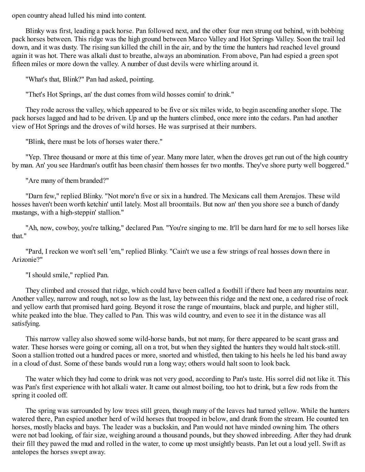open country ahead lulled his mind into content.

Blinky was first, leading a pack horse. Pan followed next, and the other four men strung out behind, with bobbing pack horses between. This ridge was the high ground between Marco Valley and Hot Springs Valley. Soon the trail led down, and it was dusty. The rising sun killed the chill in the air, and by the time the hunters had reached level ground again it was hot. There was alkali dust to breathe, always an abomination. From above, Pan had espied a green spot fifteen miles or more down the valley. A number of dust devils were whirling around it.

"What's that, Blink?" Pan had asked, pointing.

"Thet's Hot Springs, an' the dust comes from wild hosses comin' to drink."

They rode across the valley, which appeared to be five or six miles wide, to begin ascending another slope. The pack horses lagged and had to be driven. Up and up the hunters climbed, once more into the cedars. Pan had another view of Hot Springs and the droves of wild horses. He was surprised at their numbers.

"Blink, there must be lots of horses water there."

"Yep. Three thousand or more at this time of year. Many more later, when the droves get run out of the high country by man. An' you see Hardman's outfit has been chasin' them hosses fer two months. They've shore purty well boggered."

"Are many of them branded?"

"Darn few," replied Blinky. "Not more'n five or six in a hundred. The Mexicans call them Arenajos. These wild hosses haven't been worth ketchin' until lately. Most all broomtails. But now an' then you shore see a bunch of dandy mustangs, with a high-steppin' stallion."

"Ah, now, cowboy, you're talking," declared Pan. "You're singing to me. It'll be darn hard for me to sell horses like that."

"Pard, I reckon we won't sell 'em," replied Blinky. "Cain't we use a few strings of real hosses down there in Arizonie?"

"I should smile," replied Pan.

They climbed and crossed that ridge, which could have been called a foothill if there had been any mountains near. Another valley, narrow and rough, not so low as the last, lay between this ridge and the next one, a cedared rise of rock and yellow earth that promised hard going. Beyond it rose the range of mountains, black and purple, and higher still, white peaked into the blue. They called to Pan. This was wild country, and even to see it in the distance was all satisfying.

This narrow valley also showed some wild-horse bands, but not many, for there appeared to be scant grass and water. These horses were going or coming, all on a trot, but when they sighted the hunters they would halt stock-still. Soon a stallion trotted out a hundred paces or more, snorted and whistled, then taking to his heels he led his band away in a cloud of dust. Some of these bands would run a long way; others would halt soon to look back.

The water which they had come to drink was not very good, according to Pan's taste. His sorrel did not like it. This was Pan's first experience with hot alkali water. It came out almost boiling, too hot to drink, but a few rods from the spring it cooled off.

The spring was surrounded by low trees still green, though many of the leaves had turned yellow. While the hunters watered there, Pan espied another herd of wild horses that trooped in below, and drank from the stream. He counted ten horses, mostly blacks and bays. The leader was a buckskin, and Pan would not have minded owning him. The others were not bad looking, of fair size, weighing around a thousand pounds, but they showed inbreeding. After they had drunk their fill they pawed the mud and rolled in the water, to come up most unsightly beasts. Pan let out a loud yell. Swift as antelopes the horses swept away.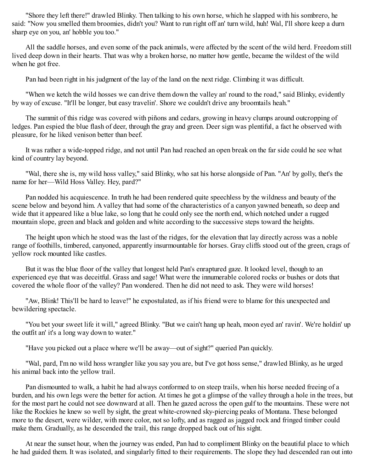"Shore they left there!" drawled Blinky. Then talking to his own horse, which he slapped with his sombrero, he said: "Now you smelled them broomies, didn't you? Want to run right off an' turn wild, huh! Wal, I'll shore keep a durn sharp eye on you, an' hobble you too."

All the saddle horses, and even some of the pack animals, were affected by the scent of the wild herd. Freedom still lived deep down in their hearts. That was why a broken horse, no matter how gentle, became the wildest of the wild when he got free.

Pan had been right in his judgment of the lay of the land on the next ridge. Climbing it was difficult.

"When we ketch the wild hosses we can drive them down the valley an' round to the road," said Blinky, evidently by way of excuse. "It'll be longer, but easy travelin'. Shore we couldn't drive any broomtails heah."

The summit of this ridge was covered with piñons and cedars, growing in heavy clumps around outcropping of ledges. Pan espied the blue flash of deer, through the gray and green. Deer sign was plentiful, a fact he observed with pleasure, for he liked venison better than beef.

It was rather a wide-topped ridge, and not until Pan had reached an open break on the far side could he see what kind of country lay beyond.

"Wal, there she is, my wild hoss valley," said Blinky, who sat his horse alongside of Pan. "An' by golly, thet's the name for her—Wild Hoss Valley. Hey, pard?"

Pan nodded his acquiescence. In truth he had been rendered quite speechless by the wildness and beauty of the scene below and beyond him. A valley that had some of the characteristics of a canyon yawned beneath, so deep and wide that it appeared like a blue lake, so long that he could only see the north end, which notched under a rugged mountain slope, green and black and golden and white according to the successive steps toward the heights.

The height upon which he stood was the last of the ridges, for the elevation that lay directly across was a noble range of foothills, timbered, canyoned, apparently insurmountable for horses. Gray cliffs stood out of the green, crags of yellow rock mounted like castles.

But it was the blue floor of the valley that longest held Pan's enraptured gaze. It looked level, though to an experienced eye that was deceitful. Grass and sage! What were the innumerable colored rocks or bushes or dots that covered the whole floor of the valley? Pan wondered. Then he did not need to ask. They were wild horses!

"Aw, Blink! This'll be hard to leave!" he expostulated, as if his friend were to blame for this unexpected and bewildering spectacle.

"You bet your sweet life it will," agreed Blinky. "But we cain't hang up heah, moon eyed an' ravin'. We're holdin' up the outfit an' it's a long way down to water."

"Have you picked out a place where we'll be away—out of sight?" queried Pan quickly.

"Wal, pard, I'm no wild hoss wrangler like you say you are, but I've got hoss sense," drawled Blinky, as he urged his animal back into the yellow trail.

Pan dismounted to walk, a habit he had always conformed to on steep trails, when his horse needed freeing of a burden, and his own legs were the better for action. At times he got a glimpse of the valley through a hole in the trees, but for the most part he could not see downward at all. Then he gazed across the open gulf to the mountains. These were not like the Rockies he knew so well by sight, the great white-crowned sky-piercing peaks of Montana. These belonged more to the desert, were wilder, with more color, not so lofty, and as ragged as jagged rock and fringed timber could make them. Gradually, as he descended the trail, this range dropped back out of his sight.

At near the sunset hour, when the journey was ended, Pan had to compliment Blinky on the beautiful place to which he had guided them. It was isolated, and singularly fitted to their requirements. The slope they had descended ran out into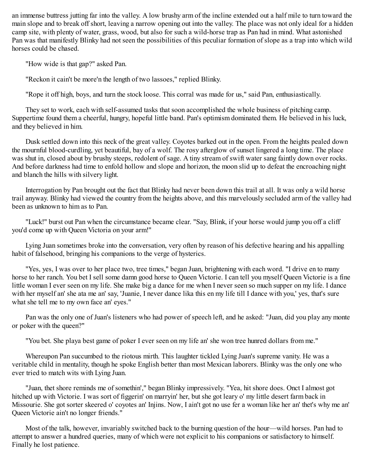an immense buttress jutting far into the valley. A low brushy arm of the incline extended out a half mile to turn toward the main slope and to break off short, leaving a narrow opening out into the valley. The place was not only ideal for a hidden camp site, with plenty of water, grass, wood, but also for such a wild-horse trap as Pan had in mind. What astonished Pan was that manifestly Blinky had not seen the possibilities of this peculiar formation of slope as a trap into which wild horses could be chased.

"How wide is that gap?" asked Pan.

"Reckon it cain't be more'n the length of two lassoes," replied Blinky.

"Rope it off high, boys, and turn the stock loose. This corral was made for us," said Pan, enthusiastically.

They set to work, each with self-assumed tasks that soon accomplished the whole business of pitching camp. Suppertime found them a cheerful, hungry, hopeful little band. Pan's optimism dominated them. He believed in his luck, and they believed in him.

Dusk settled down into this neck of the great valley. Coyotes barked out in the open. From the heights pealed down the mournful blood-curdling, yet beautiful, bay of a wolf. The rosy afterglow of sunset lingered a long time. The place was shut in, closed about by brushy steeps, redolent of sage. A tiny stream of swift water sang faintly down over rocks. And before darkness had time to enfold hollow and slope and horizon, the moon slid up to defeat the encroaching night and blanch the hills with silvery light.

Interrogation by Pan brought out the fact that Blinky had never been down this trail at all. It was only a wild horse trail anyway. Blinky had viewed the country from the heights above, and this marvelously secluded arm of the valley had been as unknown to him as to Pan.

"Luck!" burst out Pan when the circumstance became clear. "Say, Blink, if your horse would jump you off a cliff you'd come up with Queen Victoria on your arm!"

Lying Juan sometimes broke into the conversation, very often by reason of his defective hearing and his appalling habit of falsehood, bringing his companions to the verge of hysterics.

"Yes, yes, I was over to her place two, tree times," began Juan, brightening with each word. "I drive en to many horse to her ranch. You bet I sell some damn good horse to Queen Victorie. I can tell you myself Queen Victorie is a fine little woman I ever seen on my life. She make big a dance for me when I never seen so much supper on my life. I dance with her myself an' she ata me an' say, 'Juanie, I never dance lika this en my life till I dance with you,' yes, that's sure what she tell me to my own face an' eyes."

Pan was the only one of Juan's listeners who had power of speech left, and he asked: "Juan, did you play any monte or poker with the queen?"

"You bet. She playa best game of poker I ever seen on my life an' she won tree hunred dollars from me."

Whereupon Pan succumbed to the riotous mirth. This laughter tickled Lying Juan's supreme vanity. He was a veritable child in mentality, though he spoke English better than most Mexican laborers. Blinky was the only one who ever tried to match wits with Lying Juan.

"Juan, thet shore reminds me of somethin'," began Blinky impressively. "Yea, hit shore does. Onct I almost got hitched up with Victorie. I was sort of figgerin' on marryin' her, but she got leary o' my little desert farm back in Missourie. She got sorter skeered o' coyotes an' Injins. Now, I ain't got no use fer a woman like her an' thet's why me an' Queen Victorie ain't no longer friends."

Most of the talk, however, invariably switched back to the burning question of the hour—wild horses. Pan had to attempt to answer a hundred queries, many of which were not explicit to his companions or satisfactory to himself. Finally he lost patience.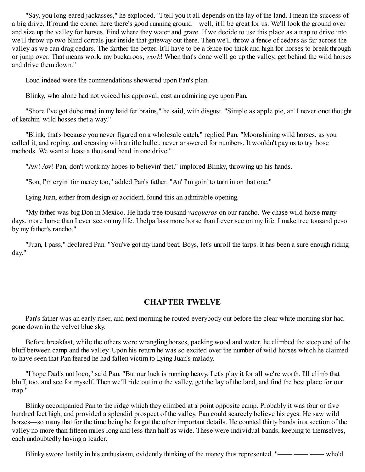"Say, you long-eared jackasses," he exploded. "I tell you it all depends on the lay of the land. I mean the success of a big drive. If round the corner here there's good running ground—well, it'll be great for us. We'll look the ground over and size up the valley for horses. Find where they water and graze. If we decide to use this place as a trap to drive into we'll throw up two blind corrals just inside that gateway out there. Then we'll throw a fence of cedars as far across the valley as we can drag cedars. The farther the better. It'll have to be a fence too thick and high for horses to break through or jump over. That means work, my buckaroos, *work*! When that's done we'll go up the valley, get behind the wild horses and drive them down."

Loud indeed were the commendations showered upon Pan's plan.

Blinky, who alone had not voiced his approval, cast an admiring eye upon Pan.

"Shore I've got dobe mud in my haid fer brains," he said, with disgust. "Simple as apple pie, an' I never onct thought of ketchin' wild hosses thet a way."

"Blink, that's because you never figured on a wholesale catch," replied Pan. "Moonshining wild horses, as you called it, and roping, and creasing with a rifle bullet, never answered for numbers. It wouldn't pay us to try those methods. We want at least a thousand head in one drive."

"Aw! Aw! Pan, don't work my hopes to believin' thet," implored Blinky, throwing up his hands.

"Son, I'm cryin' for mercy too," added Pan's father. "An' I'm goin' to turn in on that one."

Lying Juan, either from design or accident, found this an admirable opening.

"My father was big Don in Mexico. He hada tree tousand *vacqueros* on our rancho. We chase wild horse many days, more horse than I ever see on my life. I helpa lass more horse than I ever see on my life. I make tree tousand peso by my father's rancho."

"Juan, I pass," declared Pan. "You've got my hand beat. Boys, let's unroll the tarps. It has been a sure enough riding day."

## **CHAPTER TWELVE**

Pan's father was an early riser, and next morning he routed everybody out before the clear white morning star had gone down in the velvet blue sky.

Before breakfast, while the others were wrangling horses, packing wood and water, he climbed the steep end of the bluff between camp and the valley. Upon his return he was so excited over the number of wild horses which he claimed to have seen that Pan feared he had fallen victim to Lying Juan's malady.

"I hope Dad's not loco," said Pan. "But our luck is running heavy. Let's play it for all we're worth. I'll climb that bluff, too, and see for myself. Then we'll ride out into the valley, get the lay of the land, and find the best place for our trap."

Blinky accompanied Pan to the ridge which they climbed at a point opposite camp. Probably it was four or five hundred feet high, and provided a splendid prospect of the valley. Pan could scarcely believe his eyes. He saw wild horses—so many that for the time being he forgot the other important details. He counted thirty bands in a section of the valley no more than fifteen miles long and less than half as wide. These were individual bands, keeping to themselves, each undoubtedly having a leader.

Blinky swore lustily in his enthusiasm, evidently thinking of the money thus represented. "—— —— —— who'd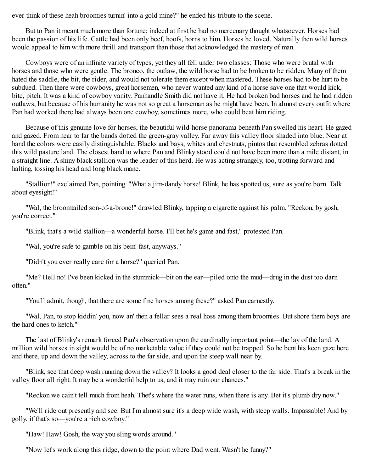ever think of these heah broomies turnin' into a gold mine?" he ended his tribute to the scene.

But to Pan it meant much more than fortune; indeed at first he had no mercenary thought whatsoever. Horses had been the passion of his life. Cattle had been only beef, hoofs, horns to him. Horses he loved. Naturally then wild horses would appeal to him with more thrill and transport than those that acknowledged the mastery of man.

Cowboys were of an infinite variety of types, yet they all fell under two classes: Those who were brutal with horses and those who were gentle. The bronco, the outlaw, the wild horse had to be broken to be ridden. Many of them hated the saddle, the bit, the rider, and would not tolerate them except when mastered. These horses had to be hurt to be subdued. Then there were cowboys, great horsemen, who never wanted any kind of a horse save one that would kick, bite, pitch. It was a kind of cowboy vanity. Panhandle Smith did not have it. He had broken bad horses and he had ridden outlaws, but because of his humanity he was not so great a horseman as he might have been. In almost every outfit where Pan had worked there had always been one cowboy, sometimes more, who could beat him riding.

Because of this genuine love for horses, the beautiful wild-horse panorama beneath Pan swelled his heart. He gazed and gazed. From near to far the bands dotted the green-gray valley. Far away this valley floor shaded into blue. Near at hand the colors were easily distinguishable. Blacks and bays, whites and chestnuts, pintos that resembled zebras dotted this wild pasture land. The closest band to where Pan and Blinky stood could not have been more than a mile distant, in a straight line. A shiny black stallion was the leader of this herd. He was acting strangely, too, trotting forward and halting, tossing his head and long black mane.

"Stallion!" exclaimed Pan, pointing. "What a jim-dandy horse! Blink, he has spotted us, sure as you're born. Talk about eyesight!"

"Wal, the broomtailed son-of-a-bronc!" drawled Blinky, tapping a cigarette against his palm. "Reckon, by gosh, you're correct."

"Blink, that's a wild stallion—a wonderful horse. I'll bet he's game and fast," protested Pan.

"Wal, you're safe to gamble on his bein' fast, anyways."

"Didn't you ever really care for a horse?" queried Pan.

"Me? Hell no! I've been kicked in the stummick—bit on the ear—piled onto the mud—drug in the dust too darn often."

"You'll admit, though, that there are some fine horses among these?" asked Pan earnestly.

"Wal, Pan, to stop kiddin' you, now an' then a fellar sees a real hoss among them broomies. But shore them boys are the hard ones to ketch."

The last of Blinky's remark forced Pan's observation upon the cardinally important point—the lay of the land. A million wild horses in sight would be of no marketable value if they could not be trapped. So he bent his keen gaze here and there, up and down the valley, across to the far side, and upon the steep wall near by.

"Blink, see that deep wash running down the valley? It looks a good deal closer to the far side. That's a break in the valley floor all right. It may be a wonderful help to us, and it may ruin our chances."

"Reckon we cain't tell much from heah. Thet's where the water runs, when there is any. Bet it's plumb dry now."

"We'll ride out presently and see. But I'm almost sure it's a deep wide wash, with steep walls. Impassable! And by golly, if that's so—you're a rich cowboy."

"Haw! Haw! Gosh, the way you sling words around."

"Now let's work along this ridge, down to the point where Dad went. Wasn't he funny?"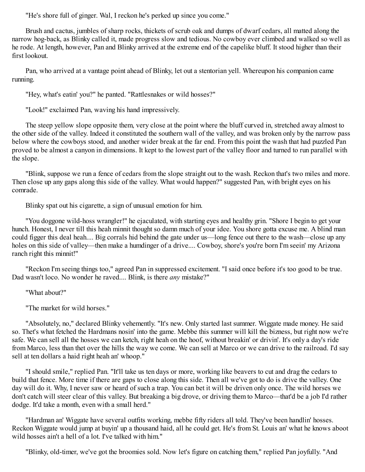"He's shore full of ginger. Wal, I reckon he's perked up since you come."

Brush and cactus, jumbles of sharp rocks, thickets of scrub oak and dumps of dwarf cedars, all matted along the narrow hog-back, as Blinky called it, made progress slow and tedious. No cowboy ever climbed and walked so well as he rode. At length, however, Pan and Blinky arrived at the extreme end of the capelike bluff. It stood higher than their first lookout.

Pan, who arrived at a vantage point ahead of Blinky, let out a stentorian yell. Whereupon his companion came running.

"Hey, what's eatin' you?" he panted. "Rattlesnakes or wild hosses?"

"Look!" exclaimed Pan, waving his hand impressively.

The steep yellow slope opposite them, very close at the point where the bluff curved in, stretched away almost to the other side of the valley. Indeed it constituted the southern wall of the valley, and was broken only by the narrow pass below where the cowboys stood, and another wider break at the far end. From this point the wash that had puzzled Pan proved to be almost a canyon in dimensions. It kept to the lowest part of the valley floor and turned to run parallel with the slope.

"Blink, suppose we run a fence of cedars from the slope straight out to the wash. Reckon that's two miles and more. Then close up any gaps along this side of the valley. What would happen?" suggested Pan, with bright eyes on his comrade.

Blinky spat out his cigarette, a sign of unusual emotion for him.

"You doggone wild-hoss wrangler!" he ejaculated, with starting eyes and healthy grin. "Shore I begin to get your hunch. Honest, I never till this heah minnit thought so damn much of your idee. You shore gotta excuse me. A blind man could figger this deal heah.... Big corrals hid behind the gate under us—long fence out there to the wash—close up any holes on this side of valley—then make a humdinger of a drive.... Cowboy, shore's you're born I'm seein' my Arizona ranch right this minnit!"

"Reckon I'm seeing things too," agreed Pan in suppressed excitement. "I said once before it's too good to be true. Dad wasn't loco. No wonder he raved.... Blink, is there *any* mistake?"

"What about?"

"The market for wild horses."

"Absolutely, no," declared Blinky vehemently. "It's new. Only started last summer. Wiggate made money. He said so. Thet's what fetched the Hardmans nosin' into the game. Mebbe this summer will kill the bizness, but right now we're safe. We can sell all the hosses we can ketch, right heah on the hoof, without breakin' or drivin'. It's only a day's ride from Marco, less than thet over the hills the way we come. We can sell at Marco or we can drive to the railroad. I'd say sell at ten dollars a haid right heah an' whoop."

"I should smile," replied Pan. "It'll take us ten days or more, working like beavers to cut and drag the cedars to build that fence. More time if there are gaps to close along this side. Then all we've got to do is drive the valley. One day will do it. Why, I never saw or heard of such a trap. You can bet it will be driven only once. The wild horses we don't catch will steer clear of this valley. But breaking a big drove, or driving them to Marco—that'd be a job I'd rather dodge. It'd take a month, even with a small herd."

"Hardman an' Wiggate have several outfits working, mebbe fifty riders all told. They've been handlin' hosses. Reckon Wiggate would jump at buyin' up a thousand haid, all he could get. He's from St. Louis an' what he knows aboot wild hosses ain't a hell of a lot. I've talked with him."

"Blinky, old-timer, we've got the broomies sold. Now let's figure on catching them," replied Pan joyfully. "And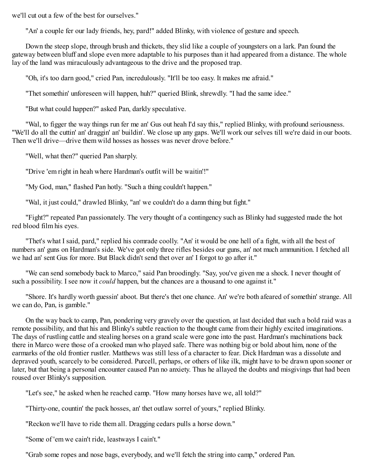we'll cut out a few of the best for ourselves."

"An' a couple fer our lady friends, hey, pard!" added Blinky, with violence of gesture and speech.

Down the steep slope, through brush and thickets, they slid like a couple of youngsters on a lark. Pan found the gateway between bluff and slope even more adaptable to his purposes than it had appeared from a distance. The whole lay of the land was miraculously advantageous to the drive and the proposed trap.

"Oh, it's too darn good," cried Pan, incredulously. "It'll be too easy. It makes me afraid."

"Thet somethin' unforeseen will happen, huh?" queried Blink, shrewdly. "I had the same idee."

"But what could happen?" asked Pan, darkly speculative.

"Wal, to figger the way things run fer me an' Gus out heah I'd say this," replied Blinky, with profound seriousness. "We'll do all the cuttin' an' draggin' an' buildin'. We close up any gaps. We'll work our selves till we're daid in our boots. Then we'll drive—drive them wild hosses as hosses was never drove before."

"Well, what then?" queried Pan sharply.

"Drive 'em right in heah where Hardman's outfit will be waitin'!"

"My God, man," flashed Pan hotly. "Such a thing couldn't happen."

"Wal, it just could," drawled Blinky, "an' we couldn't do a damn thing but fight."

"Fight?" repeated Pan passionately. The very thought of a contingency such as Blinky had suggested made the hot red blood film his eyes.

"Thet's what I said, pard," replied his comrade coolly. "An' it would be one hell of a fight, with all the best of numbers an' guns on Hardman's side. We've got only three rifles besides our guns, an' not much ammunition. I fetched all we had an' sent Gus for more. But Black didn't send thet over an' I forgot to go after it."

"We can send somebody back to Marco," said Pan broodingly. "Say, you've given me a shock. I never thought of such a possibility. I see now it *could* happen, but the chances are a thousand to one against it."

"Shore. It's hardly worth guessin' aboot. But there's thet one chance. An' we're both afeared of somethin' strange. All we can do, Pan, is gamble."

On the way back to camp, Pan, pondering very gravely over the question, at last decided that such a bold raid was a remote possibility, and that his and Blinky's subtle reaction to the thought came from their highly excited imaginations. The days of rustling cattle and stealing horses on a grand scale were gone into the past. Hardman's machinations back there in Marco were those of a crooked man who played safe. There was nothing big or bold about him, none of the earmarks of the old frontier rustler. Matthews was still less of a character to fear. Dick Hardman was a dissolute and depraved youth, scarcely to be considered. Purcell, perhaps, or others of like ilk, might have to be drawn upon sooner or later, but that being a personal encounter caused Pan no anxiety. Thus he allayed the doubts and misgivings that had been roused over Blinky's supposition.

"Let's see," he asked when he reached camp. "How many horses have we, all told?"

"Thirty-one, countin' the pack hosses, an' thet outlaw sorrel of yours," replied Blinky.

"Reckon we'll have to ride them all. Dragging cedars pulls a horse down."

"Some of 'em we cain't ride, leastways I cain't."

"Grab some ropes and nose bags, everybody, and we'll fetch the string into camp," ordered Pan.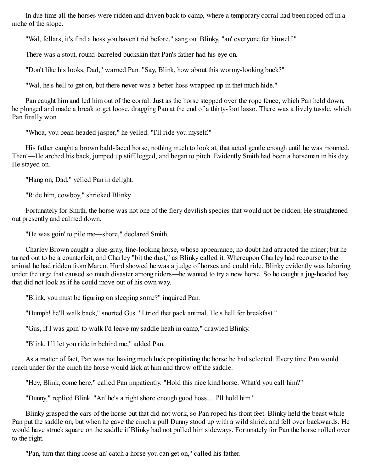In due time all the horses were ridden and driven back to camp, where a temporary corral had been roped off in a niche of the slope.

"Wal, fellars, it's find a hoss you haven't rid before," sang out Blinky, "an' everyone fer himself."

There was a stout, round-barreled buckskin that Pan's father had his eye on.

"Don't like his looks, Dad," warned Pan. "Say, Blink, how about this wormy-looking buck?"

"Wal, he's hell to get on, but there never was a better hoss wrapped up in thet much hide."

Pan caught him and led him out of the corral. Just as the horse stepped over the rope fence, which Pan held down, he plunged and made a break to get loose, dragging Pan at the end of a thirty-foot lasso. There was a lively tussle, which Pan finally won.

"Whoa, you bean-headed jasper," he yelled. "I'll ride you myself."

His father caught a brown bald-faced horse, nothing much to look at, that acted gentle enough until he was mounted. Then!—He arched his back, jumped up stiff legged, and began to pitch. Evidently Smith had been a horseman in his day. He stayed on.

"Hang on, Dad," yelled Pan in delight.

"Ride him, cowboy," shrieked Blinky.

Fortunately for Smith, the horse was not one of the fiery devilish species that would not be ridden. He straightened out presently and calmed down.

"He was goin' to pile me—shore," declared Smith.

Charley Brown caught a blue-gray, fine-looking horse, whose appearance, no doubt had attracted the miner; but he turned out to be a counterfeit, and Charley "bit the dust," as Blinky called it. Whereupon Charley had recourse to the animal he had ridden from Marco. Hurd showed he was a judge of horses and could ride. Blinky evidently was laboring under the urge that caused so much disaster among riders—he wanted to try a new horse. So he caught a jug-headed bay that did not look as if he could move out of his own way.

"Blink, you must be figuring on sleeping some?" inquired Pan.

"Humph! he'll walk back," snorted Gus. "I tried thet pack animal. He's hell fer breakfast."

"Gus, if I was goin' to walk I'd leave my saddle heah in camp," drawled Blinky.

"Blink, I'll let you ride in behind me," added Pan.

As a matter of fact, Pan was not having much luck propitiating the horse he had selected. Every time Pan would reach under for the cinch the horse would kick at him and throw off the saddle.

"Hey, Blink, come here," called Pan impatiently. "Hold this nice kind horse. What'd you call him?"

"Dunny," replied Blink. "An' he's a right shore enough good hoss.... I'll hold him."

Blinky grasped the cars of the horse but that did not work, so Pan roped his front feet. Blinky held the beast while Pan put the saddle on, but when he gave the cinch a pull Dunny stood up with a wild shriek and fell over backwards. He would have struck square on the saddle if Blinky had not pulled him sideways. Fortunately for Pan the horse rolled over to the right.

"Pan, turn that thing loose an' catch a horse you can get on," called his father.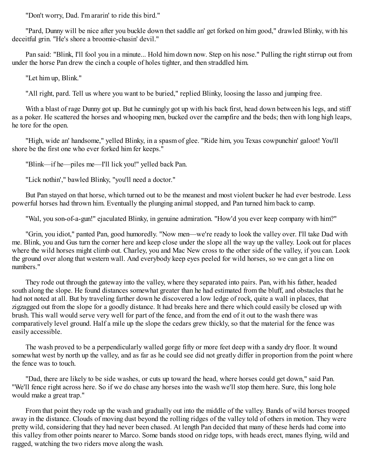"Don't worry, Dad. I'm ararin' to ride this bird."

"Pard, Dunny will be nice after you buckle down thet saddle an' get forked on him good," drawled Blinky, with his deceitful grin. "He's shore a broomie-chasin' devil."

Pan said: "Blink, I'll fool you in a minute... Hold him down now. Step on his nose." Pulling the right stirrup out from under the horse Pan drew the cinch a couple of holes tighter, and then straddled him.

"Let him up, Blink."

"All right, pard. Tell us where you want to be buried," replied Blinky, loosing the lasso and jumping free.

With a blast of rage Dunny got up. But he cunningly got up with his back first, head down between his legs, and stiff as a poker. He scattered the horses and whooping men, bucked over the campfire and the beds; then with long high leaps, he tore for the open.

"High, wide an' handsome," yelled Blinky, in a spasm of glee. "Ride him, you Texas cowpunchin' galoot! You'll shore be the first one who ever forked him fer keeps."

"Blink—if he—piles me—I'll lick you!" yelled back Pan.

"Lick nothin'," bawled Blinky, "you'll need a doctor."

But Pan stayed on that horse, which turned out to be the meanest and most violent bucker he had ever bestrode. Less powerful horses had thrown him. Eventually the plunging animal stopped, and Pan turned him back to camp.

"Wal, you son-of-a-gun!" ejaculated Blinky, in genuine admiration. "How'd you ever keep company with him?"

"Grin, you idiot," panted Pan, good humoredly. "Now men—we're ready to look the valley over. I'll take Dad with me. Blink, you and Gus turn the corner here and keep close under the slope all the way up the valley. Look out for places where the wild horses might climb out. Charley, you and Mac New cross to the other side of the valley, if you can. Look the ground over along that western wall. And everybody keep eyes peeled for wild horses, so we can get a line on numbers."

They rode out through the gateway into the valley, where they separated into pairs. Pan, with his father, headed south along the slope. He found distances somewhat greater than he had estimated from the bluff, and obstacles that he had not noted at all. But by traveling farther down he discovered a low ledge of rock, quite a wall in places, that zigzagged out from the slope for a goodly distance. It had breaks here and there which could easily be closed up with brush. This wall would serve very well for part of the fence, and from the end of it out to the wash there was comparatively level ground. Half a mile up the slope the cedars grew thickly, so that the material for the fence was easily accessible.

The wash proved to be a perpendicularly walled gorge fifty or more feet deep with a sandy dry floor. It wound somewhat west by north up the valley, and as far as he could see did not greatly differ in proportion from the point where the fence was to touch.

"Dad, there are likely to be side washes, or cuts up toward the head, where horses could get down," said Pan. "We'll fence right across here. So if we do chase any horses into the wash we'll stop them here. Sure, this long hole would make a great trap."

From that point they rode up the wash and gradually out into the middle of the valley. Bands of wild horses trooped away in the distance. Clouds of moving dust beyond the rolling ridges of the valley told of others in motion. They were pretty wild, considering that they had never been chased. At length Pan decided that many of these herds had come into this valley from other points nearer to Marco. Some bands stood on ridge tops, with heads erect, manes flying, wild and ragged, watching the two riders move along the wash.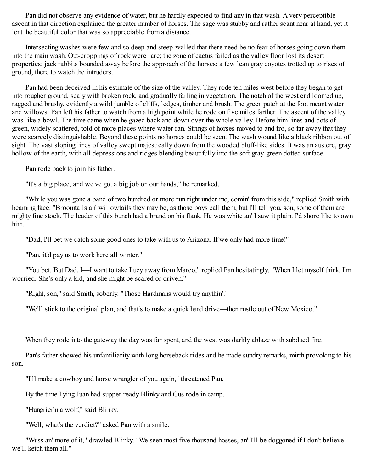Pan did not observe any evidence of water, but he hardly expected to find any in that wash. A very perceptible ascent in that direction explained the greater number of horses. The sage was stubby and rather scant near at hand, yet it lent the beautiful color that was so appreciable from a distance.

Intersecting washes were few and so deep and steep-walled that there need be no fear of horses going down them into the main wash. Out-croppings of rock were rare; the zone of cactus failed as the valley floor lost its desert properties; jack rabbits bounded away before the approach of the horses; a few lean gray coyotes trotted up to rises of ground, there to watch the intruders.

Pan had been deceived in his estimate of the size of the valley. They rode ten miles west before they began to get into rougher ground, scaly with broken rock, and gradually failing in vegetation. The notch of the west end loomed up, ragged and brushy, evidently a wild jumble of cliffs, ledges, timber and brush. The green patch at the foot meant water and willows. Pan left his father to watch from a high point while he rode on five miles farther. The ascent of the valley was like a bowl. The time came when he gazed back and down over the whole valley. Before him lines and dots of green, widely scattered, told of more places where water ran. Strings of horses moved to and fro, so far away that they were scarcely distinguishable. Beyond these points no horses could be seen. The wash wound like a black ribbon out of sight. The vast sloping lines of valley swept majestically down from the wooded bluff-like sides. It was an austere, gray hollow of the earth, with all depressions and ridges blending beautifully into the soft gray-green dotted surface.

Pan rode back to join his father.

"It's a big place, and we've got a big job on our hands," he remarked.

"While you was gone a band of two hundred or more run right under me, comin' from this side," replied Smith with beaming face. "Broomtails an' willowtails they may be, as those boys call them, but I'll tell you, son, some of them are mighty fine stock. The leader of this bunch had a brand on his flank. He was white an' I saw it plain. I'd shore like to own him."

"Dad, I'll bet we catch some good ones to take with us to Arizona. If we only had more time!"

"Pan, it'd pay us to work here all winter."

"You bet. But Dad, I—I want to take Lucy away from Marco," replied Pan hesitatingly. "When I let myself think, I'm worried. She's only a kid, and she might be scared or driven."

"Right, son," said Smith, soberly. "Those Hardmans would try anythin'."

"We'll stick to the original plan, and that's to make a quick hard drive—then rustle out of New Mexico."

When they rode into the gateway the day was far spent, and the west was darkly ablaze with subdued fire.

Pan's father showed his unfamiliarity with long horseback rides and he made sundry remarks, mirth provoking to his son.

"I'll make a cowboy and horse wrangler of you again," threatened Pan.

By the time Lying Juan had supper ready Blinky and Gus rode in camp.

"Hungrier'n a wolf," said Blinky.

"Well, what's the verdict?" asked Pan with a smile.

"Wuss an' more of it," drawled Blinky. "We seen most five thousand hosses, an' I'll be doggoned if I don't believe we'll ketch them all."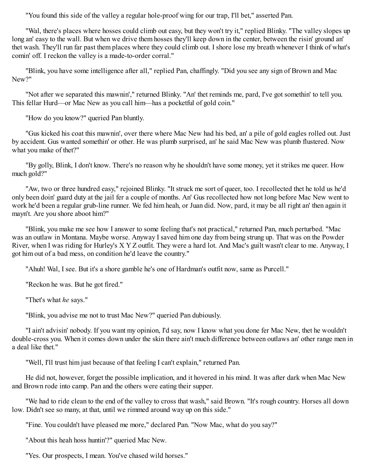"You found this side of the valley a regular hole-proof wing for our trap, I'll bet," asserted Pan.

"Wal, there's places where hosses could climb out easy, but they won't try it," replied Blinky. "The valley slopes up long an' easy to the wall. But when we drive them hosses they'll keep down in the center, between the risin' ground an' thet wash. They'll run far past them places where they could climb out. I shore lose my breath whenever I think of what's comin' off. I reckon the valley is a made-to-order corral."

"Blink, you have some intelligence after all," replied Pan, chaffingly. "Did you see any sign of Brown and Mac New?"

"Not after we separated this mawnin'," returned Blinky. "An' thet reminds me, pard, I've got somethin' to tell you. This fellar Hurd—or Mac New as you call him—has a pocketful of gold coin."

"How do you know?" queried Pan bluntly.

"Gus kicked his coat this mawnin', over there where Mac New had his bed, an' a pile of gold eagles rolled out. Just by accident. Gus wanted somethin' or other. He was plumb surprised, an' he said Mac New was plumb flustered. Now what you make of thet?"

"By golly, Blink, I don't know. There's no reason why he shouldn't have some money, yet it strikes me queer. How much gold?"

"Aw, two or three hundred easy," rejoined Blinky. "It struck me sort of queer, too. I recollected thet he told us he'd only been doin' guard duty at the jail fer a couple of months. An' Gus recollected how not long before Mac New went to work he'd been a regular grub-line runner. We fed him heah, or Juan did. Now, pard, it may be all right an' then again it mayn't. Are you shore aboot him?"

"Blink, you make me see how I answer to some feeling that's not practical," returned Pan, much perturbed. "Mac was an outlaw in Montana. Maybe worse. Anyway I saved him one day from being strung up. That was on the Powder River, when I was riding for Hurley's X Y Z outfit. They were a hard lot. And Mac's guilt wasn't clear to me. Anyway, I got him out of a bad mess, on condition he'd leave the country."

"Ahuh! Wal, I see. But it's a shore gamble he's one of Hardman's outfit now, same as Purcell."

"Reckon he was. But he got fired."

"Thet's what *he* says."

"Blink, you advise me not to trust Mac New?" queried Pan dubiously.

"I ain't advisin' nobody. If you want my opinion, I'd say, now I know what you done fer Mac New, thet he wouldn't double-cross you. When it comes down under the skin there ain't much difference between outlaws an' other range men in a deal like thet."

"Well, I'll trust him just because of that feeling I can't explain," returned Pan.

He did not, however, forget the possible implication, and it hovered in his mind. It was after dark when Mac New and Brown rode into camp. Pan and the others were eating their supper.

"We had to ride clean to the end of the valley to cross that wash," said Brown. "It's rough country. Horses all down low. Didn't see so many, at that, until we rimmed around way up on this side."

"Fine. You couldn't have pleased me more," declared Pan. "Now Mac, what do you say?"

"About this heah hoss huntin'?" queried Mac New.

"Yes. Our prospects, I mean. You've chased wild horses."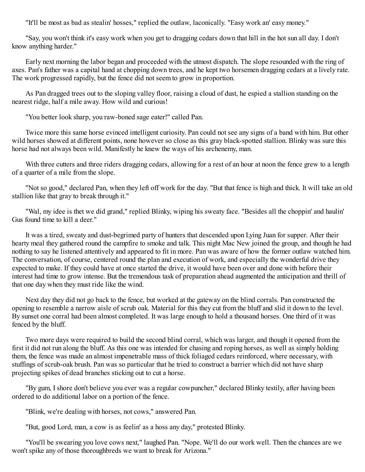"It'll be most as bad as stealin' hosses," replied the outlaw, laconically. "Easy work an' easy money."

"Say, you won't think it's easy work when you get to dragging cedars down that hill in the hot sun all day. I don't know anything harder."

Early next morning the labor began and proceeded with the utmost dispatch. The slope resounded with the ring of axes. Pan's father was a capital hand at chopping down trees, and he kept two horsemen dragging cedars at a lively rate. The work progressed rapidly, but the fence did not seem to grow in proportion.

As Pan dragged trees out to the sloping valley floor, raising a cloud of dust, he espied a stallion standing on the nearest ridge, half a mile away. How wild and curious!

"You better look sharp, you raw-boned sage eater!" called Pan.

Twice more this same horse evinced intelligent curiosity. Pan could not see any signs of a band with him. But other wild horses showed at different points, none however so close as this gray black-spotted stallion. Blinky was sure this horse had not always been wild. Manifestly he knew the ways of his archenemy, man.

With three cutters and three riders dragging cedars, allowing for a rest of an hour at noon the fence grew to a length of a quarter of a mile from the slope.

"Not so good," declared Pan, when they left off work for the day. "But that fence is high and thick. It will take an old stallion like that gray to break through it."

"Wal, my idee is thet we did grand," replied Blinky, wiping his sweaty face. "Besides all the choppin' and haulin' Gus found time to kill a deer."

It was a tired, sweaty and dust-begrimed party of hunters that descended upon Lying Juan for supper. After their hearty meal they gathered round the campfire to smoke and talk. This night Mac New joined the group, and though he had nothing to say he listened attentively and appeared to fit in more. Pan was aware of how the former outlaw watched him. The conversation, of course, centered round the plan and execution of work, and especially the wonderful drive they expected to make. If they could have at once started the drive, it would have been over and done with before their interest had time to grow intense. But the tremendous task of preparation ahead augmented the anticipation and thrill of that one day when they must ride like the wind.

Next day they did not go back to the fence, but worked at the gateway on the blind corrals. Pan constructed the opening to resemble a narrow aisle of scrub oak. Material for this they cut from the bluff and slid it down to the level. By sunset one corral had been almost completed. It was large enough to hold a thousand horses. One third of it was fenced by the bluff.

Two more days were required to build the second blind corral, which was larger, and though it opened from the first it did not run along the bluff. As this one was intended for chasing and roping horses, as well as simply holding them, the fence was made an almost impenetrable mass of thick foliaged cedars reinforced, where necessary, with stuffings of scrub-oak brush. Pan was so particular that he tried to construct a barrier which did not have sharp projecting spikes of dead branches sticking out to cut a horse.

"By gum, I shore don't believe you ever was a regular cowpuncher," declared Blinky testily, after having been ordered to do additional labor on a portion of the fence.

"Blink, we're dealing with horses, not cows," answered Pan.

"But, good Lord, man, a cow is as feelin' as a hoss any day," protested Blinky.

"You'll be swearing you love cows next," laughed Pan. "Nope. We'll do our work well. Then the chances are we won't spike any of those thoroughbreds we want to break for Arizona."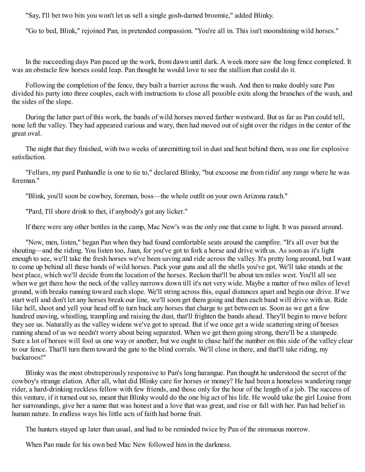"Say, I'll bet two bits you won't let us sell a single gosh-darned broomie," added Blinky.

"Go to bed, Blink," rejoined Pan, in pretended compassion. "You're all in. This isn't moonshining wild horses."

In the succeeding days Pan paced up the work, from dawn until dark. A week more saw the long fence completed. It was an obstacle few horses could leap. Pan thought he would love to see the stallion that could do it.

Following the completion of the fence, they built a barrier across the wash. And then to make doubly sure Pan divided his party into three couples, each with instructions to close all possible exits along the branches of the wash, and the sides of the slope.

During the latter part of this work, the bands of wild horses moved farther westward. But as far as Pan could tell, none left the valley. They had appeared curious and wary, then had moved out of sight over the ridges in the center of the great oval.

The night that they finished, with two weeks of unremitting toil in dust and heat behind them, was one for explosive satisfaction.

"Fellars, my pard Panhandle is one to tie to," declared Blinky, "but excoose me from ridin' any range where he was foreman."

"Blink, you'll soon be cowboy, foreman, boss—the whole outfit on your own Arizona ranch."

"Pard, I'll shore drink to thet, if anybody's got any licker."

If there were any other bottles in the camp, Mac New's was the only one that came to light. It was passed around.

"Now, men, listen," began Pan when they had found comfortable seats around the campfire. "It's all over but the shouting—and the riding. You listen too, Juan, for you've got to fork a horse and drive with us. As soon as it's light enough to see, we'll take the fresh horses we've been saving and ride across the valley. It's pretty long around, but I want to come up behind all these bands of wild horses. Pack your guns and all the shells you've got. We'll take stands at the best place, which we'll decide from the location of the horses. Reckon that'll be about ten miles west. You'll all see when we get there how the neck of the valley narrows down till it's not very wide. Maybe a matter of two miles of level ground, with breaks running toward each slope. We'll string across this, equal distances apart and begin our drive. If we start well and don't let any horses break our line, we'll soon get them going and then each band will drive with us. Ride like hell, shoot and yell your head off to turn back any horses that charge to get between us. Soon as we get a few hundred moving, whistling, trampling and raising the dust, that'll frighten the bands ahead. They'll begin to move before they see us. Naturally as the valley widens we've got to spread. But if we once get a wide scattering string of horses running ahead of us we needn't worry about being separated. When we get them going strong, there'll be a stampede. Sure a lot of horses will fool us one way or another, but we ought to chase half the number on this side of the valley clear to our fence. That'll turn them toward the gate to the blind corrals. We'll close in there, and that'll take riding, my buckaroos!"

Blinky was the most obstreperously responsive to Pan's long harangue. Pan thought he understood the secret of the cowboy's strange elation. After all, what did Blinky care for horses or money? He had been a homeless wandering range rider, a hard-drinking reckless fellow with few friends, and those only for the hour of the length of a job. The success of this venture, if it turned out so, meant that Blinky would do the one big act of his life. He would take the girl Louise from her surroundings, give her a name that was honest and a love that was great, and rise or fall with her. Pan had belief in human nature. In endless ways his little acts of faith had borne fruit.

The hunters stayed up later than usual, and had to be reminded twice by Pan of the strenuous morrow.

When Pan made for his own bed Mac New followed him in the darkness.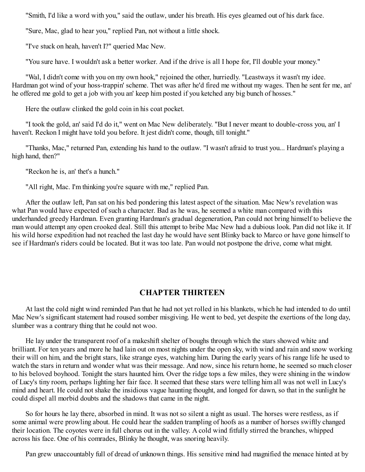"Smith, I'd like a word with you," said the outlaw, under his breath. His eyes gleamed out of his dark face.

"Sure, Mac, glad to hear you," replied Pan, not without a little shock.

"I've stuck on heah, haven't I?" queried Mac New.

"You sure have. I wouldn't ask a better worker. And if the drive is all I hope for, I'll double your money."

"Wal, I didn't come with you on my own hook," rejoined the other, hurriedly. "Leastways it wasn't my idee. Hardman got wind of your hoss-trappin' scheme. Thet was after he'd fired me without my wages. Then he sent fer me, an' he offered me gold to get a job with you an' keep him posted if you ketched any big bunch of hosses."

Here the outlaw clinked the gold coin in his coat pocket.

"I took the gold, an' said I'd do it," went on Mac New deliberately. "But I never meant to double-cross you, an' I haven't. Reckon I might have told you before. It jest didn't come, though, till tonight."

"Thanks, Mac," returned Pan, extending his hand to the outlaw. "I wasn't afraid to trust you... Hardman's playing a high hand, then?"

"Reckon he is, an' thet's a hunch."

"All right, Mac. I'm thinking you're square with me," replied Pan.

After the outlaw left, Pan sat on his bed pondering this latest aspect of the situation. Mac New's revelation was what Pan would have expected of such a character. Bad as he was, he seemed a white man compared with this underhanded greedy Hardman. Even granting Hardman's gradual degeneration, Pan could not bring himself to believe the man would attempt any open crooked deal. Still this attempt to bribe Mac New had a dubious look. Pan did not like it. If his wild horse expedition had not reached the last day he would have sent Blinky back to Marco or have gone himself to see if Hardman's riders could be located. But it was too late. Pan would not postpone the drive, come what might.

# **CHAPTER THIRTEEN**

At last the cold night wind reminded Pan that he had not yet rolled in his blankets, which he had intended to do until Mac New's significant statement had roused somber misgiving. He went to bed, yet despite the exertions of the long day, slumber was a contrary thing that he could not woo.

He lay under the transparent roof of a makeshift shelter of boughs through which the stars showed white and brilliant. For ten years and more he had lain out on most nights under the open sky, with wind and rain and snow working their will on him, and the bright stars, like strange eyes, watching him. During the early years of his range life he used to watch the stars in return and wonder what was their message. And now, since his return home, he seemed so much closer to his beloved boyhood. Tonight the stars haunted him. Over the ridge tops a few miles, they were shining in the window of Lucy's tiny room, perhaps lighting her fair face. It seemed that these stars were telling him all was not well in Lucy's mind and heart. He could not shake the insidious vague haunting thought, and longed for dawn, so that in the sunlight he could dispel all morbid doubts and the shadows that came in the night.

So for hours he lay there, absorbed in mind. It was not so silent a night as usual. The horses were restless, as if some animal were prowling about. He could hear the sudden trampling of hoofs as a number of horses swiftly changed their location. The coyotes were in full chorus out in the valley. A cold wind fitfully stirred the branches, whipped across his face. One of his comrades, Blinky he thought, was snoring heavily.

Pan grew unaccountably full of dread of unknown things. His sensitive mind had magnified the menace hinted at by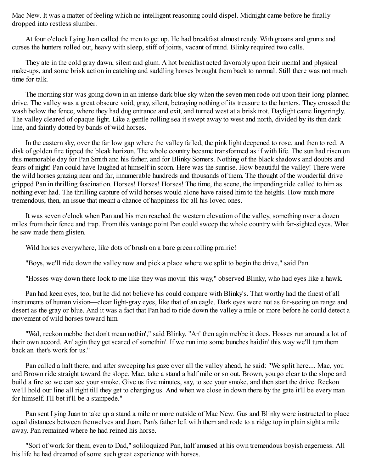Mac New. It was a matter of feeling which no intelligent reasoning could dispel. Midnight came before he finally dropped into restless slumber.

At four o'clock Lying Juan called the men to get up. He had breakfast almost ready. With groans and grunts and curses the hunters rolled out, heavy with sleep, stiff of joints, vacant of mind. Blinky required two calls.

They ate in the cold gray dawn, silent and glum. A hot breakfast acted favorably upon their mental and physical make-ups, and some brisk action in catching and saddling horses brought them back to normal. Still there was not much time for talk.

The morning star was going down in an intense dark blue sky when the seven men rode out upon their long-planned drive. The valley was a great obscure void, gray, silent, betraying nothing of its treasure to the hunters. They crossed the wash below the fence, where they had dug entrance and exit, and turned west at a brisk trot. Daylight came lingeringly. The valley cleared of opaque light. Like a gentle rolling sea it swept away to west and north, divided by its thin dark line, and faintly dotted by bands of wild horses.

In the eastern sky, over the far low gap where the valley failed, the pink light deepened to rose, and then to red. A disk of golden fire tipped the bleak horizon. The whole country became transformed as if with life. The sun had risen on this memorable day for Pan Smith and his father, and for Blinky Somers. Nothing of the black shadows and doubts and fears of night! Pan could have laughed at himself in scorn. Here was the sunrise. How beautiful the valley! There were the wild horses grazing near and far, innumerable hundreds and thousands of them. The thought of the wonderful drive gripped Pan in thrilling fascination. Horses! Horses! Horses! The time, the scene, the impending ride called to him as nothing ever had. The thrilling capture of wild horses would alone have raised him to the heights. How much more tremendous, then, an issue that meant a chance of happiness for all his loved ones.

It was seven o'clock when Pan and his men reached the western elevation of the valley, something over a dozen miles from their fence and trap. From this vantage point Pan could sweep the whole country with far-sighted eyes. What he saw made them glisten.

Wild horses everywhere, like dots of brush on a bare green rolling prairie!

"Boys, we'll ride down the valley now and pick a place where we split to begin the drive," said Pan.

"Hosses way down there look to me like they was movin' this way," observed Blinky, who had eyes like a hawk.

Pan had keen eyes, too, but he did not believe his could compare with Blinky's. That worthy had the finest of all instruments of human vision—clear light-gray eyes, like that of an eagle. Dark eyes were not as far-seeing on range and desert as the gray or blue. And it was a fact that Pan had to ride down the valley a mile or more before he could detect a movement of wild horses toward him.

"Wal, reckon mebbe thet don't mean nothin'," said Blinky. "An' then agin mebbe it does. Hosses run around a lot of their own accord. An' agin they get scared of somethin'. If we run into some bunches haidin' this way we'll turn them back an' thet's work for us."

Pan called a halt there, and after sweeping his gaze over all the valley ahead, he said: "We split here.... Mac, you and Brown ride straight toward the slope. Mac, take a stand a half mile or so out. Brown, you go clear to the slope and build a fire so we can see your smoke. Give us five minutes, say, to see your smoke, and then start the drive. Reckon we'll hold our line all right till they get to charging us. And when we close in down there by the gate it'll be every man for himself. I'll bet it'll be a stampede."

Pan sent Lying Juan to take up a stand a mile or more outside of Mac New. Gus and Blinky were instructed to place equal distances between themselves and Juan. Pan's father left with them and rode to a ridge top in plain sight a mile away. Pan remained where he had reined his horse.

"Sort of work for them, even to Dad," soliloquized Pan, half amused at his own tremendous boyish eagerness. All his life he had dreamed of some such great experience with horses.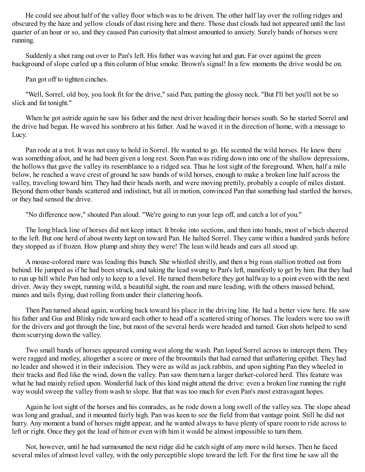He could see about half of the valley floor which was to be driven. The other half lay over the rolling ridges and obscured by the haze and yellow clouds of dust rising here and there. Those dust clouds had not appeared until the last quarter of an hour or so, and they caused Pan curiosity that almost amounted to anxiety. Surely bands of horses were running.

Suddenly a shot rang out over to Pan's left. His father was waving hat and gun. Far over against the green background of slope curled up a thin column of blue smoke. Brown's signal! In a few moments the drive would be on.

#### Pan got off to tighten cinches.

"Well, Sorrel, old boy, you look fit for the drive," said Pan, patting the glossy neck. "But I'll bet you'll not be so slick and fat tonight."

When he got astride again he saw his father and the next driver heading their horses south. So he started Sorrel and the drive had begun. He waved his sombrero at his father. And he waved it in the direction of home, with a message to Lucy.

Pan rode at a trot. It was not easy to hold in Sorrel. He wanted to go. He scented the wild horses. He knew there was something afoot, and he had been given a long rest. Soon Pan was riding down into one of the shallow depressions, the hollows that gave the valley its resemblance to a ridged sea. Thus he lost sight of the foreground. When, half a mile below, he reached a wave crest of ground he saw bands of wild horses, enough to make a broken line half across the valley, traveling toward him. They had their heads north, and were moving prettily, probably a couple of miles distant. Beyond them other bands scattered and indistinct, but all in motion, convinced Pan that something had startled the horses, or they had sensed the drive.

"No difference now," shouted Pan aloud. "We're going to run your legs off, and catch a lot of you."

The long black line of horses did not keep intact. It broke into sections, and then into bands, most of which sheered to the left. But one herd of about twenty kept on toward Pan. He halted Sorrel. They came within a hundred yards before they stopped as if frozen. How plump and shiny they were! The lean wild heads and ears all stood up.

A mouse-colored mare was leading this bunch. She whistled shrilly, and then a big roan stallion trotted out from behind. He jumped as if he had been struck, and taking the lead swung to Pan's left, manifestly to get by him. But they had to run up hill while Pan had only to keep to a level. He turned them before they got halfway to a point even with the next driver. Away they swept, running wild, a beautiful sight, the roan and mare leading, with the others massed behind, manes and tails flying, dust rolling from under their clattering hoofs.

Then Pan turned ahead again, working back toward his place in the driving line. He had a better view here. He saw his father and Gus and Blinky ride toward each other to head off a scattered string of horses. The leaders were too swift for the drivers and got through the line, but most of the several herds were headed and turned. Gun shots helped to send them scurrying down the valley.

Two small bands of horses appeared coming west along the wash. Pan loped Sorrel across to intercept them. They were ragged and motley, altogether a score or more of the broomtails that had earned that unflattering epithet. They had no leader and showed it in their indecision. They were as wild as jack rabbits, and upon sighting Pan they wheeled in their tracks and fled like the wind, down the valley. Pan saw them turn a larger darker-colored herd. This feature was what he had mainly relied upon. Wonderful luck of this kind might attend the drive: even a broken line running the right way would sweep the valley from wash to slope. But that was too much for even Pan's most extravagant hopes.

Again he lost sight of the horses and his comrades, as he rode down a long swell of the valley sea. The slope ahead was long and gradual, and it mounted fairly high. Pan was keen to see the field from that vantage point. Still he did not hurry. Any moment a band of horses might appear, and he wanted always to have plenty of spare room to ride across to left or right. Once they got the lead of him or even with him it would be almost impossible to turn them.

Not, however, until he had surmounted the next ridge did he catch sight of any more wild horses. Then he faced several miles of almost level valley, with the only perceptible slope toward the left. For the first time he saw all the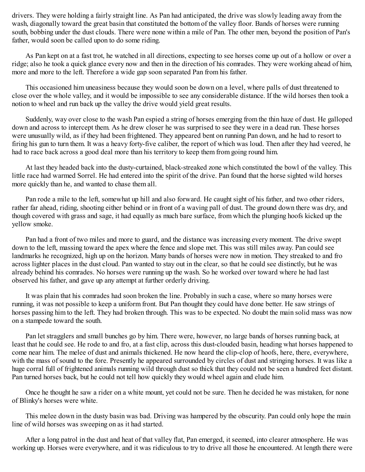drivers. They were holding a fairly straight line. As Pan had anticipated, the drive was slowly leading away from the wash, diagonally toward the great basin that constituted the bottom of the valley floor. Bands of horses were running south, bobbing under the dust clouds. There were none within a mile of Pan. The other men, beyond the position of Pan's father, would soon be called upon to do some riding.

As Pan kept on at a fast trot, he watched in all directions, expecting to see horses come up out of a hollow or over a ridge; also he took a quick glance every now and then in the direction of his comrades. They were working ahead of him, more and more to the left. Therefore a wide gap soon separated Pan from his father.

This occasioned him uneasiness because they would soon be down on a level, where palls of dust threatened to close over the whole valley, and it would be impossible to see any considerable distance. If the wild horses then took a notion to wheel and run back up the valley the drive would yield great results.

Suddenly, way over close to the wash Pan espied a string of horses emerging from the thin haze of dust. He galloped down and across to intercept them. As he drew closer he was surprised to see they were in a dead run. These horses were unusually wild, as if they had been frightened. They appeared bent on running Pan down, and he had to resort to firing his gun to turn them. It was a heavy forty-five caliber, the report of which was loud. Then after they had veered, he had to race back across a good deal more than his territory to keep them from going round him.

At last they headed back into the dusty-curtained, black-streaked zone which constituted the bowl of the valley. This little race had warmed Sorrel. He had entered into the spirit of the drive. Pan found that the horse sighted wild horses more quickly than he, and wanted to chase them all.

Pan rode a mile to the left, somewhat up hill and also forward. He caught sight of his father, and two other riders, rather far ahead, riding, shooting either behind or in front of a waving pall of dust. The ground down there was dry, and though covered with grass and sage, it had equally as much bare surface, from which the plunging hoofs kicked up the yellow smoke.

Pan had a front of two miles and more to guard, and the distance was increasing every moment. The drive swept down to the left, massing toward the apex where the fence and slope met. This was still miles away. Pan could see landmarks he recognized, high up on the horizon. Many bands of horses were now in motion. They streaked to and fro across lighter places in the dust cloud. Pan wanted to stay out in the clear, so that he could see distinctly, but he was already behind his comrades. No horses were running up the wash. So he worked over toward where he had last observed his father, and gave up any attempt at further orderly driving.

It was plain that his comrades had soon broken the line. Probably in such a case, where so many horses were running, it was not possible to keep a uniform front. But Pan thought they could have done better. He saw strings of horses passing him to the left. They had broken through. This was to be expected. No doubt the main solid mass was now on a stampede toward the south.

Pan let stragglers and small bunches go by him. There were, however, no large bands of horses running back, at least that he could see. He rode to and fro, at a fast clip, across this dust-clouded basin, heading what horses happened to come near him. The melee of dust and animals thickened. He now heard the clip-clop of hoofs, here, there, everywhere, with the mass of sound to the fore. Presently he appeared surrounded by circles of dust and stringing horses. It was like a huge corral full of frightened animals running wild through dust so thick that they could not be seen a hundred feet distant. Pan turned horses back, but he could not tell how quickly they would wheel again and elude him.

Once he thought he saw a rider on a white mount, yet could not be sure. Then he decided he was mistaken, for none of Blinky's horses were white.

This melee down in the dusty basin was bad. Driving was hampered by the obscurity. Pan could only hope the main line of wild horses was sweeping on as it had started.

After a long patrol in the dust and heat of that valley flat, Pan emerged, it seemed, into clearer atmosphere. He was working up. Horses were everywhere, and it was ridiculous to try to drive all those he encountered. At length there were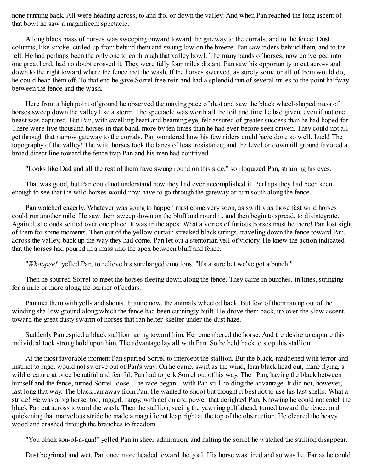none running back. All were heading across, to and fro, or down the valley. And when Pan reached the long ascent of that bowl he saw a magnificent spectacle.

A long black mass of horses was sweeping onward toward the gateway to the corrals, and to the fence. Dust columns, like smoke, curled up from behind them and swung low on the breeze. Pan saw riders behind them, and to the left. He had perhaps been the only one to go through that valley bowl. The many bands of horses, now converged into one great herd, had no doubt crossed it. They were fully four miles distant. Pan saw his opportunity to cut across and down to the right toward where the fence met the wash. If the horses swerved, as surely some or all of them would do, he could head them off. To that end he gave Sorrel free rein and had a splendid run of several miles to the point halfway between the fence and the wash.

Here from a high point of ground he observed the moving pace of dust and saw the black wheel-shaped mass of horses sweep down the valley like a storm. The spectacle was worth all the toil and time he had given, even if not one beast was captured. But Pan, with swelling heart and beaming eye, felt assured of greater success than he had hoped for. There were five thousand horses in that band, more by ten times than he had ever before seen driven. They could not all get through that narrow gateway to the corrals. Pan wondered how his few riders could have done so well. Luck! The topography of the valley! The wild horses took the lanes of least resistance; and the level or downhill ground favored a broad direct line toward the fence trap Pan and his men had contrived.

"Looks like Dad and all the rest of them have swung round on this side," soliloquized Pan, straining his eyes.

That was good, but Pan could not understand how they had ever accomplished it. Perhaps they had been keen enough to see that the wild horses would now have to go through the gateway or turn south along the fence.

Pan watched eagerly. Whatever was going to happen must come very soon, as swiftly as those fast wild horses could run another mile. He saw them sweep down on the bluff and round it, and then begin to spread, to disintegrate. Again dust clouds settled over one place. It was in the apex. What a vortex of furious horses must be there! Pan lost sight of them for some moments. Then out of the yellow curtain streaked black strings, traveling down the fence toward Pan, across the valley, back up the way they had come. Pan let out a stentorian yell of victory. He knew the action indicated that the horses had poured in a mass into the apex between bluff and fence.

"*Whoopee!*" yelled Pan, to relieve his surcharged emotions. "It's a sure bet we've got a bunch!"

Then he spurred Sorrel to meet the horses fleeing down along the fence. They came in bunches, in lines, stringing for a mile or more along the barrier of cedars.

Pan met them with yells and shouts. Frantic now, the animals wheeled back. But few of them ran up out of the winding shallow ground along which the fence had been cunningly built. He drove them back, up over the slow ascent, toward the great dusty swarm of horses that ran helter-skelter under the dust haze.

Suddenly Pan espied a black stallion racing toward him. He remembered the horse. And the desire to capture this individual took strong hold upon him. The advantage lay all with Pan. So he held back to stop this stallion.

At the most favorable moment Pan spurred Sorrel to intercept the stallion. But the black, maddened with terror and instinct to rage, would not swerve out of Pan's way. On he came, swift as the wind, lean black head out, mane flying, a wild creature at once beautiful and fearful. Pan had to jerk Sorrel out of his way. Then Pan, having the black between himself and the fence, turned Sorrel loose. The race began—with Pan still holding the advantage. It did not, however, last long that way. The black ran away from Pan. He wanted to shoot but thought it best not to use his last shells. What a stride! He was a big horse, too, ragged, rangy, with action and power that delighted Pan. Knowing he could not catch the black Pan cut across toward the wash. Then the stallion, seeing the yawning gulf ahead, turned toward the fence, and quickening that marvelous stride he made a magnificent leap right at the top of the obstruction. He cleared the heavy wood and crashed through the branches to freedom.

"You black son-of-a-gun!" yelled Pan in sheer admiration, and halting the sorrel he watched the stallion disappear.

Dust begrimed and wet, Pan once more headed toward the goal. His horse was tired and so was he. Far as he could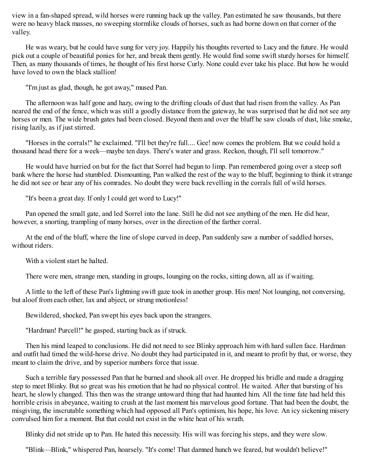view in a fan-shaped spread, wild horses were running back up the valley. Pan estimated he saw thousands, but there were no heavy black masses, no sweeping stormlike clouds of horses, such as had borne down on that corner of the valley.

He was weary, but he could have sung for very joy. Happily his thoughts reverted to Lucy and the future. He would pick out a couple of beautiful ponies for her, and break them gently. He would find some swift sturdy horses for himself. Then, as many thousands of times, he thought of his first horse Curly. None could ever take his place. But how he would have loved to own the black stallion!

"I'm just as glad, though, he got away," mused Pan.

The afternoon was half gone and hazy, owing to the drifting clouds of dust that had risen from the valley. As Pan neared the end of the fence, which was still a goodly distance from the gateway, he was surprised that he did not see any horses or men. The wide brush gates had been closed. Beyond them and over the bluff he saw clouds of dust, like smoke, rising lazily, as if just stirred.

"Horses in the corrals!" he exclaimed. "I'll bet they're full.... Gee! now comes the problem. But we could hold a thousand head there for a week—maybe ten days. There's water and grass. Reckon, though, I'll sell tomorrow."

He would have hurried on but for the fact that Sorrel had begun to limp. Pan remembered going over a steep soft bank where the horse had stumbled. Dismounting, Pan walked the rest of the way to the bluff, beginning to think it strange he did not see or hear any of his comrades. No doubt they were back revelling in the corrals full of wild horses.

"It's been a great day. If only I could get word to Lucy!"

Pan opened the small gate, and led Sorrel into the lane. Still he did not see anything of the men. He did hear, however, a snorting, trampling of many horses, over in the direction of the farther corral.

At the end of the bluff, where the line of slope curved in deep, Pan suddenly saw a number of saddled horses, without riders.

With a violent start he halted.

There were men, strange men, standing in groups, lounging on the rocks, sitting down, all as if waiting.

A little to the left of these Pan's lightning swift gaze took in another group. His men! Not lounging, not conversing, but aloof from each other, lax and abject, or strung motionless!

Bewildered, shocked, Pan swept his eyes back upon the strangers.

"Hardman! Purcell!" he gasped, starting back as if struck.

Then his mind leaped to conclusions. He did not need to see Blinky approach him with hard sullen face. Hardman and outfit had timed the wild-horse drive. No doubt they had participated in it, and meant to profit by that, or worse, they meant to claim the drive, and by superior numbers force that issue.

Such a terrible fury possessed Pan that he burned and shook all over. He dropped his bridle and made a dragging step to meet Blinky. But so great was his emotion that he had no physical control. He waited. After that bursting of his heart, he slowly changed. This then was the strange untoward thing that had haunted him. All the time fate had held this horrible crisis in abeyance, waiting to crush at the last moment his marvelous good fortune. That had been the doubt, the misgiving, the inscrutable something which had opposed all Pan's optimism, his hope, his love. An icy sickening misery convulsed him for a moment. But that could not exist in the white heat of his wrath.

Blinky did not stride up to Pan. He hated this necessity. His will was forcing his steps, and they were slow.

"Blink—Blink," whispered Pan, hoarsely. "It's come! That damned hunch we feared, but wouldn't believe!"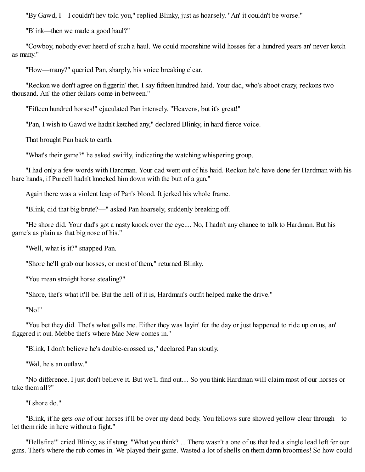"By Gawd, I—I couldn't hev told you," replied Blinky, just as hoarsely. "An' it couldn't be worse."

"Blink—then we made a good haul?"

"Cowboy, nobody ever heerd of such a haul. We could moonshine wild hosses fer a hundred years an' never ketch as many."

"How—many?" queried Pan, sharply, his voice breaking clear.

"Reckon we don't agree on figgerin' thet. I say fifteen hundred haid. Your dad, who's aboot crazy, reckons two thousand. An' the other fellars come in between."

"Fifteen hundred horses!" ejaculated Pan intensely. "Heavens, but it's great!"

"Pan, I wish to Gawd we hadn't ketched any," declared Blinky, in hard fierce voice.

That brought Pan back to earth.

"What's their game?" he asked swiftly, indicating the watching whispering group.

"I had only a few words with Hardman. Your dad went out of his haid. Reckon he'd have done fer Hardman with his bare hands, if Purcell hadn't knocked him down with the butt of a gun."

Again there was a violent leap of Pan's blood. It jerked his whole frame.

"Blink, did that big brute?—" asked Pan hoarsely, suddenly breaking off.

"He shore did. Your dad's got a nasty knock over the eye.... No, I hadn't any chance to talk to Hardman. But his game's as plain as that big nose of his."

"Well, what is it?" snapped Pan.

"Shore he'll grab our hosses, or most of them," returned Blinky.

"You mean straight horse stealing?"

"Shore, thet's what it'll be. But the hell of it is, Hardman's outfit helped make the drive."

"No!"

"You bet they did. Thet's what galls me. Either they was layin' fer the day or just happened to ride up on us, an' figgered it out. Mebbe thet's where Mac New comes in."

"Blink, I don't believe he's double-crossed us," declared Pan stoutly.

"Wal, he's an outlaw."

"No difference. I just don't believe it. But we'll find out.... So you think Hardman will claim most of our horses or take them all?"

"I shore do."

"Blink, if he gets *one* of our horses it'll be over my dead body. You fellows sure showed yellow clear through—to let them ride in here without a fight."

"Hellsfire!" cried Blinky, as if stung. "What you think? ... There wasn't a one of us thet had a single lead left fer our guns. Thet's where the rub comes in. We played their game. Wasted a lot of shells on them damn broomies! So how could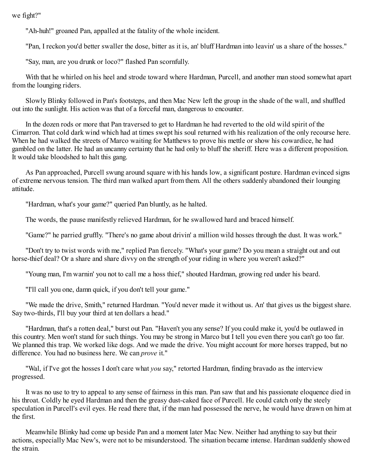we fight?"

"Ah-huh!" groaned Pan, appalled at the fatality of the whole incident.

"Pan, I reckon you'd better swaller the dose, bitter as it is, an' bluff Hardman into leavin' us a share of the hosses."

"Say, man, are you drunk or loco?" flashed Pan scornfully.

With that he whirled on his heel and strode toward where Hardman, Purcell, and another man stood somewhat apart from the lounging riders.

Slowly Blinky followed in Pan's footsteps, and then Mac New left the group in the shade of the wall, and shuffled out into the sunlight. His action was that of a forceful man, dangerous to encounter.

In the dozen rods or more that Pan traversed to get to Hardman he had reverted to the old wild spirit of the Cimarron. That cold dark wind which had at times swept his soul returned with his realization of the only recourse here. When he had walked the streets of Marco waiting for Matthews to prove his mettle or show his cowardice, he had gambled on the latter. He had an uncanny certainty that he had only to bluff the sheriff. Here was a different proposition. It would take bloodshed to halt this gang.

As Pan approached, Purcell swung around square with his hands low, a significant posture. Hardman evinced signs of extreme nervous tension. The third man walked apart from them. All the others suddenly abandoned their lounging attitude.

"Hardman, what's your game?" queried Pan bluntly, as he halted.

The words, the pause manifestly relieved Hardman, for he swallowed hard and braced himself.

"Game?" he parried gruffly. "There's no game about drivin' a million wild hosses through the dust. It was work."

"Don't try to twist words with me," replied Pan fiercely. "What's your game? Do you mean a straight out and out horse-thief deal? Or a share and share divvy on the strength of your riding in where you weren't asked?"

"Young man, I'm warnin' you not to call me a hoss thief," shouted Hardman, growing red under his beard.

"I'll call you one, damn quick, if you don't tell your game."

"We made the drive, Smith," returned Hardman. "You'd never made it without us. An' that gives us the biggest share. Say two-thirds, I'll buy your third at ten dollars a head."

"Hardman, that's a rotten deal," burst out Pan. "Haven't you any sense? If you could make it, you'd be outlawed in this country. Men won't stand for such things. You may be strong in Marco but I tell you even there you can't go too far. We planned this trap. We worked like dogs. And we made the drive. You might account for more horses trapped, but no difference. You had no business here. We can *prove* it."

"Wal, if I've got the hosses I don't care what *you* say," retorted Hardman, finding bravado as the interview progressed.

It was no use to try to appeal to any sense of fairness in this man. Pan saw that and his passionate eloquence died in his throat. Coldly he eyed Hardman and then the greasy dust-caked face of Purcell. He could catch only the steely speculation in Purcell's evil eyes. He read there that, if the man had possessed the nerve, he would have drawn on him at the first.

Meanwhile Blinky had come up beside Pan and a moment later Mac New. Neither had anything to say but their actions, especially Mac New's, were not to be misunderstood. The situation became intense. Hardman suddenly showed the strain.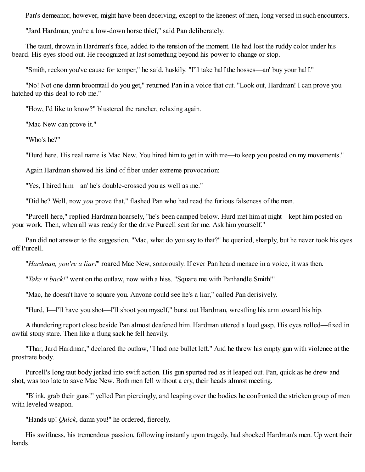Pan's demeanor, however, might have been deceiving, except to the keenest of men, long versed in such encounters.

"Jard Hardman, you're a low-down horse thief," said Pan deliberately.

The taunt, thrown in Hardman's face, added to the tension of the moment. He had lost the ruddy color under his beard. His eyes stood out. He recognized at last something beyond his power to change or stop.

"Smith, reckon you've cause for temper," he said, huskily. "I'll take half the hosses—an' buy your half."

"No! Not one damn broomtail do you get," returned Pan in a voice that cut. "Look out, Hardman! I can prove you hatched up this deal to rob me."

"How, I'd like to know?" blustered the rancher, relaxing again.

"Mac New can prove it."

"Who's he?"

"Hurd here. His real name is Mac New. You hired him to get in with me—to keep you posted on my movements."

Again Hardman showed his kind of fiber under extreme provocation:

"Yes, I hired him—an' he's double-crossed you as well as me."

"Did he? Well, now *you* prove that," flashed Pan who had read the furious falseness of the man.

"Purcell here," replied Hardman hoarsely, "he's been camped below. Hurd met him at night—kept him posted on your work. Then, when all was ready for the drive Purcell sent for me. Ask him yourself."

Pan did not answer to the suggestion. "Mac, what do you say to that?" he queried, sharply, but he never took his eyes off Purcell.

"*Hardman, you're a liar!*" roared Mac New, sonorously. If ever Pan heard menace in a voice, it was then.

"*Take it back!*" went on the outlaw, now with a hiss. "Square me with Panhandle Smith!"

"Mac, he doesn't have to square you. Anyone could see he's a liar," called Pan derisively.

"Hurd, I—I'll have you shot—I'll shoot you myself," burst out Hardman, wrestling his arm toward his hip.

A thundering report close beside Pan almost deafened him. Hardman uttered a loud gasp. His eyes rolled—fixed in awful stony stare. Then like a flung sack he fell heavily.

"Thar, Jard Hardman," declared the outlaw, "I had one bullet left." And he threw his empty gun with violence at the prostrate body.

Purcell's long taut body jerked into swift action. His gun spurted red as it leaped out. Pan, quick as he drew and shot, was too late to save Mac New. Both men fell without a cry, their heads almost meeting.

"Blink, grab their guns!" yelled Pan piercingly, and leaping over the bodies he confronted the stricken group of men with leveled weapon.

"Hands up! *Quick*, damn you!" he ordered, fiercely.

His swiftness, his tremendous passion, following instantly upon tragedy, had shocked Hardman's men. Up went their hands.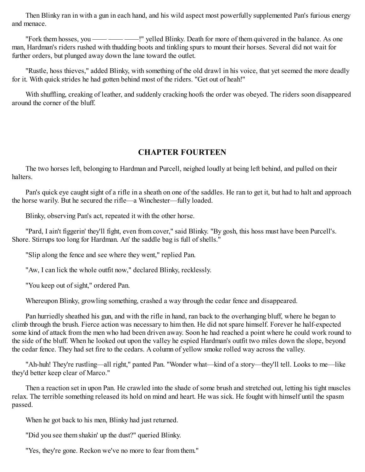Then Blinky ran in with a gun in each hand, and his wild aspect most powerfully supplemented Pan's furious energy and menace.

"Fork them hosses, you —— —— ——!" yelled Blinky. Death for more of them quivered in the balance. As one man, Hardman's riders rushed with thudding boots and tinkling spurs to mount their horses. Several did not wait for further orders, but plunged away down the lane toward the outlet.

"Rustle, hoss thieves," added Blinky, with something of the old drawl in his voice, that yet seemed the more deadly for it. With quick strides he had gotten behind most of the riders. "Get out of heah!"

With shuffling, creaking of leather, and suddenly cracking hoofs the order was obeyed. The riders soon disappeared around the corner of the bluff.

## **CHAPTER FOURTEEN**

The two horses left, belonging to Hardman and Purcell, neighed loudly at being left behind, and pulled on their halters.

Pan's quick eye caught sight of a rifle in a sheath on one of the saddles. He ran to get it, but had to halt and approach the horse warily. But he secured the rifle—a Winchester—fully loaded.

Blinky, observing Pan's act, repeated it with the other horse.

"Pard, I ain't figgerin' they'll fight, even from cover," said Blinky. "By gosh, this hoss must have been Purcell's. Shore. Stirrups too long for Hardman. An' the saddle bag is full of shells."

"Slip along the fence and see where they went," replied Pan.

"Aw, I can lick the whole outfit now," declared Blinky, recklessly.

"You keep out of sight," ordered Pan.

Whereupon Blinky, growling something, crashed a way through the cedar fence and disappeared.

Pan hurriedly sheathed his gun, and with the rifle in hand, ran back to the overhanging bluff, where he began to climb through the brush. Fierce action was necessary to him then. He did not spare himself. Forever he half-expected some kind of attack from the men who had been driven away. Soon he had reached a point where he could work round to the side of the bluff. When he looked out upon the valley he espied Hardman's outfit two miles down the slope, beyond the cedar fence. They had set fire to the cedars. A column of yellow smoke rolled way across the valley.

"Ah-huh! They're rustling—all right," panted Pan. "Wonder what—kind of a story—they'll tell. Looks to me—like they'd better keep clear of Marco."

Then a reaction set in upon Pan. He crawled into the shade of some brush and stretched out, letting his tight muscles relax. The terrible something released its hold on mind and heart. He was sick. He fought with himself until the spasm passed.

When he got back to his men, Blinky had just returned.

"Did you see them shakin' up the dust?" queried Blinky.

"Yes, they're gone. Reckon we've no more to fear from them."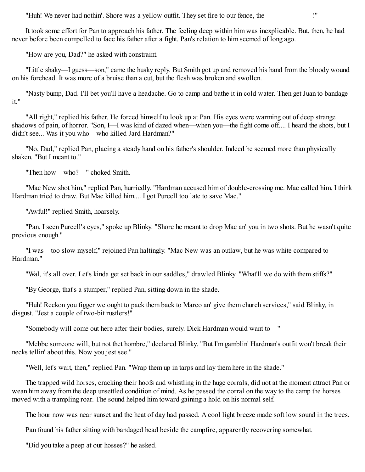"Huh! We never had nothin'. Shore was a yellow outfit. They set fire to our fence, the —— —— ——!"

It took some effort for Pan to approach his father. The feeling deep within him was inexplicable. But, then, he had never before been compelled to face his father after a fight. Pan's relation to him seemed of long ago.

"How are you, Dad?" he asked with constraint.

"Little shaky—I guess—son," came the husky reply. But Smith got up and removed his hand from the bloody wound on his forehead. It was more of a bruise than a cut, but the flesh was broken and swollen.

"Nasty bump, Dad. I'll bet you'll have a headache. Go to camp and bathe it in cold water. Then get Juan to bandage it."

"All right," replied his father. He forced himself to look up at Pan. His eyes were warming out of deep strange shadows of pain, of horror. "Son, I—I was kind of dazed when—when you—the fight come off.... I heard the shots, but I didn't see... Was it you who—who killed Jard Hardman?"

"No, Dad," replied Pan, placing a steady hand on his father's shoulder. Indeed he seemed more than physically shaken. "But I meant to."

"Then how—who?—" choked Smith.

"Mac New shot him," replied Pan, hurriedly. "Hardman accused him of double-crossing me. Mac called him. I think Hardman tried to draw. But Mac killed him.... I got Purcell too late to save Mac."

"Awful!" replied Smith, hoarsely.

"Pan, I seen Purcell's eyes," spoke up Blinky. "Shore he meant to drop Mac an' you in two shots. But he wasn't quite previous enough."

"I was—too slow myself," rejoined Pan haltingly. "Mac New was an outlaw, but he was white compared to Hardman."

"Wal, it's all over. Let's kinda get set back in our saddles," drawled Blinky. "What'll we do with them stiffs?"

"By George, that's a stumper," replied Pan, sitting down in the shade.

"Huh! Reckon you figger we ought to pack them back to Marco an' give them church services," said Blinky, in disgust. "Jest a couple of two-bit rustlers!"

"Somebody will come out here after their bodies, surely. Dick Hardman would want to—"

"Mebbe someone will, but not thet hombre," declared Blinky. "But I'm gamblin' Hardman's outfit won't break their necks tellin' aboot this. Now you jest see."

"Well, let's wait, then," replied Pan. "Wrap them up in tarps and lay them here in the shade."

The trapped wild horses, cracking their hoofs and whistling in the huge corrals, did not at the moment attract Pan or wean him away from the deep unsettled condition of mind. As he passed the corral on the way to the camp the horses moved with a trampling roar. The sound helped him toward gaining a hold on his normal self.

The hour now was near sunset and the heat of day had passed. A cool light breeze made soft low sound in the trees.

Pan found his father sitting with bandaged head beside the campfire, apparently recovering somewhat.

"Did you take a peep at our hosses?" he asked.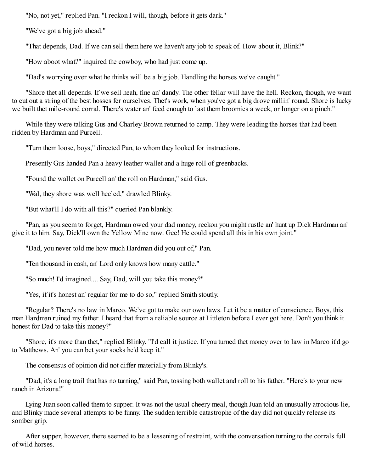"No, not yet," replied Pan. "I reckon I will, though, before it gets dark."

"We've got a big job ahead."

"That depends, Dad. If we can sell them here we haven't any job to speak of. How about it, Blink?"

"How aboot what?" inquired the cowboy, who had just come up.

"Dad's worrying over what he thinks will be a big job. Handling the horses we've caught."

"Shore thet all depends. If we sell heah, fine an' dandy. The other fellar will have the hell. Reckon, though, we want to cut out a string of the best hosses fer ourselves. Thet's work, when you've got a big drove millin' round. Shore is lucky we built thet mile-round corral. There's water an' feed enough to last them broomies a week, or longer on a pinch."

While they were talking Gus and Charley Brown returned to camp. They were leading the horses that had been ridden by Hardman and Purcell.

"Turn them loose, boys," directed Pan, to whom they looked for instructions.

Presently Gus handed Pan a heavy leather wallet and a huge roll of greenbacks.

"Found the wallet on Purcell an' the roll on Hardman," said Gus.

"Wal, they shore was well heeled," drawled Blinky.

"But what'll I do with all this?" queried Pan blankly.

"Pan, as you seem to forget, Hardman owed your dad money, reckon you might rustle an' hunt up Dick Hardman an' give it to him. Say, Dick'll own the Yellow Mine now. Gee! He could spend all this in his own joint."

"Dad, you never told me how much Hardman did you out of," Pan.

"Ten thousand in cash, an' Lord only knows how many cattle."

"So much! I'd imagined.... Say, Dad, will you take this money?"

"Yes, if it's honest an' regular for me to do so," replied Smith stoutly.

"Regular? There's no law in Marco. We've got to make our own laws. Let it be a matter of conscience. Boys, this man Hardman ruined my father. I heard that from a reliable source at Littleton before I ever got here. Don't you think it honest for Dad to take this money?"

"Shore, it's more than thet," replied Blinky. "I'd call it justice. If you turned thet money over to law in Marco it'd go to Matthews. An' you can bet your socks he'd keep it."

The consensus of opinion did not differ materially from Blinky's.

"Dad, it's a long trail that has no turning," said Pan, tossing both wallet and roll to his father. "Here's to your new ranch in Arizona!"

Lying Juan soon called them to supper. It was not the usual cheery meal, though Juan told an unusually atrocious lie, and Blinky made several attempts to be funny. The sudden terrible catastrophe of the day did not quickly release its somber grip.

After supper, however, there seemed to be a lessening of restraint, with the conversation turning to the corrals full of wild horses.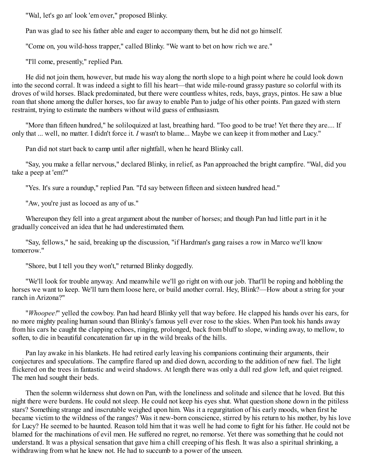"Wal, let's go an' look 'em over," proposed Blinky.

Pan was glad to see his father able and eager to accompany them, but he did not go himself.

"Come on, you wild-hoss trapper," called Blinky. "We want to bet on how rich we are."

"I'll come, presently," replied Pan.

He did not join them, however, but made his way along the north slope to a high point where he could look down into the second corral. It was indeed a sight to fill his heart—that wide mile-round grassy pasture so colorful with its droves of wild horses. Black predominated, but there were countless whites, reds, bays, grays, pintos. He saw a blue roan that shone among the duller horses, too far away to enable Pan to judge of his other points. Pan gazed with stern restraint, trying to estimate the numbers without wild guess of enthusiasm.

"More than fifteen hundred," he soliloquized at last, breathing hard. "Too good to be true! Yet there they are.... If only that ... well, no matter. I didn't force it. *I* wasn't to blame... Maybe we can keep it from mother and Lucy."

Pan did not start back to camp until after nightfall, when he heard Blinky call.

"Say, you make a fellar nervous," declared Blinky, in relief, as Pan approached the bright campfire. "Wal, did you take a peep at 'em?"

"Yes. It's sure a roundup," replied Pan. "I'd say between fifteen and sixteen hundred head."

"Aw, you're just as locoed as any of us."

Whereupon they fell into a great argument about the number of horses; and though Pan had little part in it he gradually conceived an idea that he had underestimated them.

"Say, fellows," he said, breaking up the discussion, "if Hardman's gang raises a row in Marco we'll know tomorrow."

"Shore, but I tell you they won't," returned Blinky doggedly.

"We'll look for trouble anyway. And meanwhile we'll go right on with our job. That'll be roping and hobbling the horses we want to keep. We'll turn them loose here, or build another corral. Hey, Blink?—How about a string for your ranch in Arizona?"

"*Whoopee!*" yelled the cowboy. Pan had heard Blinky yell that way before. He clapped his hands over his ears, for no more mighty pealing human sound than Blinky's famous yell ever rose to the skies. When Pan took his hands away from his cars he caught the clapping echoes, ringing, prolonged, back from bluff to slope, winding away, to mellow, to soften, to die in beautiful concatenation far up in the wild breaks of the hills.

Pan lay awake in his blankets. He had retired early leaving his companions continuing their arguments, their conjectures and speculations. The campfire flared up and died down, according to the addition of new fuel. The light flickered on the trees in fantastic and weird shadows. At length there was only a dull red glow left, and quiet reigned. The men had sought their beds.

Then the solemn wilderness shut down on Pan, with the loneliness and solitude and silence that he loved. But this night there were burdens. He could not sleep. He could not keep his eyes shut. What question shone down in the pitiless stars? Something strange and inscrutable weighed upon him. Was it a regurgitation of his early moods, when first he became victim to the wildness of the ranges? Was it new-born conscience, stirred by his return to his mother, by his love for Lucy? He seemed to be haunted. Reason told him that it was well he had come to fight for his father. He could not be blamed for the machinations of evil men. He suffered no regret, no remorse. Yet there was something that he could not understand. It was a physical sensation that gave him a chill creeping of his flesh. It was also a spiritual shrinking, a withdrawing from what he knew not. He had to succumb to a power of the unseen.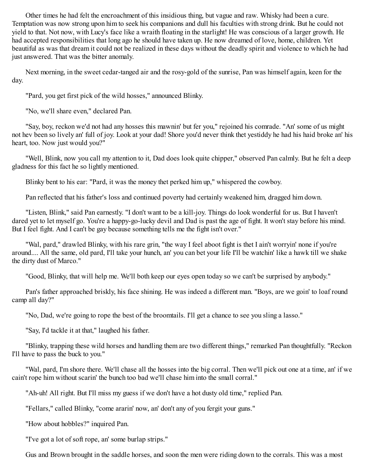Other times he had felt the encroachment of this insidious thing, but vague and raw. Whisky had been a cure. Temptation was now strong upon him to seek his companions and dull his faculties with strong drink. But he could not yield to that. Not now, with Lucy's face like a wraith floating in the starlight! He was conscious of a larger growth. He had accepted responsibilities that long ago he should have taken up. He now dreamed of love, home, children. Yet beautiful as was that dream it could not be realized in these days without the deadly spirit and violence to which he had just answered. That was the bitter anomaly.

Next morning, in the sweet cedar-tanged air and the rosy-gold of the sunrise, Pan was himself again, keen for the day.

"Pard, you get first pick of the wild hosses," announced Blinky.

"No, we'll share even," declared Pan.

"Say, boy, reckon we'd not had any hosses this mawnin' but fer you," rejoined his comrade. "An' some of us might not hev been so lively an' full of joy. Look at your dad! Shore you'd never think thet yestiddy he had his haid broke an' his heart, too. Now just would you?"

"Well, Blink, now you call my attention to it, Dad does look quite chipper," observed Pan calmly. But he felt a deep gladness for this fact he so lightly mentioned.

Blinky bent to his ear: "Pard, it was the money thet perked him up," whispered the cowboy.

Pan reflected that his father's loss and continued poverty had certainly weakened him, dragged him down.

"Listen, Blink," said Pan earnestly. "I don't want to be a kill-joy. Things do look wonderful for us. But I haven't dared yet to let myself go. You're a happy-go-lucky devil and Dad is past the age of fight. It won't stay before his mind. But I feel fight. And I can't be gay because something tells me the fight isn't over."

"Wal, pard," drawled Blinky, with his rare grin, "the way I feel aboot fight is thet I ain't worryin' none if you're around.... All the same, old pard, I'll take your hunch, an' you can bet your life I'll be watchin' like a hawk till we shake the dirty dust of Marco."

"Good, Blinky, that will help me. We'll both keep our eyes open today so we can't be surprised by anybody."

Pan's father approached briskly, his face shining. He was indeed a different man. "Boys, are we goin' to loaf round camp all day?"

"No, Dad, we're going to rope the best of the broomtails. I'll get a chance to see you sling a lasso."

"Say, I'd tackle it at that," laughed his father.

"Blinky, trapping these wild horses and handling them are two different things," remarked Pan thoughtfully. "Reckon I'll have to pass the buck to you."

"Wal, pard, I'm shore there. We'll chase all the hosses into the big corral. Then we'll pick out one at a time, an' if we cain't rope him without scarin' the bunch too bad we'll chase him into the small corral."

"Ah-uh! All right. But I'll miss my guess if we don't have a hot dusty old time," replied Pan.

"Fellars," called Blinky, "come ararin' now, an' don't any of you fergit your guns."

"How about hobbles?" inquired Pan.

"I've got a lot of soft rope, an' some burlap strips."

Gus and Brown brought in the saddle horses, and soon the men were riding down to the corrals. This was a most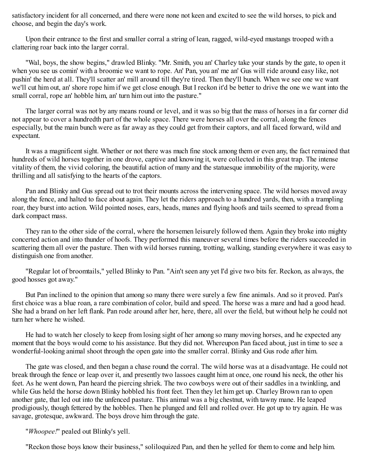satisfactory incident for all concerned, and there were none not keen and excited to see the wild horses, to pick and choose, and begin the day's work.

Upon their entrance to the first and smaller corral a string of lean, ragged, wild-eyed mustangs trooped with a clattering roar back into the larger corral.

"Wal, boys, the show begins," drawled Blinky. "Mr. Smith, you an' Charley take your stands by the gate, to open it when you see us comin' with a broomie we want to rope. An' Pan, you an' me an' Gus will ride around easy like, not pushin' the herd at all. They'll scatter an' mill around till they're tired. Then they'll bunch. When we see one we want we'll cut him out, an' shore rope him if we get close enough. But I reckon it'd be better to drive the one we want into the small corral, rope an' hobble him, an' turn him out into the pasture."

The larger corral was not by any means round or level, and it was so big that the mass of horses in a far corner did not appear to cover a hundredth part of the whole space. There were horses all over the corral, along the fences especially, but the main bunch were as far away as they could get from their captors, and all faced forward, wild and expectant.

It was a magnificent sight. Whether or not there was much fine stock among them or even any, the fact remained that hundreds of wild horses together in one drove, captive and knowing it, were collected in this great trap. The intense vitality of them, the vivid coloring, the beautiful action of many and the statuesque immobility of the majority, were thrilling and all satisfying to the hearts of the captors.

Pan and Blinky and Gus spread out to trot their mounts across the intervening space. The wild horses moved away along the fence, and halted to face about again. They let the riders approach to a hundred yards, then, with a trampling roar, they burst into action. Wild pointed noses, ears, heads, manes and flying hoofs and tails seemed to spread from a dark compact mass.

They ran to the other side of the corral, where the horsemen leisurely followed them. Again they broke into mighty concerted action and into thunder of hoofs. They performed this maneuver several times before the riders succeeded in scattering them all over the pasture. Then with wild horses running, trotting, walking, standing everywhere it was easy to distinguish one from another.

"Regular lot of broomtails," yelled Blinky to Pan. "Ain't seen any yet I'd give two bits fer. Reckon, as always, the good hosses got away."

But Pan inclined to the opinion that among so many there were surely a few fine animals. And so it proved. Pan's first choice was a blue roan, a rare combination of color, build and speed. The horse was a mare and had a good head. She had a brand on her left flank. Pan rode around after her, here, there, all over the field, but without help he could not turn her where he wished.

He had to watch her closely to keep from losing sight of her among so many moving horses, and he expected any moment that the boys would come to his assistance. But they did not. Whereupon Pan faced about, just in time to see a wonderful-looking animal shoot through the open gate into the smaller corral. Blinky and Gus rode after him.

The gate was closed, and then began a chase round the corral. The wild horse was at a disadvantage. He could not break through the fence or leap over it, and presently two lassoes caught him at once, one round his neck, the other his feet. As he went down, Pan heard the piercing shriek. The two cowboys were out of their saddles in a twinkling, and while Gus held the horse down Blinky hobbled his front feet. Then they let him get up. Charley Brown ran to open another gate, that led out into the unfenced pasture. This animal was a big chestnut, with tawny mane. He leaped prodigiously, though fettered by the hobbles. Then he plunged and fell and rolled over. He got up to try again. He was savage, grotesque, awkward. The boys drove him through the gate.

"*Whoopee!*" pealed out Blinky's yell.

"Reckon those boys know their business," soliloquized Pan, and then he yelled for them to come and help him.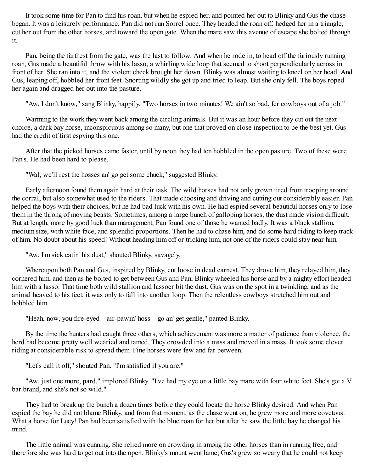It took some time for Pan to find his roan, but when he espied her, and pointed her out to Blinky and Gus the chase began. It was a leisurely performance. Pan did not run Sorrel once. They headed the roan off, hedged her in a triangle, cut her out from the other horses, and toward the open gate. When the mare saw this avenue of escape she bolted through it.

Pan, being the farthest from the gate, was the last to follow. And when he rode in, to head off the furiously running roan, Gus made a beautiful throw with his lasso, a whirling wide loop that seemed to shoot perpendicularly across in front of her. She ran into it, and the violent check brought her down. Blinky was almost waiting to kneel on her head. And Gus, leaping off, hobbled her front feet. Snorting wildly she got up and tried to leap. But she only fell. The boys roped her again and dragged her out into the pasture.

"Aw, I don't know," sang Blinky, happily. "Two horses in two minutes! We ain't so bad, fer cowboys out of a job."

Warming to the work they went back among the circling animals. But it was an hour before they cut out the next choice, a dark bay horse, inconspicuous among so many, but one that proved on close inspection to be the best yet. Gus had the credit of first espying this one.

After that the picked horses came faster, until by noon they had ten hobbled in the open pasture. Two of these were Pan's. He had been hard to please.

"Wal, we'll rest the hosses an' go get some chuck," suggested Blinky.

Early afternoon found them again hard at their task. The wild horses had not only grown tired from trooping around the corral, but also somewhat used to the riders. That made choosing and driving and cutting out considerably easier. Pan helped the boys with their choices, but he had bad luck with his own. He had espied several beautiful horses only to lose them in the throng of moving beasts. Sometimes, among a large bunch of galloping horses, the dust made vision difficult. But at length, more by good luck than management, Pan found one of those he wanted badly. It was a black stallion, medium size, with white face, and splendid proportions. Then he had to chase him, and do some hard riding to keep track of him. No doubt about his speed! Without heading him off or tricking him, not one of the riders could stay near him.

"Aw, I'm sick eatin' his dust," shouted Blinky, savagely.

Whereupon both Pan and Gus, inspired by Blinky, cut loose in dead earnest. They drove him, they relayed him, they cornered him, and then as he bolted to get between Gus and Pan, Blinky wheeled his horse and by a mighty effort headed him with a lasso. That time both wild stallion and lassoer bit the dust. Gus was on the spot in a twinkling, and as the animal heaved to his feet, it was only to fall into another loop. Then the relentless cowboys stretched him out and hobbled him.

"Heah, now, you fire-eyed—air-pawin' hoss—go an' get gentle," panted Blinky.

By the time the hunters had caught three others, which achievement was more a matter of patience than violence, the herd had become pretty well wearied and tamed. They crowded into a mass and moved in a mass. It took some clever riding at considerable risk to spread them. Fine horses were few and far between.

"Let's call it off," shouted Pan. "I'm satisfied if you are."

"Aw, just one more, pard," implored Blinky. "I've had my eye on a little bay mare with four white feet. She's got a V bar brand, and she's not so wild."

They had to break up the bunch a dozen times before they could locate the horse Blinky desired. And when Pan espied the bay he did not blame Blinky, and from that moment, as the chase went on, he grew more and more covetous. What a horse for Lucy! Pan had been satisfied with the blue roan for her but after he saw the little bay he changed his mind.

The little animal was cunning. She relied more on crowding in among the other horses than in running free, and therefore she was hard to get out into the open. Blinky's mount went lame; Gus's grew so weary that he could not keep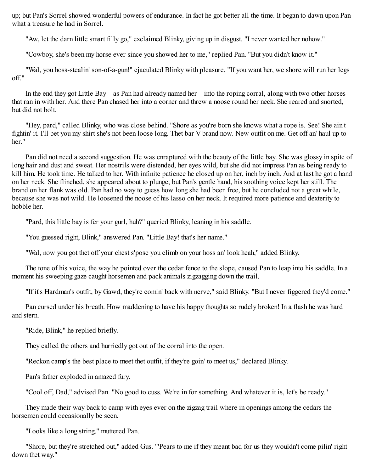up; but Pan's Sorrel showed wonderful powers of endurance. In fact he got better all the time. It began to dawn upon Pan what a treasure he had in Sorrel.

"Aw, let the darn little smart filly go," exclaimed Blinky, giving up in disgust. "I never wanted her nohow."

"Cowboy, she's been my horse ever since you showed her to me," replied Pan. "But you didn't know it."

"Wal, you hoss-stealin' son-of-a-gun!" ejaculated Blinky with pleasure. "If you want her, we shore will run her legs off."

In the end they got Little Bay—as Pan had already named her—into the roping corral, along with two other horses that ran in with her. And there Pan chased her into a corner and threw a noose round her neck. She reared and snorted, but did not bolt.

"Hey, pard," called Blinky, who was close behind. "Shore as you're born she knows what a rope is. See! She ain't fightin' it. I'll bet you my shirt she's not been loose long. Thet bar V brand now. New outfit on me. Get off an' haul up to her."

Pan did not need a second suggestion. He was enraptured with the beauty of the little bay. She was glossy in spite of long hair and dust and sweat. Her nostrils were distended, her eyes wild, but she did not impress Pan as being ready to kill him. He took time. He talked to her. With infinite patience he closed up on her, inch by inch. And at last he got a hand on her neck. She flinched, she appeared about to plunge, but Pan's gentle hand, his soothing voice kept her still. The brand on her flank was old. Pan had no way to guess how long she had been free, but he concluded not a great while, because she was not wild. He loosened the noose of his lasso on her neck. It required more patience and dexterity to hobble her.

"Pard, this little bay is fer your gurl, huh?" queried Blinky, leaning in his saddle.

"You guessed right, Blink," answered Pan. "Little Bay! that's her name."

"Wal, now you got thet off your chest s'pose you climb on your hoss an' look heah," added Blinky.

The tone of his voice, the way he pointed over the cedar fence to the slope, caused Pan to leap into his saddle. In a moment his sweeping gaze caught horsemen and pack animals zigzagging down the trail.

"If it's Hardman's outfit, by Gawd, they're comin' back with nerve," said Blinky. "But I never figgered they'd come."

Pan cursed under his breath. How maddening to have his happy thoughts so rudely broken! In a flash he was hard and stern.

"Ride, Blink," he replied briefly.

They called the others and hurriedly got out of the corral into the open.

"Reckon camp's the best place to meet thet outfit, if they're goin' to meet us," declared Blinky.

Pan's father exploded in amazed fury.

"Cool off, Dad," advised Pan. "No good to cuss. We're in for something. And whatever it is, let's be ready."

They made their way back to camp with eyes ever on the zigzag trail where in openings among the cedars the horsemen could occasionally be seen.

"Looks like a long string," muttered Pan.

"Shore, but they're stretched out," added Gus. "'Pears to me if they meant bad for us they wouldn't come pilin' right down thet way."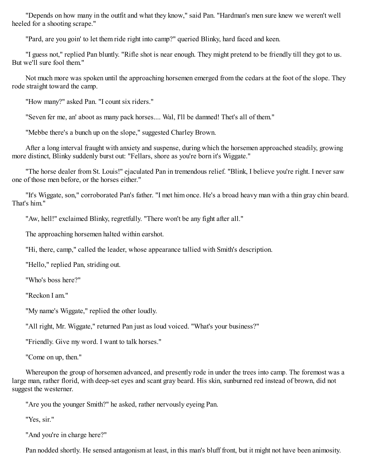"Depends on how many in the outfit and what they know," said Pan. "Hardman's men sure knew we weren't well heeled for a shooting scrape."

"Pard, are you goin' to let them ride right into camp?" queried Blinky, hard faced and keen.

"I guess not," replied Pan bluntly. "Rifle shot is near enough. They might pretend to be friendly till they got to us. But we'll sure fool them."

Not much more was spoken until the approaching horsemen emerged from the cedars at the foot of the slope. They rode straight toward the camp.

"How many?" asked Pan. "I count six riders."

"Seven fer me, an' aboot as many pack horses.... Wal, I'll be damned! Thet's all of them."

"Mebbe there's a bunch up on the slope," suggested Charley Brown.

After a long interval fraught with anxiety and suspense, during which the horsemen approached steadily, growing more distinct, Blinky suddenly burst out: "Fellars, shore as you're born it's Wiggate."

"The horse dealer from St. Louis!" ejaculated Pan in tremendous relief. "Blink, I believe you're right. I never saw one of those men before, or the horses either."

"It's Wiggate, son," corroborated Pan's father. "I met him once. He's a broad heavy man with a thin gray chin beard. That's him."

"Aw, hell!" exclaimed Blinky, regretfully. "There won't be any fight after all."

The approaching horsemen halted within earshot.

"Hi, there, camp," called the leader, whose appearance tallied with Smith's description.

"Hello," replied Pan, striding out.

"Who's boss here?"

"Reckon I am."

"My name's Wiggate," replied the other loudly.

"All right, Mr. Wiggate," returned Pan just as loud voiced. "What's your business?"

"Friendly. Give my word. I want to talk horses."

"Come on up, then."

Whereupon the group of horsemen advanced, and presently rode in under the trees into camp. The foremost was a large man, rather florid, with deep-set eyes and scant gray beard. His skin, sunburned red instead of brown, did not suggest the westerner.

"Are you the younger Smith?" he asked, rather nervously eyeing Pan.

"Yes, sir."

"And you're in charge here?"

Pan nodded shortly. He sensed antagonism at least, in this man's bluff front, but it might not have been animosity.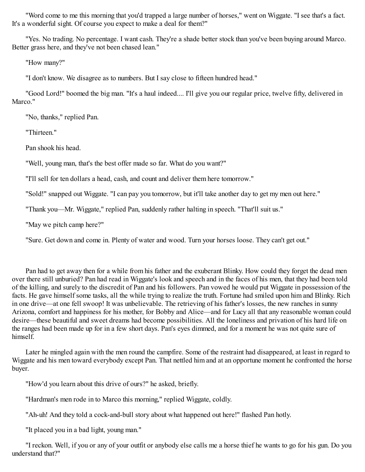"Word come to me this morning that you'd trapped a large number of horses," went on Wiggate. "I see that's a fact. It's a wonderful sight. Of course you expect to make a deal for them?"

"Yes. No trading. No percentage. I want cash. They're a shade better stock than you've been buying around Marco. Better grass here, and they've not been chased lean."

"How many?"

"I don't know. We disagree as to numbers. But I say close to fifteen hundred head."

"Good Lord!" boomed the big man. "It's a haul indeed.... I'll give you our regular price, twelve fifty, delivered in Marco."

"No, thanks," replied Pan.

"Thirteen."

Pan shook his head.

"Well, young man, that's the best offer made so far. What do you want?"

"I'll sell for ten dollars a head, cash, and count and deliver them here tomorrow."

"Sold!" snapped out Wiggate. "I can pay you tomorrow, but it'll take another day to get my men out here."

"Thank you—Mr. Wiggate," replied Pan, suddenly rather halting in speech. "That'll suit us."

"May we pitch camp here?"

"Sure. Get down and come in. Plenty of water and wood. Turn your horses loose. They can't get out."

Pan had to get away then for a while from his father and the exuberant Blinky. How could they forget the dead men over there still unburied? Pan had read in Wiggate's look and speech and in the faces of his men, that they had been told of the killing, and surely to the discredit of Pan and his followers. Pan vowed he would put Wiggate in possession of the facts. He gave himself some tasks, all the while trying to realize the truth. Fortune had smiled upon him and Blinky. Rich in one drive—at one fell swoop! It was unbelievable. The retrieving of his father's losses, the new ranches in sunny Arizona, comfort and happiness for his mother, for Bobby and Alice—and for Lucy all that any reasonable woman could desire—these beautiful and sweet dreams had become possibilities. All the loneliness and privation of his hard life on the ranges had been made up for in a few short days. Pan's eyes dimmed, and for a moment he was not quite sure of himself.

Later he mingled again with the men round the campfire. Some of the restraint had disappeared, at least in regard to Wiggate and his men toward everybody except Pan. That nettled him and at an opportune moment he confronted the horse buyer.

"How'd you learn about this drive of ours?" he asked, briefly.

"Hardman's men rode in to Marco this morning," replied Wiggate, coldly.

"Ah-uh! And they told a cock-and-bull story about what happened out here!" flashed Pan hotly.

"It placed you in a bad light, young man."

"I reckon. Well, if you or any of your outfit or anybody else calls me a horse thief he wants to go for his gun. Do you understand that?"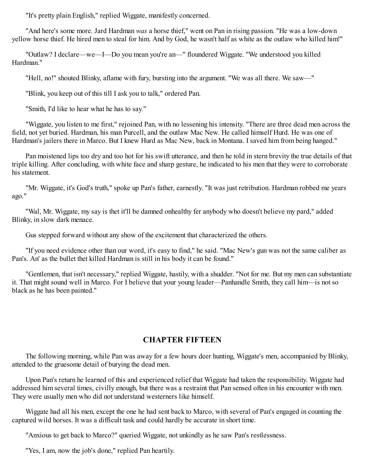"It's pretty plain English," replied Wiggate, manifestly concerned.

"And here's some more. Jard Hardman *was* a horse thief," went on Pan in rising passion. "He was a low-down yellow horse thief. He hired men to steal for him. And by God, he wasn't half as white as the outlaw who killed him!"

"Outlaw? I declare—we—I—Do you mean you're an—" floundered Wiggate. "We understood you killed Hardman."

"Hell, no!" shouted Blinky, aflame with fury, bursting into the argument. "We was all there. We saw—"

"Blink, you keep out of this till I ask you to talk," ordered Pan.

"Smith, I'd like to hear what he has to say."

"Wiggate, you listen to me first," rejoined Pan, with no lessening his intensity. "There are three dead men across the field, not yet buried. Hardman, his man Purcell, and the outlaw Mac New. He called himself Hurd. He was one of Hardman's jailers there in Marco. But I knew Hurd as Mac New, back in Montana. I saved him from being hanged."

Pan moistened lips too dry and too hot for his swift utterance, and then he told in stern brevity the true details of that triple killing. After concluding, with white face and sharp gesture, he indicated to his men that they were to corroborate his statement.

"Mr. Wiggate, it's God's truth," spoke up Pan's father, earnestly. "It was just retribution. Hardman robbed me years ago."

"Wal, Mr. Wiggate, my say is thet it'll be damned onhealthy fer anybody who doesn't believe my pard," added Blinky, in slow dark menace.

Gus stepped forward without any show of the excitement that characterized the others.

"If you need evidence other than our word, it's easy to find," he said. "Mac New's gun was not the same caliber as Pan's. An' as the bullet thet killed Hardman is still in his body it can be found."

"Gentlemen, that isn't necessary," replied Wiggate, hastily, with a shudder. "Not for me. But my men can substantiate it. That might sound well in Marco. For I believe that your young leader—Panhandle Smith, they call him—is not so black as he has been painted."

### **CHAPTER FIFTEEN**

The following morning, while Pan was away for a few hours deer hunting, Wiggate's men, accompanied by Blinky, attended to the gruesome detail of burying the dead men.

Upon Pan's return he learned of this and experienced relief that Wiggate had taken the responsibility. Wiggate had addressed him several times, civilly enough, but there was a restraint that Pan sensed often in his encounter with men. They were usually men who did not understand westerners like himself.

Wiggate had all his men, except the one he had sent back to Marco, with several of Pan's engaged in counting the captured wild horses. It was a difficult task and could hardly be accurate in short time.

"Anxious to get back to Marco?" queried Wiggate, not unkindly as he saw Pan's restlessness.

"Yes, I am, now the job's done," replied Pan heartily.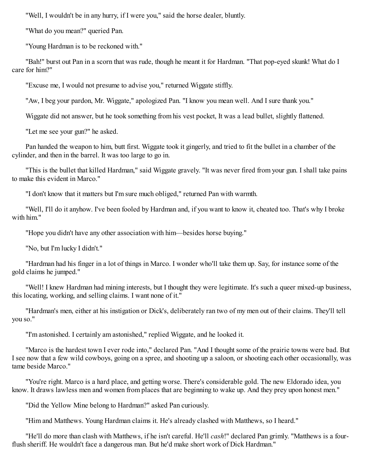"Well, I wouldn't be in any hurry, if I were you," said the horse dealer, bluntly.

"What do you mean?" queried Pan.

"Young Hardman is to be reckoned with."

"Bah!" burst out Pan in a scorn that was rude, though he meant it for Hardman. "That pop-eyed skunk! What do I care for him?"

"Excuse me, I would not presume to advise you," returned Wiggate stiffly.

"Aw, I beg your pardon, Mr. Wiggate," apologized Pan. "I know you mean well. And I sure thank you."

Wiggate did not answer, but he took something from his vest pocket, It was a lead bullet, slightly flattened.

"Let me see your gun?" he asked.

Pan handed the weapon to him, butt first. Wiggate took it gingerly, and tried to fit the bullet in a chamber of the cylinder, and then in the barrel. It was too large to go in.

"This is the bullet that killed Hardman," said Wiggate gravely. "It was never fired from your gun. I shall take pains to make this evident in Marco."

"I don't know that it matters but I'm sure much obliged," returned Pan with warmth.

"Well, I'll do it anyhow. I've been fooled by Hardman and, if you want to know it, cheated too. That's why I broke with him"

"Hope you didn't have any other association with him—besides horse buying."

"No, but I'm lucky I didn't."

"Hardman had his finger in a lot of things in Marco. I wonder who'll take them up. Say, for instance some of the gold claims he jumped."

"Well! I knew Hardman had mining interests, but I thought they were legitimate. It's such a queer mixed-up business, this locating, working, and selling claims. I want none of it."

"Hardman's men, either at his instigation or Dick's, deliberately ran two of my men out of their claims. They'll tell you so."

"I'm astonished. I certainly am astonished," replied Wiggate, and he looked it.

"Marco is the hardest town I ever rode into," declared Pan. "And I thought some of the prairie towns were bad. But I see now that a few wild cowboys, going on a spree, and shooting up a saloon, or shooting each other occasionally, was tame beside Marco."

"You're right. Marco is a hard place, and getting worse. There's considerable gold. The new Eldorado idea, you know. It draws lawless men and women from places that are beginning to wake up. And they prey upon honest men."

"Did the Yellow Mine belong to Hardman?" asked Pan curiously.

"Him and Matthews. Young Hardman claims it. He's already clashed with Matthews, so I heard."

"He'll do more than clash with Matthews, if he isn't careful. He'll *cash*!" declared Pan grimly. "Matthews is a fourflush sheriff. He wouldn't face a dangerous man. But he'd make short work of Dick Hardman."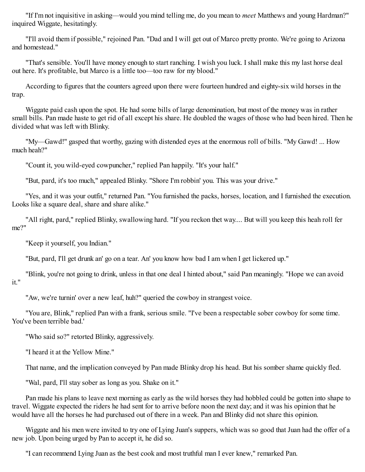"If I'm not inquisitive in asking—would you mind telling me, do you mean to *meet* Matthews and young Hardman?" inquired Wiggate, hesitatingly.

"I'll avoid them if possible," rejoined Pan. "Dad and I will get out of Marco pretty pronto. We're going to Arizona and homestead."

"That's sensible. You'll have money enough to start ranching. I wish you luck. I shall make this my last horse deal out here. It's profitable, but Marco is a little too—too raw for my blood."

According to figures that the counters agreed upon there were fourteen hundred and eighty-six wild horses in the trap.

Wiggate paid cash upon the spot. He had some bills of large denomination, but most of the money was in rather small bills. Pan made haste to get rid of all except his share. He doubled the wages of those who had been hired. Then he divided what was left with Blinky.

"My—Gawd!" gasped that worthy, gazing with distended eyes at the enormous roll of bills. "My Gawd! ... How much heah?"

"Count it, you wild-eyed cowpuncher," replied Pan happily. "It's your half."

"But, pard, it's too much," appealed Blinky. "Shore I'm robbin' you. This was your drive."

"Yes, and it was your outfit," returned Pan. "You furnished the packs, horses, location, and I furnished the execution. Looks like a square deal, share and share alike."

"All right, pard," replied Blinky, swallowing hard. "If you reckon thet way.... But will you keep this heah roll fer me?"

"Keep it yourself, you Indian."

"But, pard, I'll get drunk an' go on a tear. An' you know how bad I am when I get lickered up."

"Blink, you're not going to drink, unless in that one deal I hinted about," said Pan meaningly. "Hope we can avoid it."

"Aw, we're turnin' over a new leaf, huh?" queried the cowboy in strangest voice.

"You are, Blink," replied Pan with a frank, serious smile. "I've been a respectable sober cowboy for some time. You've been terrible bad.'

"Who said so?" retorted Blinky, aggressively.

"I heard it at the Yellow Mine."

That name, and the implication conveyed by Pan made Blinky drop his head. But his somber shame quickly fled.

"Wal, pard, I'll stay sober as long as you. Shake on it."

Pan made his plans to leave next morning as early as the wild horses they had hobbled could be gotten into shape to travel. Wiggate expected the riders he had sent for to arrive before noon the next day; and it was his opinion that he would have all the horses he had purchased out of there in a week. Pan and Blinky did not share this opinion.

Wiggate and his men were invited to try one of Lying Juan's suppers, which was so good that Juan had the offer of a new job. Upon being urged by Pan to accept it, he did so.

"I can recommend Lying Juan as the best cook and most truthful man I ever knew," remarked Pan.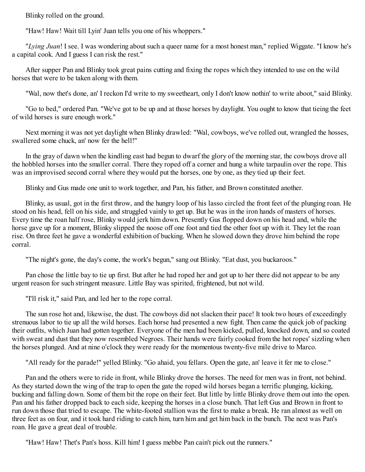Blinky rolled on the ground.

"Haw! Haw! Wait till Lyin' Juan tells you one of his whoppers."

"*Lying Juan*! I see. I was wondering about such a queer name for a most honest man," replied Wiggate. "I know he's a capital cook. And I guess I can risk the rest."

After supper Pan and Blinky took great pains cutting and fixing the ropes which they intended to use on the wild horses that were to be taken along with them.

"Wal, now thet's done, an' I reckon I'd write to my sweetheart, only I don't know nothin' to write aboot," said Blinky.

"Go to bed," ordered Pan. "We've got to be up and at those horses by daylight. You ought to know that tieing the feet of wild horses is sure enough work."

Next morning it was not yet daylight when Blinky drawled: "Wal, cowboys, we've rolled out, wrangled the hosses, swallered some chuck, an' now fer the hell!"

In the gray of dawn when the kindling east had begun to dwarf the glory of the morning star, the cowboys drove all the hobbled horses into the smaller corral. There they roped off a corner and hung a white tarpaulin over the rope. This was an improvised second corral where they would put the horses, one by one, as they tied up their feet.

Blinky and Gus made one unit to work together, and Pan, his father, and Brown constituted another.

Blinky, as usual, got in the first throw, and the hungry loop of his lasso circled the front feet of the plunging roan. He stood on his head, fell on his side, and struggled vainly to get up. But he was in the iron hands of masters of horses. Every time the roan half rose, Blinky would jerk him down. Presently Gus flopped down on his head and, while the horse gave up for a moment, Blinky slipped the noose off one foot and tied the other foot up with it. They let the roan rise. On three feet he gave a wonderful exhibition of bucking. When he slowed down they drove him behind the rope corral.

"The night's gone, the day's come, the work's begun," sang out Blinky. "Eat dust, you buckaroos."

Pan chose the little bay to tie up first. But after he had roped her and got up to her there did not appear to be any urgent reason for such stringent measure. Little Bay was spirited, frightened, but not wild.

"I'll risk it," said Pan, and led her to the rope corral.

The sun rose hot and, likewise, the dust. The cowboys did not slacken their pace! It took two hours of exceedingly strenuous labor to tie up all the wild horses. Each horse had presented a new fight. Then came the quick job of packing their outfits, which Juan had gotten together. Everyone of the men had been kicked, pulled, knocked down, and so coated with sweat and dust that they now resembled Negroes. Their hands were fairly cooked from the hot ropes' sizzling when the horses plunged. And at nine o'clock they were ready for the momentous twenty-five mile drive to Marco.

"All ready for the parade!" yelled Blinky. "Go ahaid, you fellars. Open the gate, an' leave it fer me to close."

Pan and the others were to ride in front, while Blinky drove the horses. The need for men was in front, not behind. As they started down the wing of the trap to open the gate the roped wild horses began a terrific plunging, kicking, bucking and falling down. Some of them bit the rope on their feet. But little by little Blinky drove them out into the open. Pan and his father dropped back to each side, keeping the horses in a close bunch. That left Gus and Brown in front to run down those that tried to escape. The white-footed stallion was the first to make a break. He ran almost as well on three feet as on four, and it took hard riding to catch him, turn him and get him back in the bunch. The next was Pan's roan. He gave a great deal of trouble.

"Haw! Haw! Thet's Pan's hoss. Kill him! I guess mebbe Pan cain't pick out the runners."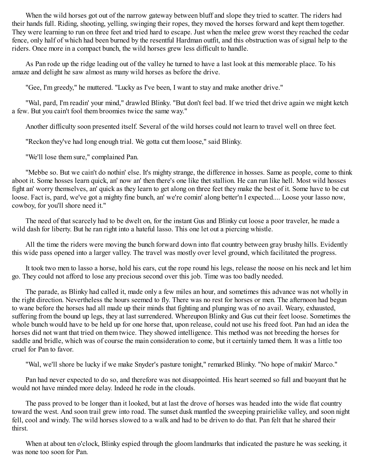When the wild horses got out of the narrow gateway between bluff and slope they tried to scatter. The riders had their hands full. Riding, shooting, yelling, swinging their ropes, they moved the horses forward and kept them together. They were learning to run on three feet and tried hard to escape. Just when the melee grew worst they reached the cedar fence, only half of which had been burned by the resentful Hardman outfit, and this obstruction was of signal help to the riders. Once more in a compact bunch, the wild horses grew less difficult to handle.

As Pan rode up the ridge leading out of the valley he turned to have a last look at this memorable place. To his amaze and delight he saw almost as many wild horses as before the drive.

"Gee, I'm greedy," he muttered. "Lucky as I've been, I want to stay and make another drive."

"Wal, pard, I'm readin' your mind," drawled Blinky. "But don't feel bad. If we tried thet drive again we might ketch a few. But you cain't fool them broomies twice the same way."

Another difficulty soon presented itself. Several of the wild horses could not learn to travel well on three feet.

"Reckon they've had long enough trial. We gotta cut them loose," said Blinky.

"We'll lose them sure," complained Pan.

"Mebbe so. But we cain't do nothin' else. It's mighty strange, the difference in hosses. Same as people, come to think aboot it. Some hosses learn quick, an' now an' then there's one like thet stallion. He can run like hell. Most wild hosses fight an' worry themselves, an' quick as they learn to get along on three feet they make the best of it. Some have to be cut loose. Fact is, pard, we've got a mighty fine bunch, an' we're comin' along better'n I expected.... Loose your lasso now, cowboy, for you'll shore need it."

The need of that scarcely had to be dwelt on, for the instant Gus and Blinky cut loose a poor traveler, he made a wild dash for liberty. But he ran right into a hateful lasso. This one let out a piercing whistle.

All the time the riders were moving the bunch forward down into flat country between gray brushy hills. Evidently this wide pass opened into a larger valley. The travel was mostly over level ground, which facilitated the progress.

It took two men to lasso a horse, hold his ears, cut the rope round his legs, release the noose on his neck and let him go. They could not afford to lose any precious second over this job. Time was too badly needed.

The parade, as Blinky had called it, made only a few miles an hour, and sometimes this advance was not wholly in the right direction. Nevertheless the hours seemed to fly. There was no rest for horses or men. The afternoon had begun to wane before the horses had all made up their minds that fighting and plunging was of no avail. Weary, exhausted, suffering from the bound up legs, they at last surrendered. Whereupon Blinky and Gus cut their feet loose. Sometimes the whole bunch would have to be held up for one horse that, upon release, could not use his freed foot. Pan had an idea the horses did not want that tried on them twice. They showed intelligence. This method was not breeding the horses for saddle and bridle, which was of course the main consideration to come, but it certainly tamed them. It was a little too cruel for Pan to favor.

"Wal, we'll shore be lucky if we make Snyder's pasture tonight," remarked Blinky. "No hope of makin' Marco."

Pan had never expected to do so, and therefore was not disappointed. His heart seemed so full and buoyant that he would not have minded more delay. Indeed he rode in the clouds.

The pass proved to be longer than it looked, but at last the drove of horses was headed into the wide flat country toward the west. And soon trail grew into road. The sunset dusk mantled the sweeping prairielike valley, and soon night fell, cool and windy. The wild horses slowed to a walk and had to be driven to do that. Pan felt that he shared their thirst.

When at about ten o'clock, Blinky espied through the gloom landmarks that indicated the pasture he was seeking, it was none too soon for Pan.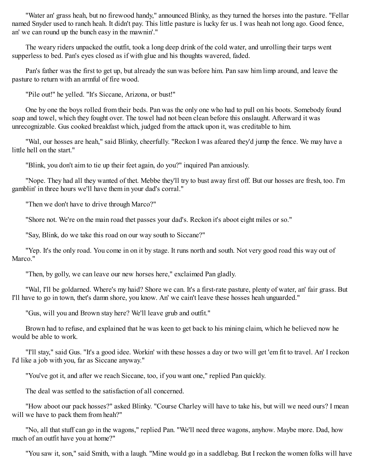"Water an' grass heah, but no firewood handy," announced Blinky, as they turned the horses into the pasture. "Fellar named Snyder used to ranch heah. It didn't pay. This little pasture is lucky fer us. I was heah not long ago. Good fence, an' we can round up the bunch easy in the mawnin'."

The weary riders unpacked the outfit, took a long deep drink of the cold water, and unrolling their tarps went supperless to bed. Pan's eyes closed as if with glue and his thoughts wavered, faded.

Pan's father was the first to get up, but already the sun was before him. Pan saw him limp around, and leave the pasture to return with an armful of fire wood.

"Pile out!" he yelled. "It's Siccane, Arizona, or bust!"

One by one the boys rolled from their beds. Pan was the only one who had to pull on his boots. Somebody found soap and towel, which they fought over. The towel had not been clean before this onslaught. Afterward it was unrecognizable. Gus cooked breakfast which, judged from the attack upon it, was creditable to him.

"Wal, our hosses are heah," said Blinky, cheerfully. "Reckon I was afeared they'd jump the fence. We may have a little hell on the start."

"Blink, you don't aim to tie up their feet again, do you?" inquired Pan anxiously.

"Nope. They had all they wanted of thet. Mebbe they'll try to bust away first off. But our hosses are fresh, too. I'm gamblin' in three hours we'll have them in your dad's corral."

"Then we don't have to drive through Marco?"

"Shore not. We're on the main road thet passes your dad's. Reckon it's aboot eight miles or so."

"Say, Blink, do we take this road on our way south to Siccane?"

"Yep. It's the only road. You come in on it by stage. It runs north and south. Not very good road this way out of Marco."

"Then, by golly, we can leave our new horses here," exclaimed Pan gladly.

"Wal, I'll be goldarned. Where's my haid? Shore we can. It's a first-rate pasture, plenty of water, an' fair grass. But I'll have to go in town, thet's damn shore, you know. An' we cain't leave these hosses heah unguarded."

"Gus, will you and Brown stay here? We'll leave grub and outfit."

Brown had to refuse, and explained that he was keen to get back to his mining claim, which he believed now he would be able to work.

"I'll stay," said Gus. "It's a good idee. Workin' with these hosses a day or two will get 'em fit to travel. An' I reckon I'd like a job with you, far as Siccane anyway."

"You've got it, and after we reach Siccane, too, if you want one," replied Pan quickly.

The deal was settled to the satisfaction of all concerned.

"How aboot our pack hosses?" asked Blinky. "Course Charley will have to take his, but will we need ours? I mean will we have to pack them from heah?"

"No, all that stuff can go in the wagons," replied Pan. "We'll need three wagons, anyhow. Maybe more. Dad, how much of an outfit have you at home?"

"You saw it, son," said Smith, with a laugh. "Mine would go in a saddlebag. But I reckon the women folks will have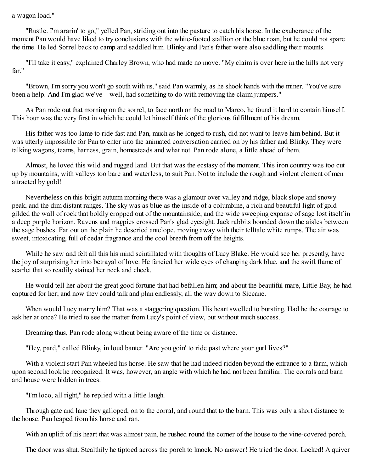a wagon load."

"Rustle. I'm ararin' to go," yelled Pan, striding out into the pasture to catch his horse. In the exuberance of the moment Pan would have liked to try conclusions with the white-footed stallion or the blue roan, but he could not spare the time. He led Sorrel back to camp and saddled him. Blinky and Pan's father were also saddling their mounts.

"I'll take it easy," explained Charley Brown, who had made no move. "My claim is over here in the hills not very far."

"Brown, I'm sorry you won't go south with us," said Pan warmly, as he shook hands with the miner. "You've sure been a help. And I'm glad we've—well, had something to do with removing the claim jumpers."

As Pan rode out that morning on the sorrel, to face north on the road to Marco, he found it hard to contain himself. This hour was the very first in which he could let himself think of the glorious fulfillment of his dream.

His father was too lame to ride fast and Pan, much as he longed to rush, did not want to leave him behind. But it was utterly impossible for Pan to enter into the animated conversation carried on by his father and Blinky. They were talking wagons, teams, harness, grain, homesteads and what not. Pan rode alone, a little ahead of them.

Almost, he loved this wild and rugged land. But that was the ecstasy of the moment. This iron country was too cut up by mountains, with valleys too bare and waterless, to suit Pan. Not to include the rough and violent element of men attracted by gold!

Nevertheless on this bright autumn morning there was a glamour over valley and ridge, black slope and snowy peak, and the dim distant ranges. The sky was as blue as the inside of a columbine, a rich and beautiful light of gold gilded the wall of rock that boldly cropped out of the mountainside; and the wide sweeping expanse of sage lost itself in a deep purple horizon. Ravens and magpies crossed Pan's glad eyesight. Jack rabbits bounded down the aisles between the sage bushes. Far out on the plain he descried antelope, moving away with their telltale white rumps. The air was sweet, intoxicating, full of cedar fragrance and the cool breath from off the heights.

While he saw and felt all this his mind scintillated with thoughts of Lucy Blake. He would see her presently, have the joy of surprising her into betrayal of love. He fancied her wide eyes of changing dark blue, and the swift flame of scarlet that so readily stained her neck and cheek.

He would tell her about the great good fortune that had befallen him; and about the beautiful mare, Little Bay, he had captured for her; and now they could talk and plan endlessly, all the way down to Siccane.

When would Lucy marry him? That was a staggering question. His heart swelled to bursting. Had he the courage to ask her at once? He tried to see the matter from Lucy's point of view, but without much success.

Dreaming thus, Pan rode along without being aware of the time or distance.

"Hey, pard," called Blinky, in loud banter. "Are you goin' to ride past where your gurl lives?"

With a violent start Pan wheeled his horse. He saw that he had indeed ridden beyond the entrance to a farm, which upon second look he recognized. It was, however, an angle with which he had not been familiar. The corrals and barn and house were hidden in trees.

"I'm loco, all right," he replied with a little laugh.

Through gate and lane they galloped, on to the corral, and round that to the barn. This was only a short distance to the house. Pan leaped from his horse and ran.

With an uplift of his heart that was almost pain, he rushed round the corner of the house to the vine-covered porch.

The door was shut. Stealthily he tiptoed across the porch to knock. No answer! He tried the door. Locked! A quiver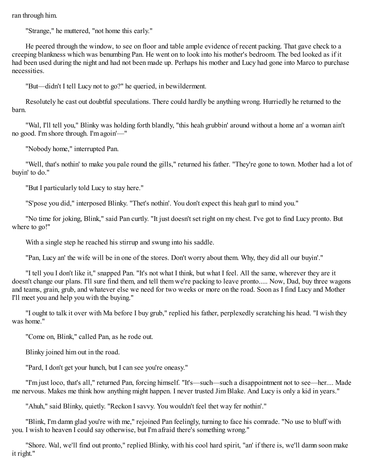ran through him.

"Strange," he muttered, "not home this early."

He peered through the window, to see on floor and table ample evidence of recent packing. That gave check to a creeping blankness which was benumbing Pan. He went on to look into his mother's bedroom. The bed looked as if it had been used during the night and had not been made up. Perhaps his mother and Lucy had gone into Marco to purchase necessities.

"But—didn't I tell Lucy not to go?" he queried, in bewilderment.

Resolutely he cast out doubtful speculations. There could hardly be anything wrong. Hurriedly he returned to the barn.

"Wal, I'll tell you," Blinky was holding forth blandly, "this heah grubbin' around without a home an' a woman ain't no good. I'm shore through. I'm agoin'—"

"Nobody home," interrupted Pan.

"Well, that's nothin' to make you pale round the gills," returned his father. "They're gone to town. Mother had a lot of buyin' to do."

"But I particularly told Lucy to stay here."

"S'pose you did," interposed Blinky. "Thet's nothin'. You don't expect this heah gurl to mind you."

"No time for joking, Blink," said Pan curtly. "It just doesn't set right on my chest. I've got to find Lucy pronto. But where to go!"

With a single step he reached his stirrup and swung into his saddle.

"Pan, Lucy an' the wife will be in one of the stores. Don't worry about them. Why, they did all our buyin'."

"I tell you I don't like it," snapped Pan. "It's not what I think, but what I feel. All the same, wherever they are it doesn't change our plans. I'll sure find them, and tell them we're packing to leave pronto..... Now, Dad, buy three wagons and teams, grain, grub, and whatever else we need for two weeks or more on the road. Soon as I find Lucy and Mother I'll meet you and help you with the buying."

"I ought to talk it over with Ma before I buy grub," replied his father, perplexedly scratching his head. "I wish they was home."

"Come on, Blink," called Pan, as he rode out.

Blinky joined him out in the road.

"Pard, I don't get your hunch, but I can see you're oneasy."

"I'm just loco, that's all," returned Pan, forcing himself. "It's—such—such a disappointment not to see—her.... Made me nervous. Makes me think how anything might happen. I never trusted Jim Blake. And Lucy is only a kid in years."

"Ahuh," said Blinky, quietly. "Reckon I savvy. You wouldn't feel thet way fer nothin'."

"Blink, I'm damn glad you're with me," rejoined Pan feelingly, turning to face his comrade. "No use to bluff with you. I wish to heaven I could say otherwise, but I'm afraid there's something wrong."

"Shore. Wal, we'll find out pronto," replied Blinky, with his cool hard spirit, "an' if there is, we'll damn soon make it right."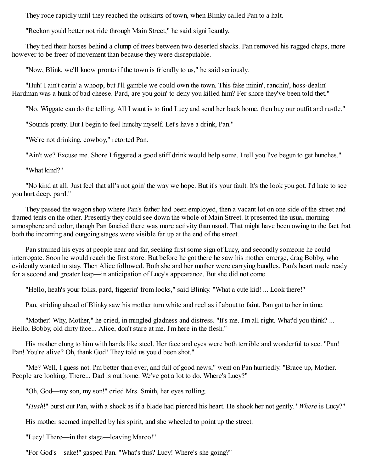They rode rapidly until they reached the outskirts of town, when Blinky called Pan to a halt.

"Reckon you'd better not ride through Main Street," he said significantly.

They tied their horses behind a clump of trees between two deserted shacks. Pan removed his ragged chaps, more however to be freer of movement than because they were disreputable.

"Now, Blink, we'll know pronto if the town is friendly to us," he said seriously.

"Huh! I ain't carin' a whoop, but I'll gamble we could own the town. This fake minin', ranchin', hoss-dealin' Hardman was a hunk of bad cheese. Pard, are you goin' to deny you killed him? Fer shore they've been told thet."

"No. Wiggate can do the telling. All I want is to find Lucy and send her back home, then buy our outfit and rustle."

"Sounds pretty. But I begin to feel hunchy myself. Let's have a drink, Pan."

"We're not drinking, cowboy," retorted Pan.

"Ain't we? Excuse me. Shore I figgered a good stiff drink would help some. I tell you I've begun to get hunches."

"What kind?"

"No kind at all. Just feel that all's not goin' the way we hope. But it's your fault. It's the look you got. I'd hate to see you hurt deep, pard."

They passed the wagon shop where Pan's father had been employed, then a vacant lot on one side of the street and framed tents on the other. Presently they could see down the whole of Main Street. It presented the usual morning atmosphere and color, though Pan fancied there was more activity than usual. That might have been owing to the fact that both the incoming and outgoing stages were visible far up at the end of the street.

Pan strained his eyes at people near and far, seeking first some sign of Lucy, and secondly someone he could interrogate. Soon he would reach the first store. But before he got there he saw his mother emerge, drag Bobby, who evidently wanted to stay. Then Alice followed. Both she and her mother were carrying bundles. Pan's heart made ready for a second and greater leap—in anticipation of Lucy's appearance. But she did not come.

"Hello, heah's your folks, pard, figgerin' from looks," said Blinky. "What a cute kid! ... Look there!"

Pan, striding ahead of Blinky saw his mother turn white and reel as if about to faint. Pan got to her in time.

"Mother! Why, Mother," he cried, in mingled gladness and distress. "It's me. I'm all right. What'd you think? ... Hello, Bobby, old dirty face... Alice, don't stare at me. I'm here in the flesh."

His mother clung to him with hands like steel. Her face and eyes were both terrible and wonderful to see. "Pan! Pan! You're alive? Oh, thank God! They told us you'd been shot."

"Me? Well, I guess not. I'm better than ever, and full of good news," went on Pan hurriedly. "Brace up, Mother. People are looking. There... Dad is out home. We've got a lot to do. Where's Lucy?"

"Oh, God—my son, my son!" cried Mrs. Smith, her eyes rolling.

"*Hush*!" burst out Pan, with a shock as if a blade had pierced his heart. He shook her not gently. "*Where* is Lucy?"

His mother seemed impelled by his spirit, and she wheeled to point up the street.

"Lucy! There—in that stage—leaving Marco!"

"For God's—sake!" gasped Pan. "What's this? Lucy! Where's she going?"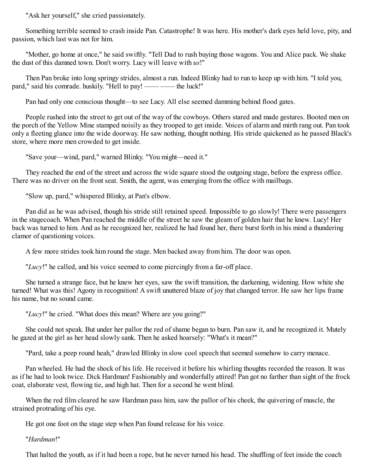"Ask her yourself," she cried passionately.

Something terrible seemed to crash inside Pan. Catastrophe! It was here. His mother's dark eyes held love, pity, and passion, which last was not for him.

"Mother, go home at once," he said swiftly. "Tell Dad to rush buying those wagons. You and Alice pack. We shake the dust of this damned town. Don't worry. Lucy will leave with *us*!"

Then Pan broke into long springy strides, almost a run. Indeed Blinky had to run to keep up with him. "I told you, pard," said his comrade. huskily. "Hell to pay! —— —— the luck!"

Pan had only one conscious thought—to see Lucy. All else seemed damming behind flood gates.

People rushed into the street to get out of the way of the cowboys. Others stared and made gestures. Booted men on the porch of the Yellow Mine stamped noisily as they trooped to get inside. Voices of alarm and mirth rang out. Pan took only a fleeting glance into the wide doorway. He saw nothing, thought nothing. His stride quickened as he passed Black's store, where more men crowded to get inside.

"Save your—wind, pard," warned Blinky. "You might—need it."

They reached the end of the street and across the wide square stood the outgoing stage, before the express office. There was no driver on the front seat. Smith, the agent, was emerging from the office with mailbags.

"Slow up, pard," whispered Blinky, at Pan's elbow.

Pan did as he was advised, though his stride still retained speed. Impossible to go slowly! There were passengers in the stagecoach. When Pan reached the middle of the street he saw the gleam of golden hair that he knew. Lucy! Her back was turned to him. And as he recognized her, realized he had found her, there burst forth in his mind a thundering clamor of questioning voices.

A few more strides took him round the stage. Men backed away from him. The door was open.

"*Lucy*!" he called, and his voice seemed to come piercingly from a far-off place.

She turned a strange face, but he knew her eyes, saw the swift transition, the darkening, widening. How white she turned! What was this! Agony in recognition! A swift unuttered blaze of joy that changed terror. He saw her lips frame his name, but no sound came.

"*Lucy*!" he cried. "What does this mean? Where are you going?"

She could not speak. But under her pallor the red of shame began to burn. Pan saw it, and he recognized it. Mutely he gazed at the girl as her head slowly sank. Then he asked hoarsely: "What's it mean?"

"Pard, take a peep round heah," drawled Blinky in slow cool speech that seemed somehow to carry menace.

Pan wheeled. He had the shock of his life. He received it before his whirling thoughts recorded the reason. It was as if he had to look twice. Dick Hardman! Fashionably and wonderfully attired! Pan got no farther than sight of the frock coat, elaborate vest, flowing tie, and high hat. Then for a second he went blind.

When the red film cleared he saw Hardman pass him, saw the pallor of his cheek, the quivering of muscle, the strained protruding of his eye.

He got one foot on the stage step when Pan found release for his voice.

"*Hardman*!"

That halted the youth, as if it had been a rope, but he never turned his head. The shuffling of feet inside the coach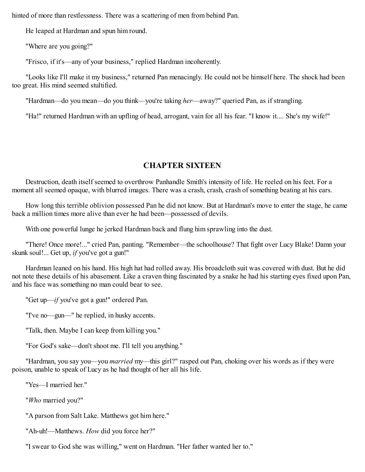hinted of more than restlessness. There was a scattering of men from behind Pan.

He leaped at Hardman and spun him round.

"Where are you going?"

"Frisco, if it's—any of your business," replied Hardman incoherently.

"Looks like I'll make it my business," returned Pan menacingly. He could not be himself here. The shock had been too great. His mind seemed stultified.

"Hardman—do you mean—do you think—you're taking *her*—away?" queried Pan, as if strangling.

"Ha!" returned Hardman with an upfling of head, arrogant, vain for all his fear. "I know it.... She's my wife!"

## **CHAPTER SIXTEEN**

Destruction, death itself seemed to overthrow Panhandle Smith's intensity of life. He reeled on his feet. For a moment all seemed opaque, with blurred images. There was a crash, crash, crash of something beating at his ears.

How long this terrible oblivion possessed Pan he did not know. But at Hardman's move to enter the stage, he came back a million times more alive than ever he had been—possessed of devils.

With one powerful lunge he jerked Hardman back and flung him sprawling into the dust.

"There! Once more!..." cried Pan, panting. "Remember—the schoolhouse? That fight over Lucy Blake! Damn your skunk soul!... Get up, *if* you've got a gun!"

Hardman leaned on his hand. His high hat had rolled away. His broadcloth suit was covered with dust. But he did not note these details of his abasement. Like a craven thing fascinated by a snake he had his starting eyes fixed upon Pan, and his face was something no man could bear to see.

"Get up—*if* you've got a gun!" ordered Pan.

"I've no—gun—" he replied, in husky accents.

"Talk, then. Maybe I can keep from killing you."

"For God's sake—don't shoot me. I'll tell you anything."

"Hardman, you say you—you *married* my—this girl?" rasped out Pan, choking over his words as if they were poison, unable to speak of Lucy as he had thought of her all his life.

"Yes—I married her."

"*Who* married you?"

"A parson from Salt Lake. Matthews got him here."

"Ah-uh!—Matthews. *How* did you force her?"

"I swear to God she was willing," went on Hardman. "Her father wanted her to."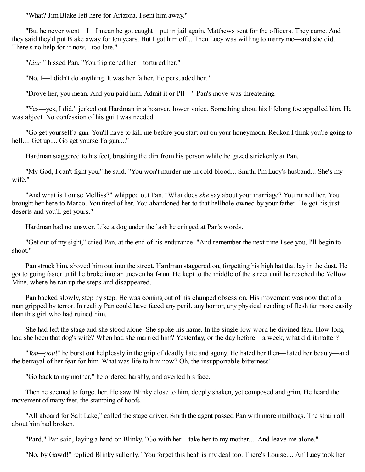"What? Jim Blake left here for Arizona. I sent him away."

"But he never went—I—I mean he got caught—put in jail again. Matthews sent for the officers. They came. And they said they'd put Blake away for ten years. But I got him off... Then Lucy was willing to marry me—and she did. There's no help for it now... too late."

"*Liar*!" hissed Pan. "You frightened her—tortured her."

"No, I—I didn't do anything. It was her father. He persuaded her."

"Drove her, you mean. And you paid him. Admit it or I'll—" Pan's move was threatening.

"Yes—yes, I did," jerked out Hardman in a hoarser, lower voice. Something about his lifelong foe appalled him. He was abject. No confession of his guilt was needed.

"Go get yourself a gun. You'll have to kill me before you start out on your honeymoon. Reckon I think you're going to hell.... Get up.... Go get yourself a gun...."

Hardman staggered to his feet, brushing the dirt from his person while he gazed strickenly at Pan.

"My God, I can't fight you," he said. "You won't murder me in cold blood... Smith, I'm Lucy's husband... She's my wife."

"And what is Louise Melliss?" whipped out Pan. "What does *she* say about your marriage? You ruined her. You brought her here to Marco. You tired of her. You abandoned her to that hellhole owned by your father. He got his just deserts and you'll get yours."

Hardman had no answer. Like a dog under the lash he cringed at Pan's words.

"Get out of my sight," cried Pan, at the end of his endurance. "And remember the next time I see you, I'll begin to shoot."

Pan struck him, shoved him out into the street. Hardman staggered on, forgetting his high hat that lay in the dust. He got to going faster until he broke into an uneven half-run. He kept to the middle of the street until he reached the Yellow Mine, where he ran up the steps and disappeared.

Pan backed slowly, step by step. He was coming out of his clamped obsession. His movement was now that of a man gripped by terror. In reality Pan could have faced any peril, any horror, any physical rending of flesh far more easily than this girl who had ruined him.

She had left the stage and she stood alone. She spoke his name. In the single low word he divined fear. How long had she been that dog's wife? When had she married him? Yesterday, or the day before—a week, what did it matter?

"*You—you*!" he burst out helplessly in the grip of deadly hate and agony. He hated her then—hated her beauty—and the betrayal of her fear for him. What was life to him now? Oh, the insupportable bitterness!

"Go back to my mother," he ordered harshly, and averted his face.

Then he seemed to forget her. He saw Blinky close to him, deeply shaken, yet composed and grim. He heard the movement of many feet, the stamping of hoofs.

"All aboard for Salt Lake," called the stage driver. Smith the agent passed Pan with more mailbags. The strain all about him had broken.

"Pard," Pan said, laying a hand on Blinky. "Go with her—take her to my mother.... And leave me alone."

"No, by Gawd!" replied Blinky sullenly. "You forget this heah is my deal too. There's Louise.... An' Lucy took her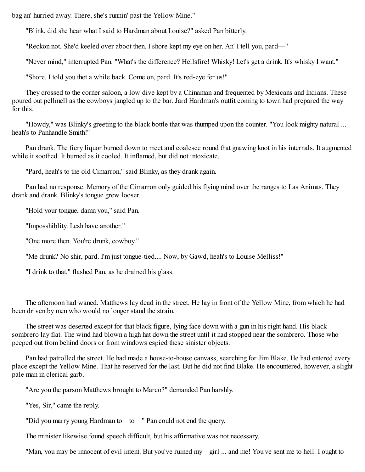bag an' hurried away. There, she's runnin' past the Yellow Mine."

"Blink, did she hear what I said to Hardman about Louise?" asked Pan bitterly.

"Reckon not. She'd keeled over aboot then. I shore kept my eye on her. An' I tell you, pard—"

"Never mind," interrupted Pan. "What's the difference? Hellsfire! Whisky! Let's get a drink. It's whisky I want."

"Shore. I told you thet a while back. Come on, pard. It's red-eye fer us!"

They crossed to the corner saloon, a low dive kept by a Chinaman and frequented by Mexicans and Indians. These poured out pellmell as the cowboys jangled up to the bar. Jard Hardman's outfit coming to town had prepared the way for this.

"Howdy," was Blinky's greeting to the black bottle that was thumped upon the counter. "You look mighty natural ... heah's to Panhandle Smith!"

Pan drank. The fiery liquor burned down to meet and coalesce round that gnawing knot in his internals. It augmented while it soothed. It burned as it cooled. It inflamed, but did not intoxicate.

"Pard, heah's to the old Cimarron," said Blinky, as they drank again.

Pan had no response. Memory of the Cimarron only guided his flying mind over the ranges to Las Animas. They drank and drank. Blinky's tongue grew looser.

"Hold your tongue, damn you," said Pan.

"Imposshiblity. Lesh have another."

"One more then. You're drunk, cowboy."

"Me drunk? No shir, pard. I'm just tongue-tied.... Now, by Gawd, heah's to Louise Melliss!"

"I drink to that," flashed Pan, as he drained his glass.

The afternoon had waned. Matthews lay dead in the street. He lay in front of the Yellow Mine, from which he had been driven by men who would no longer stand the strain.

The street was deserted except for that black figure, lying face down with a gun in his right hand. His black sombrero lay flat. The wind had blown a high hat down the street until it had stopped near the sombrero. Those who peeped out from behind doors or from windows espied these sinister objects.

Pan had patrolled the street. He had made a house-to-house canvass, searching for Jim Blake. He had entered every place except the Yellow Mine. That he reserved for the last. But he did not find Blake. He encountered, however, a slight pale man in clerical garb.

"Are you the parson Matthews brought to Marco?" demanded Pan harshly.

"Yes, Sir," came the reply.

"Did you marry young Hardman to—to—" Pan could not end the query.

The minister likewise found speech difficult, but his affirmative was not necessary.

"Man, you may be innocent of evil intent. But you've ruined my—girl ... and me! You've sent me to hell. I ought to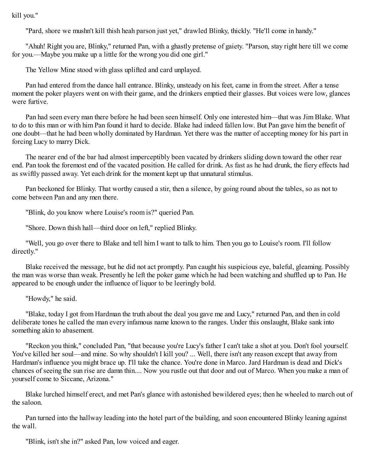kill you."

"Pard, shore we mushn't kill thish heah parson just yet," drawled Blinky, thickly. "He'll come in handy."

"Ahuh! Right you are, Blinky," returned Pan, with a ghastly pretense of gaiety. "Parson, stay right here till we come for you.—Maybe you make up a little for the wrong you did one girl."

The Yellow Mine stood with glass uplifted and card unplayed.

Pan had entered from the dance hall entrance. Blinky, unsteady on his feet, came in from the street. After a tense moment the poker players went on with their game, and the drinkers emptied their glasses. But voices were low, glances were furtive.

Pan had seen every man there before he had been seen himself. Only one interested him—that was Jim Blake. What to do to this man or with him Pan found it hard to decide. Blake had indeed fallen low. But Pan gave him the benefit of one doubt—that he had been wholly dominated by Hardman. Yet there was the matter of accepting money for his part in forcing Lucy to marry Dick.

The nearer end of the bar had almost imperceptibly been vacated by drinkers sliding down toward the other rear end. Pan took the foremost end of the vacated position. He called for drink. As fast as he had drunk, the fiery effects had as swiftly passed away. Yet each drink for the moment kept up that unnatural stimulus.

Pan beckoned for Blinky. That worthy caused a stir, then a silence, by going round about the tables, so as not to come between Pan and any men there.

"Blink, do you know where Louise's room is?" queried Pan.

"Shore. Down thish hall—third door on left," replied Blinky.

"Well, you go over there to Blake and tell him I want to talk to him. Then you go to Louise's room. I'll follow directly."

Blake received the message, but he did not act promptly. Pan caught his suspicious eye, baleful, gleaming. Possibly the man was worse than weak. Presently he left the poker game which he had been watching and shuffled up to Pan. He appeared to be enough under the influence of liquor to be leeringly bold.

"Howdy," he said.

"Blake, today I got from Hardman the truth about the deal you gave me and Lucy," returned Pan, and then in cold deliberate tones he called the man every infamous name known to the ranges. Under this onslaught, Blake sank into something akin to abasement.

"Reckon you think," concluded Pan, "that because you're Lucy's father I can't take a shot at you. Don't fool yourself. You've killed her soul—and mine. So why shouldn't I kill you? ... Well, there isn't any reason except that away from Hardman's influence you might brace up. I'll take the chance. You're done in Marco. Jard Hardman is dead and Dick's chances of seeing the sun rise are damn thin.... Now you rustle out that door and out of Marco. When you make a man of yourself come to Siccane, Arizona."

Blake lurched himself erect, and met Pan's glance with astonished bewildered eyes; then he wheeled to march out of the saloon.

Pan turned into the hallway leading into the hotel part of the building, and soon encountered Blinky leaning against the wall.

"Blink, isn't she in?" asked Pan, low voiced and eager.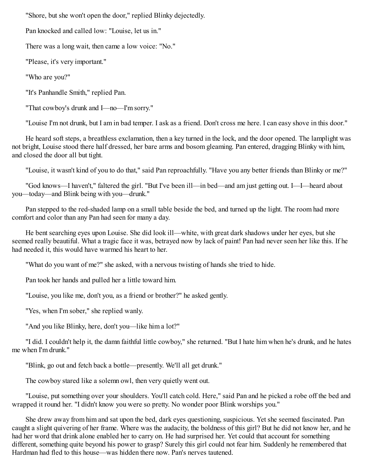"Shore, but she won't open the door," replied Blinky dejectedly.

Pan knocked and called low: "Louise, let us in."

There was a long wait, then came a low voice: "No."

"Please, it's very important."

"Who are you?"

"It's Panhandle Smith," replied Pan.

"That cowboy's drunk and I—no—I'm sorry."

"Louise I'm not drunk, but I am in bad temper. I ask as a friend. Don't cross me here. I can easy shove in this door."

He heard soft steps, a breathless exclamation, then a key turned in the lock, and the door opened. The lamplight was not bright, Louise stood there half dressed, her bare arms and bosom gleaming. Pan entered, dragging Blinky with him, and closed the door all but tight.

"Louise, it wasn't kind of you to do that," said Pan reproachfully. "Have you any better friends than Blinky or me?"

"God knows—I haven't," faltered the girl. "But I've been ill—in bed—and am just getting out. I—I—heard about you—today—and Blink being with you—drunk."

Pan stepped to the red-shaded lamp on a small table beside the bed, and turned up the light. The room had more comfort and color than any Pan had seen for many a day.

He bent searching eyes upon Louise. She did look ill—white, with great dark shadows under her eyes, but she seemed really beautiful. What a tragic face it was, betrayed now by lack of paint! Pan had never seen her like this. If he had needed it, this would have warmed his heart to her.

"What do you want of me?" she asked, with a nervous twisting of hands she tried to hide.

Pan took her hands and pulled her a little toward him.

"Louise, you like me, don't you, as a friend or brother?" he asked gently.

"Yes, when I'm sober," she replied wanly.

"And you like Blinky, here, don't you—like him a lot?"

"I did. I couldn't help it, the damn faithful little cowboy," she returned. "But I hate him when he's drunk, and he hates me when I'm drunk."

"Blink, go out and fetch back a bottle—presently. We'll all get drunk."

The cowboy stared like a solemn owl, then very quietly went out.

"Louise, put something over your shoulders. You'll catch cold. Here," said Pan and he picked a robe off the bed and wrapped it round her. "I didn't know you were so pretty. No wonder poor Blink worships you."

She drew away from him and sat upon the bed, dark eyes questioning, suspicious. Yet she seemed fascinated. Pan caught a slight quivering of her frame. Where was the audacity, the boldness of this girl? But he did not know her, and he had her word that drink alone enabled her to carry on. He had surprised her. Yet could that account for something different, something quite beyond his power to grasp? Surely this girl could not fear him. Suddenly he remembered that Hardman had fled to this house—was hidden there now. Pan's nerves tautened.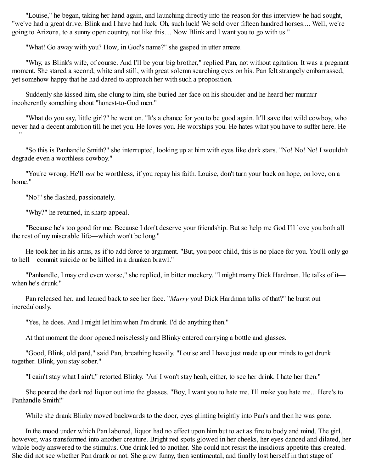"Louise," he began, taking her hand again, and launching directly into the reason for this interview he had sought, "we've had a great drive. Blink and I have had luck. Oh, such luck! We sold over fifteen hundred horses.... Well, we're going to Arizona, to a sunny open country, not like this.... Now Blink and I want you to go with us."

"What! Go away with you? How, in God's name?" she gasped in utter amaze.

"Why, as Blink's wife, of course. And I'll be your big brother," replied Pan, not without agitation. It was a pregnant moment. She stared a second, white and still, with great solemn searching eyes on his. Pan felt strangely embarrassed, yet somehow happy that he had dared to approach her with such a proposition.

Suddenly she kissed him, she clung to him, she buried her face on his shoulder and he heard her murmur incoherently something about "honest-to-God men."

"What do you say, little girl?" he went on. "It's a chance for you to be good again. It'll save that wild cowboy, who never had a decent ambition till he met you. He loves you. He worships you. He hates what you have to suffer here. He —"

"So this is Panhandle Smith?" she interrupted, looking up at him with eyes like dark stars. "No! No! No! I wouldn't degrade even a worthless cowboy."

"You're wrong. He'll *not* be worthless, if you repay his faith. Louise, don't turn your back on hope, on love, on a home."

"No!" she flashed, passionately.

"Why?" he returned, in sharp appeal.

"Because he's too good for me. Because I don't deserve your friendship. But so help me God I'll love you both all the rest of my miserable life—which won't be long."

He took her in his arms, as if to add force to argument. "But, you poor child, this is no place for you. You'll only go to hell—commit suicide or be killed in a drunken brawl."

"Panhandle, I may end even worse," she replied, in bitter mockery. "I might marry Dick Hardman. He talks of it when he's drunk."

Pan released her, and leaned back to see her face. "*Marry* you! Dick Hardman talks of that?" he burst out incredulously.

"Yes, he does. And I might let him when I'm drunk. I'd do anything then."

At that moment the door opened noiselessly and Blinky entered carrying a bottle and glasses.

"Good, Blink, old pard," said Pan, breathing heavily. "Louise and I have just made up our minds to get drunk together. Blink, you stay sober."

"I cain't stay what I ain't," retorted Blinky. "An' I won't stay heah, either, to see her drink. I hate her then."

She poured the dark red liquor out into the glasses. "Boy, I want you to hate me. I'll make you hate me... Here's to Panhandle Smith!"

While she drank Blinky moved backwards to the door, eyes glinting brightly into Pan's and then he was gone.

In the mood under which Pan labored, liquor had no effect upon him but to act as fire to body and mind. The girl, however, was transformed into another creature. Bright red spots glowed in her cheeks, her eyes danced and dilated, her whole body answered to the stimulus. One drink led to another. She could not resist the insidious appetite thus created. She did not see whether Pan drank or not. She grew funny, then sentimental, and finally lost herself in that stage of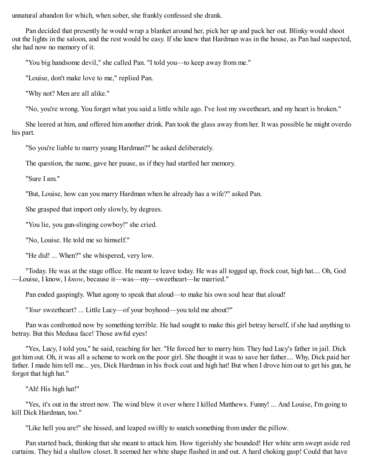unnatural abandon for which, when sober, she frankly confessed she drank.

Pan decided that presently he would wrap a blanket around her, pick her up and pack her out. Blinky would shoot out the lights in the saloon, and the rest would be easy. If she knew that Hardman was in the house, as Pan had suspected, she had now no memory of it.

"You big handsome devil," she called Pan. "I told you—to keep away from me."

"Louise, don't make love to me," replied Pan.

"Why not? Men are all alike."

"No, you're wrong. You forget what you said a little while ago. I've lost my sweetheart, and my heart is broken."

She leered at him, and offered him another drink. Pan took the glass away from her. It was possible he might overdo his part.

"So you're liable to marry young Hardman?" he asked deliberately.

The question, the name, gave her pause, as if they had startled her memory.

"Sure I am."

"But, Louise, how can you marry Hardman when he already has a wife?" asked Pan.

She grasped that import only slowly, by degrees.

"You lie, you gun-slinging cowboy!" she cried.

"No, Louise. He told me so himself."

"He did! ... When?" she whispered, very low.

"Today. He was at the stage office. He meant to leave today. He was all togged up, frock coat, high hat.... Oh, God —Louise, I know, I *know*, because it—was—my—sweetheart—he married."

Pan ended gaspingly. What agony to speak that aloud—to make his own soul hear that aloud!

"*Your* sweetheart? ... Little Lucy—of your boyhood—you told me about?"

Pan was confronted now by something terrible. He had sought to make this girl betray herself, if she had anything to betray. But this Medusa face! Those awful eyes!

"Yes, Lucy, I told you," he said, reaching for her. "He forced her to marry him. They had Lucy's father in jail. Dick got him out. Oh, it was all a scheme to work on the poor girl. She thought it was to save her father.... Why, Dick paid her father. I made him tell me... yes, Dick Hardman in his frock coat and high hat! But when I drove him out to get his gun, he forgot that high hat."

"Ah! His high hat!"

"Yes, it's out in the street now. The wind blew it over where I killed Matthews. Funny! ... And Louise, I'm going to kill Dick Hardman, too."

"Like hell you are!" she hissed, and leaped swiftly to snatch something from under the pillow.

Pan started back, thinking that she meant to attack him. How tigerishly she bounded! Her white arm swept aside red curtains. They hid a shallow closet. It seemed her white shape flashed in and out. A hard choking gasp! Could that have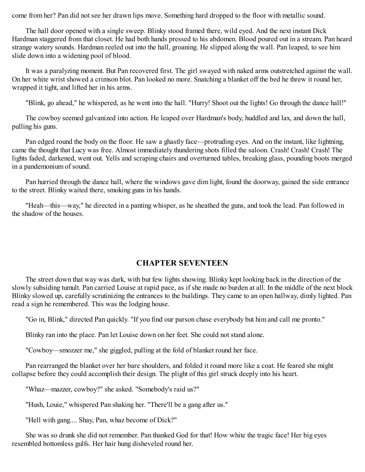come from her? Pan did not see her drawn lips move. Something hard dropped to the floor with metallic sound.

The hall door opened with a single sweep. Blinky stood framed there, wild eyed. And the next instant Dick Hardman staggered from that closet. He had both hands pressed to his abdomen. Blood poured out in a stream. Pan heard strange watery sounds. Hardman reeled out into the hall, groaning. He slipped along the wall. Pan leaped, to see him slide down into a widening pool of blood.

It was a paralyzing moment. But Pan recovered first. The girl swayed with naked arms outstretched against the wall. On her white wrist showed a crimson blot. Pan looked no more. Snatching a blanket off the bed he threw it round her, wrapped it tight, and lifted her in his arms.

"Blink, go ahead," he whispered, as he went into the hall. "Hurry! Shoot out the lights! Go through the dance hall!"

The cowboy seemed galvanized into action. He leaped over Hardman's body, huddled and lax, and down the hall, pulling his guns.

Pan edged round the body on the floor. He saw a ghastly face—protruding eyes. And on the instant, like lightning, came the thought that Lucy was free. Almost immediately thundering shots filled the saloon. Crash! Crash! Crash! The lights faded, darkened, went out. Yells and scraping chairs and overturned tables, breaking glass, pounding boots merged in a pandemonium of sound.

Pan hurried through the dance hall, where the windows gave dim light, found the doorway, gained the side entrance to the street. Blinky waited there, smoking guns in his hands.

"Heah—this—way," he directed in a panting whisper, as he sheathed the guns, and took the lead. Pan followed in the shadow of the houses.

## **CHAPTER SEVENTEEN**

The street down that way was dark, with but few lights showing. Blinky kept looking back in the direction of the slowly subsiding tumult. Pan carried Louise at rapid pace, as if she made no burden at all. In the middle of the next block Blinky slowed up, carefully scrutinizing the entrances to the buildings. They came to an open hallway, dimly lighted. Pan read a sign he remembered. This was the lodging house.

"Go in, Blink," directed Pan quickly. "If you find our parson chase everybody but him and call me pronto."

Blinky ran into the place. Pan let Louise down on her feet. She could not stand alone.

"Cowboy—smozzer me," she giggled, pulling at the fold of blanket round her face.

Pan rearranged the blanket over her bare shoulders, and folded it round more like a coat. He feared she might collapse before they could accomplish their design. The plight of this girl struck deeply into his heart.

"Whaz—mazzer, cowboy?" she asked. "Somebody's raid us?"

"Hush, Louie," whispered Pan shaking her. "There'll be a gang after us."

"Hell with gang.... Shay, Pan, whaz become of Dick?"

She was so drunk she did not remember. Pan thanked God for that! How white the tragic face! Her big eyes resembled bottomless gulfs. Her hair hung disheveled round her.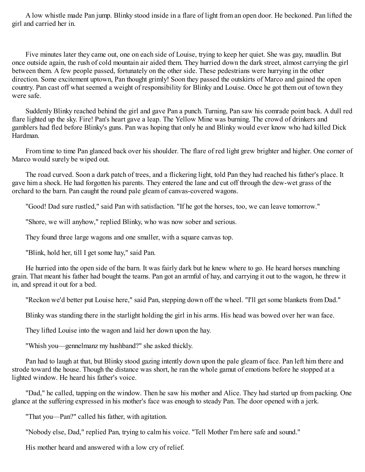A low whistle made Pan jump. Blinky stood inside in a flare of light from an open door. He beckoned. Pan lifted the girl and carried her in.

Five minutes later they came out, one on each side of Louise, trying to keep her quiet. She was gay, maudlin. But once outside again, the rush of cold mountain air aided them. They hurried down the dark street, almost carrying the girl between them. A few people passed, fortunately on the other side. These pedestrians were hurrying in the other direction. Some excitement uptown, Pan thought grimly! Soon they passed the outskirts of Marco and gained the open country. Pan cast off what seemed a weight of responsibility for Blinky and Louise. Once he got them out of town they were safe.

Suddenly Blinky reached behind the girl and gave Pan a punch. Turning, Pan saw his comrade point back. A dull red flare lighted up the sky. Fire! Pan's heart gave a leap. The Yellow Mine was burning. The crowd of drinkers and gamblers had fled before Blinky's guns. Pan was hoping that only he and Blinky would ever know who had killed Dick Hardman.

From time to time Pan glanced back over his shoulder. The flare of red light grew brighter and higher. One corner of Marco would surely be wiped out.

The road curved. Soon a dark patch of trees, and a flickering light, told Pan they had reached his father's place. It gave him a shock. He had forgotten his parents. They entered the lane and cut off through the dew-wet grass of the orchard to the barn. Pan caught the round pale gleam of canvas-covered wagons.

"Good! Dad sure rustled," said Pan with satisfaction. "If he got the horses, too, we can leave tomorrow."

"Shore, we will anyhow," replied Blinky, who was now sober and serious.

They found three large wagons and one smaller, with a square canvas top.

"Blink, hold her, till I get some hay," said Pan.

He hurried into the open side of the barn. It was fairly dark but he knew where to go. He heard horses munching grain. That meant his father had bought the teams. Pan got an armful of hay, and carrying it out to the wagon, he threw it in, and spread it out for a bed.

"Reckon we'd better put Louise here," said Pan, stepping down off the wheel. "I'll get some blankets from Dad."

Blinky was standing there in the starlight holding the girl in his arms. His head was bowed over her wan face.

They lifted Louise into the wagon and laid her down upon the hay.

"Whish you—gennelmanz my hushband?" she asked thickly.

Pan had to laugh at that, but Blinky stood gazing intently down upon the pale gleam of face. Pan left him there and strode toward the house. Though the distance was short, he ran the whole gamut of emotions before he stopped at a lighted window. He heard his father's voice.

"Dad," he called, tapping on the window. Then he saw his mother and Alice. They had started up from packing. One glance at the suffering expressed in his mother's face was enough to steady Pan. The door opened with a jerk.

"That you—Pan?" called his father, with agitation.

"Nobody else, Dad," replied Pan, trying to calm his voice. "Tell Mother I'm here safe and sound."

His mother heard and answered with a low cry of relief.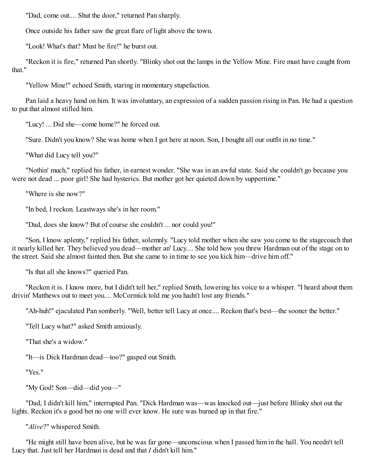"Dad, come out.... Shut the door," returned Pan sharply.

Once outside his father saw the great flare of light above the town.

"Look! What's that? Must be fire!" he burst out.

"Reckon it is fire," returned Pan shortly. "Blinky shot out the lamps in the Yellow Mine. Fire must have caught from that."

"Yellow Mine!" echoed Smith, staring in momentary stupefaction.

Pan laid a heavy hand on him. It was involuntary, an expression of a sudden passion rising in Pan. He had a question to put that almost stifled him.

"Lucy! ... Did she—come home?" he forced out.

"Sure. Didn't you know? She was home when I got here at noon. Son, I bought all our outfit in no time."

"What did Lucy tell you?"

"Nothin' much," replied his father, in earnest wonder. "She was in an awful state. Said she couldn't go because you were not dead ... poor girl! She had hysterics. But mother got her quieted down by suppertime."

"Where is she now?"

"In bed, I reckon. Leastways she's in her room."

"Dad, does she know? But of course she couldn't ... nor could you!"

"Son, I know aplenty," replied his father, solemnly. "Lucy told mother when she saw you come to the stagecoach that it nearly killed her. They believed you dead—mother an' Lucy.... She told how you threw Hardman out of the stage on to the street. Said she almost fainted then. But she came to in time to see you kick him—drive him off."

"Is that all she knows?" queried Pan.

"Reckon it is. I know more, but I didn't tell her," replied Smith, lowering his voice to a whisper. "I heard about them drivin' Matthews out to meet you.... McCormick told me you hadn't lost any friends."

"Ah-huh!" ejaculated Pan somberly. "Well, better tell Lucy at once.... Reckon that's best—the sooner the better."

"Tell Lucy what?" asked Smith anxiously.

"That she's a widow."

"It—is Dick Hardman dead—too?" gasped out Smith.

"Yes."

"My God! Son—did—did you—"

"Dad, I didn't kill him," interrupted Pan. "Dick Hardman was—was knocked out—just before Blinky shot out the lights. Reckon it's a good bet no one will ever know. He sure was burned up in that fire."

"*Alive*?" whispered Smith.

"He might still have been alive, but he was far gone—unconscious when I passed him in the hall. You needn't tell Lucy that. Just tell her Hardman is dead and that *I* didn't kill him."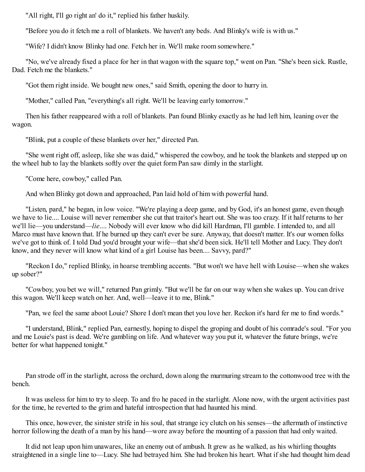"All right, I'll go right an' do it," replied his father huskily.

"Before you do it fetch me a roll of blankets. We haven't any beds. And Blinky's wife is with us."

"Wife? I didn't know Blinky had one. Fetch her in. We'll make room somewhere."

"No, we've already fixed a place for her in that wagon with the square top," went on Pan. "She's been sick. Rustle, Dad. Fetch me the blankets."

"Got them right inside. We bought new ones," said Smith, opening the door to hurry in.

"Mother," called Pan, "everything's all right. We'll be leaving early tomorrow."

Then his father reappeared with a roll of blankets. Pan found Blinky exactly as he had left him, leaning over the wagon.

"Blink, put a couple of these blankets over her," directed Pan.

"She went right off, asleep, like she was daid," whispered the cowboy, and he took the blankets and stepped up on the wheel hub to lay the blankets softly over the quiet form Pan saw dimly in the starlight.

"Come here, cowboy," called Pan.

And when Blinky got down and approached, Pan laid hold of him with powerful hand.

"Listen, pard," he began, in low voice. "We're playing a deep game, and by God, it's an honest game, even though we have to lie.... Louise will never remember she cut that traitor's heart out. She was too crazy. If it half returns to her we'll lie—you understand—*lie*.... Nobody will ever know who did kill Hardman, I'll gamble. I intended to, and all Marco must have known that. If he burned up they can't ever be sure. Anyway, that doesn't matter. It's our women folks we've got to think of. I told Dad you'd brought your wife—that she'd been sick. He'll tell Mother and Lucy. They don't know, and they never will know what kind of a girl Louise has been.... Savvy, pard?"

"Reckon I do," replied Blinky, in hoarse trembling accents. "But won't we have hell with Louise—when she wakes up sober?"

"Cowboy, you bet we will," returned Pan grimly. "But we'll be far on our way when she wakes up. You can drive this wagon. We'll keep watch on her. And, well—leave it to me, Blink."

"Pan, we feel the same aboot Louie? Shore I don't mean thet you love her. Reckon it's hard fer me to find words."

"I understand, Blink," replied Pan, earnestly, hoping to dispel the groping and doubt of his comrade's soul. "For you and me Louie's past is dead. We're gambling on life. And whatever way you put it, whatever the future brings, we're better for what happened tonight."

Pan strode off in the starlight, across the orchard, down along the murmuring stream to the cottonwood tree with the bench.

It was useless for him to try to sleep. To and fro he paced in the starlight. Alone now, with the urgent activities past for the time, he reverted to the grim and hateful introspection that had haunted his mind.

This once, however, the sinister strife in his soul, that strange icy clutch on his senses—the aftermath of instinctive horror following the death of a man by his hand—wore away before the mounting of a passion that had only waited.

It did not leap upon him unawares, like an enemy out of ambush. It grew as he walked, as his whirling thoughts straightened in a single line to—Lucy. She had betrayed him. She had broken his heart. What if she had thought him dead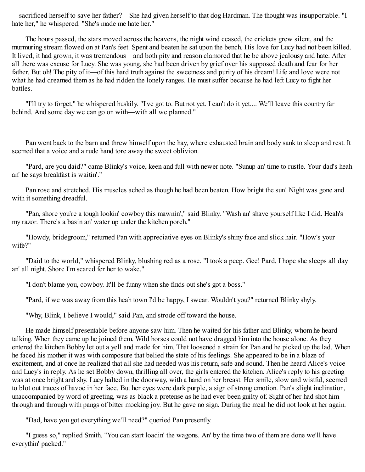—sacrificed herself to save her father?—She had given herself to that dog Hardman. The thought was insupportable. "I hate her," he whispered. "She's made me hate her."

The hours passed, the stars moved across the heavens, the night wind ceased, the crickets grew silent, and the murmuring stream flowed on at Pan's feet. Spent and beaten he sat upon the bench. His love for Lucy had not been killed. It lived, it had grown, it was tremendous—and both pity and reason clamored that he be above jealousy and hate. After all there was excuse for Lucy. She was young, she had been driven by grief over his supposed death and fear for her father. But oh! The pity of it—of this hard truth against the sweetness and purity of his dream! Life and love were not what he had dreamed them as he had ridden the lonely ranges. He must suffer because he had left Lucy to fight her battles.

"I'll try to forget," he whispered huskily. "I've got to. But not yet. I can't do it yet.... We'll leave this country far behind. And some day we can go on with—with all we planned."

Pan went back to the barn and threw himself upon the hay, where exhausted brain and body sank to sleep and rest. It seemed that a voice and a rude hand tore away the sweet oblivion.

"Pard, are you daid?" came Blinky's voice, keen and full with newer note. "Sunup an' time to rustle. Your dad's heah an' he says breakfast is waitin'."

Pan rose and stretched. His muscles ached as though he had been beaten. How bright the sun! Night was gone and with it something dreadful.

"Pan, shore you're a tough lookin' cowboy this mawnin'," said Blinky. "Wash an' shave yourself like I did. Heah's my razor. There's a basin an' water up under the kitchen porch."

"Howdy, bridegroom," returned Pan with appreciative eyes on Blinky's shiny face and slick hair. "How's your wife?"

"Daid to the world," whispered Blinky, blushing red as a rose. "I took a peep. Gee! Pard, I hope she sleeps all day an' all night. Shore I'm scared fer her to wake."

"I don't blame you, cowboy. It'll be funny when she finds out she's got a boss."

"Pard, if we was away from this heah town I'd be happy, I swear. Wouldn't you?" returned Blinky shyly.

"Why, Blink, I believe I would," said Pan, and strode off toward the house.

He made himself presentable before anyone saw him. Then he waited for his father and Blinky, whom he heard talking. When they came up he joined them. Wild horses could not have dragged him into the house alone. As they entered the kitchen Bobby let out a yell and made for him. That loosened a strain for Pan and he picked up the lad. When he faced his mother it was with composure that belied the state of his feelings. She appeared to be in a blaze of excitement, and at once he realized that all she had needed was his return, safe and sound. Then he heard Alice's voice and Lucy's in reply. As he set Bobby down, thrilling all over, the girls entered the kitchen. Alice's reply to his greeting was at once bright and shy. Lucy halted in the doorway, with a hand on her breast. Her smile, slow and wistful, seemed to blot out traces of havoc in her face. But her eyes were dark purple, a sign of strong emotion. Pan's slight inclination, unaccompanied by word of greeting, was as black a pretense as he had ever been guilty of. Sight of her had shot him through and through with pangs of bitter mocking joy. But he gave no sign. During the meal he did not look at her again.

"Dad, have you got everything we'll need?" queried Pan presently.

"I guess so," replied Smith. "You can start loadin' the wagons. An' by the time two of them are done we'll have everythin' packed."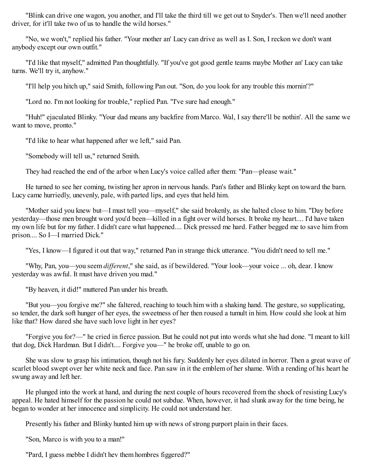"Blink can drive one wagon, you another, and I'll take the third till we get out to Snyder's. Then we'll need another driver, for it'll take two of us to handle the wild horses."

"No, we won't," replied his father. "Your mother an' Lucy can drive as well as I. Son, I reckon we don't want anybody except our own outfit."

"I'd like that myself," admitted Pan thoughtfully. "If you've got good gentle teams maybe Mother an' Lucy can take turns. We'll try it, anyhow."

"I'll help you hitch up," said Smith, following Pan out. "Son, do you look for any trouble this mornin'?"

"Lord no. I'm not looking for trouble," replied Pan. "I've sure had enough."

"Huh!" ejaculated Blinky. "Your dad means any backfire from Marco. Wal, I say there'll be nothin'. All the same we want to move, pronto."

"I'd like to hear what happened after we left," said Pan.

"Somebody will tell us," returned Smith.

They had reached the end of the arbor when Lucy's voice called after them: "Pan—please wait."

He turned to see her coming, twisting her apron in nervous hands. Pan's father and Blinky kept on toward the barn. Lucy came hurriedly, unevenly, pale, with parted lips, and eyes that held him.

"Mother said you knew but—I must tell you—myself," she said brokenly, as she halted close to him. "Day before yesterday—those men brought word you'd been—killed in a fight over wild horses. It broke my heart.... I'd have taken my own life but for my father. I didn't care what happened.... Dick pressed me hard. Father begged me to save him from prison.... So I—I married Dick."

"Yes, I know—I figured it out that way," returned Pan in strange thick utterance. "You didn't need to tell me."

"Why, Pan, you—you seem *dif erent*," she said, as if bewildered. "Your look—your voice ... oh, dear. I know yesterday was awful. It must have driven you mad."

"By heaven, it did!" muttered Pan under his breath.

"But you—you forgive me?" she faltered, reaching to touch him with a shaking hand. The gesture, so supplicating, so tender, the dark soft hunger of her eyes, the sweetness of her then roused a tumult in him. How could she look at him like that? How dared she have such love light in her eyes?

"Forgive you for?—" he cried in fierce passion. But he could not put into words what she had done. "I meant to kill that dog, Dick Hardman. But I didn't.... Forgive you—" he broke off, unable to go on.

She was slow to grasp his intimation, though not his fury. Suddenly her eyes dilated in horror. Then a great wave of scarlet blood swept over her white neck and face. Pan saw in it the emblem of her shame. With a rending of his heart he swung away and left her.

He plunged into the work at hand, and during the next couple of hours recovered from the shock of resisting Lucy's appeal. He hated himself for the passion he could not subdue. When, however, it had slunk away for the time being, he began to wonder at her innocence and simplicity. He could not understand her.

Presently his father and Blinky hunted him up with news of strong purport plain in their faces.

"Son, Marco is with you to a man!"

"Pard, I guess mebbe I didn't hev them hombres figgered?"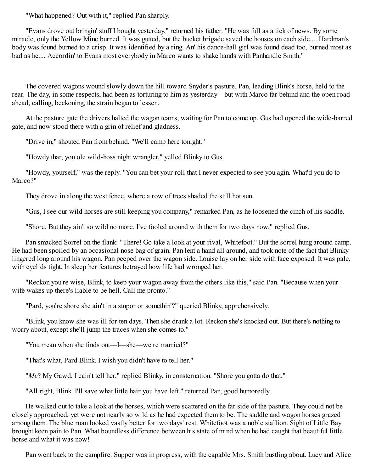"What happened? Out with it," replied Pan sharply.

"Evans drove out bringin' stuff I bought yesterday," returned his father. "He was full as a tick of news. By some miracle, only the Yellow Mine burned. It was gutted, but the bucket brigade saved the houses on each side.... Hardman's body was found burned to a crisp. It was identified by a ring. An' his dance-hall girl was found dead too, burned most as bad as he.... Accordin' to Evans most everybody in Marco wants to shake hands with Panhandle Smith."

The covered wagons wound slowly down the hill toward Snyder's pasture. Pan, leading Blink's horse, held to the rear. The day, in some respects, had been as torturing to him as yesterday—but with Marco far behind and the open road ahead, calling, beckoning, the strain began to lessen.

At the pasture gate the drivers halted the wagon teams, waiting for Pan to come up. Gus had opened the wide-barred gate, and now stood there with a grin of relief and gladness.

"Drive in," shouted Pan from behind. "We'll camp here tonight."

"Howdy thar, you ole wild-hoss night wrangler," yelled Blinky to Gus.

"Howdy, yourself," was the reply. "You can bet your roll that I never expected to see you agin. What'd you do to Marco?"

They drove in along the west fence, where a row of trees shaded the still hot sun.

"Gus, I see our wild horses are still keeping you company," remarked Pan, as he loosened the cinch of his saddle.

"Shore. But they ain't so wild no more. I've fooled around with them for two days now," replied Gus.

Pan smacked Sorrel on the flank: "There! Go take a look at your rival, Whitefoot." But the sorrel hung around camp. He had been spoiled by an occasional nose bag of grain. Pan lent a hand all around, and took note of the fact that Blinky lingered long around his wagon. Pan peeped over the wagon side. Louise lay on her side with face exposed. It was pale, with eyelids tight. In sleep her features betrayed how life had wronged her.

"Reckon you're wise, Blink, to keep your wagon away from the others like this," said Pan. "Because when your wife wakes up there's liable to be hell. Call me pronto."

"Pard, you're shore she ain't in a stupor or somethin'?" queried Blinky, apprehensively.

"Blink, you know she was ill for ten days. Then she drank a lot. Reckon she's knocked out. But there's nothing to worry about, except she'll jump the traces when she comes to."

"You mean when she finds out—I—she—we're married?"

"That's what, Pard Blink. I wish you didn't have to tell her."

"*Me*? My Gawd, I cain't tell her," replied Blinky, in consternation. "Shore you gotta do that."

"All right, Blink. I'll save what little hair you have left," returned Pan, good humoredly.

He walked out to take a look at the horses, which were scattered on the far side of the pasture. They could not be closely approached, yet were not nearly so wild as he had expected them to be. The saddle and wagon horses grazed among them. The blue roan looked vastly better for two days' rest. Whitefoot was a noble stallion. Sight of Little Bay brought keen pain to Pan. What boundless difference between his state of mind when he had caught that beautiful little horse and what it was now!

Pan went back to the campfire. Supper was in progress, with the capable Mrs. Smith bustling about. Lucy and Alice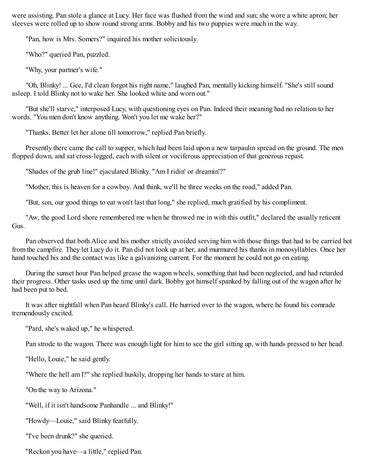were assisting. Pan stole a glance at Lucy. Her face was flushed from the wind and sun; she wore a white apron; her sleeves were rolled up to show round strong arms. Bobby and his two puppies were much in the way.

"Pan, how is Mrs. Somers?" inquired his mother solicitously.

"Who?" queried Pan, puzzled.

"Why, your partner's wife."

"Oh, Blinky! ... Gee, I'd clean forgot his right name," laughed Pan, mentally kicking himself. "She's still sound asleep. I told Blinky not to wake her. She looked white and worn out."

"But she'll starve," interposed Lucy, with questioning eyes on Pan. Indeed their meaning had no relation to her words. "You men don't know anything. Won't you let me wake her?"

"Thanks. Better let her alone till tomorrow," replied Pan briefly.

Presently there came the call to supper, which had been laid upon a new tarpaulin spread on the ground. The men flopped down, and sat cross-legged, each with silent or vociferous appreciation of that generous repast.

"Shades of the grub line!" ejaculated Blinky. "Am I ridin' or dreamin'?"

"Mother, this is heaven for a cowboy. And think, we'll be three weeks on the road," added Pan.

"But, son, our good things to eat won't last that long," she replied, much gratified by his compliment.

"Aw, the good Lord shore remembered me when he throwed me in with this outfit," declared the usually reticent Gus.

Pan observed that both Alice and his mother strictly avoided serving him with those things that had to be carried hot from the campfire. They let Lucy do it. Pan did not look up at her, and murmured his thanks in monosyllables. Once her hand touched his and the contact was like a galvanizing current. For the moment he could not go on eating.

During the sunset hour Pan helped grease the wagon wheels, something that had been neglected, and had retarded their progress. Other tasks used up the time until dark. Bobby got himself spanked by falling out of the wagon after he had been put to bed.

It was after nightfall when Pan heard Blinky's call. He hurried over to the wagon, where he found his comrade tremendously excited.

"Pard, she's waked up," he whispered.

Pan strode to the wagon. There was enough light for him to see the girl sitting up, with hands pressed to her head.

"Hello, Louie," he said gently.

"Where the hell am I?" she replied huskily, dropping her hands to stare at him.

"On the way to Arizona."

"Well, if it isn't handsome Panhandle ... and Blinky!"

"Howdy—Louie," said Blinky fearfully.

"I've been drunk?" she queried.

"Reckon you have—a little," replied Pan.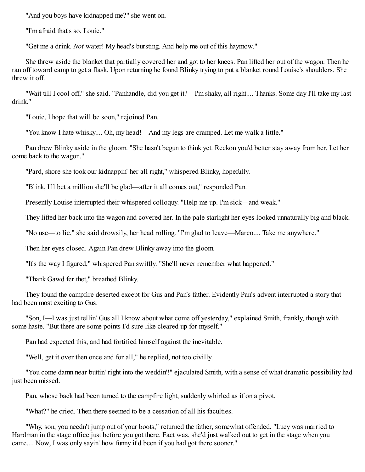"And you boys have kidnapped me?" she went on.

"I'm afraid that's so, Louie."

"Get me a drink. *Not* water! My head's bursting. And help me out of this haymow."

She threw aside the blanket that partially covered her and got to her knees. Pan lifted her out of the wagon. Then he ran off toward camp to get a flask. Upon returning he found Blinky trying to put a blanket round Louise's shoulders. She threw it off.

"Wait till I cool off," she said. "Panhandle, did you get it?—I'm shaky, all right.... Thanks. Some day I'll take my last drink."

"Louie, I hope that will be soon," rejoined Pan.

"You know I hate whisky.... Oh, my head!—And my legs are cramped. Let me walk a little."

Pan drew Blinky aside in the gloom. "She hasn't begun to think yet. Reckon you'd better stay away from her. Let her come back to the wagon."

"Pard, shore she took our kidnappin' her all right," whispered Blinky, hopefully.

"Blink, I'll bet a million she'll be glad—after it all comes out," responded Pan.

Presently Louise interrupted their whispered colloquy. "Help me up. I'm sick—and weak."

They lifted her back into the wagon and covered her. In the pale starlight her eyes looked unnaturally big and black.

"No use—to lie," she said drowsily, her head rolling. "I'm glad to leave—Marco.... Take me anywhere."

Then her eyes closed. Again Pan drew Blinky away into the gloom.

"It's the way I figured," whispered Pan swiftly. "She'll never remember what happened."

"Thank Gawd fer thet," breathed Blinky.

They found the campfire deserted except for Gus and Pan's father. Evidently Pan's advent interrupted a story that had been most exciting to Gus.

"Son, I—I was just tellin' Gus all I know about what come off yesterday," explained Smith, frankly, though with some haste. "But there are some points I'd sure like cleared up for myself."

Pan had expected this, and had fortified himself against the inevitable.

"Well, get it over then once and for all," he replied, not too civilly.

"You come damn near buttin' right into the weddin'!" ejaculated Smith, with a sense of what dramatic possibility had just been missed.

Pan, whose back had been turned to the campfire light, suddenly whirled as if on a pivot.

"What?" he cried. Then there seemed to be a cessation of all his faculties.

"Why, son, you needn't jump out of your boots," returned the father, somewhat offended. "Lucy was married to Hardman in the stage office just before you got there. Fact was, she'd just walked out to get in the stage when you came.... Now, I was only sayin' how funny it'd been if you had got there sooner."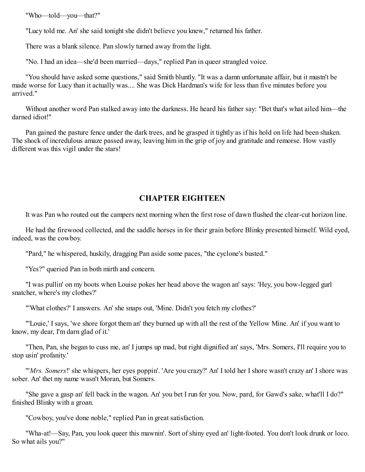"Who—told—you—that?"

"Lucy told me. An' she said tonight she didn't believe you knew," returned his father.

There was a blank silence. Pan slowly turned away from the light.

"No. I had an idea—she'd been married—days," replied Pan in queer strangled voice.

"You should have asked some questions," said Smith bluntly. "It was a damn unfortunate affair, but it mustn't be made worse for Lucy than it actually was.... She was Dick Hardman's wife for less than five minutes before you arrived."

Without another word Pan stalked away into the darkness. He heard his father say: "Bet that's what ailed him—the darned idiot!"

Pan gained the pasture fence under the dark trees, and he grasped it tightly as if his hold on life had been shaken. The shock of incredulous amaze passed away, leaving him in the grip of joy and gratitude and remorse. How vastly different was this vigil under the stars!

## **CHAPTER EIGHTEEN**

It was Pan who routed out the campers next morning when the first rose of dawn flushed the clear-cut horizon line.

He had the firewood collected, and the saddle horses in for their grain before Blinky presented himself. Wild eyed, indeed, was the cowboy.

"Pard," he whispered, huskily, dragging Pan aside some paces, "the cyclone's busted."

"Yes?" queried Pan in both mirth and concern.

"I was pullin' on my boots when Louise pokes her head above the wagon an' says: 'Hey, you bow-legged gurl snatcher, where's my clothes?'

"'What clothes?' I answers. An' she snaps out, 'Mine. Didn't you fetch my clothes?'

"'Louie,' I says, 'we shore forgot them an' they burned up with all the rest of the Yellow Mine. An' if you want to know, my dear, I'm darn glad of it.'

"Then, Pan, she began to cuss me, an' I jumps up mad, but right dignified an' says, 'Mrs. Somers, I'll require you to stop usin' profanity.'

"*Mrs. Somers!*' she whispers, her eyes poppin'. 'Are you crazy?' An' I told her I shore wasn't crazy an' I shore was sober. An' thet my name wasn't Moran, but Somers.

"She gave a gasp an' fell back in the wagon. An' you bet I run fer you. Now, pard, for Gawd's sake, what'll I do?" finished Blinky with a groan.

"Cowboy, you've done noble," replied Pan in great satisfaction.

"Wha-at!—Say, Pan, you look queer this mawnin'. Sort of shiny eyed an' light-footed. You don't look drunk or loco. So what ails you?"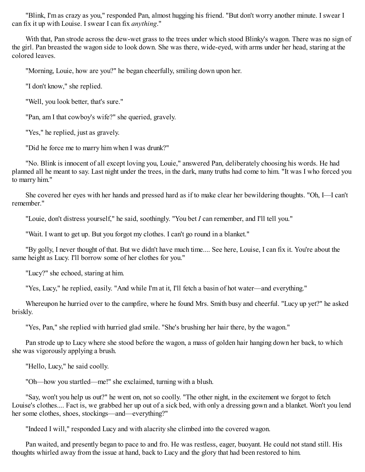"Blink, I'm as crazy as you," responded Pan, almost hugging his friend. "But don't worry another minute. I swear I can fix it up with Louise. I swear I can fix *anything*."

With that, Pan strode across the dew-wet grass to the trees under which stood Blinky's wagon. There was no sign of the girl. Pan breasted the wagon side to look down. She was there, wide-eyed, with arms under her head, staring at the colored leaves.

"Morning, Louie, how are you?" he began cheerfully, smiling down upon her.

"I don't know," she replied.

"Well, you look better, that's sure."

"Pan, am I that cowboy's wife?" she queried, gravely.

"Yes," he replied, just as gravely.

"Did he force me to marry him when I was drunk?"

"No. Blink is innocent of all except loving you, Louie," answered Pan, deliberately choosing his words. He had planned all he meant to say. Last night under the trees, in the dark, many truths had come to him. "It was I who forced you to marry him."

She covered her eyes with her hands and pressed hard as if to make clear her bewildering thoughts. "Oh, I—I can't remember."

"Louie, don't distress yourself," he said, soothingly. "You bet *I* can remember, and I'll tell you."

"Wait. I want to get up. But you forgot my clothes. I can't go round in a blanket."

"By golly, I never thought of that. But we didn't have much time.... See here, Louise, I can fix it. You're about the same height as Lucy. I'll borrow some of her clothes for you."

"Lucy?" she echoed, staring at him.

"Yes, Lucy," he replied, easily. "And while I'm at it, I'll fetch a basin of hot water—and everything."

Whereupon he hurried over to the campfire, where he found Mrs. Smith busy and cheerful. "Lucy up yet?" he asked briskly.

"Yes, Pan," she replied with hurried glad smile. "She's brushing her hair there, by the wagon."

Pan strode up to Lucy where she stood before the wagon, a mass of golden hair hanging down her back, to which she was vigorously applying a brush.

"Hello, Lucy," he said coolly.

"Oh—how you startled—me!" she exclaimed, turning with a blush.

"Say, won't you help us out?" he went on, not so coolly. "The other night, in the excitement we forgot to fetch Louise's clothes.... Fact is, we grabbed her up out of a sick bed, with only a dressing gown and a blanket. Won't you lend her some clothes, shoes, stockings—and—everything?"

"Indeed I will," responded Lucy and with alacrity she climbed into the covered wagon.

Pan waited, and presently began to pace to and fro. He was restless, eager, buoyant. He could not stand still. His thoughts whirled away from the issue at hand, back to Lucy and the glory that had been restored to him.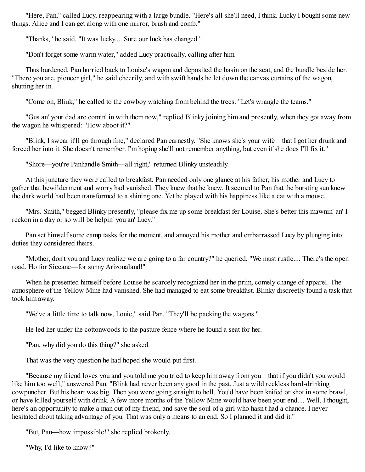"Here, Pan," called Lucy, reappearing with a large bundle. "Here's all she'll need, I think. Lucky I bought some new things. Alice and I can get along with one mirror, brush and comb."

"Thanks," he said. "It was lucky.... Sure our luck has changed."

"Don't forget some warm water," added Lucy practically, calling after him.

Thus burdened, Pan hurried back to Louise's wagon and deposited the basin on the seat, and the bundle beside her. "There you are, pioneer girl," he said cheerily, and with swift hands he let down the canvas curtains of the wagon, shutting her in.

"Come on, Blink," he called to the cowboy watching from behind the trees. "Let's wrangle the teams."

"Gus an' your dad are comin' in with them now," replied Blinky joining him and presently, when they got away from the wagon he whispered: "How aboot it?"

"Blink, I swear it'll go through fine," declared Pan earnestly. "She knows she's your wife—that I got her drunk and forced her into it. She doesn't remember. I'm hoping she'll not remember anything, but even if she does I'll fix it."

"Shore—you're Panhandle Smith—all right," returned Blinky unsteadily.

At this juncture they were called to breakfast. Pan needed only one glance at his father, his mother and Lucy to gather that bewilderment and worry had vanished. They knew that he knew. It seemed to Pan that the bursting sun knew the dark world had been transformed to a shining one. Yet he played with his happiness like a cat with a mouse.

"Mrs. Smith," begged Blinky presently, "please fix me up some breakfast fer Louise. She's better this mawnin' an' I reckon in a day or so will be helpin' you an' Lucy."

Pan set himself some camp tasks for the moment, and annoyed his mother and embarrassed Lucy by plunging into duties they considered theirs.

"Mother, don't you and Lucy realize we are going to a far country?" he queried. "We must rustle.... There's the open road. Ho for Siccane—for sunny Arizonaland!"

When he presented himself before Louise he scarcely recognized her in the prim, comely change of apparel. The atmosphere of the Yellow Mine had vanished. She had managed to eat some breakfast. Blinky discreetly found a task that took him away.

"We've a little time to talk now, Louie," said Pan. "They'll be packing the wagons."

He led her under the cottonwoods to the pasture fence where he found a seat for her.

"Pan, why did you do this thing?" she asked.

That was the very question he had hoped she would put first.

"Because my friend loves you and you told me you tried to keep him away from you—that if you didn't you would like him too well," answered Pan. "Blink had never been any good in the past. Just a wild reckless hard-drinking cowpuncher. But his heart was big. Then you were going straight to hell. You'd have been knifed or shot in some brawl, or have killed yourself with drink. A few more months of the Yellow Mine would have been your end.... Well, I thought, here's an opportunity to make a man out of my friend, and save the soul of a girl who hasn't had a chance. I never hesitated about taking advantage of you. That was only a means to an end. So I planned it and did it."

"But, Pan—how impossible!" she replied brokenly.

"Why, I'd like to know?"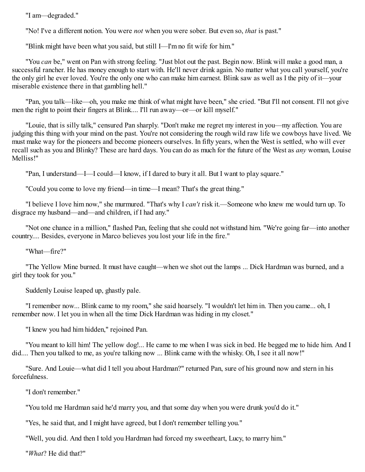"I am—degraded."

"No! I've a different notion. You were *not* when you were sober. But even so, *that* is past."

"Blink might have been what you said, but still I—I'm no fit wife for him."

"You *can* be," went on Pan with strong feeling. "Just blot out the past. Begin now. Blink will make a good man, a successful rancher. He has money enough to start with. He'll never drink again. No matter what you call yourself, you're the only girl he ever loved. You're the only one who can make him earnest. Blink saw as well as I the pity of it—your miserable existence there in that gambling hell."

"Pan, you talk—like—oh, you make me think of what might have been," she cried. "But I'll not consent. I'll not give men the right to point their fingers at Blink.... I'll run away—or—or kill myself."

"Louie, that is silly talk," censured Pan sharply. "Don't make me regret my interest in you—my affection. You are judging this thing with your mind on the past. You're not considering the rough wild raw life we cowboys have lived. We must make way for the pioneers and become pioneers ourselves. In fifty years, when the West is settled, who will ever recall such as you and Blinky? These are hard days. You can do as much for the future of the West as *any* woman, Louise Melliss!"

"Pan, I understand—I—I could—I know, if I dared to bury it all. But I want to play square."

"Could you come to love my friend—in time—I mean? That's the great thing."

"I believe I love him now," she murmured. "That's why I *can't* risk it.—Someone who knew me would turn up. To disgrace my husband—and—and children, if I had any."

"Not one chance in a million," flashed Pan, feeling that she could not withstand him. "We're going far—into another country.... Besides, everyone in Marco believes you lost your life in the fire."

"What—fire?"

"The Yellow Mine burned. It must have caught—when we shot out the lamps ... Dick Hardman was burned, and a girl they took for you."

Suddenly Louise leaped up, ghastly pale.

"I remember now... Blink came to my room," she said hoarsely. "I wouldn't let him in. Then you came... oh, I remember now. I let you in when all the time Dick Hardman was hiding in my closet."

"I knew you had him hidden," rejoined Pan.

"You meant to kill him! The yellow dog!... He came to me when I was sick in bed. He begged me to hide him. And I did.... Then you talked to me, as you're talking now ... Blink came with the whisky. Oh, I see it all now!"

"Sure. And Louie—what did I tell you about Hardman?" returned Pan, sure of his ground now and stern in his forcefulness.

"I don't remember."

"You told me Hardman said he'd marry you, and that some day when you were drunk you'd do it."

"Yes, he said that, and I might have agreed, but I don't remember telling you."

"Well, you did. And then I told you Hardman had forced my sweetheart, Lucy, to marry him."

"*What*? He did that?"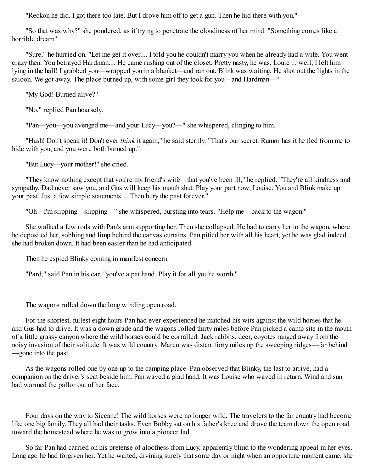"Reckon he did. I got there too late. But I drove him off to get a gun. Then he hid there with you."

"So that was why?" she pondered, as if trying to penetrate the cloudiness of her mind. "Something comes like a horrible dream"

"Sure," he hurried on. "Let me get it over.... I told you he couldn't marry you when he already had a wife. You went crazy then. You betrayed Hardman.... He came rushing out of the closet. Pretty nasty, he was, Louie ... well, I left him lying in the hall! I grabbed you—wrapped you in a blanket—and ran out. Blink was waiting. He shot out the lights in the saloon. We got away. The place burned up, with some girl they took for you—and Hardman—"

"My God! Burned alive?"

"No," replied Pan hoarsely.

"Pan—you—you avenged me—and your Lucy—you?—" she whispered, clinging to him.

"Hush! Don't speak it! Don't ever *think* it again," he said sternly. "That's our secret. Rumor has it he fled from me to hide with you, and you were both burned up."

"But Lucy—your mother!" she cried.

"They know nothing except that you're my friend's wife—that you've been ill," he replied. "They're all kindness and sympathy. Dad never saw you, and Gus will keep his mouth shut. Play your part now, Louise. You and Blink make up your past. Just a few simple statements.... Then bury the past forever."

"Oh—I'm slipping—slipping—" she whispered, bursting into tears. "Help me—back to the wagon."

She walked a few rods with Pan's arm supporting her. Then she collapsed. He had to carry her to the wagon, where he deposited her, sobbing and limp behind the canvas curtains. Pan pitied her with all his heart, yet he was glad indeed she had broken down. It had been easier than he had anticipated.

Then he espied Blinky coming in manifest concern.

"Pard," said Pan in his ear, "you've a pat hand. Play it for all you're worth."

The wagons rolled down the long winding open road.

For the shortest, fullest eight hours Pan had ever experienced he matched his wits against the wild horses that he and Gus had to drive. It was a down grade and the wagons rolled thirty miles before Pan picked a camp site in the mouth of a little grassy canyon where the wild horses could be corralled. Jack rabbits, deer, coyotes ranged away from the noisy invasion of their solitude. It was wild country. Marco was distant forty miles up the sweeping ridges—far behind —gone into the past.

As the wagons rolled one by one up to the camping place. Pan observed that Blinky, the last to arrive, had a companion on the driver's seat beside him. Pan waved a glad hand. It was Louise who waved in return. Wind and sun had warmed the pallor out of her face.

Four days on the way to Siccane! The wild horses were no longer wild. The travelers to the far country had become like one big family. They all had their tasks. Even Bobby sat on his father's knee and drove the team down the open road toward the homestead where he was to grow into a pioneer lad.

So far Pan had carried on his pretense of aloofness from Lucy, apparently blind to the wondering appeal in her eyes. Long ago he had forgiven her. Yet he waited, divining surely that some day or night when an opportune moment came, she